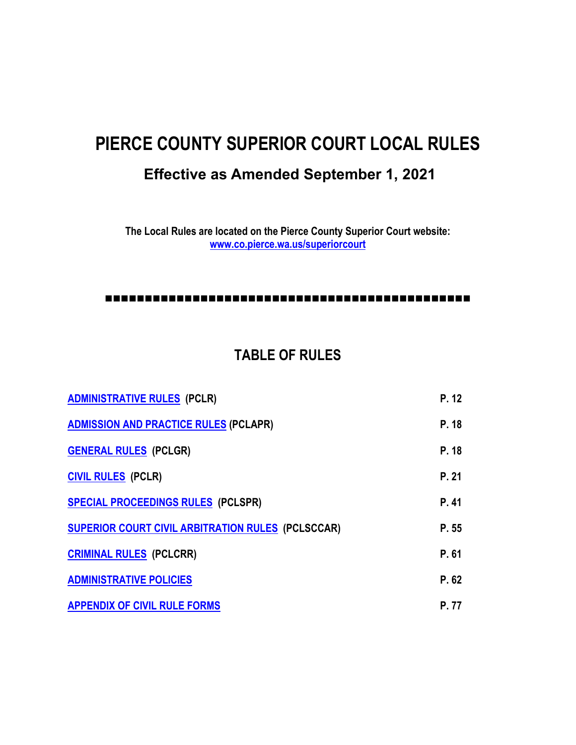# **PIERCE COUNTY SUPERIOR COURT LOCAL RULES Effective as Amended September 1, 2021**

**The Local Rules are located on the Pierce County Superior Court website: [www.co.pierce.wa.us/superiorcourt](http://www.co.pierce.wa.us/superior)**

**■■■■■■■■■■■■■■■■■■■■■■■■■■■■■■■■■■■■■■■■■■■■■■**

# **TABLE OF RULES**

| <b>ADMINISTRATIVE RULES (PCLR)</b>                       | P. 12 |
|----------------------------------------------------------|-------|
| <b>ADMISSION AND PRACTICE RULES (PCLAPR)</b>             | P. 18 |
| <b>GENERAL RULES</b> (PCLGR)                             | P. 18 |
| <b>CIVIL RULES</b> (PCLR)                                | P. 21 |
| <b>SPECIAL PROCEEDINGS RULES (PCLSPR)</b>                | P.41  |
| <b>SUPERIOR COURT CIVIL ARBITRATION RULES (PCLSCCAR)</b> | P. 55 |
| <b>CRIMINAL RULES</b> (PCLCRR)                           | P. 61 |
| <b>ADMINISTRATIVE POLICIES</b>                           | P. 62 |
| <b>APPENDIX OF CIVIL RULE FORMS</b>                      | P. 77 |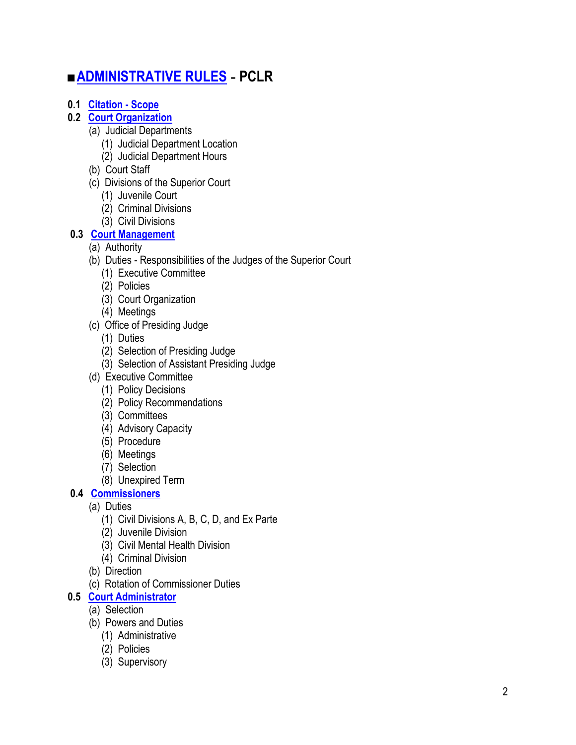# **■[ADMINISTRATIVE RULES](#page-11-0) - PCLR**

- **0.1 [Citation](#page-11-1)  - Scope**
- **0.2 [Court Organization](#page-11-2)**
	- (a) Judicial Departments
		- (1) Judicial Department Location
		- (2) Judicial Department Hours
	- (b) Court Staff
	- (c) Divisions of the Superior Court
		- (1) Juvenile Court
		- (2) Criminal Divisions
		- (3) Civil Divisions

## **0.3 [Court Management](#page-12-0)**

- (a) Authority
- (b) Duties Responsibilities of the Judges of the Superior Court
	- (1) Executive Committee
	- (2) Policies
	- (3) Court Organization
	- (4) Meetings
- (c) Office of Presiding Judge
	- (1) Duties
	- (2) Selection of Presiding Judge
	- (3) Selection of Assistant Presiding Judge
- (d) Executive Committee
	- (1) Policy Decisions
	- (2) Policy Recommendations
	- (3) Committees
	- (4) Advisory Capacity
	- (5) Procedure
	- (6) Meetings
	- (7) Selection
	- (8) Unexpired Term
- **0.4 [Commissioners](#page-14-0)**
	- (a) Duties
		- (1) Civil Divisions A, B, C, D , and Ex Parte
		- (2) Juvenile Division
		- (3) Civil Mental Health Division
		- (4) Criminal Division
	- (b) Direction
	- (c) Rotation of Commissioner Duties

### **0.5 [Court Administrator](#page-15-0)**

- (a) Selection
- (b) Powers and Duties
	- (1) Administrative
	- (2) Policies
	- (3) Supervisory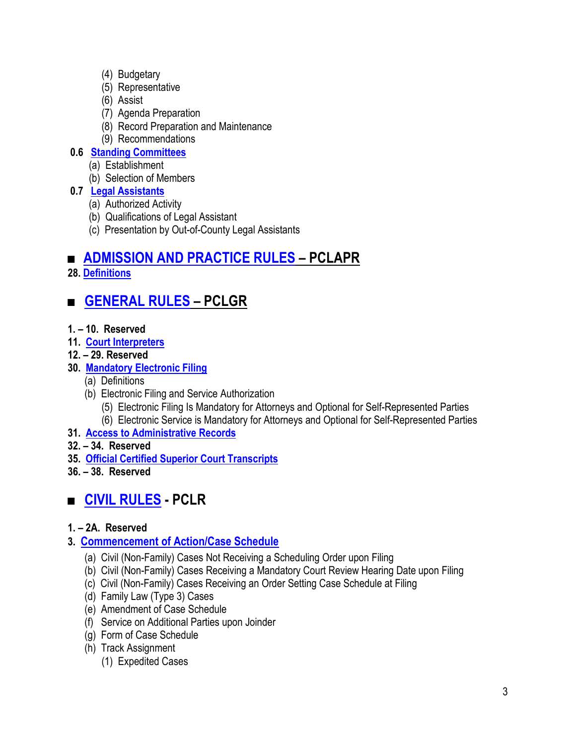- (4) Budgetary
- (5) Representative
- (6) Assist
- (7) Agenda Preparation
- (8) Record Preparation and Maintenance
- (9) Recommendations
- **0.6 [Standing Committees](#page-16-0)**
	- (a) Establishment
	- (b) Selection of Members
- **0.7 [Legal Assistants](#page-16-1)**
	- (a) Authorized Activity
	- (b) Qualifications of Legal Assistant
	- (c) Presentation by Out-of-County Legal Assistants

# **■ [ADMISSION AND PRACTICE RULES](#page-17-0) – PCLAPR**

**28. [Definitions](#page-17-2)** 

# **■ [GENERAL RULES](#page-17-1) – PCLGR**

- **1. – 10. Reserved**
- **11. [Court Interpreters](#page-17-3)**
- **12. – 29. Reserved**
- **30. [Mandatory Electronic Filing](#page-18-0)**
	- (a) Definitions
	- (b) Electronic Filing and Service Authorization
		- (5) Electronic Filing Is Mandatory for Attorneys and Optional for Self-Represented Parties
		- (6) Electronic Service is Mandatory for Attorneys and Optional for Self-Represented Parties
- **31. [Access to Administrative Records](#page-19-0)**
- **32. – 34. Reserved**
- **35. [Official Certified Superior Court Transcripts](#page-19-1)**
- **36. – 38. Reserved**

# **■ [CIVIL RULES](#page-20-0) - PCLR**

## **1. – 2A. Reserved**

## **3. [Commencement of Action/Case Schedule](#page-20-1)**

- (a) Civil (Non-Family) Cases Not Receiving a Scheduling Order upon Filing
- (b) Civil (Non-Family) Cases Receiving a Mandatory Court Review Hearing Date upon Filing
- (c) Civil (Non-Family) Cases Receiving an Order Setting Case Schedule at Filing
- (d) Family Law (Type 3) Cases
- (e) Amendment of Case Schedule
- (f) Service on Additional Parties upon Joinder
- (g) Form of Case Schedule
- (h) Track Assignment
	- (1) Expedited Cases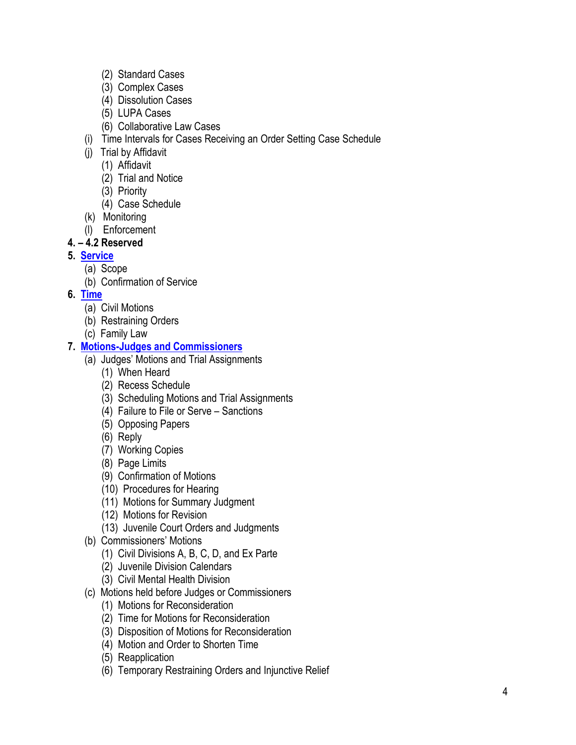- (2) Standard Cases
- (3) Complex Cases
- (4) Dissolution Cases
- (5) LUPA Cases
- (6) Collaborative Law Cases
- (i) Time Intervals for Cases Receiving an Order Setting Case Schedule
- (j) Trial by Affidavit
	- (1) Affidavit
	- (2) Trial and Notice
	- (3) Priority
	- (4) Case Schedule
- (k) Monitoring
- (l) Enforcement

# **4. – 4.2 Reserved**

# **5. [Service](#page-25-0)**

- (a) Scope
- (b) Confirmation of Service

## **6. [Time](#page-26-0)**

- (a) Civil Motions
- (b) Restraining Orders
- (c) Family Law

## **7. Motions [-Judges and Commissioners](#page-26-1)**

- (a) Judges' Motions and Trial Assignments
	- (1) When Heard
	- (2) Recess Schedule
	- (3) Scheduling Motions and Trial Assignments
	- (4) Failure to File or Serve Sanctions
	- (5) Opposing Papers
	- (6) Reply
	- (7) Working Copies
	- (8) Page Limits
	- (9) Confirmation of Motions
	- (10) Procedures for Hearing
	- (11) Motions for Summary Judgment
	- (12) Motions for Revision
	- (1 3 ) Juvenile Court Orders and Judgments
- (b) Commissioner s ' Motions
	- (1) Civil Division s A, B, C, D, and Ex Parte
	- (2) Juvenile Division Calendars
	- (3) Civil Mental Health Division
- (c) Motions held before Judges or Commissioners
	- (1) Motions for Reconsideration
	- (2) Time for Motions for Reconsideration
	- (3) Disposition of Motions for Reconsideration
	- (4) Motion and Order to Shorten Time
	- (5) Reapplication
	- (6) Temporary Restraining Orders and Injunctive Relief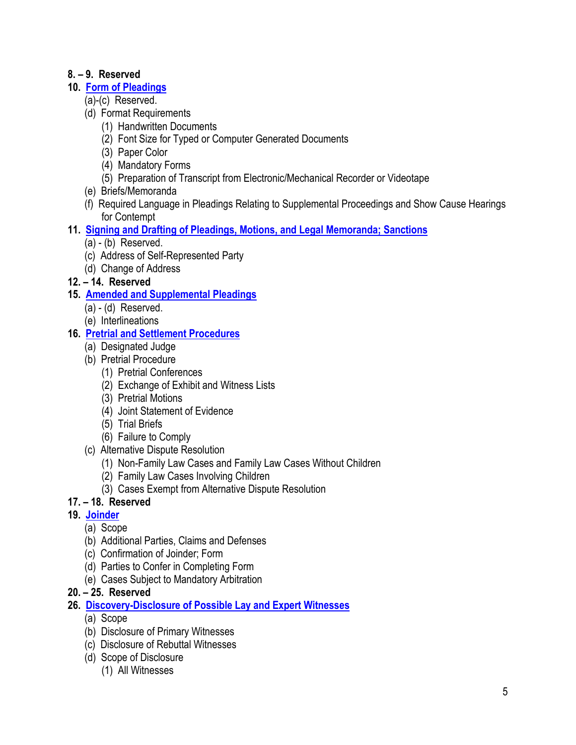## **8. – 9. Reserved**

### **10. [Form of Pleadings](#page-31-0)**

- (a)-(c) Reserved.
- (d) Format Requirements
	- (1) Handwritten Documents
	- (2) Font Size for Typed or Computer Generated Documents
	- (3) Paper Color
	- (4) Mandatory Forms
	- (5) Preparation of Transcript from Electronic/Mechanical Recorder or Videotape
- (e) Briefs/Memoranda
- (f) Required Language in Pleadings Relating to Supplemental Proceedings and Show Cause Hearings for Contempt
- **11. [Signing and Drafting of Pleadings, Motions,](#page-32-0) and Legal Memoranda; Sanctions**
	- (a) (b) Reserved.
	- (c) Address of Self-Represented Party
	- (d) Change of Address
- **12. – 14. Reserved**
- **15. [Amended and Supplemental Pleadings](#page-33-0)**
	- (a) (d) Reserved.
	- (e) Interlineations
- **16. [Pretrial and Settlement Procedures](#page-33-1)**
	- (a) Designated Judge
	- (b) Pretrial Procedure
		- (1) Pretrial Conferences
		- (2) Exchange of Exhibit and Witness Lists
		- (3) Pretrial Motions
		- (4) Joint Statement of Evidence
		- (5) Trial Briefs
		- (6) Failure to Comply
	- (c) Alternative Dispute Resolution
		- (1) Non-Family Law Cases and Family Law Cases Without Children
		- (2) Family Law Cases Involving Children
		- (3) Cases Exempt from Alternative Dispute Resolution
- **17. – 18. Reserved**

### **19. [Joinder](#page-35-0)**

- (a) Scope
- (b) Additional Parties, Claims and Defenses
- (c) Confirmation of Joinder; Form
- (d) Parties to Confer in Completing Form
- (e) Cases Subject to Mandatory Arbitration
- **20. – 25. Reserved**
- **26. [Discovery-Disclosure of Possible Lay and Expert Witnesses](#page-35-1)**
	- (a) Scope
	- (b) Disclosure of Primary Witnesses
	- (c) Disclosure of Rebuttal Witnesses
	- (d) Scope of Disclosure
		- (1) All Witnesses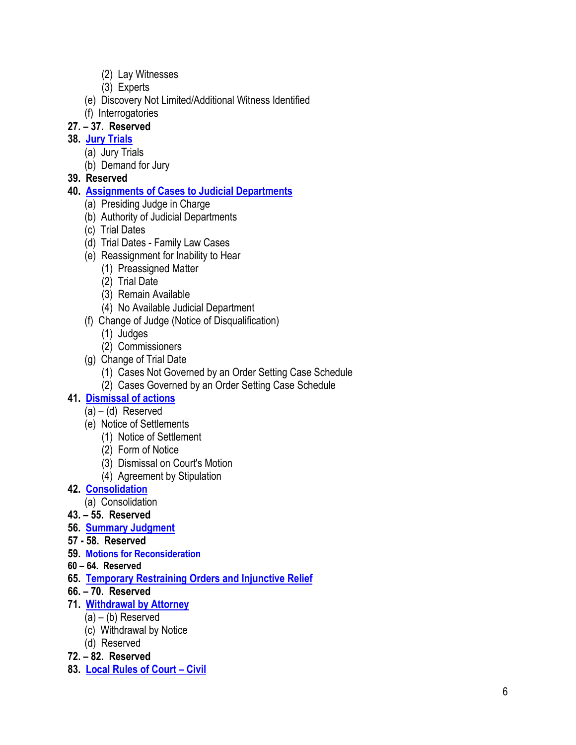- (2) Lay Witnesses
- (3) Experts
- (e) Discovery Not Limited/Additional Witness Identified
- (f) Interrogatories

### **27. – 37. Reserved**

- **38. [Jury Trials](#page-36-0)**
	- (a) Jury Trials
	- (b) Demand for Jury
- **39. Reserved**

### **40. [Assignments of Cases to Judicial Departments](#page-36-1)**

- (a) Presiding Judge in Charge
- (b) Authority of Judicial Departments
- (c) Trial Dates
- (d) Trial Dates Family Law Cases
- (e) Reassignment for Inability to Hear
	- (1) Preassigned Matter
	- (2) Trial Date
	- (3) Remain Available
	- (4) No Available Judicial Department
- (f) Change of Judge (Notice of Disqualification)
	- (1) Judges
	- (2) Commissioners
- (g) Change of Trial Date
	- (1) Cases Not Governed by an Order Setting Case Schedule
	- (2) Cases Governed by an Order Setting Case Schedule

### **41. [Dismissal of actions](#page-38-0)**

- (a) (d) Reserved
- (e) Notice of Settlement s
	- (1) Notice of Settlement
	- (2) Form of Notice
	- (3) Dismissal on Court's Motion
	- (4) Agreement by Stipulation

#### **42. [Consolidation](#page-38-1)**

- (a) Consolidation
- **43. – 55. Reserved**
- **56. [Summary Judgment](#page-38-1)**
- **57 - 58. Reserved**
- **59. [Motions for Reconsideration](#page-38-2)**
- **60 – 64. Reserved**
- **65. [Temporary Restraining Orders and Injunctive Relief](#page-39-0)**
- **66. – 70. Reserved**
- **71. [Withdrawal by Attorney](#page-39-1)**
	- (a) (b) Reserved
	- (c) Withdrawal by Notice
	- (d) Reserved
- **72. – 82. Reserved**
- **83. [Local Rules of Court](#page-40-1)  – Civil**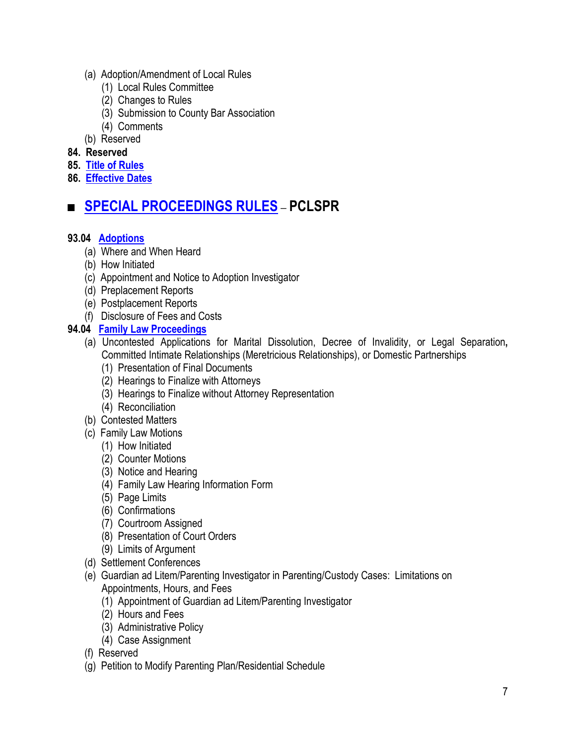- (a) Adoption/Amendment of Local Rules
	- (1) Local Rules Committee
	- (2) Changes to Rules
	- (3) Submission to County Bar Association
	- (4) Comments
- (b) Reserved
- **84. Reserved**
- **85. [Title of Rules](#page-40-2)**
- **86. [Effective Dates](#page-40-3)**

# **■ [SPECIAL PROCEEDINGS RULES](#page-40-0) – PCLSPR**

#### **93.04 [Adoptions](#page-40-4)**

- (a) Where and When Heard
- (b) How Initiated
- (c) Appointment and Notice to Adoption Investigator
- (d) Preplacement Reports
- (e) Postplacement Reports
- (f) Disclosure of Fees and Costs

#### **94.04 [Family Law Proceedings](#page-41-0)**

- (a) Uncontested Applications for Marital Dissolution, Decree of Invalidity, or Legal Separation**,**  Committed Intimate Relationships (Meretricious Relationships), or Domestic Partnerships
	- (1) Presentation of Final Documents
	- (2) Hearings to Finalize with Attorneys
	- (3) Hearings to Finalize without Attorney Representation
	- (4) Reconciliation
- (b) Contested Matters
- (c) Family Law Motions
	- (1) How Initiated
	- (2) Counter Motions
	- (3) Notice and Hearing
	- (4) Family Law Hearing Information Form
	- (5) Page Limits
	- (6) Confirmations
	- (7) Courtroom Assigned
	- (8) Presentation of Court Orders
	- (9) Limits of Argument
- (d) Settlement Conferences
- (e) Guardian ad Litem/Parenting Investigator in Parenting/Custody Cases: Limitations on Appointments, Hours, and Fees
	- (1) Appointment of Guardian ad Litem/Parenting Investigator
	- (2) Hours and Fees
	- (3) Administrative Policy
	- (4) Case Assignment
- (f) Reserved
- (g) Petition to Modify Parenting Plan/Residential Schedule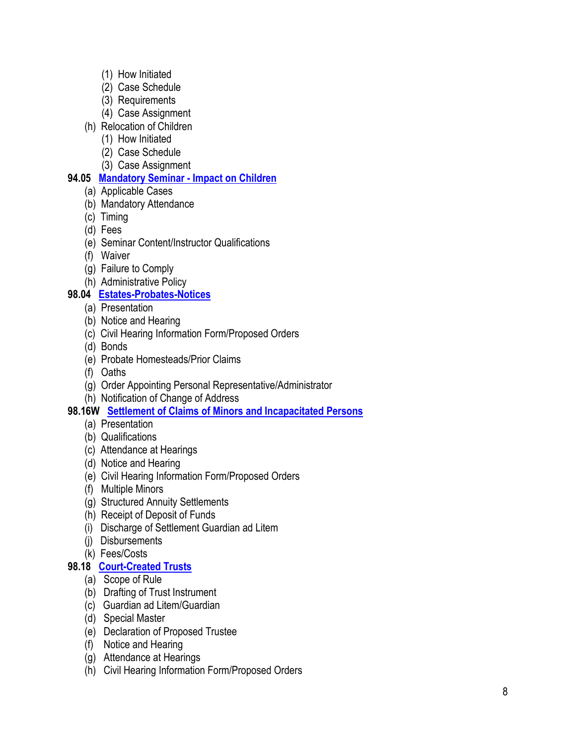- (1) How Initiated
- (2) Case Schedule
- (3) Requirements
- (4) Case Assignment
- (h) Relocation of Children
	- (1) How Initiated
	- (2) Case Schedule
	- (3) Case Assignment

#### **94.05 [Mandatory Seminar](#page-46-0)  - Impact on Children**

- (a) Applicable Cases
- (b) Mandatory Attendance
- (c) Timing
- (d) Fees
- (e) Seminar Content/Instructor Qualifications
- (f) Waiver
- (g) Failure to Comply
- (h) Administrative Policy

### **98.04 Estates [-Probates](#page-46-1) -Notices**

- (a) Presentation
- (b) Notice and Hearin g
- (c) Civil Hearing Information Form/Proposed Orders
- (d) Bonds
- (e) Probate Homesteads/Prior Claims
- (f) Oaths
- (g) Order Appointing Personal Representative/Administrator
- (h) Notification of Change of Address

## **98.16W [Settlement of Claims of Minors and Incapacitated Persons](#page-47-0)**

- (a) Presentation
- (b) Qualifications
- (c) Attendance at Hearings
- (d) Notice and Hearing
- (e) Civil Hearing Information Form/Proposed Orders
- (f) Multiple Minors
- (g) Structured Annuity Settlements
- (h) Receipt of Deposit of Funds
- (i) Discharge of Settlement Guardian ad Litem
- (j) Disbursements
- (k) Fees/Costs

### **98.18 Court [-Created Trusts](#page-49-0)**

- (a)Scope of Rule
- (b)Drafting of Trust Instrument
- (c)Guardian ad Litem/Guardian
- (d)Special Master
- (e)Declaration of Proposed Trustee
- (f)Notice and Hearing
- (g)Attendance at Hearings
- (h)Civil Hearing Information Form/Proposed Orders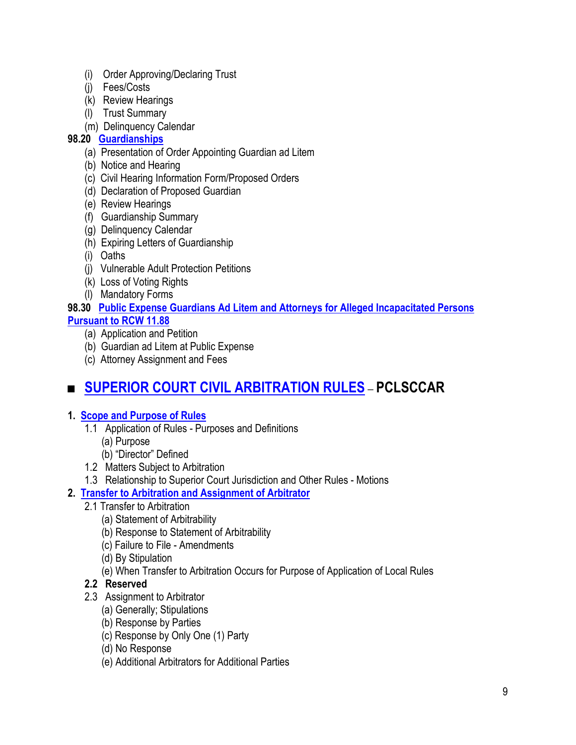- (i)Order Approving/Declaring Trust
- (j)Fees/Costs
- (k)Review Hearings
- (l)Trust Summary
- (m)Delinquency Calendar

#### **98.20 [Guardianships](#page-51-0)**

- (a) Presentation of Order Appointing Guardian ad Litem
- (b) Notice and Hearing
- (c) Civil Hearing Information Form/Proposed Orders
- (d) Declaration of Proposed Guardian
- (e) Review Hearings
- (f) Guardianship Summary
- (g) Delinquency Calendar
- (h) Expiring Letters of Guardianship
- (i) Oaths
- (j) Vulnerable Adult Protection Petitions
- (k) Loss of Voting Rights
- (l) Mandatory Forms

# **98.30 [Public Expense Guardians Ad Litem and Attorneys for Alleged Incapacitated Persons](#page-53-0)**

**[Pursuant to RCW 11.88](#page-53-0)**

- (a) Application and Petition
- (b) Guardian ad Litem at Public Expense
- (c) Attorney Assignment and Fees

# **■ [SUPERIOR COURT CIVIL](#page-54-0) ARBITRATION RULES – PCLSCCAR**

### **1. [Scope and Purpose of Rules](#page-54-1)**

- 1.1 Application of Rules Purposes and Definitions
	- (a) Purpose
	- (b) "Director" Defined
- 1.2 Matters Subject to Arbitration
- 1.3 Relationship to Superior Court Jurisdiction and Other Rules Motions

## **2. [Transfer to Arbitration and Assignment of Arbitrator](#page-55-0)**

- 2.1 Transfer to Arbitration
	- (a) Statement of Arbitrability
	- (b) Response to Statement of Arbitrability
	- (c) Failure to File Amendments
	- (d) By Stipulation
	- (e) When Transfer to Arbitration Occurs for Purpose of Application of Local Rules
- **2.2 Reserved**
- 2.3 Assignment to Arbitrator
	- (a) Generally; Stipulations
	- (b) Response by Parties
	- (c) Response by Only One (1) Party
	- (d) No Response
	- (e) Additional Arbitrators for Additional Parties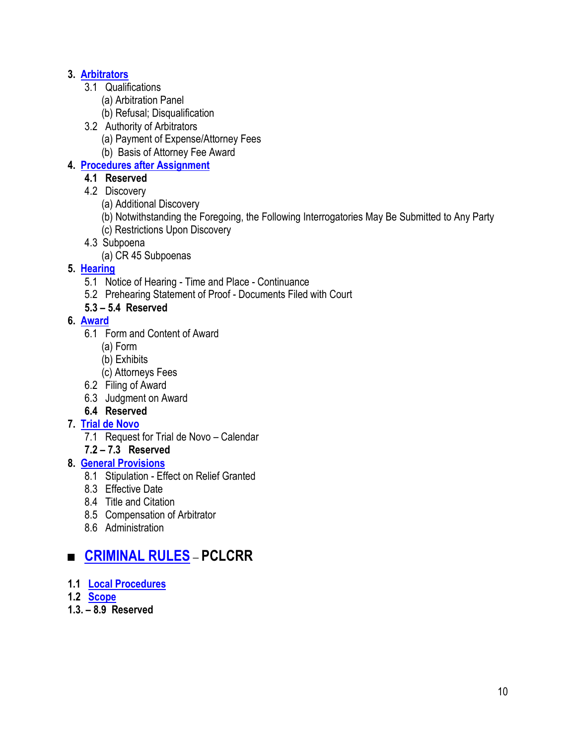## **3. [Arbitrators](#page-56-0)**

- 3.1 Qualifications
	- (a) Arbitration Panel
	- (b) Refusal; Disqualification
- 3.2 Authority of Arbitrators
	- (a) Payment of Expense/Attorney Fees
	- (b) Basis of Attorney Fee Award

## **4. [Procedures after Assignment](#page-56-1)**

#### **4.1 Reserved**

- 4.2 Discovery
	- (a) Additional Discovery
	- (b) Notwithstanding the Foregoing, the Following Interrogatories May Be Submitted to Any Party
	- (c) Restrictions Upon Discovery
- 4.3 Subpoena

(a) CR 45 Subpoenas

## **5. [Hearing](#page-57-0)**

- 5.1 Notice of Hearing Time and Place Continuance
- 5.2 Prehearing Statement of Proof Documents Filed with Court

## **5.3 – 5.4 Reserved**

### **6. [Award](#page-58-0)**

- 6.1 Form and Content of Award
	- (a) Form
	- (b) Exhibits
	- (c) Attorneys Fees
- 6.2 Filing of Award
- 6.3 Judgment on Award
- **6.4 Reserved**

### **7. [Trial de Novo](#page-59-0)**

- 7.1 Request for Trial de Novo Calendar
- **7.2 – 7.3 Reserved**

### **8. [General Provisions](#page-59-1)**

- 8.1 Stipulation Effect on Relief Granted
- 8.3 Effective Date
- 8.4 Title and Citation
- 8.5 Compensation of Arbitrator
- 8.6 Administration

# **■ [CRIMINAL RULES](#page-60-0) – PCLCRR**

- **1.1 [Local Procedures](#page-60-1)**
- **1.2 [Scope](#page-60-2)**
- **1.3. – 8.9 Reserved**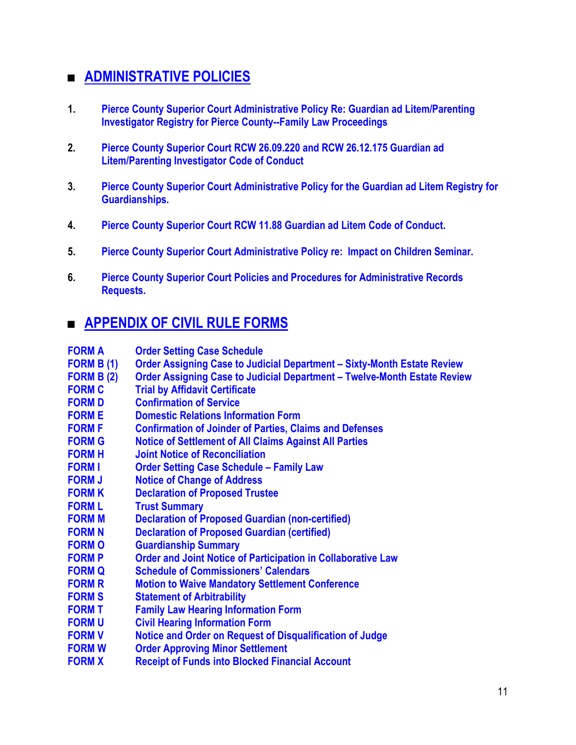# **■ [ADMINISTRATIVE POLICIES](#page-61-0)**

- **1. [Pierce County Superior Court Administrative Policy Re: Guardian ad Litem/Parenting](#page-61-1)  [Investigator Registry for Pierce County--Family Law Proceedings](#page-61-1)**
- **2. [Pierce County Superior Court RCW 26.09.220 and RCW 26.12.175 Guardian ad](#page-66-0)  [Litem/Parenting Investigator Code of Conduct](#page-66-0)**
- **3. [Pierce County Superior Court Administrative Policy for the Guardian ad Litem Registry for](#page-67-0)  [Guardianships.](#page-67-0)**
- **4. [Pierce County Superior Court RCW 11.88 Guardian ad Litem Code of Conduct.](#page-70-0)**
- **5. [Pierce County Superior Court Administrative Policy re: Impact on Children Seminar.](#page-71-0)**
- **6. [Pierce County Superior Court Policies and Procedures for Administrative Records](#page-73-0)  [Requests.](#page-73-0)**

# **■ [APPENDIX OF CIVIL RULE FORMS](#page-76-0)**

- **[FORM A](#page-77-0) [Order Setting Case Schedule](#page-77-0)**<br>**FORM B (1) Order Assigning Case to Judi**
- **[Order Assigning Case to Judicial Department –](#page-78-0) Sixty-Month Estate Review**
- **FORM B (2) [Order Assigning Case to Judicial Department –](#page-79-0) Twelve-Month Estate Review**
- **FORM C Trial by Affidavit Certificate**
- **[FORM D](#page-81-0) [Confirmation of Service](#page-81-0)**
- **[FORM E](#page-82-0) [Domestic Relations Information Form](#page-82-0)**
- **[FORM F](#page-86-0) [Confirmation of Joinder of Parties, Claims and Defenses](#page-86-0)**
- **[FORM G](#page-87-0) [Notice of Settlement of All Claims Against All Parties](#page-87-0)**
- **FORM H Joint Notice of Reconciliation**
- **[FORM I](#page-89-0) Order Setting [Case Schedule](#page-89-0) – Family Law**
- **FORM J Notice of Change of Address**
- **[FORM K](#page-91-0) [Declaration of Proposed Trustee](#page-91-0)**
- **[FORM L](#page-94-0) [Trust Summary](#page-94-0)**
- **[FORM M](#page-95-0) [Declaration of Proposed Guardian \(non-certified\)](#page-95-0)**
- **[FORM N](#page-99-0) [Declaration of Proposed Guardian \(certified\)](#page-99-0)**
- **[FORM O](#page-103-0) [Guardianship Summary](#page-103-0)**
- **[FORM P](#page-104-0) [Order and Joint Notice of Participation in Collaborative Law](#page-104-0)**
- **[FORM Q](#page-105-0) [Schedule of Commissioners' Calendars](#page-105-0)**
- **[FORM R](#page-106-0) [Motion to Waive Mandatory Settlement Conference](#page-106-0)**
- **[FORM S](#page-108-0) [Statement of Arbitrability](#page-108-0)**
- **[FORM T](#page-109-0) [Family Law Hearing Information Form](#page-109-0)**
- **[FORM U](#page-111-0) [Civil Hearing Information Form](#page-111-0)**
- **[FORM V](#page-113-0) [Notice and Order on Request of Disqualification of](#page-113-0) Judge**
- **[FORM W](#page-114-0) [Order Approving Minor Settlement](#page-114-0)**
- **[FORM X](#page-117-0) [Receipt of Funds into Blocked Financial Account](#page-117-0)**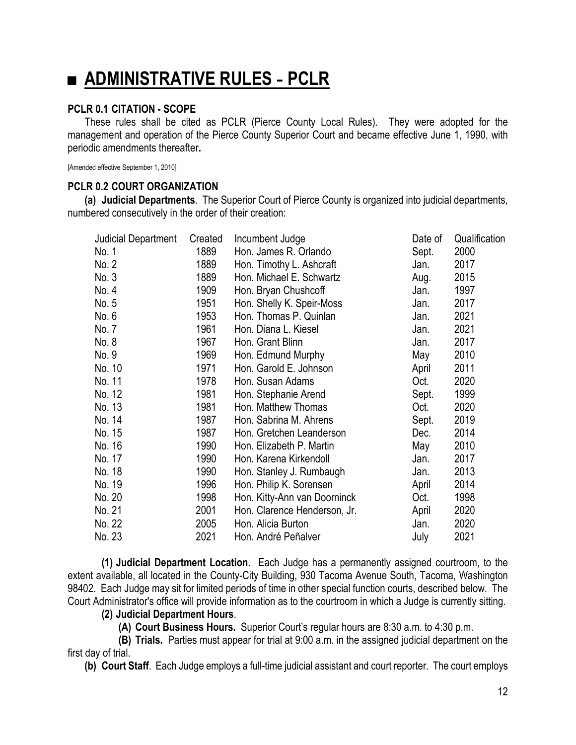# <span id="page-11-0"></span>**■ ADMINISTRATIVE RULES - PCLR**

#### <span id="page-11-1"></span>**PCLR 0.1 CITATION - SCOPE**

These rules shall be cited as PCLR (Pierce County Local Rules). They were adopted for the management and operation of the Pierce County Superior Court and became effective June 1, 1990, with periodic amendments thereafter**.** 

[Amended effective September 1, 2010]

#### <span id="page-11-2"></span>**PCLR 0.2 COURT ORGANIZATION**

**(a) Judicial Departments**. The Superior Court of Pierce County is organized into judicial departments, numbered consecutively in the order of their creation:

| <b>Judicial Department</b> | Created | Incumbent Judge              | Date of | Qualification |
|----------------------------|---------|------------------------------|---------|---------------|
| No. 1                      | 1889    | Hon. James R. Orlando        | Sept.   | 2000          |
| No. 2                      | 1889    | Hon. Timothy L. Ashcraft     | Jan.    | 2017          |
| No. 3                      | 1889    | Hon. Michael E. Schwartz     | Aug.    | 2015          |
| No. 4                      | 1909    | Hon. Bryan Chushcoff         | Jan.    | 1997          |
| No. 5                      | 1951    | Hon. Shelly K. Speir-Moss    | Jan.    | 2017          |
| No. 6                      | 1953    | Hon. Thomas P. Quinlan       | Jan.    | 2021          |
| No. 7                      | 1961    | Hon. Diana L. Kiesel         | Jan.    | 2021          |
| No. 8                      | 1967    | Hon. Grant Blinn             | Jan.    | 2017          |
| No. 9                      | 1969    | Hon. Edmund Murphy           | May     | 2010          |
| No. 10                     | 1971    | Hon. Garold E. Johnson       | April   | 2011          |
| No. 11                     | 1978    | Hon. Susan Adams             | Oct.    | 2020          |
| No. 12                     | 1981    | Hon. Stephanie Arend         | Sept.   | 1999          |
| No. 13                     | 1981    | Hon. Matthew Thomas          | Oct.    | 2020          |
| No. 14                     | 1987    | Hon. Sabrina M. Ahrens       | Sept.   | 2019          |
| No. 15                     | 1987    | Hon. Gretchen Leanderson     | Dec.    | 2014          |
| No. 16                     | 1990    | Hon. Elizabeth P. Martin     | May     | 2010          |
| No. 17                     | 1990    | Hon. Karena Kirkendoll       | Jan.    | 2017          |
| No. 18                     | 1990    | Hon. Stanley J. Rumbaugh     | Jan.    | 2013          |
| No. 19                     | 1996    | Hon. Philip K. Sorensen      | April   | 2014          |
| No. 20                     | 1998    | Hon. Kitty-Ann van Doorninck | Oct.    | 1998          |
| No. 21                     | 2001    | Hon. Clarence Henderson, Jr. | April   | 2020          |
| No. 22                     | 2005    | Hon. Alicia Burton           | Jan.    | 2020          |
| No. 23                     | 2021    | Hon. André Peñalver          | July    | 2021          |

**(1) Judicial Department Location**. Each Judge has a permanently assigned courtroom, to the extent available, all located in the County-City Building, 930 Tacoma Avenue South, Tacoma, Washington 98402. Each Judge may sit for limited periods of time in other special function courts, described below. The Court Administrator's office will provide information as to the courtroom in which a Judge is currently sitting.

#### **(2) Judicial Department Hours**.

**(A) Court Business Hours.** Superior Court's regular hours are 8:30 a.m. to 4:30 p.m.

**(B) Trials.** Parties must appear for trial at 9:00 a.m. in the assigned judicial department on the first day of trial.

**(b) Court Staff**. Each Judge employs a full-time judicial assistant and court reporter. The court employs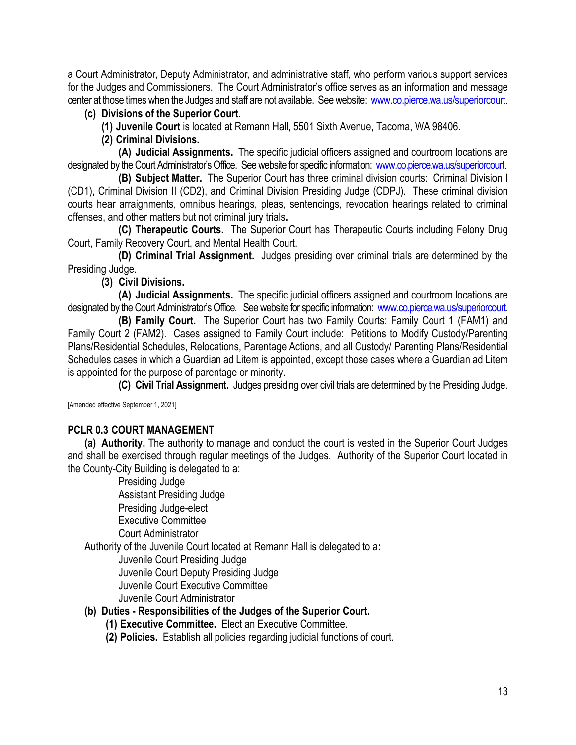a Court Administrator, Deputy Administrator, and administrative staff, who perform various support services for the Judges and Commissioners. The Court Administrator's office serves as an information and message center at those times when the Judges and staff are not available. See website: [www.co.pierce.wa.us/superiorcourt](http://www.co.pierce.wa.us/superiorcourt).

#### **(c) Divisions of the Superior Court**.

**(1) Juvenile Court** is located at Remann Hall, 5501 Sixth Avenue, Tacoma, WA 98406.

**(2) Criminal Divisions.**

**(A) Judicial Assignments.** The specific judicial officers assigned and courtroom locations are designated by the Court Administrator's Office. See website for specific information: [www.co.pierce.wa.us/superiorcourt](http://www.co.pierce.wa.us/superiorcourt).

**(B) Subject Matter.** The Superior Court has three criminal division courts: Criminal Division I (CD1), Criminal Division II (CD2), and Criminal Division Presiding Judge (CDPJ). These criminal division courts hear arraignments, omnibus hearings, pleas, sentencings, revocation hearings related to criminal offenses, and other matters but not criminal jury trials**.**

**(C) Therapeutic Courts.** The Superior Court has Therapeutic Courts including Felony Drug Court, Family Recovery Court, and Mental Health Court.

**(D) Criminal Trial Assignment.** Judges presiding over criminal trials are determined by the Presiding Judge.

**(3) Civil Divisions.**

**(A) Judicial Assignments.** The specific judicial officers assigned and courtroom locations are designated by the Court Administrator's Office. See website for specific information: [www.co.pierce.wa.us/superiorcourt.](http://www.co.pierce.wa.us/superiorcourt)

**(B) Family Court.** The Superior Court has two Family Courts: Family Court 1 (FAM1) and Family Court 2 (FAM2). Cases assigned to Family Court include: Petitions to Modify Custody/Parenting Plans/Residential Schedules, Relocations, Parentage Actions, and all Custody/ Parenting Plans/Residential Schedules cases in which a Guardian ad Litem is appointed, except those cases where a Guardian ad Litem is appointed for the purpose of parentage or minority.

**(C) Civil Trial Assignment.** Judges presiding over civil trials are determined by the Presiding Judge.

[Amended effective September 1, 2021]

### <span id="page-12-0"></span>**PCLR 0.3 COURT MANAGEMENT**

**(a) Authority.** The authority to manage and conduct the court is vested in the Superior Court Judges and shall be exercised through regular meetings of the Judges. Authority of the Superior Court located in the County-City Building is delegated to a:

Presiding Judge Assistant Presiding Judge Presiding Judge-elect Executive Committee Court Administrator

Authority of the Juvenile Court located at Remann Hall is delegated to a**:**

Juvenile Court Presiding Judge Juvenile Court Deputy Presiding Judge Juvenile Court Executive Committee Juvenile Court Administrator

### **(b) Duties - Responsibilities of the Judges of the Superior Court.**

- **(1) Executive Committee.** Elect an Executive Committee.
- **(2) Policies.** Establish all policies regarding judicial functions of court.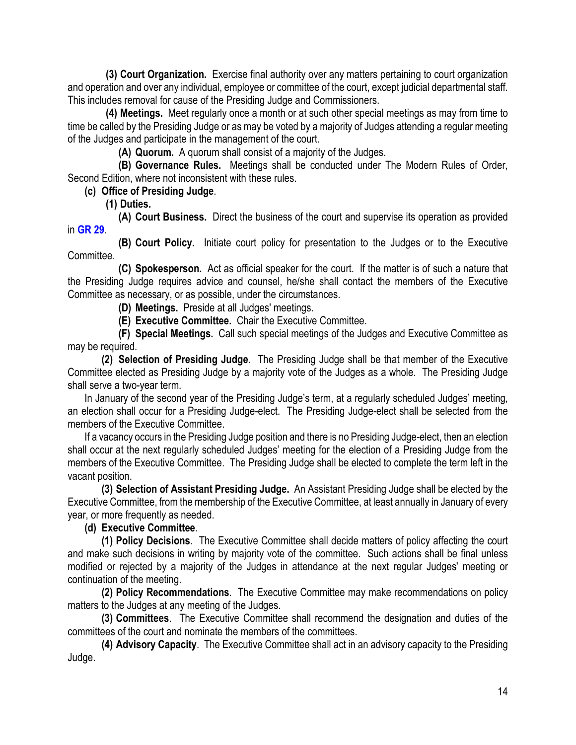**(3) Court Organization.** Exercise final authority over any matters pertaining to court organization and operation and over any individual, employee or committee of the court, except judicial departmental staff. This includes removal for cause of the Presiding Judge and Commissioners.

**(4) Meetings.** Meet regularly once a month or at such other special meetings as may from time to time be called by the Presiding Judge or as may be voted by a majority of Judges attending a regular meeting of the Judges and participate in the management of the court.

**(A) Quorum.** A quorum shall consist of a majority of the Judges.

**(B) Governance Rules.** Meetings shall be conducted under The Modern Rules of Order, Second Edition, where not inconsistent with these rules.

**(c) Office of Presiding Judge**.

**(1) Duties.**

**(A) Court Business.** Direct the business of the court and supervise its operation as provided in **[GR 29](http://www.courts.wa.gov/court_rules/?fa=court_rules.display&group=ga&set=GR&ruleid=gagr29)**.

**(B) Court Policy.** Initiate court policy for presentation to the Judges or to the Executive Committee.

**(C) Spokesperson.** Act as official speaker for the court. If the matter is of such a nature that the Presiding Judge requires advice and counsel, he/she shall contact the members of the Executive Committee as necessary, or as possible, under the circumstances.

**(D) Meetings.** Preside at all Judges' meetings.

**(E) Executive Committee.** Chair the Executive Committee.

**(F) Special Meetings.** Call such special meetings of the Judges and Executive Committee as may be required.

**(2) Selection of Presiding Judge**. The Presiding Judge shall be that member of the Executive Committee elected as Presiding Judge by a majority vote of the Judges as a whole. The Presiding Judge shall serve a two-year term.

In January of the second year of the Presiding Judge's term, at a regularly scheduled Judges' meeting, an election shall occur for a Presiding Judge-elect. The Presiding Judge-elect shall be selected from the members of the Executive Committee.

If a vacancy occurs in the Presiding Judge position and there is no Presiding Judge-elect, then an election shall occur at the next regularly scheduled Judges' meeting for the election of a Presiding Judge from the members of the Executive Committee. The Presiding Judge shall be elected to complete the term left in the vacant position.

**(3) Selection of Assistant Presiding Judge.** An Assistant Presiding Judge shall be elected by the Executive Committee, from the membership of the Executive Committee, at least annually in January of every year, or more frequently as needed.

### **(d) Executive Committee**.

**(1) Policy Decisions**. The Executive Committee shall decide matters of policy affecting the court and make such decisions in writing by majority vote of the committee. Such actions shall be final unless modified or rejected by a majority of the Judges in attendance at the next regular Judges' meeting or continuation of the meeting.

**(2) Policy Recommendations**. The Executive Committee may make recommendations on policy matters to the Judges at any meeting of the Judges.

<span id="page-13-0"></span>**(3) Committees**. The Executive Committee shall recommend the designation and duties of the committees of the court and nominate the members of the committees.

**(4) Advisory Capacity**. The Executive Committee shall act in an advisory capacity to the Presiding Judge.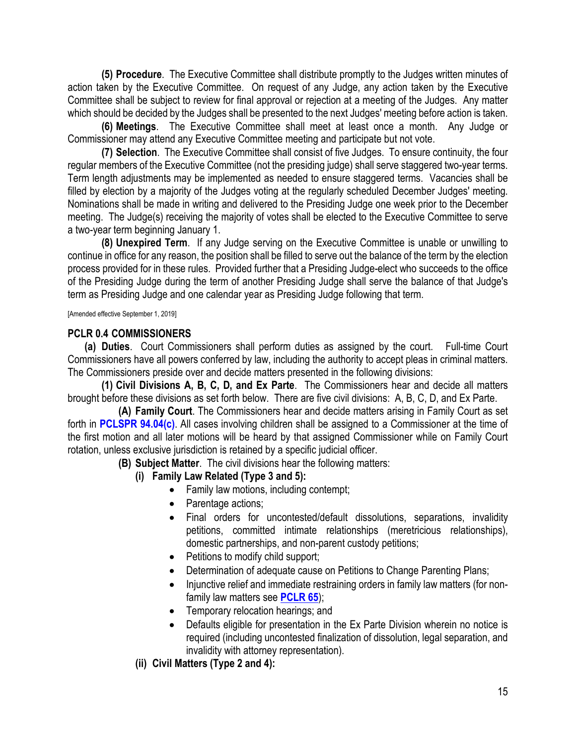**(5) Procedure**. The Executive Committee shall distribute promptly to the Judges written minutes of action taken by the Executive Committee. On request of any Judge, any action taken by the Executive Committee shall be subject to review for final approval or rejection at a meeting of the Judges. Any matter which should be decided by the Judges shall be presented to the next Judges' meeting before action is taken.

**(6) Meetings**. The Executive Committee shall meet at least once a month. Any Judge or Commissioner may attend any Executive Committee meeting and participate but not vote.

**(7) Selection**. The Executive Committee shall consist of five Judges. To ensure continuity, the four regular members of the Executive Committee (not the presiding judge) shall serve staggered two-year terms. Term length adjustments may be implemented as needed to ensure staggered terms. Vacancies shall be filled by election by a majority of the Judges voting at the regularly scheduled December Judges' meeting. Nominations shall be made in writing and delivered to the Presiding Judge one week prior to the December meeting. The Judge(s) receiving the majority of votes shall be elected to the Executive Committee to serve a two-year term beginning January 1.

**(8) Unexpired Term**. If any Judge serving on the Executive Committee is unable or unwilling to continue in office for any reason, the position shall be filled to serve out the balance of the term by the election process provided for in these rules. Provided further that a Presiding Judge-elect who succeeds to the office of the Presiding Judge during the term of another Presiding Judge shall serve the balance of that Judge's term as Presiding Judge and one calendar year as Presiding Judge following that term.

[Amended effective September 1, 2019]

#### <span id="page-14-0"></span>**PCLR 0.4 COMMISSIONERS**

**(a) Duties**. Court Commissioners shall perform duties as assigned by the court. Full-time Court Commissioners have all powers conferred by law, including the authority to accept pleas in criminal matters. The Commissioners preside over and decide matters presented in the following divisions:

**(1) Civil Divisions A, B, C, D, and Ex Parte**. The Commissioners hear and decide all matters brought before these divisions as set forth below. There are five civil divisions: A, B, C, D, and Ex Parte.

**(A) Family Court**. The Commissioners hear and decide matters arising in Family Court as set forth in **[PCLSPR 94.04\(c\)](#page-43-0)**. All cases involving children shall be assigned to a Commissioner at the time of the first motion and all later motions will be heard by that assigned Commissioner while on Family Court rotation, unless exclusive jurisdiction is retained by a specific judicial officer.

**(B) Subject Matter**. The civil divisions hear the following matters:

#### **(i) Family Law Related (Type 3 and 5):**

- Family law motions, including contempt;
- Parentage actions;
- Final orders for uncontested/default dissolutions, separations, invalidity petitions, committed intimate relationships (meretricious relationships), domestic partnerships, and non-parent custody petitions;
- Petitions to modify child support;
- Determination of adequate cause on Petitions to Change Parenting Plans;
- Injunctive relief and immediate restraining orders in family law matters (for nonfamily law matters see **[PCLR 65](#page-39-0)**);
- Temporary relocation hearings; and
- Defaults eligible for presentation in the Ex Parte Division wherein no notice is required (including uncontested finalization of dissolution, legal separation, and invalidity with attorney representation).
- **(ii) Civil Matters (Type 2 and 4):**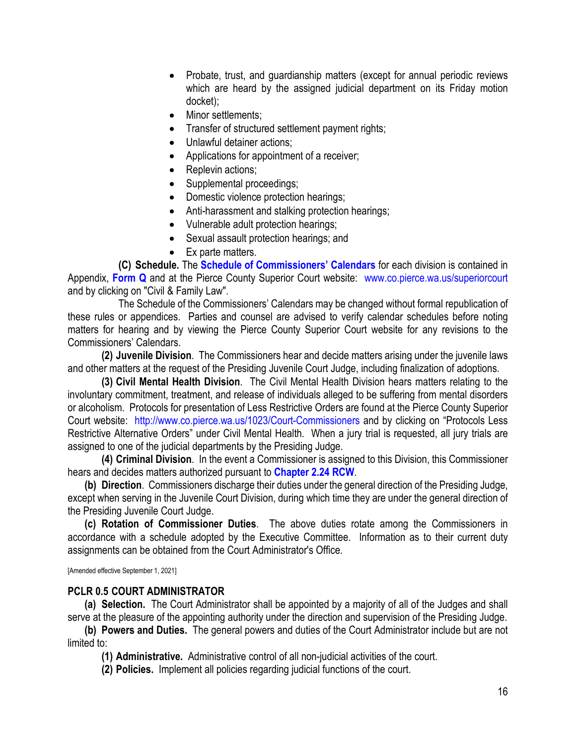- Probate, trust, and guardianship matters (except for annual periodic reviews which are heard by the assigned judicial department on its Friday motion docket);
- Minor settlements:
- Transfer of structured settlement payment rights;
- Unlawful detainer actions:
- Applications for appointment of a receiver;
- Replevin actions;
- Supplemental proceedings;
- Domestic violence protection hearings;
- Anti-harassment and stalking protection hearings;
- Vulnerable adult protection hearings;
- Sexual assault protection hearings; and
- Ex parte matters.

**(C) Schedule.** The **[Schedule of Commissioners' Calendars](#page-105-0)** for each division is contained in Appendix, **[Form Q](#page-105-0)** and at the Pierce County Superior Court website: [www.co.pierce.wa.us/superiorcourt](http://www.co.pierce.wa.us/superiorcourt) and by clicking on "Civil & Family Law".

The Schedule of the Commissioners' Calendars may be changed without formal republication of these rules or appendices. Parties and counsel are advised to verify calendar schedules before noting matters for hearing and by viewing the Pierce County Superior Court website for any revisions to the Commissioners' Calendars.

**(2) Juvenile Division**. The Commissioners hear and decide matters arising under the juvenile laws and other matters at the request of the Presiding Juvenile Court Judge, including finalization of adoptions.

<span id="page-15-1"></span>**(3) Civil Mental Health Division**. The Civil Mental Health Division hears matters relating to the involuntary commitment, treatment, and release of individuals alleged to be suffering from mental disorders or alcoholism. Protocols for presentation of Less Restrictive Orders are found at the Pierce County Superior Court website: <http://www.co.pierce.wa.us/1023/Court-Commissioners> and by clicking on "Protocols Less Restrictive Alternative Orders" under Civil Mental Health. When a jury trial is requested, all jury trials are assigned to one of the judicial departments by the Presiding Judge.

**(4) Criminal Division**. In the event a Commissioner is assigned to this Division, this Commissioner hears and decides matters authorized pursuant to **[Chapter 2.24 RCW](http://apps.leg.wa.gov/rcw/default.aspx?cite=2.24)**.

**(b) Direction**. Commissioners discharge their duties under the general direction of the Presiding Judge, except when serving in the Juvenile Court Division, during which time they are under the general direction of the Presiding Juvenile Court Judge.

**(c) Rotation of Commissioner Duties**. The above duties rotate among the Commissioners in accordance with a schedule adopted by the Executive Committee. Information as to their current duty assignments can be obtained from the Court Administrator's Office.

[Amended effective September 1, 2021]

#### <span id="page-15-0"></span>**PCLR 0.5 COURT ADMINISTRATOR**

**(a) Selection.** The Court Administrator shall be appointed by a majority of all of the Judges and shall serve at the pleasure of the appointing authority under the direction and supervision of the Presiding Judge.

**(b) Powers and Duties.** The general powers and duties of the Court Administrator include but are not limited to:

**(1) Administrative.** Administrative control of all non-judicial activities of the court.

**(2) Policies.** Implement all policies regarding judicial functions of the court.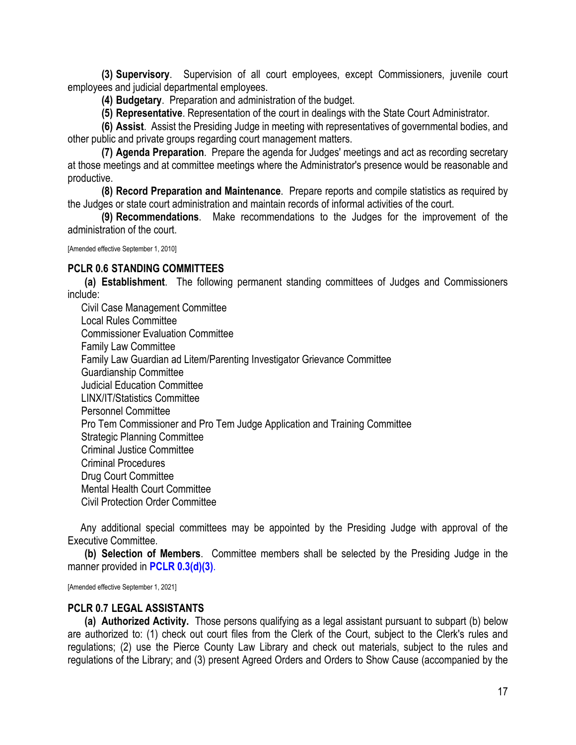**(3) Supervisory**. Supervision of all court employees, except Commissioners, juvenile court employees and judicial departmental employees.

**(4) Budgetary**. Preparation and administration of the budget.

**(5) Representative**. Representation of the court in dealings with the State Court Administrator.

**(6) Assist**. Assist the Presiding Judge in meeting with representatives of governmental bodies, and other public and private groups regarding court management matters.

**(7) Agenda Preparation**. Prepare the agenda for Judges' meetings and act as recording secretary at those meetings and at committee meetings where the Administrator's presence would be reasonable and productive.

**(8) Record Preparation and Maintenance**. Prepare reports and compile statistics as required by the Judges or state court administration and maintain records of informal activities of the court.

**(9) Recommendations**. Make recommendations to the Judges for the improvement of the administration of the court.

[Amended effective September 1, 2010]

#### <span id="page-16-0"></span>**PCLR 0.6 STANDING COMMITTEES**

**(a) Establishment**. The following permanent standing committees of Judges and Commissioners include:

Civil Case Management Committee Local Rules Committee Commissioner Evaluation Committee Family Law Committee Family Law Guardian ad Litem/Parenting Investigator Grievance Committee Guardianship Committee Judicial Education Committee LINX/IT/Statistics Committee Personnel Committee Pro Tem Commissioner and Pro Tem Judge Application and Training Committee Strategic Planning Committee Criminal Justice Committee Criminal Procedures Drug Court Committee Mental Health Court Committee Civil Protection Order Committee

Any additional special committees may be appointed by the Presiding Judge with approval of the Executive Committee.

**(b) Selection of Members**. Committee members shall be selected by the Presiding Judge in the manner provided in **[PCLR 0.3\(d\)\(3\)](#page-13-0)**.

[Amended effective September 1, 2021]

#### <span id="page-16-1"></span>**PCLR 0.7 LEGAL ASSISTANTS**

**(a) Authorized Activity.** Those persons qualifying as a legal assistant pursuant to subpart (b) below are authorized to: (1) check out court files from the Clerk of the Court, subject to the Clerk's rules and regulations; (2) use the Pierce County Law Library and check out materials, subject to the rules and regulations of the Library; and (3) present Agreed Orders and Orders to Show Cause (accompanied by the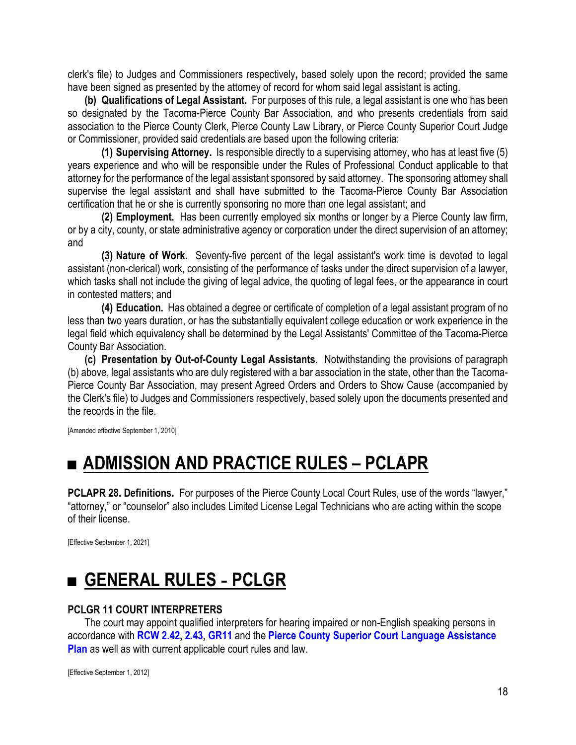clerk's file) to Judges and Commissioners respectively**,** based solely upon the record; provided the same have been signed as presented by the attorney of record for whom said legal assistant is acting.

**(b) Qualifications of Legal Assistant.** For purposes of this rule, a legal assistant is one who has been so designated by the Tacoma-Pierce County Bar Association, and who presents credentials from said association to the Pierce County Clerk, Pierce County Law Library, or Pierce County Superior Court Judge or Commissioner, provided said credentials are based upon the following criteria:

**(1) Supervising Attorney.** Is responsible directly to a supervising attorney, who has at least five (5) years experience and who will be responsible under the Rules of Professional Conduct applicable to that attorney for the performance of the legal assistant sponsored by said attorney. The sponsoring attorney shall supervise the legal assistant and shall have submitted to the Tacoma-Pierce County Bar Association certification that he or she is currently sponsoring no more than one legal assistant; and

**(2) Employment.** Has been currently employed six months or longer by a Pierce County law firm, or by a city, county, or state administrative agency or corporation under the direct supervision of an attorney; and

**(3) Nature of Work.** Seventy-five percent of the legal assistant's work time is devoted to legal assistant (non-clerical) work, consisting of the performance of tasks under the direct supervision of a lawyer, which tasks shall not include the giving of legal advice, the quoting of legal fees, or the appearance in court in contested matters; and

**(4) Education.** Has obtained a degree or certificate of completion of a legal assistant program of no less than two years duration, or has the substantially equivalent college education or work experience in the legal field which equivalency shall be determined by the Legal Assistants' Committee of the Tacoma-Pierce County Bar Association.

**(c) Presentation by Out-of-County Legal Assistants**. Notwithstanding the provisions of paragraph (b) above, legal assistants who are duly registered with a bar association in the state, other than the Tacoma-Pierce County Bar Association, may present Agreed Orders and Orders to Show Cause (accompanied by the Clerk's file) to Judges and Commissioners respectively, based solely upon the documents presented and the records in the file.

[Amended effective September 1, 2010]

# <span id="page-17-0"></span>**■ ADMISSION AND PRACTICE RULES – PCLAPR**

<span id="page-17-2"></span>**PCLAPR 28. Definitions.** For purposes of the Pierce County Local Court Rules, use of the words "lawyer," "attorney," or "counselor" also includes Limited License Legal Technicians who are acting within the scope of their license.

[Effective September 1, 2021]

# <span id="page-17-1"></span>**■ GENERAL RULES - PCLGR**

#### <span id="page-17-3"></span>**PCLGR 11 COURT INTERPRETERS**

The court may appoint qualified interpreters for hearing impaired or non-English speaking persons in accordance with **[RCW 2.42,](http://apps.leg.wa.gov/rcw/default.aspx?cite=2.42) [2.43,](http://apps.leg.wa.gov/rcw/default.aspx?cite=2.43) [GR11](http://www.courts.wa.gov/court_rules/?fa=court_rules.display&group=ga&set=GR&ruleid=gagr11)** and the **[Pierce County Superior Court Language Assistance](http://www.piercecountywa.gov/DocumentCenter/View/68593/2018-Language-Access-Plan---3-26-2018?bidId)  [Plan](http://www.piercecountywa.gov/DocumentCenter/View/68593/2018-Language-Access-Plan---3-26-2018?bidId)** as well as with current applicable court rules and law.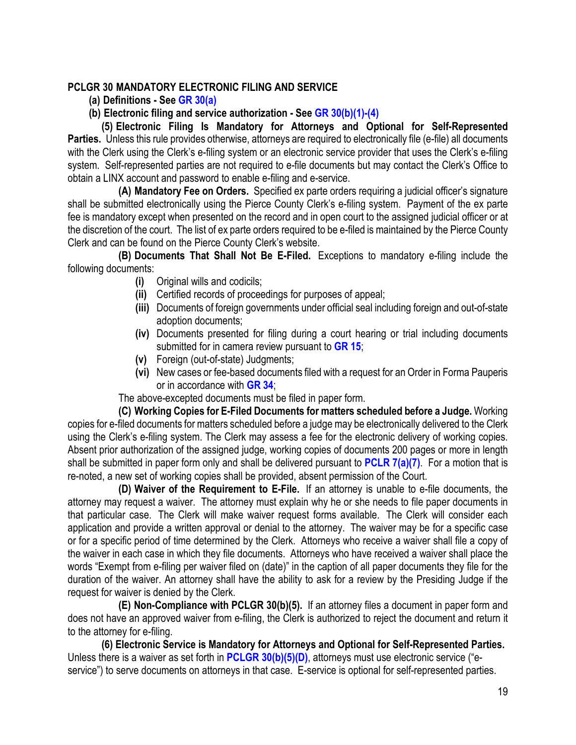#### <span id="page-18-0"></span>**PCLGR 30 MANDATORY ELECTRONIC FILING AND SERVICE**

- **(a) Definitions - Se[e GR 30\(a\)](http://www.courts.wa.gov/court_rules/?fa=court_rules.display&group=ga&set=GR&ruleid=gagr30)**
- **(b) Electronic filing and service authorization - See [GR 30\(b\)\(1\)-\(4\)](http://www.courts.wa.gov/court_rules/?fa=court_rules.display&group=ga&set=GR&ruleid=gagr30)**

**(5) Electronic Filing Is Mandatory for Attorneys and Optional for Self-Represented Parties.** Unless this rule provides otherwise, attorneys are required to electronically file (e-file) all documents with the Clerk using the Clerk's e-filing system or an electronic service provider that uses the Clerk's e-filing system. Self-represented parties are not required to e-file documents but may contact the Clerk's Office to obtain a LINX account and password to enable e-filing and e-service.

**(A) Mandatory Fee on Orders.** Specified ex parte orders requiring a judicial officer's signature shall be submitted electronically using the Pierce County Clerk's e-filing system. Payment of the ex parte fee is mandatory except when presented on the record and in open court to the assigned judicial officer or at the discretion of the court. The list of ex parte orders required to be e-filed is maintained by the Pierce County Clerk and can be found on the Pierce County Clerk's website.

**(B) Documents That Shall Not Be E-Filed.** Exceptions to mandatory e-filing include the following documents:

- **(i)** Original wills and codicils;
- **(ii)** Certified records of proceedings for purposes of appeal;
- **(iii)** Documents of foreign governments under official seal including foreign and out-of-state adoption documents;
- **(iv)** Documents presented for filing during a court hearing or trial including documents submitted for in camera review pursuant to **[GR 15](http://www.courts.wa.gov/court_rules/?fa=court_rules.display&group=ga&set=GR&ruleid=gagr15)**;
- **(v)** Foreign (out-of-state) Judgments;
- **(vi)** New cases or fee-based documents filed with a request for an Order in Forma Pauperis or in accordance with **[GR 34](http://www.courts.wa.gov/court_rules/?fa=court_rules.display&group=ga&set=GR&ruleid=gagr34)**;

The above-excepted documents must be filed in paper form.

<span id="page-18-2"></span>**(C) Working Copies for E-Filed Documents for matters scheduled before a Judge.** Working copies for e-filed documents for matters scheduled before a judge may be electronically delivered to the Clerk using the Clerk's e-filing system. The Clerk may assess a fee for the electronic delivery of working copies. Absent prior authorization of the assigned judge, working copies of documents 200 pages or more in length shall be submitted in paper form only and shall be delivered pursuant to **[PCLR 7\(a\)\(7\)](#page-27-0)**. For a motion that is re-noted, a new set of working copies shall be provided, absent permission of the Court.

<span id="page-18-1"></span>**(D) Waiver of the Requirement to E-File.** If an attorney is unable to e-file documents, the attorney may request a waiver. The attorney must explain why he or she needs to file paper documents in that particular case. The Clerk will make waiver request forms available. The Clerk will consider each application and provide a written approval or denial to the attorney. The waiver may be for a specific case or for a specific period of time determined by the Clerk. Attorneys who receive a waiver shall file a copy of the waiver in each case in which they file documents. Attorneys who have received a waiver shall place the words "Exempt from e-filing per waiver filed on (date)" in the caption of all paper documents they file for the duration of the waiver. An attorney shall have the ability to ask for a review by the Presiding Judge if the request for waiver is denied by the Clerk.

**(E) Non-Compliance with PCLGR 30(b)(5).** If an attorney files a document in paper form and does not have an approved waiver from e-filing, the Clerk is authorized to reject the document and return it to the attorney for e-filing.

**(6) Electronic Service is Mandatory for Attorneys and Optional for Self-Represented Parties.**  Unless there is a waiver as set forth in **[PCLGR 30\(b\)\(5\)\(D\)](#page-18-1)**, attorneys must use electronic service ("eservice") to serve documents on attorneys in that case. E-service is optional for self-represented parties.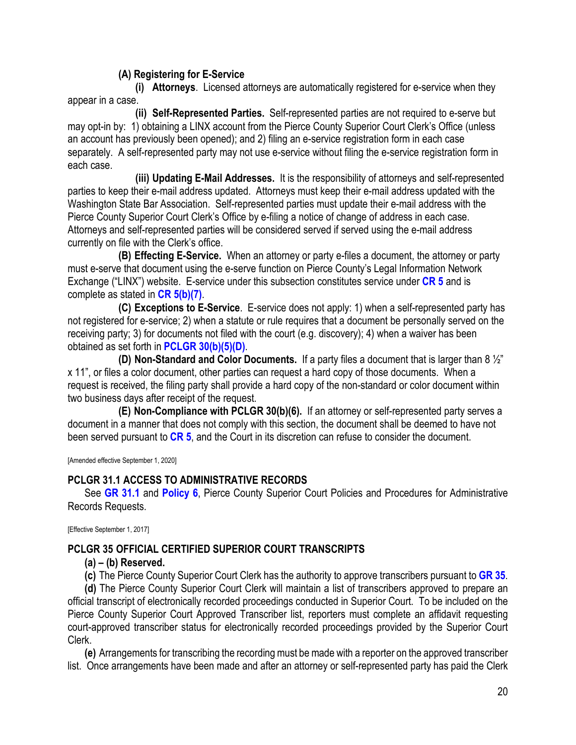#### **(A) Registering for E-Service**

**(i) Attorneys**. Licensed attorneys are automatically registered for e-service when they appear in a case.

**(ii) Self-Represented Parties.** Self-represented parties are not required to e-serve but may opt-in by: 1) obtaining a LINX account from the Pierce County Superior Court Clerk's Office (unless an account has previously been opened); and 2) filing an e-service registration form in each case separately. A self-represented party may not use e-service without filing the e-service registration form in each case.

**(iii) Updating E-Mail Addresses.** It is the responsibility of attorneys and self-represented parties to keep their e-mail address updated. Attorneys must keep their e-mail address updated with the Washington State Bar Association. Self-represented parties must update their e-mail address with the Pierce County Superior Court Clerk's Office by e-filing a notice of change of address in each case. Attorneys and self-represented parties will be considered served if served using the e-mail address currently on file with the Clerk's office.

**(B) Effecting E-Service.** When an attorney or party e-files a document, the attorney or party must e-serve that document using the e-serve function on Pierce County's Legal Information Network Exchange ("LINX") website. E-service under this subsection constitutes service under **[CR 5](http://www.courts.wa.gov/court_rules/?fa=court_rules.display&group=sup&set=CR&ruleid=supcr05)** and is complete as stated in **[CR 5\(b\)\(7\)](http://www.courts.wa.gov/court_rules/?fa=court_rules.display&group=sup&set=CR&ruleid=supcr05)**.

**(C) Exceptions to E-Service**. E-service does not apply: 1) when a self-represented party has not registered for e-service; 2) when a statute or rule requires that a document be personally served on the receiving party; 3) for documents not filed with the court (e.g. discovery); 4) when a waiver has been obtained as set forth in **[PCLGR 30\(b\)\(5\)\(D\)](#page-18-1)**.

**(D) Non-Standard and Color Documents.** If a party files a document that is larger than 8 ½" x 11", or files a color document, other parties can request a hard copy of those documents. When a request is received, the filing party shall provide a hard copy of the non-standard or color document within two business days after receipt of the request.

**(E) Non-Compliance with PCLGR 30(b)(6).** If an attorney or self-represented party serves a document in a manner that does not comply with this section, the document shall be deemed to have not been served pursuant to **[CR 5](http://www.courts.wa.gov/court_rules/?fa=court_rules.display&group=sup&set=CR&ruleid=supcr05)**, and the Court in its discretion can refuse to consider the document.

[Amended effective September 1, 2020]

### <span id="page-19-0"></span>**[PCLGR 31.1](#page-19-0) ACCESS TO ADMINISTRATIVE RECORDS**

See **[GR 31.1](http://www.courts.wa.gov/court_rules/?fa=court_rules.list&group=ga&set=GR)** and **[Policy 6](#page-73-0)**, Pierce County Superior Court Policies and Procedures for Administrative Records Requests.

[Effective September 1, 2017]

### <span id="page-19-1"></span>**PCLGR 35 OFFICIAL CERTIFIED SUPERIOR COURT TRANSCRIPTS**

#### **(a) – (b) Reserved.**

**(c)** The Pierce County Superior Court Clerk has the authority to approve transcribers pursuant to **[GR 35](http://www.courts.wa.gov/court_rules/pdf/GR/GA_GR_35_00_00.pdf)**.

**(d)** The Pierce County Superior Court Clerk will maintain a list of transcribers approved to prepare an official transcript of electronically recorded proceedings conducted in Superior Court. To be included on the Pierce County Superior Court Approved Transcriber list, reporters must complete an affidavit requesting court-approved transcriber status for electronically recorded proceedings provided by the Superior Court Clerk.

**(e)** Arrangements for transcribing the recording must be made with a reporter on the approved transcriber list. Once arrangements have been made and after an attorney or self-represented party has paid the Clerk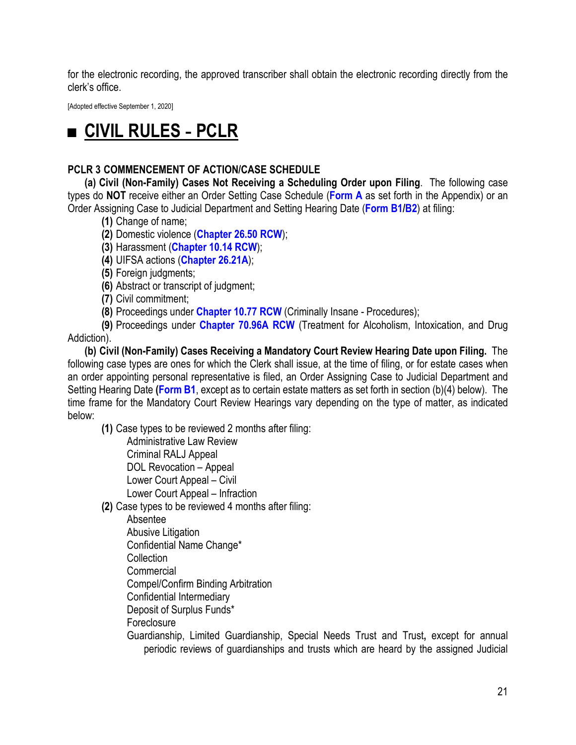for the electronic recording, the approved transcriber shall obtain the electronic recording directly from the clerk's office.

[Adopted effective September 1, 2020]

# <span id="page-20-0"></span>**■ CIVIL RULES - PCLR**

#### <span id="page-20-1"></span>**PCLR 3 COMMENCEMENT OF ACTION/CASE SCHEDULE**

**(a) Civil (Non-Family) Cases Not Receiving a Scheduling Order upon Filing**. The following case types do **NOT** receive either an Order Setting Case Schedule (**[Form A](#page-77-0)** as set forth in the Appendix) or an Order Assigning Case to Judicial Department and Setting Hearing Date (**[Form B1](#page-78-0)[/B2](#page-79-0)**) at filing:

**(1)** Change of name;

**(2)** Domestic violence (**[Chapter 26.50 RCW](http://apps.leg.wa.gov/rcw/default.aspx?cite=26.50)**);

**(3)** Harassment (**[Chapter 10.14 RCW](http://apps.leg.wa.gov/rcw/default.aspx?cite=10.14)**);

**(4)** UIFSA actions (**[Chapter 26.21A](http://apps.leg.wa.gov/rcw/default.aspx?cite=26.21A)**);

**(5)** Foreign judgments;

**(6)** Abstract or transcript of judgment;

**(7)** Civil commitment;

**(8)** Proceedings under **[Chapter 10.77 RCW](http://apps.leg.wa.gov/rcw/default.aspx?cite=10.77)** (Criminally Insane - Procedures);

**(9)** Proceedings under **[Chapter 70.96A RCW](http://apps.leg.wa.gov/rcw/default.aspx?cite=70.96A)** (Treatment for Alcoholism, Intoxication, and Drug Addiction).

**(b) Civil (Non-Family) Cases Receiving a Mandatory Court Review Hearing Date upon Filing.** The following case types are ones for which the Clerk shall issue, at the time of filing, or for estate cases when an order appointing personal representative is filed, an Order Assigning Case to Judicial Department and Setting Hearing Date **[\(Form B1](#page-78-0)**, except as to certain estate matters as set forth in section (b)(4) below). The time frame for the Mandatory Court Review Hearings vary depending on the type of matter, as indicated below:

**(1)** Case types to be reviewed 2 months after filing:

Administrative Law Review

Criminal RALJ Appeal

DOL Revocation – Appeal

Lower Court Appeal – Civil

Lower Court Appeal – Infraction

**(2)** Case types to be reviewed 4 months after filing:

Absentee

Abusive Litigation

Confidential Name Change\*

**Collection** 

**Commercial** 

Compel/Confirm Binding Arbitration

Confidential Intermediary

Deposit of Surplus Funds\*

**Foreclosure** 

Guardianship, Limited Guardianship, Special Needs Trust and Trust**,** except for annual periodic reviews of guardianships and trusts which are heard by the assigned Judicial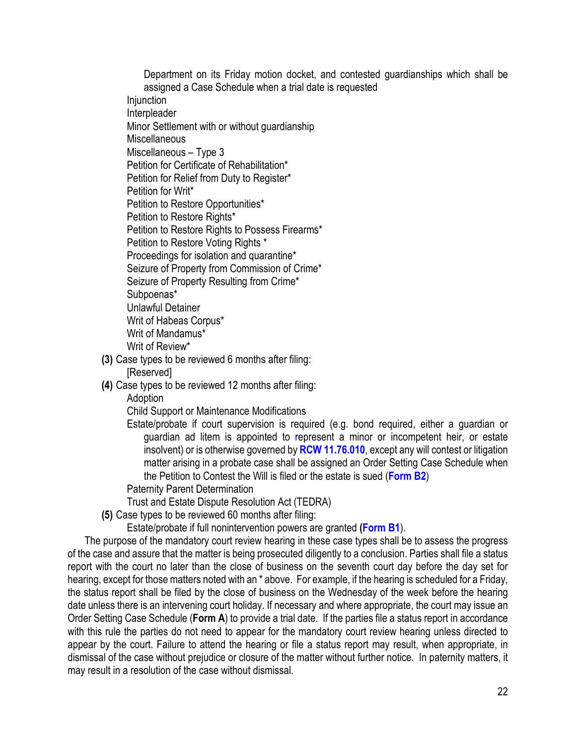Department on its Friday motion docket, and contested guardianships which shall be assigned a Case Schedule when a trial date is requested

Injunction

Interpleader

Minor Settlement with or without guardianship

**Miscellaneous** 

Miscellaneous – Type 3

Petition for Certificate of Rehabilitation\*

Petition for Relief from Duty to Register\*

Petition for Writ\*

Petition to Restore Opportunities\*

Petition to Restore Rights\*

Petition to Restore Rights to Possess Firearms\*

Petition to Restore Voting Rights \*

Proceedings for isolation and quarantine\*

Seizure of Property from Commission of Crime\*

Seizure of Property Resulting from Crime\*

Subpoenas\*

Unlawful Detainer

Writ of Habeas Corpus\*

Writ of Mandamus\*

Writ of Review\*

**(3)** Case types to be reviewed 6 months after filing: [Reserved]

**(4)** Case types to be reviewed 12 months after filing:

Adoption

Child Support or Maintenance Modifications

Estate/probate if court supervision is required (e.g. bond required, either a guardian or guardian ad litem is appointed to represent a minor or incompetent heir, or estate insolvent) or is otherwise governed by **[RCW 11.76.010](http://apps.leg.wa.gov/rcw/default.aspx?cite=11.76.010)**, except any will contest or litigation matter arising in a probate case shall be assigned an Order Setting Case Schedule when the Petition to Contest the Will is filed or the estate is sued (**[Form B2](#page-79-0)**)

Paternity Parent Determination

Trust and Estate Dispute Resolution Act (TEDRA)

**(5)** Case types to be reviewed 60 months after filing:

Estate/probate if full nonintervention powers are granted **[\(Form B1](#page-78-0)**).

The purpose of the mandatory court review hearing in these case types shall be to assess the progress of the case and assure that the matter is being prosecuted diligently to a conclusion. Parties shall file a status report with the court no later than the close of business on the seventh court day before the day set for hearing, except for those matters noted with an \* above. For example, if the hearing is scheduled for a Friday, the status report shall be filed by the close of business on the Wednesday of the week before the hearing date unless there is an intervening court holiday. If necessary and where appropriate, the court may issue an Order Setting Case Schedule (**[Form A](#page-77-0)**) to provide a trial date. If the parties file a status report in accordance with this rule the parties do not need to appear for the mandatory court review hearing unless directed to appear by the court. Failure to attend the hearing or file a status report may result, when appropriate, in dismissal of the case without prejudice or closure of the matter without further notice. In paternity matters, it may result in a resolution of the case without dismissal.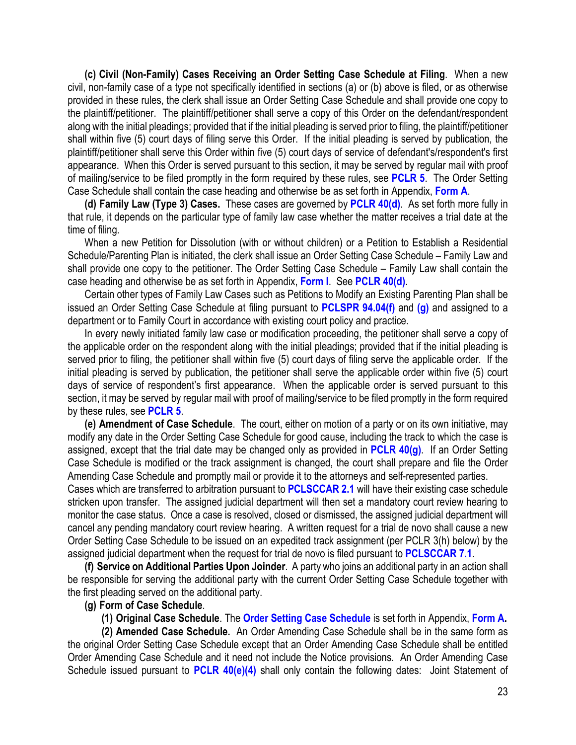**(c) Civil (Non-Family) Cases Receiving an Order Setting Case Schedule at Filing**. When a new civil, non-family case of a type not specifically identified in sections (a) or (b) above is filed, or as otherwise provided in these rules, the clerk shall issue an Order Setting Case Schedule and shall provide one copy to the plaintiff/petitioner. The plaintiff/petitioner shall serve a copy of this Order on the defendant/respondent along with the initial pleadings; provided that if the initial pleading is served prior to filing, the plaintiff/petitioner shall within five (5) court days of filing serve this Order. If the initial pleading is served by publication, the plaintiff/petitioner shall serve this Order within five (5) court days of service of defendant's/respondent's first appearance. When this Order is served pursuant to this section, it may be served by regular mail with proof of mailing/service to be filed promptly in the form required by these rules, see **[PCLR 5](#page-25-0)**. The Order Setting Case Schedule shall contain the case heading and otherwise be as set forth in Appendix, **[Form A](#page-77-0)**.

**(d) Family Law (Type 3) Cases.** These cases are governed by **[PCLR 40\(d\)](#page-36-2)**. As set forth more fully in that rule, it depends on the particular type of family law case whether the matter receives a trial date at the time of filing.

When a new Petition for Dissolution (with or without children) or a Petition to Establish a Residential Schedule/Parenting Plan is initiated, the clerk shall issue an Order Setting Case Schedule – Family Law and shall provide one copy to the petitioner. The Order Setting Case Schedule – Family Law shall contain the case heading and otherwise be as set forth in Appendix, **[Form I](#page-89-0)**. See **[PCLR 40\(d\)](#page-36-2)**.

Certain other types of Family Law Cases such as Petitions to Modify an Existing Parenting Plan shall be issued an Order Setting Case Schedule at filing pursuant to **[PCLSPR 94.04\(f\)](#page-45-0)** and **[\(g\)](#page-45-1)** and assigned to a department or to Family Court in accordance with existing court policy and practice.

In every newly initiated family law case or modification proceeding, the petitioner shall serve a copy of the applicable order on the respondent along with the initial pleadings; provided that if the initial pleading is served prior to filing, the petitioner shall within five (5) court days of filing serve the applicable order. If the initial pleading is served by publication, the petitioner shall serve the applicable order within five (5) court days of service of respondent's first appearance. When the applicable order is served pursuant to this section, it may be served by regular mail with proof of mailing/service to be filed promptly in the form required by these rules, see **[PCLR 5](#page-25-0)**.

**(e) Amendment of Case Schedule**. The court, either on motion of a party or on its own initiative, may modify any date in the Order Setting Case Schedule for good cause, including the track to which the case is assigned, except that the trial date may be changed only as provided in **[PCLR 40\(g\)](#page-37-0)**. If an Order Setting Case Schedule is modified or the track assignment is changed, the court shall prepare and file the Order Amending Case Schedule and promptly mail or provide it to the attorneys and self-represented parties.

Cases which are transferred to arbitration pursuant to **[PCLSCCAR 2.1](#page-55-1)** will have their existing case schedule stricken upon transfer. The assigned judicial department will then set a mandatory court review hearing to monitor the case status. Once a case is resolved, closed or dismissed, the assigned judicial department will cancel any pending mandatory court review hearing. A written request for a trial de novo shall cause a new Order Setting Case Schedule to be issued on an expedited track assignment (per PCLR 3(h) below) by the assigned judicial department when the request for trial de novo is filed pursuant to **[PCLSCCAR 7.1](#page-59-2)**.

**(f) Service on Additional Parties Upon Joinder**. A party who joins an additional party in an action shall be responsible for serving the additional party with the current Order Setting Case Schedule together with the first pleading served on the additional party.

#### **(g) Form of Case Schedule**.

**(1) Original Case Schedule**. The **[Order Setting Case Schedule](#page-77-0)** is set forth in Appendix, **[Form A.](#page-77-0)**

**(2) Amended Case Schedule.** An Order Amending Case Schedule shall be in the same form as the original Order Setting Case Schedule except that an Order Amending Case Schedule shall be entitled Order Amending Case Schedule and it need not include the Notice provisions. An Order Amending Case Schedule issued pursuant to **[PCLR 40\(e\)\(4\)](#page-37-1)** shall only contain the following dates: Joint Statement of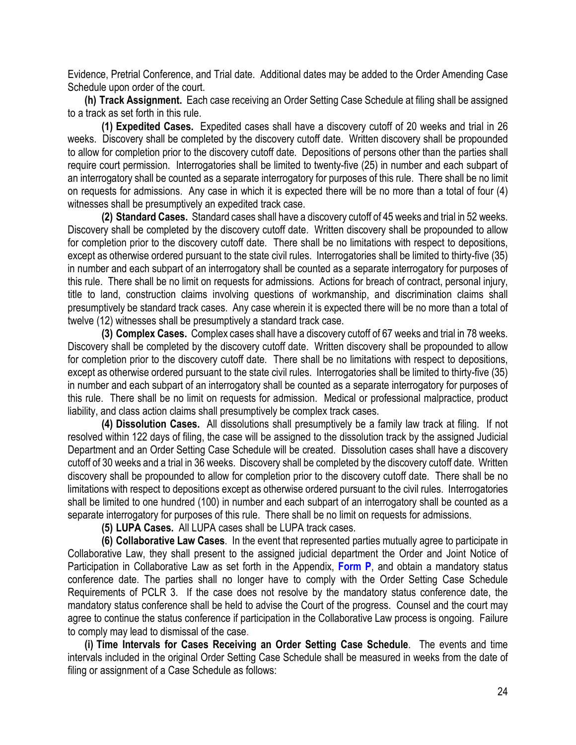Evidence, Pretrial Conference, and Trial date. Additional dates may be added to the Order Amending Case Schedule upon order of the court.

**(h) Track Assignment.** Each case receiving an Order Setting Case Schedule at filing shall be assigned to a track as set forth in this rule.

**(1) Expedited Cases.** Expedited cases shall have a discovery cutoff of 20 weeks and trial in 26 weeks. Discovery shall be completed by the discovery cutoff date. Written discovery shall be propounded to allow for completion prior to the discovery cutoff date. Depositions of persons other than the parties shall require court permission. Interrogatories shall be limited to twenty-five (25) in number and each subpart of an interrogatory shall be counted as a separate interrogatory for purposes of this rule. There shall be no limit on requests for admissions. Any case in which it is expected there will be no more than a total of four (4) witnesses shall be presumptively an expedited track case.

**(2) Standard Cases.** Standard cases shall have a discovery cutoff of 45 weeks and trial in 52 weeks. Discovery shall be completed by the discovery cutoff date. Written discovery shall be propounded to allow for completion prior to the discovery cutoff date. There shall be no limitations with respect to depositions, except as otherwise ordered pursuant to the state civil rules. Interrogatories shall be limited to thirty-five (35) in number and each subpart of an interrogatory shall be counted as a separate interrogatory for purposes of this rule. There shall be no limit on requests for admissions. Actions for breach of contract, personal injury, title to land, construction claims involving questions of workmanship, and discrimination claims shall presumptively be standard track cases. Any case wherein it is expected there will be no more than a total of twelve (12) witnesses shall be presumptively a standard track case.

**(3) Complex Cases.** Complex cases shall have a discovery cutoff of 67 weeks and trial in 78 weeks. Discovery shall be completed by the discovery cutoff date. Written discovery shall be propounded to allow for completion prior to the discovery cutoff date. There shall be no limitations with respect to depositions, except as otherwise ordered pursuant to the state civil rules. Interrogatories shall be limited to thirty-five (35) in number and each subpart of an interrogatory shall be counted as a separate interrogatory for purposes of this rule. There shall be no limit on requests for admission. Medical or professional malpractice, product liability, and class action claims shall presumptively be complex track cases.

**(4) Dissolution Cases.** All dissolutions shall presumptively be a family law track at filing. If not resolved within 122 days of filing, the case will be assigned to the dissolution track by the assigned Judicial Department and an Order Setting Case Schedule will be created. Dissolution cases shall have a discovery cutoff of 30 weeks and a trial in 36 weeks. Discovery shall be completed by the discovery cutoff date. Written discovery shall be propounded to allow for completion prior to the discovery cutoff date. There shall be no limitations with respect to depositions except as otherwise ordered pursuant to the civil rules. Interrogatories shall be limited to one hundred (100) in number and each subpart of an interrogatory shall be counted as a separate interrogatory for purposes of this rule. There shall be no limit on requests for admissions.

**(5) LUPA Cases.** All LUPA cases shall be LUPA track cases.

**(6) Collaborative Law Cases**. In the event that represented parties mutually agree to participate in Collaborative Law, they shall present to the assigned judicial department the Order and Joint Notice of Participation in Collaborative Law as set forth in the Appendix, **[Form P](#page-104-0)**, and obtain a mandatory status conference date. The parties shall no longer have to comply with the Order Setting Case Schedule Requirements of PCLR 3. If the case does not resolve by the mandatory status conference date, the mandatory status conference shall be held to advise the Court of the progress. Counsel and the court may agree to continue the status conference if participation in the Collaborative Law process is ongoing. Failure to comply may lead to dismissal of the case.

**(i) Time Intervals for Cases Receiving an Order Setting Case Schedule**. The events and time intervals included in the original Order Setting Case Schedule shall be measured in weeks from the date of filing or assignment of a Case Schedule as follows: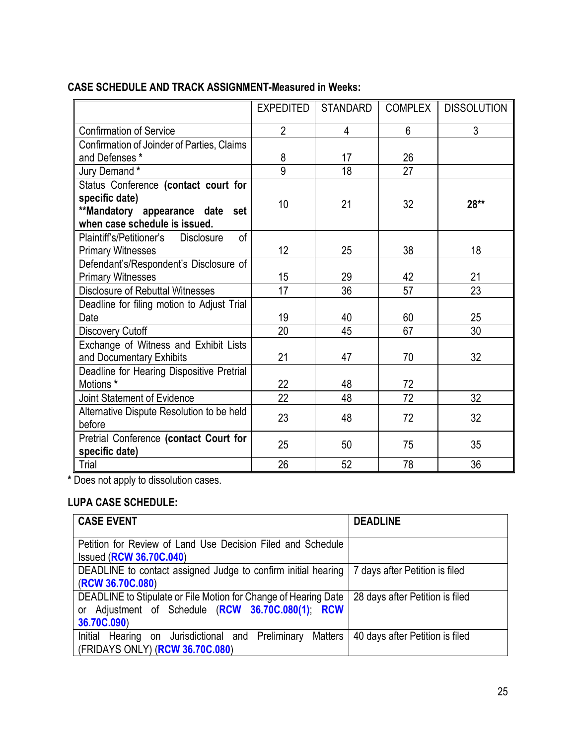|                                                     | <b>EXPEDITED</b> | <b>STANDARD</b> | COMPLEX | <b>DISSOLUTION</b> |
|-----------------------------------------------------|------------------|-----------------|---------|--------------------|
| <b>Confirmation of Service</b>                      | $\overline{2}$   | 4               | 6       | 3                  |
| Confirmation of Joinder of Parties, Claims          |                  |                 |         |                    |
| and Defenses *                                      | 8                | 17              | 26      |                    |
| Jury Demand*                                        | 9                | 18              | 27      |                    |
| Status Conference (contact court for                |                  |                 |         |                    |
| specific date)                                      | 10               | 21              | 32      | $28**$             |
| **Mandatory appearance date set                     |                  |                 |         |                    |
| when case schedule is issued.                       |                  |                 |         |                    |
| of<br>Plaintiff's/Petitioner's<br><b>Disclosure</b> |                  |                 |         |                    |
| <b>Primary Witnesses</b>                            | 12               | 25              | 38      | 18                 |
| Defendant's/Respondent's Disclosure of              |                  |                 |         |                    |
| <b>Primary Witnesses</b>                            | 15               | 29              | 42      | 21                 |
| Disclosure of Rebuttal Witnesses                    | 17               | 36              | 57      | 23                 |
| Deadline for filing motion to Adjust Trial          |                  |                 |         |                    |
| Date                                                | 19               | 40              | 60      | 25                 |
| <b>Discovery Cutoff</b>                             | 20               | 45              | 67      | 30                 |
| Exchange of Witness and Exhibit Lists               |                  |                 |         |                    |
| and Documentary Exhibits                            | 21               | 47              | 70      | 32                 |
| Deadline for Hearing Dispositive Pretrial           |                  |                 |         |                    |
| Motions <sup>*</sup>                                | 22               | 48              | 72      |                    |
| Joint Statement of Evidence                         | 22               | 48              | 72      | 32                 |
| Alternative Dispute Resolution to be held           | 23               | 48              | 72      | 32                 |
| before                                              |                  |                 |         |                    |
| Pretrial Conference (contact Court for              | 25               | 50              | 75      | 35                 |
| specific date)                                      |                  |                 |         |                    |
| Trial                                               | 26               | 52              | 78      | 36                 |

# **CASE SCHEDULE AND TRACK ASSIGNMENT-Measured in Weeks:**

**\*** Does not apply to dissolution cases.

## **LUPA CASE SCHEDULE:**

| <b>CASE EVENT</b>                                                                                                                   | <b>DEADLINE</b>                 |
|-------------------------------------------------------------------------------------------------------------------------------------|---------------------------------|
| Petition for Review of Land Use Decision Filed and Schedule<br><b>Issued (RCW 36.70C.040)</b>                                       |                                 |
| DEADLINE to contact assigned Judge to confirm initial hearing<br>(RCW 36.70C.080)                                                   | 7 days after Petition is filed  |
| DEADLINE to Stipulate or File Motion for Change of Hearing Date<br>or Adjustment of Schedule (RCW 36.70C.080(1); RCW<br>36.70C.090) | 28 days after Petition is filed |
| Initial<br>Hearing on Jurisdictional and Preliminary Matters<br>(FRIDAYS ONLY) (RCW 36.70C.080)                                     | 40 days after Petition is filed |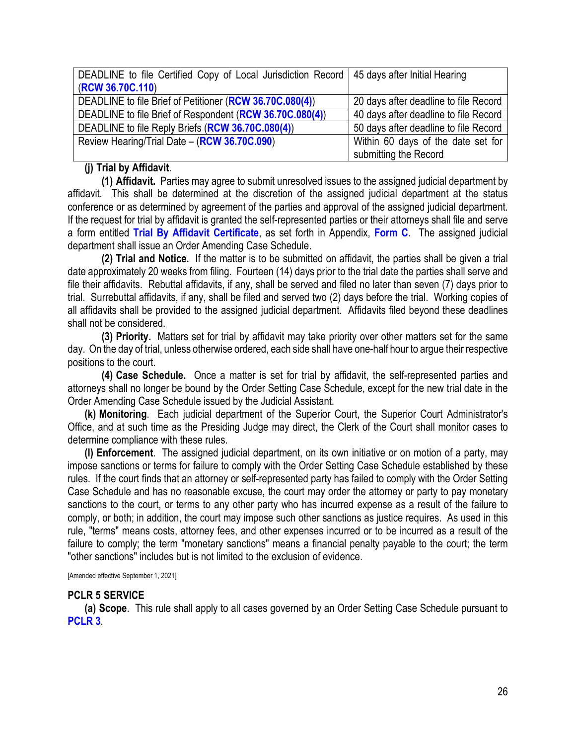| DEADLINE to file Certified Copy of Local Jurisdiction Record   45 days after Initial Hearing |                                       |
|----------------------------------------------------------------------------------------------|---------------------------------------|
| (RCW 36.70C.110)                                                                             |                                       |
| DEADLINE to file Brief of Petitioner (RCW 36.70C.080(4))                                     | 20 days after deadline to file Record |
| DEADLINE to file Brief of Respondent (RCW 36.70C.080(4))                                     | 40 days after deadline to file Record |
| DEADLINE to file Reply Briefs (RCW 36.70C.080(4))                                            | 50 days after deadline to file Record |
| Review Hearing/Trial Date - (RCW 36.70C.090)                                                 | Within 60 days of the date set for    |
|                                                                                              | submitting the Record                 |

#### **(j) Trial by Affidavit**.

**(1) Affidavit.** Parties may agree to submit unresolved issues to the assigned judicial department by affidavit. This shall be determined at the discretion of the assigned judicial department at the status conference or as determined by agreement of the parties and approval of the assigned judicial department. If the request for trial by affidavit is granted the self-represented parties or their attorneys shall file and serve a form entitled **Trial By Affidavit Certificate**, as set forth in Appendix, **Form C**. The assigned judicial department shall issue an Order Amending Case Schedule.

**(2) Trial and Notice.** If the matter is to be submitted on affidavit, the parties shall be given a trial date approximately 20 weeks from filing. Fourteen (14) days prior to the trial date the parties shall serve and file their affidavits. Rebuttal affidavits, if any, shall be served and filed no later than seven (7) days prior to trial. Surrebuttal affidavits, if any, shall be filed and served two (2) days before the trial. Working copies of all affidavits shall be provided to the assigned judicial department. Affidavits filed beyond these deadlines shall not be considered.

**(3) Priority.** Matters set for trial by affidavit may take priority over other matters set for the same day. On the day of trial, unless otherwise ordered, each side shall have one-half hour to argue their respective positions to the court.

**(4) Case Schedule.** Once a matter is set for trial by affidavit, the self-represented parties and attorneys shall no longer be bound by the Order Setting Case Schedule, except for the new trial date in the Order Amending Case Schedule issued by the Judicial Assistant.

**(k) Monitoring**. Each judicial department of the Superior Court, the Superior Court Administrator's Office, and at such time as the Presiding Judge may direct, the Clerk of the Court shall monitor cases to determine compliance with these rules.

<span id="page-25-1"></span>**(l) Enforcement**. The assigned judicial department, on its own initiative or on motion of a party, may impose sanctions or terms for failure to comply with the Order Setting Case Schedule established by these rules. If the court finds that an attorney or self-represented party has failed to comply with the Order Setting Case Schedule and has no reasonable excuse, the court may order the attorney or party to pay monetary sanctions to the court, or terms to any other party who has incurred expense as a result of the failure to comply, or both; in addition, the court may impose such other sanctions as justice requires. As used in this rule, "terms" means costs, attorney fees, and other expenses incurred or to be incurred as a result of the failure to comply; the term "monetary sanctions" means a financial penalty payable to the court; the term "other sanctions" includes but is not limited to the exclusion of evidence.

[Amended effective September 1, 2021]

#### <span id="page-25-0"></span>**PCLR 5 SERVICE**

**(a) Scope**. This rule shall apply to all cases governed by an Order Setting Case Schedule pursuant to **[PCLR 3](#page-20-1)**.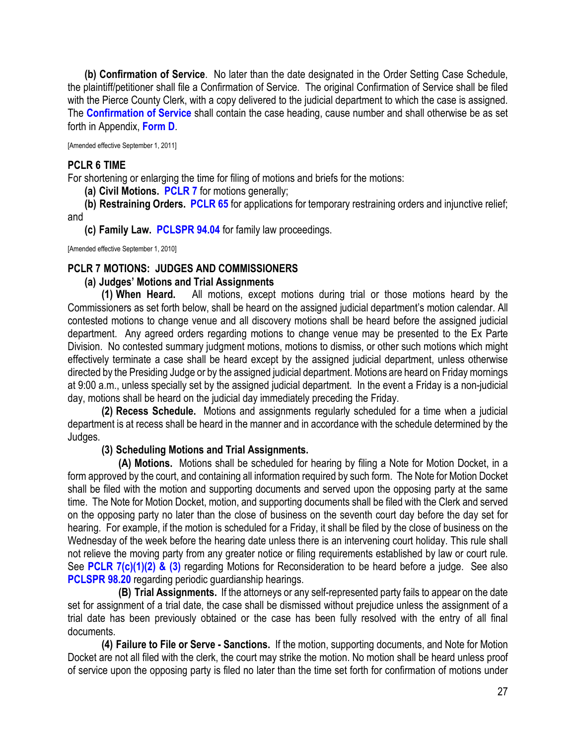**(b) Confirmation of Service**. No later than the date designated in the Order Setting Case Schedule, the plaintiff/petitioner shall file a Confirmation of Service. The original Confirmation of Service shall be filed with the Pierce County Clerk, with a copy delivered to the judicial department to which the case is assigned. The **[Confirmation of Service](#page-81-0)** shall contain the case heading, cause number and shall otherwise be as set forth in Appendix, **[Form D](#page-81-0)**.

[Amended effective September 1, 2011]

#### <span id="page-26-0"></span>**PCLR 6 TIME**

For shortening or enlarging the time for filing of motions and briefs for the motions:

**(a) Civil Motions. [PCLR 7](#page-26-1)** for motions generally;

**(b) Restraining Orders. [PCLR 65](#page-39-0)** for applications for temporary restraining orders and injunctive relief; and

**(c) Family Law. [PCLSPR 94.04](#page-41-0)** for family law proceedings.

[Amended effective September 1, 2010]

#### <span id="page-26-1"></span>**PCLR 7 MOTIONS: JUDGES AND COMMISSIONERS**

#### **(a) Judges' Motions and Trial Assignments**

**(1) When Heard.** All motions, except motions during trial or those motions heard by the Commissioners as set forth below, shall be heard on the assigned judicial department's motion calendar. All contested motions to change venue and all discovery motions shall be heard before the assigned judicial department. Any agreed orders regarding motions to change venue may be presented to the Ex Parte Division. No contested summary judgment motions, motions to dismiss, or other such motions which might effectively terminate a case shall be heard except by the assigned judicial department, unless otherwise directed by the Presiding Judge or by the assigned judicial department. Motions are heard on Friday mornings at 9:00 a.m., unless specially set by the assigned judicial department. In the event a Friday is a non-judicial day, motions shall be heard on the judicial day immediately preceding the Friday.

**(2) Recess Schedule.** Motions and assignments regularly scheduled for a time when a judicial department is at recess shall be heard in the manner and in accordance with the schedule determined by the Judges.

#### **(3) Scheduling Motions and Trial Assignments.**

<span id="page-26-2"></span>**(A) Motions.** Motions shall be scheduled for hearing by filing a Note for Motion Docket, in a form approved by the court, and containing all information required by such form. The Note for Motion Docket shall be filed with the motion and supporting documents and served upon the opposing party at the same time. The Note for Motion Docket, motion, and supporting documents shall be filed with the Clerk and served on the opposing party no later than the close of business on the seventh court day before the day set for hearing. For example, if the motion is scheduled for a Friday, it shall be filed by the close of business on the Wednesday of the week before the hearing date unless there is an intervening court holiday. This rule shall not relieve the moving party from any greater notice or filing requirements established by law or court rule. See **[PCLR 7\(c\)\(1\)\(2\) & \(3\)](#page-30-0)** regarding Motions for Reconsideration to be heard before a judge. See also **[PCLSPR 98.20](#page-51-0)** regarding periodic guardianship hearings.

**(B) Trial Assignments.** If the attorneys or any self-represented party fails to appear on the date set for assignment of a trial date, the case shall be dismissed without prejudice unless the assignment of a trial date has been previously obtained or the case has been fully resolved with the entry of all final documents.

**(4) Failure to File or Serve - Sanctions.** If the motion, supporting documents, and Note for Motion Docket are not all filed with the clerk, the court may strike the motion. No motion shall be heard unless proof of service upon the opposing party is filed no later than the time set forth for confirmation of motions under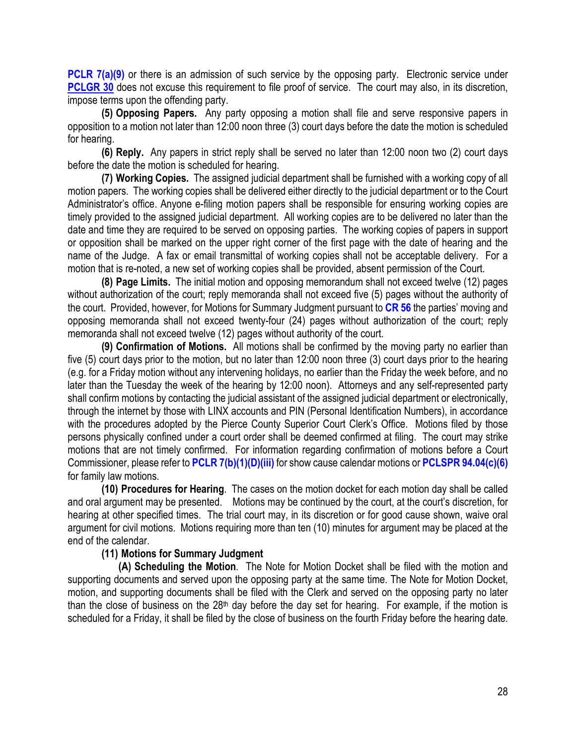**[PCLR 7\(a\)\(9\)](#page-27-1)** or there is an admission of such service by the opposing party. Electronic service under **[PCLGR 30](#page-18-0)** does not excuse this requirement to file proof of service. The court may also, in its discretion, impose terms upon the offending party.

**(5) Opposing Papers.** Any party opposing a motion shall file and serve responsive papers in opposition to a motion not later than 12:00 noon three (3) court days before the date the motion is scheduled for hearing.

<span id="page-27-0"></span>**(6) Reply.** Any papers in strict reply shall be served no later than 12:00 noon two (2) court days before the date the motion is scheduled for hearing.

**(7) Working Copies.** The assigned judicial department shall be furnished with a working copy of all motion papers. The working copies shall be delivered either directly to the judicial department or to the Court Administrator's office. Anyone e-filing motion papers shall be responsible for ensuring working copies are timely provided to the assigned judicial department. All working copies are to be delivered no later than the date and time they are required to be served on opposing parties. The working copies of papers in support or opposition shall be marked on the upper right corner of the first page with the date of hearing and the name of the Judge. A fax or email transmittal of working copies shall not be acceptable delivery. For a motion that is re-noted, a new set of working copies shall be provided, absent permission of the Court.

<span id="page-27-2"></span>**(8) Page Limits.** The initial motion and opposing memorandum shall not exceed twelve (12) pages without authorization of the court; reply memoranda shall not exceed five (5) pages without the authority of the court. Provided, however, for Motions for Summary Judgment pursuant to **[CR 56](http://www.courts.wa.gov/court_rules/?fa=court_rules.display&group=sup&set=CR&ruleid=supcr56)** the parties' moving and opposing memoranda shall not exceed twenty-four (24) pages without authorization of the court; reply memoranda shall not exceed twelve (12) pages without authority of the court.

<span id="page-27-1"></span>**(9) Confirmation of Motions.** All motions shall be confirmed by the moving party no earlier than five (5) court days prior to the motion, but no later than 12:00 noon three (3) court days prior to the hearing (e.g. for a Friday motion without any intervening holidays, no earlier than the Friday the week before, and no later than the Tuesday the week of the hearing by 12:00 noon). Attorneys and any self-represented party shall confirm motions by contacting the judicial assistant of the assigned judicial department or electronically, through the internet by those with LINX accounts and PIN (Personal Identification Numbers), in accordance with the procedures adopted by the Pierce County Superior Court Clerk's Office. Motions filed by those persons physically confined under a court order shall be deemed confirmed at filing. The court may strike motions that are not timely confirmed. For information regarding confirmation of motions before a Court Commissioner, please refer to **[PCLR 7\(b\)\(1\)\(D\)\(iii\)](#page-29-0)** for show cause calendar motions or **[PCLSPR 94.04\(c\)\(6\)](#page-44-0)** for family law motions.

**(10) Procedures for Hearing**. The cases on the motion docket for each motion day shall be called and oral argument may be presented. Motions may be continued by the court, at the court's discretion, for hearing at other specified times. The trial court may, in its discretion or for good cause shown, waive oral argument for civil motions. Motions requiring more than ten (10) minutes for argument may be placed at the end of the calendar.

#### **(11) Motions for Summary Judgment**

**(A) Scheduling the Motion**. The Note for Motion Docket shall be filed with the motion and supporting documents and served upon the opposing party at the same time. The Note for Motion Docket, motion, and supporting documents shall be filed with the Clerk and served on the opposing party no later than the close of business on the 28<sup>th</sup> day before the day set for hearing. For example, if the motion is scheduled for a Friday, it shall be filed by the close of business on the fourth Friday before the hearing date.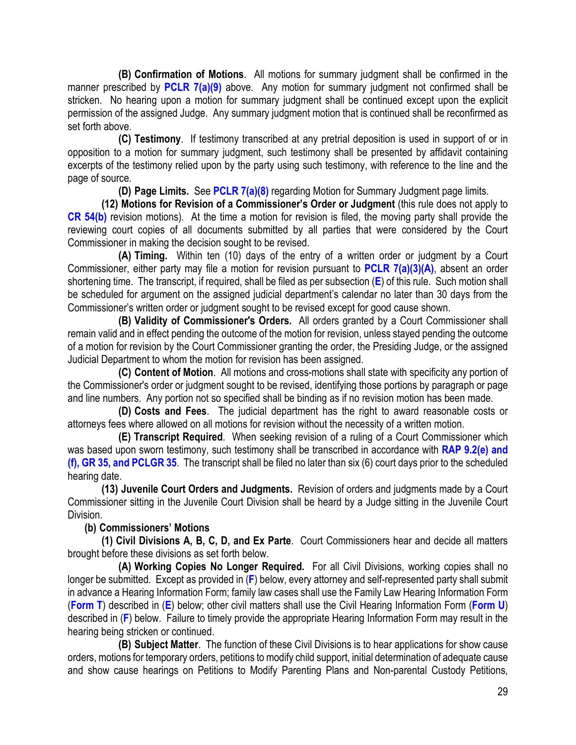**(B) Confirmation of Motions**. All motions for summary judgment shall be confirmed in the manner prescribed by **[PCLR 7\(a\)\(9\)](#page-27-1)** above. Any motion for summary judgment not confirmed shall be stricken. No hearing upon a motion for summary judgment shall be continued except upon the explicit permission of the assigned Judge. Any summary judgment motion that is continued shall be reconfirmed as set forth above.

**(C) Testimony**. If testimony transcribed at any pretrial deposition is used in support of or in opposition to a motion for summary judgment, such testimony shall be presented by affidavit containing excerpts of the testimony relied upon by the party using such testimony, with reference to the line and the page of source.

**(D) Page Limits.** See **[PCLR 7\(a\)\(8\)](#page-27-2)** regarding Motion for Summary Judgment page limits.

**(12) Motions for Revision of a Commissioner's Order or Judgment** (this rule does not apply to **[CR 54\(b\)](http://www.courts.wa.gov/court_rules/?fa=court_rules.display&group=sup&set=CR&ruleid=supcr54)** revision motions). At the time a motion for revision is filed, the moving party shall provide the reviewing court copies of all documents submitted by all parties that were considered by the Court Commissioner in making the decision sought to be revised.

**(A) Timing.** Within ten (10) days of the entry of a written order or judgment by a Court Commissioner, either party may file a motion for revision pursuant to **[PCLR 7\(a\)\(3\)\(A\)](#page-26-2)**, absent an order shortening time. The transcript, if required, shall be filed as per subsection (**[E](#page-28-0)**) of this rule. Such motion shall be scheduled for argument on the assigned judicial department's calendar no later than 30 days from the Commissioner's written order or judgment sought to be revised except for good cause shown.

**(B) Validity of Commissioner's Orders.** All orders granted by a Court Commissioner shall remain valid and in effect pending the outcome of the motion for revision, unless stayed pending the outcome of a motion for revision by the Court Commissioner granting the order, the Presiding Judge, or the assigned Judicial Department to whom the motion for revision has been assigned.

**(C) Content of Motion**. All motions and cross-motions shall state with specificity any portion of the Commissioner's order or judgment sought to be revised, identifying those portions by paragraph or page and line numbers. Any portion not so specified shall be binding as if no revision motion has been made.

**(D) Costs and Fees**. The judicial department has the right to award reasonable costs or attorneys fees where allowed on all motions for revision without the necessity of a written motion.

<span id="page-28-0"></span>**(E) Transcript Required**. When seeking revision of a ruling of a Court Commissioner which was based upon sworn testimony, such testimony shall be transcribed in accordance with **[RAP 9.2\(e\) and](http://www.courts.wa.gov/court_rules/?fa=court_rules.display&group=app&set=RAP&ruleid=apprap09.02)  [\(f\),](http://www.courts.wa.gov/court_rules/?fa=court_rules.display&group=app&set=RAP&ruleid=apprap09.02) [GR 35,](http://www.courts.wa.gov/court_rules/pdf/GR/GA_GR_35_00_00.pdf) and [PCLGR 35](#page-19-1)**. The transcript shall be filed no later than six (6) court days prior to the scheduled hearing date.

**(13) Juvenile Court Orders and Judgments.** Revision of orders and judgments made by a Court Commissioner sitting in the Juvenile Court Division shall be heard by a Judge sitting in the Juvenile Court Division.

### **(b) Commissioners' Motions**

**(1) Civil Divisions A, B, C, D, and Ex Parte**. Court Commissioners hear and decide all matters brought before these divisions as set forth below.

**(A) Working Copies No Longer Required.** For all Civil Divisions, working copies shall no longer be submitted. Except as provided in (**[F](#page-30-1)**) below, every attorney and self-represented party shall submit in advance a Hearing Information Form; family law cases shall use the Family Law Hearing Information Form (**[Form T](#page-109-0)**) described in (**[E](#page-30-2)**) below; other civil matters shall use the Civil Hearing Information Form (**[Form U](#page-111-0)**) described in (**[F](#page-30-1)**) below. Failure to timely provide the appropriate Hearing Information Form may result in the hearing being stricken or continued.

**(B) Subject Matter**. The function of these Civil Divisions is to hear applications for show cause orders, motions for temporary orders, petitions to modify child support, initial determination of adequate cause and show cause hearings on Petitions to Modify Parenting Plans and Non-parental Custody Petitions,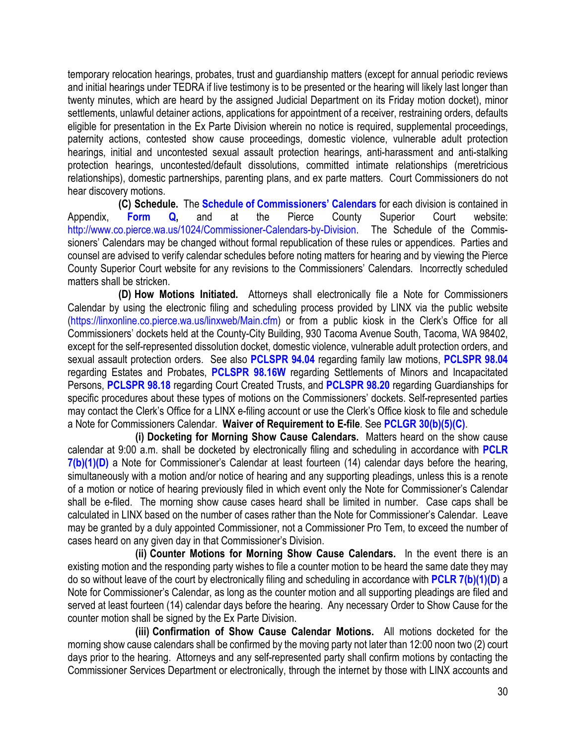temporary relocation hearings, probates, trust and guardianship matters (except for annual periodic reviews and initial hearings under TEDRA if live testimony is to be presented or the hearing will likely last longer than twenty minutes, which are heard by the assigned Judicial Department on its Friday motion docket), minor settlements, unlawful detainer actions, applications for appointment of a receiver, restraining orders, defaults eligible for presentation in the Ex Parte Division wherein no notice is required, supplemental proceedings, paternity actions, contested show cause proceedings, domestic violence, vulnerable adult protection hearings, initial and uncontested sexual assault protection hearings, anti-harassment and anti-stalking protection hearings, uncontested/default dissolutions, committed intimate relationships (meretricious relationships), domestic partnerships, parenting plans, and ex parte matters. Court Commissioners do not hear discovery motions.

**(C) Schedule.** The **[Schedule of Commissioners' Calendars](#page-105-0)** for each division is contained in Appendix, **[Form Q,](#page-105-0)** and at the Pierce County Superior Court website: [http://www.co.pierce.wa.us/1024/Commissioner-Calendars-by-Division.](http://www.co.pierce.wa.us/1024/Commissioner-Calendars-by-Division) The Schedule of the Commissioners' Calendars may be changed without formal republication of these rules or appendices. Parties and counsel are advised to verify calendar schedules before noting matters for hearing and by viewing the Pierce County Superior Court website for any revisions to the Commissioners' Calendars. Incorrectly scheduled matters shall be stricken.

<span id="page-29-0"></span>**(D) How Motions Initiated.** Attorneys shall electronically file a Note for Commissioners Calendar by using the electronic filing and scheduling process provided by LINX via the public website [\(https://linxonline.co.pierce.wa.us/linxweb/Main.cfm\)](https://linxonline.co.pierce.wa.us/linxweb/Main.cfm) or from a public kiosk in the Clerk's Office for all Commissioners' dockets held at the County-City Building, 930 Tacoma Avenue South, Tacoma, WA 98402, except for the self-represented dissolution docket, domestic violence, vulnerable adult protection orders, and sexual assault protection orders. See also **[PCLSPR 94.04](#page-41-0)** regarding family law motions, **[PCLSPR 98.04](#page-46-1)** regarding Estates and Probates, **[PCLSPR 98.16W](#page-47-0)** regarding Settlements of Minors and Incapacitated Persons, **[PCLSPR 98.18](#page-49-0)** regarding Court Created Trusts, and **[PCLSPR 98.20](#page-51-0)** regarding Guardianships for specific procedures about these types of motions on the Commissioners' dockets. Self-represented parties may contact the Clerk's Office for a LINX e-filing account or use the Clerk's Office kiosk to file and schedule a Note for Commissioners Calendar. **Waiver of Requirement to E-file**. See **[PCLGR 30\(b\)\(5\)\(C\)](#page-18-2)**.

**(i) Docketing for Morning Show Cause Calendars.** Matters heard on the show cause calendar at 9:00 a.m. shall be docketed by electronically filing and scheduling in accordance with **[PCLR](#page-29-0)  [7\(b\)\(1\)\(D\)](#page-29-0)** a Note for Commissioner's Calendar at least fourteen (14) calendar days before the hearing, simultaneously with a motion and/or notice of hearing and any supporting pleadings, unless this is a renote of a motion or notice of hearing previously filed in which event only the Note for Commissioner's Calendar shall be e-filed. The morning show cause cases heard shall be limited in number. Case caps shall be calculated in LINX based on the number of cases rather than the Note for Commissioner's Calendar. Leave may be granted by a duly appointed Commissioner, not a Commissioner Pro Tem, to exceed the number of cases heard on any given day in that Commissioner's Division.

**(ii) Counter Motions for Morning Show Cause Calendars.** In the event there is an existing motion and the responding party wishes to file a counter motion to be heard the same date they may do so without leave of the court by electronically filing and scheduling in accordance with **[PCLR 7\(b\)\(1\)\(D\)](#page-29-0)** a Note for Commissioner's Calendar, as long as the counter motion and all supporting pleadings are filed and served at least fourteen (14) calendar days before the hearing. Any necessary Order to Show Cause for the counter motion shall be signed by the Ex Parte Division.

**(iii) Confirmation of Show Cause Calendar Motions.** All motions docketed for the morning show cause calendars shall be confirmed by the moving party not later than 12:00 noon two (2) court days prior to the hearing. Attorneys and any self-represented party shall confirm motions by contacting the Commissioner Services Department or electronically, through the internet by those with LINX accounts and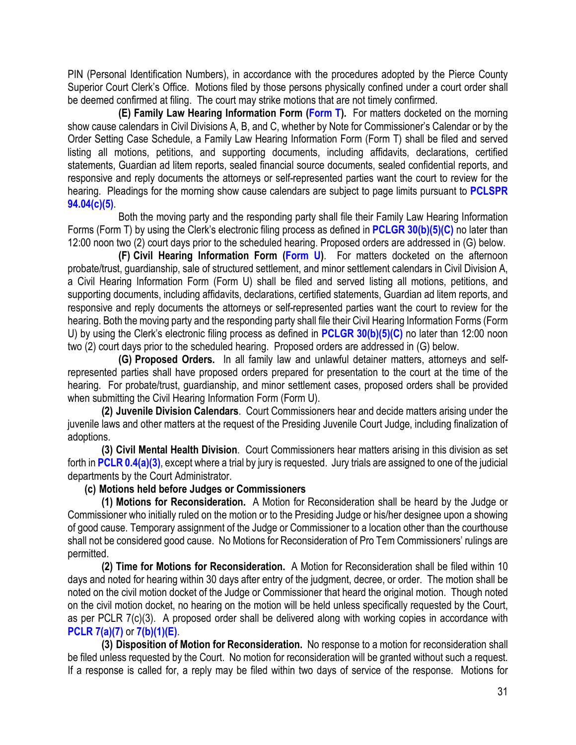PIN (Personal Identification Numbers), in accordance with the procedures adopted by the Pierce County Superior Court Clerk's Office. Motions filed by those persons physically confined under a court order shall be deemed confirmed at filing. The court may strike motions that are not timely confirmed.

<span id="page-30-2"></span>**(E) Family Law Hearing Information Form [\(Form T\)](#page-109-0).** For matters docketed on the morning show cause calendars in Civil Divisions A, B, and C, whether by Note for Commissioner's Calendar or by the Order Setting Case Schedule, a Family Law Hearing Information Form (Form T) shall be filed and served listing all motions, petitions, and supporting documents, including affidavits, declarations, certified statements, Guardian ad litem reports, sealed financial source documents, sealed confidential reports, and responsive and reply documents the attorneys or self-represented parties want the court to review for the hearing. Pleadings for the morning show cause calendars are subject to page limits pursuant to **[PCLSPR](#page-43-1)  [94.04\(c\)\(5\)](#page-43-1)**.

Both the moving party and the responding party shall file their Family Law Hearing Information Forms (Form T) by using the Clerk's electronic filing process as defined in **[PCLGR 30\(b\)\(5\)\(C\)](#page-18-2)** no later than 12:00 noon two (2) court days prior to the scheduled hearing. Proposed orders are addressed in (G) below.

<span id="page-30-1"></span>**(F) Civil Hearing Information Form [\(Form U\)](#page-111-0)**. For matters docketed on the afternoon probate/trust, guardianship, sale of structured settlement, and minor settlement calendars in Civil Division A, a Civil Hearing Information Form (Form U) shall be filed and served listing all motions, petitions, and supporting documents, including affidavits, declarations, certified statements, Guardian ad litem reports, and responsive and reply documents the attorneys or self-represented parties want the court to review for the hearing. Both the moving party and the responding party shall file their Civil Hearing Information Forms (Form U) by using the Clerk's electronic filing process as defined in **[PCLGR 30\(b\)\(5\)\(C\)](#page-18-2)** no later than 12:00 noon two (2) court days prior to the scheduled hearing. Proposed orders are addressed in (G) below.

**(G) Proposed Orders.** In all family law and unlawful detainer matters, attorneys and selfrepresented parties shall have proposed orders prepared for presentation to the court at the time of the hearing. For probate/trust, guardianship, and minor settlement cases, proposed orders shall be provided when submitting the Civil Hearing Information Form (Form U).

**(2) Juvenile Division Calendars**. Court Commissioners hear and decide matters arising under the juvenile laws and other matters at the request of the Presiding Juvenile Court Judge, including finalization of adoptions.

**(3) Civil Mental Health Division**. Court Commissioners hear matters arising in this division as set forth in **[PCLR 0.4\(a\)\(3\)](#page-15-1)**, except where a trial by jury is requested. Jury trials are assigned to one of the judicial departments by the Court Administrator.

#### **(c) Motions held before Judges or Commissioners**

<span id="page-30-0"></span>**(1) Motions for Reconsideration.** A Motion for Reconsideration shall be heard by the Judge or Commissioner who initially ruled on the motion or to the Presiding Judge or his/her designee upon a showing of good cause. Temporary assignment of the Judge or Commissioner to a location other than the courthouse shall not be considered good cause. No Motions for Reconsideration of Pro Tem Commissioners' rulings are permitted.

**(2) Time for Motions for Reconsideration.** A Motion for Reconsideration shall be filed within 10 days and noted for hearing within 30 days after entry of the judgment, decree, or order. The motion shall be noted on the civil motion docket of the Judge or Commissioner that heard the original motion. Though noted on the civil motion docket, no hearing on the motion will be held unless specifically requested by the Court, as per PCLR 7(c)(3). A proposed order shall be delivered along with working copies in accordance wit[h](#page-27-0) **[PCLR 7\(a\)\(7\)](#page-27-0)** or **[7\(b\)\(1\)\(E\)](#page-30-2)**.

**(3) Disposition of Motion for Reconsideration.** No response to a motion for reconsideration shall be filed unless requested by the Court. No motion for reconsideration will be granted without such a request. If a response is called for, a reply may be filed within two days of service of the response. Motions for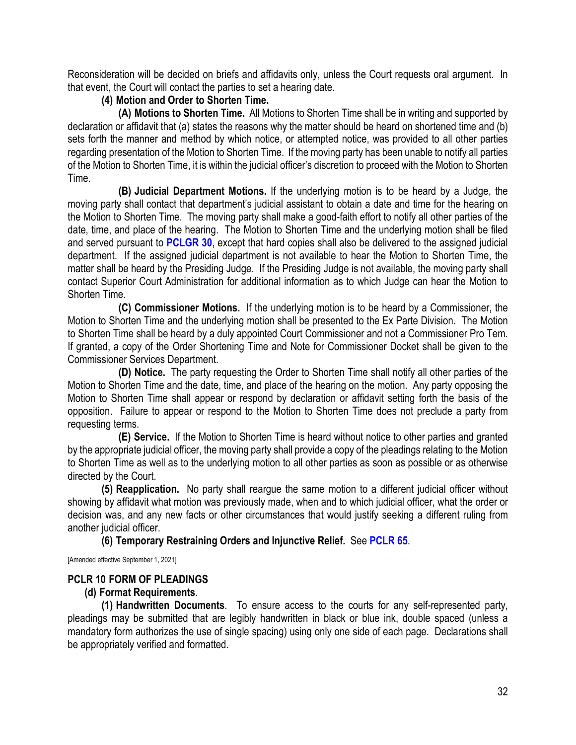Reconsideration will be decided on briefs and affidavits only, unless the Court requests oral argument. In that event, the Court will contact the parties to set a hearing date.

#### **(4) Motion and Order to Shorten Time.**

**(A) Motions to Shorten Time.** All Motions to Shorten Time shall be in writing and supported by declaration or affidavit that (a) states the reasons why the matter should be heard on shortened time and (b) sets forth the manner and method by which notice, or attempted notice, was provided to all other parties regarding presentation of the Motion to Shorten Time. If the moving party has been unable to notify all parties of the Motion to Shorten Time, it is within the judicial officer's discretion to proceed with the Motion to Shorten Time.

**(B) Judicial Department Motions.** If the underlying motion is to be heard by a Judge, the moving party shall contact that department's judicial assistant to obtain a date and time for the hearing on the Motion to Shorten Time. The moving party shall make a good-faith effort to notify all other parties of the date, time, and place of the hearing. The Motion to Shorten Time and the underlying motion shall be filed and served pursuant to **[PCLGR 30](#page-18-0)**, except that hard copies shall also be delivered to the assigned judicial department. If the assigned judicial department is not available to hear the Motion to Shorten Time, the matter shall be heard by the Presiding Judge. If the Presiding Judge is not available, the moving party shall contact Superior Court Administration for additional information as to which Judge can hear the Motion to Shorten Time.

**(C) Commissioner Motions.** If the underlying motion is to be heard by a Commissioner, the Motion to Shorten Time and the underlying motion shall be presented to the Ex Parte Division. The Motion to Shorten Time shall be heard by a duly appointed Court Commissioner and not a Commissioner Pro Tem. If granted, a copy of the Order Shortening Time and Note for Commissioner Docket shall be given to the Commissioner Services Department.

**(D) Notice.** The party requesting the Order to Shorten Time shall notify all other parties of the Motion to Shorten Time and the date, time, and place of the hearing on the motion. Any party opposing the Motion to Shorten Time shall appear or respond by declaration or affidavit setting forth the basis of the opposition. Failure to appear or respond to the Motion to Shorten Time does not preclude a party from requesting terms.

**(E) Service.** If the Motion to Shorten Time is heard without notice to other parties and granted by the appropriate judicial officer, the moving party shall provide a copy of the pleadings relating to the Motion to Shorten Time as well as to the underlying motion to all other parties as soon as possible or as otherwise directed by the Court.

**(5) Reapplication.** No party shall reargue the same motion to a different judicial officer without showing by affidavit what motion was previously made, when and to which judicial officer, what the order or decision was, and any new facts or other circumstances that would justify seeking a different ruling from another judicial officer.

**(6) Temporary Restraining Orders and Injunctive Relief.** See **[PCLR 65](#page-39-0)**.

[Amended effective September 1, 2021]

### <span id="page-31-0"></span>**PCLR 10 FORM OF PLEADINGS**

### **(d) Format Requirements**.

**(1) Handwritten Documents**. To ensure access to the courts for any self-represented party, pleadings may be submitted that are legibly handwritten in black or blue ink, double spaced (unless a mandatory form authorizes the use of single spacing) using only one side of each page. Declarations shall be appropriately verified and formatted.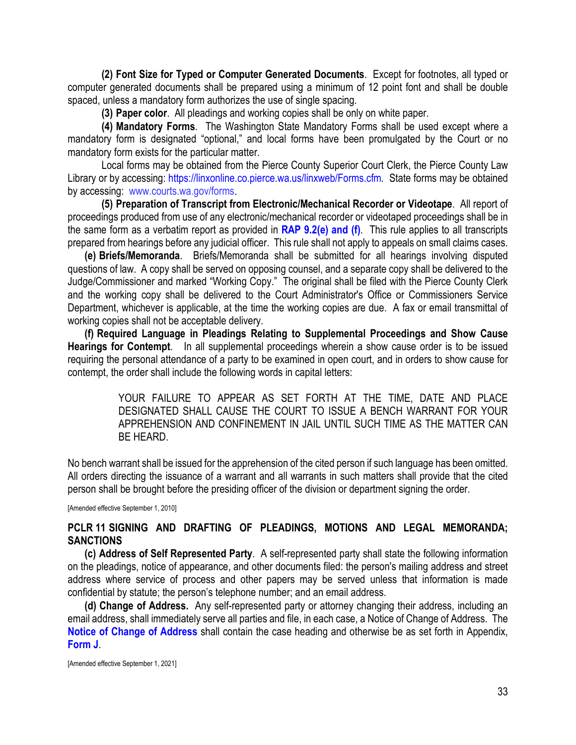**(2) Font Size for Typed or Computer Generated Documents**. Except for footnotes, all typed or computer generated documents shall be prepared using a minimum of 12 point font and shall be double spaced, unless a mandatory form authorizes the use of single spacing.

**(3) Paper color**. All pleadings and working copies shall be only on white paper.

**(4) Mandatory Forms**. The Washington State Mandatory Forms shall be used except where a mandatory form is designated "optional," and local forms have been promulgated by the Court or no mandatory form exists for the particular matter.

Local forms may be obtained from the Pierce County Superior Court Clerk, the Pierce County Law Library or by accessing: <https://linxonline.co.pierce.wa.us/linxweb/Forms.cfm>*.* State forms may be obtained by accessing: [www.courts.wa.gov/forms](http://www.courts.wa.gov/forms).

**(5) Preparation of Transcript from Electronic/Mechanical Recorder or Videotape**.All report of proceedings produced from use of any electronic/mechanical recorder or videotaped proceedings shall be in the same form as a verbatim report as provided in **[RAP 9.2\(e\) and \(f\)](http://www.courts.wa.gov/court_rules/?fa=court_rules.display&group=app&set=RAP&ruleid=apprap09.02)**. This rule applies to all transcripts prepared from hearings before any judicial officer. This rule shall not apply to appeals on small claims cases.

**(e) Briefs/Memoranda**. Briefs/Memoranda shall be submitted for all hearings involving disputed questions of law. A copy shall be served on opposing counsel, and a separate copy shall be delivered to the Judge/Commissioner and marked "Working Copy." The original shall be filed with the Pierce County Clerk and the working copy shall be delivered to the Court Administrator's Office or Commissioners Service Department, whichever is applicable, at the time the working copies are due. A fax or email transmittal of working copies shall not be acceptable delivery.

**(f) Required Language in Pleadings Relating to Supplemental Proceedings and Show Cause Hearings for Contempt**. In all supplemental proceedings wherein a show cause order is to be issued requiring the personal attendance of a party to be examined in open court, and in orders to show cause for contempt, the order shall include the following words in capital letters:

> YOUR FAILURE TO APPEAR AS SET FORTH AT THE TIME, DATE AND PLACE DESIGNATED SHALL CAUSE THE COURT TO ISSUE A BENCH WARRANT FOR YOUR APPREHENSION AND CONFINEMENT IN JAIL UNTIL SUCH TIME AS THE MATTER CAN BE HEARD.

No bench warrant shall be issued for the apprehension of the cited person if such language has been omitted. All orders directing the issuance of a warrant and all warrants in such matters shall provide that the cited person shall be brought before the presiding officer of the division or department signing the order.

[Amended effective September 1, 2010]

#### <span id="page-32-0"></span>**PCLR 11 SIGNING AND DRAFTING OF PLEADINGS, MOTIONS AND LEGAL MEMORANDA; SANCTIONS**

**(c) Address of Self Represented Party**. A self-represented party shall state the following information on the pleadings, notice of appearance, and other documents filed: the person's mailing address and street address where service of process and other papers may be served unless that information is made confidential by statute; the person's telephone number; and an email address.

**(d) Change of Address.** Any self-represented party or attorney changing their address, including an email address, shall immediately serve all parties and file, in each case, a Notice of Change of Address. The **Notice of Change of Address** shall contain the case heading and otherwise be as set forth in Appendix, **Form J**.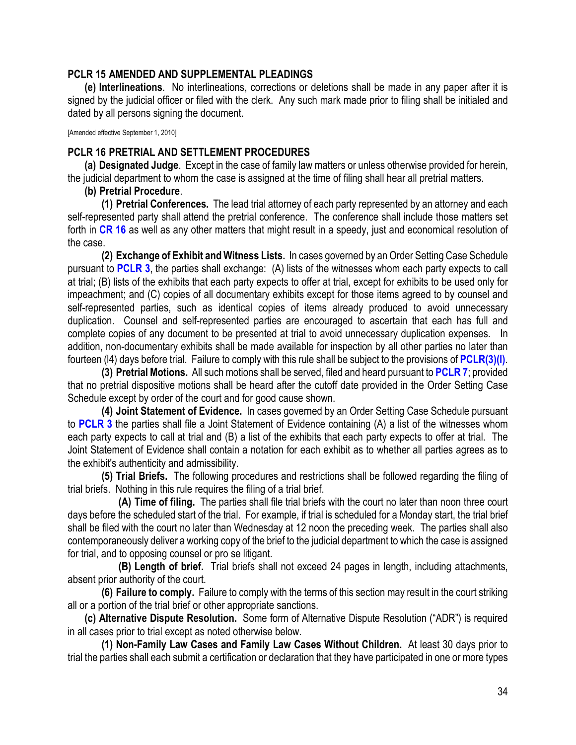#### <span id="page-33-0"></span>**PCLR 15 AMENDED AND SUPPLEMENTAL PLEADINGS**

**(e) Interlineations**. No interlineations, corrections or deletions shall be made in any paper after it is signed by the judicial officer or filed with the clerk. Any such mark made prior to filing shall be initialed and dated by all persons signing the document.

[Amended effective September 1, 2010]

#### <span id="page-33-1"></span>**PCLR 16 PRETRIAL AND SETTLEMENT PROCEDURES**

**(a) Designated Judge**. Except in the case of family law matters or unless otherwise provided for herein, the judicial department to whom the case is assigned at the time of filing shall hear all pretrial matters.

#### **(b) Pretrial Procedure**.

**(1) Pretrial Conferences.** The lead trial attorney of each party represented by an attorney and each self-represented party shall attend the pretrial conference. The conference shall include those matters set forth in **[CR 16](http://www.courts.wa.gov/court_rules/?fa=court_rules.display&group=sup&set=CR&ruleid=supcr16)** as well as any other matters that might result in a speedy, just and economical resolution of the case.

**(2) Exchange of Exhibit and Witness Lists.** In cases governed by an Order Setting Case Schedule pursuant to **[PCLR 3](#page-20-1)**, the parties shall exchange: (A) lists of the witnesses whom each party expects to call at trial; (B) lists of the exhibits that each party expects to offer at trial, except for exhibits to be used only for impeachment; and (C) copies of all documentary exhibits except for those items agreed to by counsel and self-represented parties, such as identical copies of items already produced to avoid unnecessary duplication. Counsel and self-represented parties are encouraged to ascertain that each has full and complete copies of any document to be presented at trial to avoid unnecessary duplication expenses. In addition, non-documentary exhibits shall be made available for inspection by all other parties no later than fourteen (l4) days before trial. Failure to comply with this rule shall be subject to the provisions of **[PCLR\(3\)\(l\)](#page-25-1)**.

**(3) Pretrial Motions.** All such motions shall be served, filed and heard pursuant to **[PCLR 7](#page-26-1)**; provided that no pretrial dispositive motions shall be heard after the cutoff date provided in the Order Setting Case Schedule except by order of the court and for good cause shown.

**(4) Joint Statement of Evidence.** In cases governed by an Order Setting Case Schedule pursuant to **[PCLR 3](#page-20-1)** the parties shall file a Joint Statement of Evidence containing (A) a list of the witnesses whom each party expects to call at trial and (B) a list of the exhibits that each party expects to offer at trial. The Joint Statement of Evidence shall contain a notation for each exhibit as to whether all parties agrees as to the exhibit's authenticity and admissibility.

**(5) Trial Briefs.** The following procedures and restrictions shall be followed regarding the filing of trial briefs. Nothing in this rule requires the filing of a trial brief.

**(A) Time of filing.** The parties shall file trial briefs with the court no later than noon three court days before the scheduled start of the trial. For example, if trial is scheduled for a Monday start, the trial brief shall be filed with the court no later than Wednesday at 12 noon the preceding week. The parties shall also contemporaneously deliver a working copy of the brief to the judicial department to which the case is assigned for trial, and to opposing counsel or pro se litigant.

**(B) Length of brief.** Trial briefs shall not exceed 24 pages in length, including attachments, absent prior authority of the court.

**(6) Failure to comply.** Failure to comply with the terms of this section may result in the court striking all or a portion of the trial brief or other appropriate sanctions.

<span id="page-33-2"></span>**(c) Alternative Dispute Resolution.** Some form of Alternative Dispute Resolution ("ADR") is required in all cases prior to trial except as noted otherwise below.

**(1) Non-Family Law Cases and Family Law Cases Without Children.** At least 30 days prior to trial the parties shall each submit a certification or declaration that they have participated in one or more types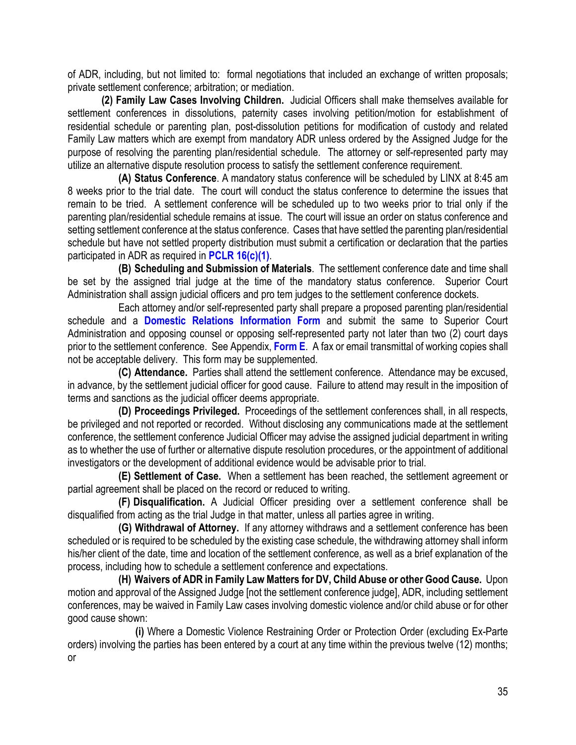of ADR, including, but not limited to: formal negotiations that included an exchange of written proposals; private settlement conference; arbitration; or mediation.

**(2) Family Law Cases Involving Children.** Judicial Officers shall make themselves available for settlement conferences in dissolutions, paternity cases involving petition/motion for establishment of residential schedule or parenting plan, post-dissolution petitions for modification of custody and related Family Law matters which are exempt from mandatory ADR unless ordered by the Assigned Judge for the purpose of resolving the parenting plan/residential schedule. The attorney or self-represented party may utilize an alternative dispute resolution process to satisfy the settlement conference requirement.

**(A) Status Conference**. A mandatory status conference will be scheduled by LINX at 8:45 am 8 weeks prior to the trial date. The court will conduct the status conference to determine the issues that remain to be tried. A settlement conference will be scheduled up to two weeks prior to trial only if the parenting plan/residential schedule remains at issue. The court will issue an order on status conference and setting settlement conference at the status conference. Cases that have settled the parenting plan/residential schedule but have not settled property distribution must submit a certification or declaration that the parties participated in ADR as required in **[PCLR 16\(c\)\(1\)](#page-33-2)**.

**(B) Scheduling and Submission of Materials**. The settlement conference date and time shall be set by the assigned trial judge at the time of the mandatory status conference. Superior Court Administration shall assign judicial officers and pro tem judges to the settlement conference dockets.

Each attorney and/or self-represented party shall prepare a proposed parenting plan/residential schedule and a **[Domestic Relations](#page-82-0) Information Form** and submit the same to Superior Court Administration and opposing counsel or opposing self-represented party not later than two (2) court days prior to the settlement conference. See Appendix, **[Form E](#page-82-0)**. A fax or email transmittal of working copies shall not be acceptable delivery. This form may be supplemented.

**(C) Attendance.** Parties shall attend the settlement conference. Attendance may be excused, in advance, by the settlement judicial officer for good cause. Failure to attend may result in the imposition of terms and sanctions as the judicial officer deems appropriate.

**(D) Proceedings Privileged.** Proceedings of the settlement conferences shall, in all respects, be privileged and not reported or recorded. Without disclosing any communications made at the settlement conference, the settlement conference Judicial Officer may advise the assigned judicial department in writing as to whether the use of further or alternative dispute resolution procedures, or the appointment of additional investigators or the development of additional evidence would be advisable prior to trial.

**(E) Settlement of Case.** When a settlement has been reached, the settlement agreement or partial agreement shall be placed on the record or reduced to writing.

**(F) Disqualification.** A Judicial Officer presiding over a settlement conference shall be disqualified from acting as the trial Judge in that matter, unless all parties agree in writing.

<span id="page-34-0"></span>**(G) Withdrawal of Attorney.** If any attorney withdraws and a settlement conference has been scheduled or is required to be scheduled by the existing case schedule, the withdrawing attorney shall inform his/her client of the date, time and location of the settlement conference, as well as a brief explanation of the process, including how to schedule a settlement conference and expectations.

**(H) Waivers of ADR in Family Law Matters for DV, Child Abuse or other Good Cause.** Upon motion and approval of the Assigned Judge [not the settlement conference judge], ADR, including settlement conferences, may be waived in Family Law cases involving domestic violence and/or child abuse or for other good cause shown:

**(i)** Where a Domestic Violence Restraining Order or Protection Order (excluding Ex-Parte orders) involving the parties has been entered by a court at any time within the previous twelve (12) months; or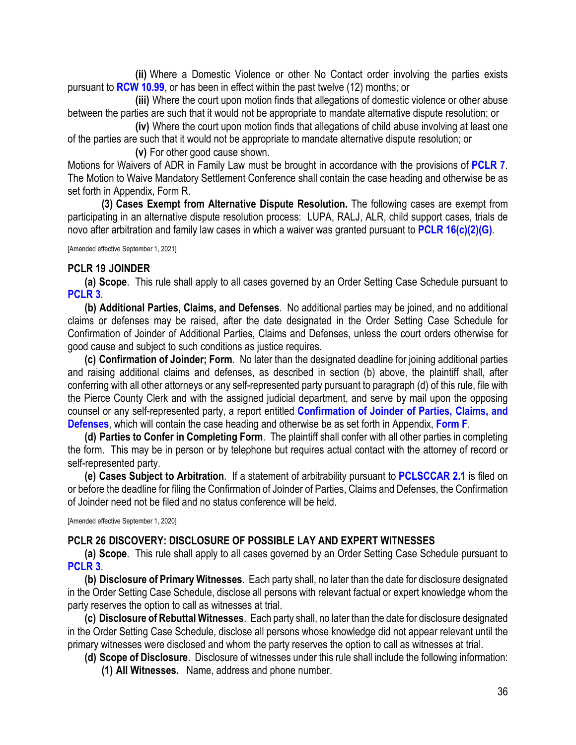**(ii)** Where a Domestic Violence or other No Contact order involving the parties exists pursuant to **[RCW 10.99](http://apps.leg.wa.gov/rcw/default.aspx?cite=10.99)**, or has been in effect within the past twelve (12) months; or

**(iii)** Where the court upon motion finds that allegations of domestic violence or other abuse between the parties are such that it would not be appropriate to mandate alternative dispute resolution; or

**(iv)** Where the court upon motion finds that allegations of child abuse involving at least one of the parties are such that it would not be appropriate to mandate alternative dispute resolution; or

**(v)** For other good cause shown.

Motions for Waivers of ADR in Family Law must be brought in accordance with the provisions of **[PCLR 7](#page-26-1)**. The Motion to Waive Mandatory Settlement Conference shall contain the case heading and otherwise be as set forth in Appendix, Form R.

**(3) Cases Exempt from Alternative Dispute Resolution.** The following cases are exempt from participating in an alternative dispute resolution process: LUPA, RALJ, ALR, child support cases, trials de novo after arbitration and family law cases in which a waiver was granted pursuant to **[PCLR 16\(c\)\(2\)\(G\)](#page-34-0)**.

[Amended effective September 1, 2021]

#### <span id="page-35-0"></span>**PCLR 19 JOINDER**

**(a) Scope**. This rule shall apply to all cases governed by an Order Setting Case Schedule pursuant to **[PCLR](#page-20-1) 3**.

**(b) Additional Parties, Claims, and Defenses**. No additional parties may be joined, and no additional claims or defenses may be raised, after the date designated in the Order Setting Case Schedule for Confirmation of Joinder of Additional Parties, Claims and Defenses, unless the court orders otherwise for good cause and subject to such conditions as justice requires.

**(c) Confirmation of Joinder; Form**. No later than the designated deadline for joining additional parties and raising additional claims and defenses, as described in section (b) above, the plaintiff shall, after conferring with all other attorneys or any self-represented party pursuant to paragraph (d) of this rule, file with the Pierce County Clerk and with the assigned judicial department, and serve by mail upon the opposing counsel or any self-represented party, a report entitled **[Confirmation of Joinder of](#page-86-0) Parties, Claims, and [Defenses](#page-86-0)**, which will contain the case heading and otherwise be as set forth in Appendix, **[Form F](#page-86-0)**.

**(d) Parties to Confer in Completing Form**. The plaintiff shall confer with all other parties in completing the form. This may be in person or by telephone but requires actual contact with the attorney of record or self-represented party.

**(e) Cases Subject to Arbitration**. If a statement of arbitrability pursuant to **[PCLSCCAR 2.1](#page-55-1)** is filed on or before the deadline for filing the Confirmation of Joinder of Parties, Claims and Defenses, the Confirmation of Joinder need not be filed and no status conference will be held.

[Amended effective September 1, 2020]

#### <span id="page-35-1"></span>**PCLR 26 DISCOVERY: DISCLOSURE OF POSSIBLE LAY AND EXPERT WITNESSES**

**(a) Scope**. This rule shall apply to all cases governed by an Order Setting Case Schedule pursuant to **[PCLR](#page-20-1) 3**.

**(b) Disclosure of Primary Witnesses**. Each party shall, no later than the date for disclosure designated in the Order Setting Case Schedule, disclose all persons with relevant factual or expert knowledge whom the party reserves the option to call as witnesses at trial.

**(c) Disclosure of Rebuttal Witnesses**. Each party shall, no later than the date for disclosure designated in the Order Setting Case Schedule, disclose all persons whose knowledge did not appear relevant until the primary witnesses were disclosed and whom the party reserves the option to call as witnesses at trial.

**(d) Scope of Disclosure**. Disclosure of witnesses under this rule shall include the following information: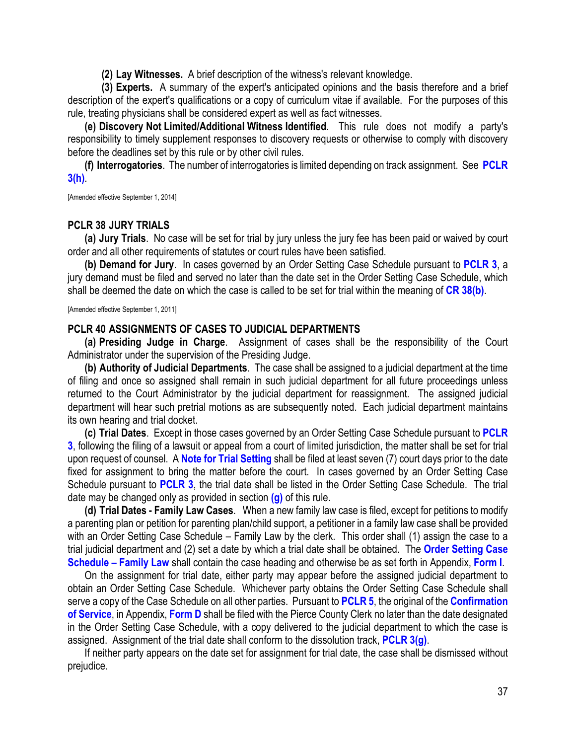**(2) Lay Witnesses.** A brief description of the witness's relevant knowledge.

**(3) Experts.** A summary of the expert's anticipated opinions and the basis therefore and a brief description of the expert's qualifications or a copy of curriculum vitae if available. For the purposes of this rule, treating physicians shall be considered expert as well as fact witnesses.

**(e) Discovery Not Limited/Additional Witness Identified**. This rule does not modify a party's responsibility to timely supplement responses to discovery requests or otherwise to comply with discovery before the deadlines set by this rule or by other civil rules.

**(f) Interrogatories**. The number of interrogatories is limited depending on track assignment. See **[PCLR](#page-23-0)  [3\(h\)](#page-23-0)**.

[Amended effective September 1, 2014]

#### **PCLR 38 JURY TRIALS**

**(a) Jury Trials**. No case will be set for trial by jury unless the jury fee has been paid or waived by court order and all other requirements of statutes or court rules have been satisfied.

**(b) Demand for Jury**. In cases governed by an Order Setting Case Schedule pursuant to **[PCLR](#page-20-0) 3**, a jury demand must be filed and served no later than the date set in the Order Setting Case Schedule, which shall be deemed the date on which the case is called to be set for trial within the meaning of **[CR 38\(b\)](http://www.courts.wa.gov/court_rules/?fa=court_rules.display&group=sup&set=CR&ruleid=supcr38)**.

[Amended effective September 1, 2011]

#### **PCLR 40 ASSIGNMENTS OF CASES TO JUDICIAL DEPARTMENTS**

**(a) Presiding Judge in Charge**. Assignment of cases shall be the responsibility of the Court Administrator under the supervision of the Presiding Judge.

**(b) Authority of Judicial Departments**. The case shall be assigned to a judicial department at the time of filing and once so assigned shall remain in such judicial department for all future proceedings unless returned to the Court Administrator by the judicial department for reassignment. The assigned judicial department will hear such pretrial motions as are subsequently noted. Each judicial department maintains its own hearing and trial docket.

**(c) Trial Dates**. Except in those cases governed by an Order Setting Case Schedule pursuant to **[PCLR](#page-20-0)  [3](#page-20-0)**, following the filing of a lawsuit or appeal from a court of limited jurisdiction, the matter shall be set for trial upon request of counsel. A **[Note for Trial Setting](https://linxonline.co.pierce.wa.us/linxweb/Forms.cfm)** shall be filed at least seven (7) court days prior to the date fixed for assignment to bring the matter before the court. In cases governed by an Order Setting Case Schedule pursuant to **[PCLR 3](#page-20-0)**, the trial date shall be listed in the Order Setting Case Schedule. The trial date may be changed only as provided in section **[\(g\)](#page-37-0)** of this rule.

**(d) Trial Dates - Family Law Cases**. When a new family law case is filed, except for petitions to modify a parenting plan or petition for parenting plan/child support, a petitioner in a family law case shall be provided with an Order Setting Case Schedule – Family Law by the clerk. This order shall (1) assign the case to a trial judicial department and (2) set a date by which a trial date shall be obtained. The **[Order Setting](#page-89-0) Case Schedule – Family Law** shall contain the case heading and otherwise be as set forth in Appendix, **[Form I](#page-89-0)**.

On the assignment for trial date, either party may appear before the assigned judicial department to obtain an Order Setting Case Schedule. Whichever party obtains the Order Setting Case Schedule shall serve a copy of the Case Schedule on all other parties. Pursuant to **[PCLR 5](#page-25-0)**, the original of the **[Confirmation](#page-81-0)  [of Service](#page-81-0)**, in Appendix, **[Form D](#page-81-0)** shall be filed with the Pierce County Clerk no later than the date designated in the Order Setting Case Schedule, with a copy delivered to the judicial department to which the case is assigned. Assignment of the trial date shall conform to the dissolution track, **[PCLR 3\(g\)](#page-22-0)**.

If neither party appears on the date set for assignment for trial date, the case shall be dismissed without prejudice.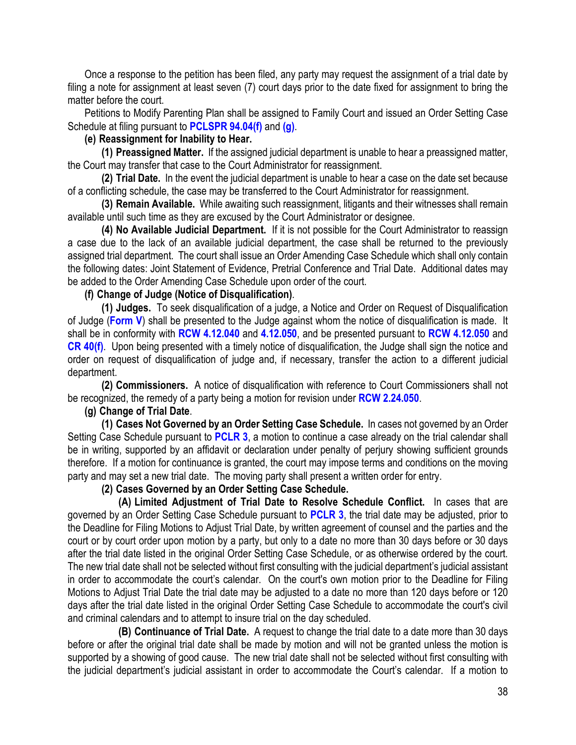Once a response to the petition has been filed, any party may request the assignment of a trial date by filing a note for assignment at least seven (7) court days prior to the date fixed for assignment to bring the matter before the court.

Petitions to Modify Parenting Plan shall be assigned to Family Court and issued an Order Setting Case Schedule at filing pursuant to **[PCLSPR 94.04\(f\)](#page-45-0)** and **[\(g\)](#page-45-1)**.

#### **(e) Reassignment for Inability to Hear.**

<span id="page-37-1"></span>**(1) Preassigned Matter.** If the assigned judicial department is unable to hear a preassigned matter, the Court may transfer that case to the Court Administrator for reassignment.

**(2) Trial Date.** In the event the judicial department is unable to hear a case on the date set because of a conflicting schedule, the case may be transferred to the Court Administrator for reassignment.

**(3) Remain Available.** While awaiting such reassignment, litigants and their witnesses shall remain available until such time as they are excused by the Court Administrator or designee.

**(4) No Available Judicial Department.** If it is not possible for the Court Administrator to reassign a case due to the lack of an available judicial department, the case shall be returned to the previously assigned trial department. The court shall issue an Order Amending Case Schedule which shall only contain the following dates: Joint Statement of Evidence, Pretrial Conference and Trial Date. Additional dates may be added to the Order Amending Case Schedule upon order of the court.

#### **(f) Change of Judge (Notice of Disqualification)**.

**(1) Judges.** To seek disqualification of a judge, a Notice and Order on Request of Disqualification of Judge (**[Form V](#page-113-0)**) shall be presented to the Judge against whom the notice of disqualification is made. It shall be in conformity with **[RCW 4.12.040](http://apps.leg.wa.gov/rcw/default.aspx?cite=4.12.040)** and **[4.12.050](http://apps.leg.wa.gov/rcw/default.aspx?cite=4.12.050)**, and be presented pursuant to **[RCW 4.12.050](http://app.leg.wa.gov/RCW/default.aspx?cite=4.12.050)** and **[CR 40\(f\)](http://www.courts.wa.gov/court_rules/?fa=court_rules.display&group=sup&set=CR&ruleid=supcr40)**. Upon being presented with a timely notice of disqualification, the Judge shall sign the notice and order on request of disqualification of judge and, if necessary, transfer the action to a different judicial department.

**(2) Commissioners.** A notice of disqualification with reference to Court Commissioners shall not be recognized, the remedy of a party being a motion for revision under **[RCW 2.24.050](http://apps.leg.wa.gov/rcw/default.aspx?cite=2.24.050)**.

#### **(g) Change of Trial Date**.

**(1) Cases Not Governed by an Order Setting Case Schedule.** In cases not governed by an Order Setting Case Schedule pursuant to **[PCLR 3](#page-20-0)**, a motion to continue a case already on the trial calendar shall be in writing, supported by an affidavit or declaration under penalty of perjury showing sufficient grounds therefore. If a motion for continuance is granted, the court may impose terms and conditions on the moving party and may set a new trial date. The moving party shall present a written order for entry.

#### <span id="page-37-0"></span>**(2) Cases Governed by an Order Setting Case Schedule.**

**(A) Limited Adjustment of Trial Date to Resolve Schedule Conflict.** In cases that are governed by an Order Setting Case Schedule pursuant to **[PCLR 3](#page-20-0)**, the trial date may be adjusted, prior to the Deadline for Filing Motions to Adjust Trial Date, by written agreement of counsel and the parties and the court or by court order upon motion by a party, but only to a date no more than 30 days before or 30 days after the trial date listed in the original Order Setting Case Schedule, or as otherwise ordered by the court. The new trial date shall not be selected without first consulting with the judicial department's judicial assistant in order to accommodate the court's calendar. On the court's own motion prior to the Deadline for Filing Motions to Adjust Trial Date the trial date may be adjusted to a date no more than 120 days before or 120 days after the trial date listed in the original Order Setting Case Schedule to accommodate the court's civil and criminal calendars and to attempt to insure trial on the day scheduled.

**(B) Continuance of Trial Date.** A request to change the trial date to a date more than 30 days before or after the original trial date shall be made by motion and will not be granted unless the motion is supported by a showing of good cause. The new trial date shall not be selected without first consulting with the judicial department's judicial assistant in order to accommodate the Court's calendar. If a motion to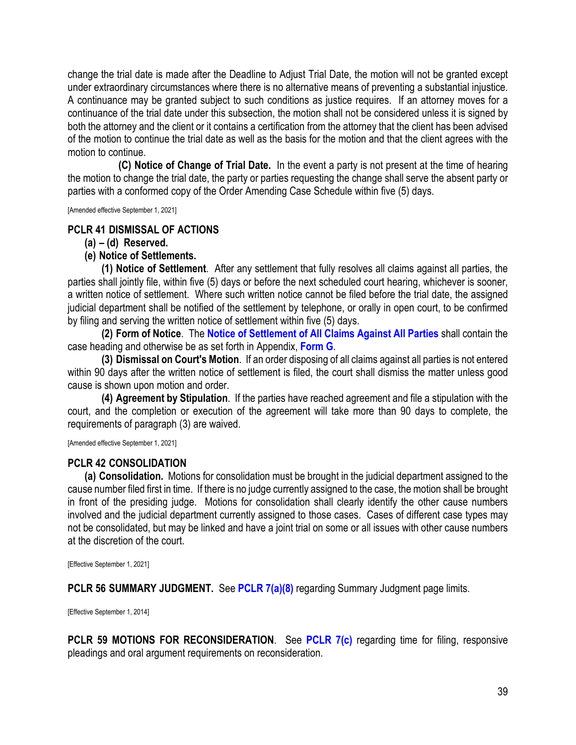change the trial date is made after the Deadline to Adjust Trial Date, the motion will not be granted except under extraordinary circumstances where there is no alternative means of preventing a substantial injustice. A continuance may be granted subject to such conditions as justice requires. If an attorney moves for a continuance of the trial date under this subsection, the motion shall not be considered unless it is signed by both the attorney and the client or it contains a certification from the attorney that the client has been advised of the motion to continue the trial date as well as the basis for the motion and that the client agrees with the motion to continue.

**(C) Notice of Change of Trial Date.** In the event a party is not present at the time of hearing the motion to change the trial date, the party or parties requesting the change shall serve the absent party or parties with a conformed copy of the Order Amending Case Schedule within five (5) days.

[Amended effective September 1, 2021]

#### **PCLR 41 DISMISSAL OF ACTIONS**

- **(a) – (d) Reserved.**
- **(e) Notice of Settlements.**

**(1) Notice of Settlement**. After any settlement that fully resolves all claims against all parties, the parties shall jointly file, within five (5) days or before the next scheduled court hearing, whichever is sooner, a written notice of settlement. Where such written notice cannot be filed before the trial date, the assigned judicial department shall be notified of the settlement by telephone, or orally in open court, to be confirmed by filing and serving the written notice of settlement within five (5) days.

**(2) Form of Notice**. The **[Notice of Settlement of All Claims Against All Parties](#page-87-0)** shall contain the case heading and otherwise be as set forth in Appendix, **[Form G](#page-87-0)**.

**(3) Dismissal on Court's Motion**. If an order disposing of all claims against all parties is not entered within 90 days after the written notice of settlement is filed, the court shall dismiss the matter unless good cause is shown upon motion and order.

**(4) Agreement by Stipulation**. If the parties have reached agreement and file a stipulation with the court, and the completion or execution of the agreement will take more than 90 days to complete, the requirements of paragraph (3) are waived.

[Amended effective September 1, 2021]

#### **PCLR 42 CONSOLIDATION**

**(a) Consolidation.** Motions for consolidation must be brought in the judicial department assigned to the cause number filed first in time. If there is no judge currently assigned to the case, the motion shall be brought in front of the presiding judge. Motions for consolidation shall clearly identify the other cause numbers involved and the judicial department currently assigned to those cases. Cases of different case types may not be consolidated, but may be linked and have a joint trial on some or all issues with other cause numbers at the discretion of the court.

[Effective September 1, 2021]

**PCLR 56 SUMMARY JUDGMENT.** See **[PCLR 7\(a\)\(8\)](#page-27-0)** regarding Summary Judgment page limits.

[Effective September 1, 2014]

**PCLR 59 MOTIONS FOR RECONSIDERATION**. See **[PCLR 7\(c\)](#page-30-0)** regarding time for filing, responsive pleadings and oral argument requirements on reconsideration.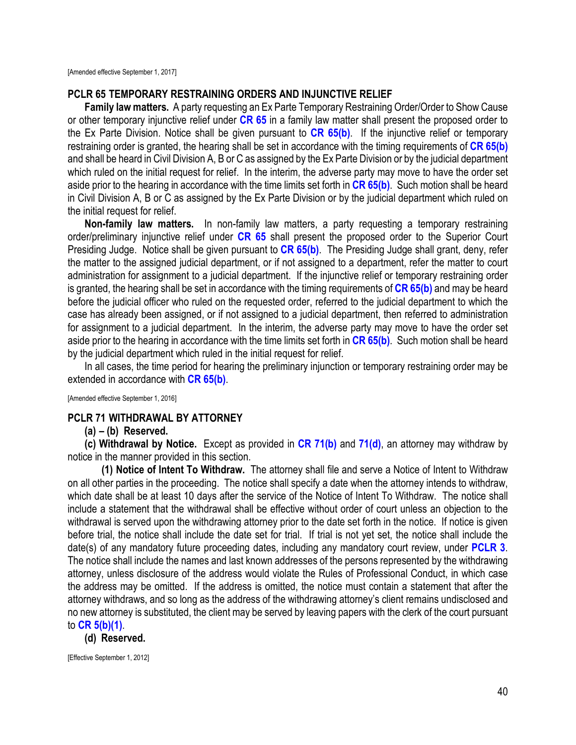#### **PCLR 65 TEMPORARY RESTRAINING ORDERS AND INJUNCTIVE RELIEF**

**Family law matters.** A party requesting an Ex Parte Temporary Restraining Order/Order to Show Cause or other temporary injunctive relief under **[CR 65](http://www.courts.wa.gov/court_rules/?fa=court_rules.display&group=sup&set=CR&ruleid=supcr65)** in a family law matter shall present the proposed order to the Ex Parte Division. Notice shall be given pursuant to **[CR 65\(b\)](http://www.courts.wa.gov/court_rules/?fa=court_rules.display&group=sup&set=CR&ruleid=supcr65)**. If the injunctive relief or temporary restraining order is granted, the hearing shall be set in accordance with the timing requirements of **[CR 65\(b\)](http://www.courts.wa.gov/court_rules/?fa=court_rules.display&group=sup&set=CR&ruleid=supcr65)** and shall be heard in Civil Division A, B or C as assigned by the Ex Parte Division or by the judicial department which ruled on the initial request for relief. In the interim, the adverse party may move to have the order set aside prior to the hearing in accordance with the time limits set forth in **[CR 65\(b\)](http://www.courts.wa.gov/court_rules/?fa=court_rules.display&group=sup&set=CR&ruleid=supcr65)**. Such motion shall be heard in Civil Division A, B or C as assigned by the Ex Parte Division or by the judicial department which ruled on the initial request for relief.

**Non-family law matters.** In non-family law matters, a party requesting a temporary restraining order/preliminary injunctive relief under **[CR 65](http://www.courts.wa.gov/court_rules/?fa=court_rules.display&group=sup&set=CR&ruleid=supcr65)** shall present the proposed order to the Superior Court Presiding Judge. Notice shall be given pursuant to **[CR 65\(b\)](http://www.courts.wa.gov/court_rules/?fa=court_rules.display&group=sup&set=CR&ruleid=supcr65)**. The Presiding Judge shall grant, deny, refer the matter to the assigned judicial department, or if not assigned to a department, refer the matter to court administration for assignment to a judicial department. If the injunctive relief or temporary restraining order is granted, the hearing shall be set in accordance with the timing requirements of **[CR 65\(b\)](http://www.courts.wa.gov/court_rules/?fa=court_rules.display&group=sup&set=CR&ruleid=supcr65)** and may be heard before the judicial officer who ruled on the requested order, referred to the judicial department to which the case has already been assigned, or if not assigned to a judicial department, then referred to administration for assignment to a judicial department. In the interim, the adverse party may move to have the order set aside prior to the hearing in accordance with the time limits set forth in **[CR 65\(b\)](http://www.courts.wa.gov/court_rules/?fa=court_rules.display&group=sup&set=CR&ruleid=supcr65)**. Such motion shall be heard by the judicial department which ruled in the initial request for relief.

In all cases, the time period for hearing the preliminary injunction or temporary restraining order may be extended in accordance with **[CR 65\(b\)](http://www.courts.wa.gov/court_rules/?fa=court_rules.display&group=sup&set=CR&ruleid=supcr65)**.

[Amended effective September 1, 2016]

#### **PCLR 71 WITHDRAWAL BY ATTORNEY**

**(a) – (b) Reserved.**

**(c) Withdrawal by Notice.** Except as provided in **[CR 71\(b\)](http://www.courts.wa.gov/court_rules/?fa=court_rules.display&group=sup&set=CR&ruleid=supcr71)** and **[71\(d\)](http://www.courts.wa.gov/court_rules/?fa=court_rules.display&group=sup&set=CR&ruleid=supcr71)**, an attorney may withdraw by notice in the manner provided in this section.

**(1) Notice of Intent To Withdraw.** The attorney shall file and serve a Notice of Intent to Withdraw on all other parties in the proceeding. The notice shall specify a date when the attorney intends to withdraw, which date shall be at least 10 days after the service of the Notice of Intent To Withdraw. The notice shall include a statement that the withdrawal shall be effective without order of court unless an objection to the withdrawal is served upon the withdrawing attorney prior to the date set forth in the notice. If notice is given before trial, the notice shall include the date set for trial. If trial is not yet set, the notice shall include the date(s) of any mandatory future proceeding dates, including any mandatory court review, under **[PCLR 3](#page-20-0)**. The notice shall include the names and last known addresses of the persons represented by the withdrawing attorney, unless disclosure of the address would violate the Rules of Professional Conduct, in which case the address may be omitted. If the address is omitted, the notice must contain a statement that after the attorney withdraws, and so long as the address of the withdrawing attorney's client remains undisclosed and no new attorney is substituted, the client may be served by leaving papers with the clerk of the court pursuant to **[CR 5\(b\)\(1\)](http://www.courts.wa.gov/court_rules/?fa=court_rules.display&group=sup&set=CR&ruleid=supcr05)**.

#### **(d) Reserved.**

[Effective September 1, 2012]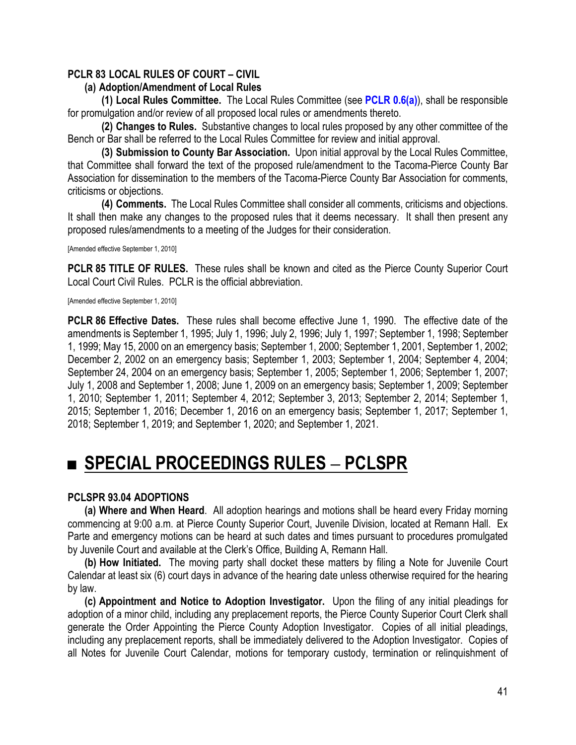#### **PCLR 83 LOCAL RULES OF COURT – CIVIL**

#### **(a) Adoption/Amendment of Local Rules**

**(1) Local Rules Committee.** The Local Rules Committee (see **[PCLR 0.6\(a\)](#page-16-0)**), shall be responsible for promulgation and/or review of all proposed local rules or amendments thereto.

**(2) Changes to Rules.** Substantive changes to local rules proposed by any other committee of the Bench or Bar shall be referred to the Local Rules Committee for review and initial approval.

**(3) Submission to County Bar Association.** Upon initial approval by the Local Rules Committee, that Committee shall forward the text of the proposed rule/amendment to the Tacoma-Pierce County Bar Association for dissemination to the members of the Tacoma-Pierce County Bar Association for comments, criticisms or objections.

**(4) Comments.** The Local Rules Committee shall consider all comments, criticisms and objections. It shall then make any changes to the proposed rules that it deems necessary. It shall then present any proposed rules/amendments to a meeting of the Judges for their consideration.

[Amended effective September 1, 2010]

**PCLR 85 TITLE OF RULES.** These rules shall be known and cited as the Pierce County Superior Court Local Court Civil Rules. PCLR is the official abbreviation.

#### [Amended effective September 1, 2010]

**PCLR 86 Effective Dates.** These rules shall become effective June 1, 1990. The effective date of the amendments is September 1, 1995; July 1, 1996; July 2, 1996; July 1, 1997; September 1, 1998; September 1, 1999; May 15, 2000 on an emergency basis; September 1, 2000; September 1, 2001, September 1, 2002; December 2, 2002 on an emergency basis; September 1, 2003; September 1, 2004; September 4, 2004; September 24, 2004 on an emergency basis; September 1, 2005; September 1, 2006; September 1, 2007; July 1, 2008 and September 1, 2008; June 1, 2009 on an emergency basis; September 1, 2009; September 1, 2010; September 1, 2011; September 4, 2012; September 3, 2013; September 2, 2014; September 1, 2015; September 1, 2016; December 1, 2016 on an emergency basis; September 1, 2017; September 1, 2018; September 1, 2019; and September 1, 2020; and September 1, 2021.

# **■ SPECIAL PROCEEDINGS RULES – PCLSPR**

#### **PCLSPR 93.04 ADOPTIONS**

**(a) Where and When Heard**. All adoption hearings and motions shall be heard every Friday morning commencing at 9:00 a.m. at Pierce County Superior Court, Juvenile Division, located at Remann Hall. Ex Parte and emergency motions can be heard at such dates and times pursuant to procedures promulgated by Juvenile Court and available at the Clerk's Office, Building A, Remann Hall.

**(b) How Initiated.** The moving party shall docket these matters by filing a Note for Juvenile Court Calendar at least six (6) court days in advance of the hearing date unless otherwise required for the hearing by law.

**(c) Appointment and Notice to Adoption Investigator.** Upon the filing of any initial pleadings for adoption of a minor child, including any preplacement reports, the Pierce County Superior Court Clerk shall generate the Order Appointing the Pierce County Adoption Investigator. Copies of all initial pleadings, including any preplacement reports, shall be immediately delivered to the Adoption Investigator. Copies of all Notes for Juvenile Court Calendar, motions for temporary custody, termination or relinquishment of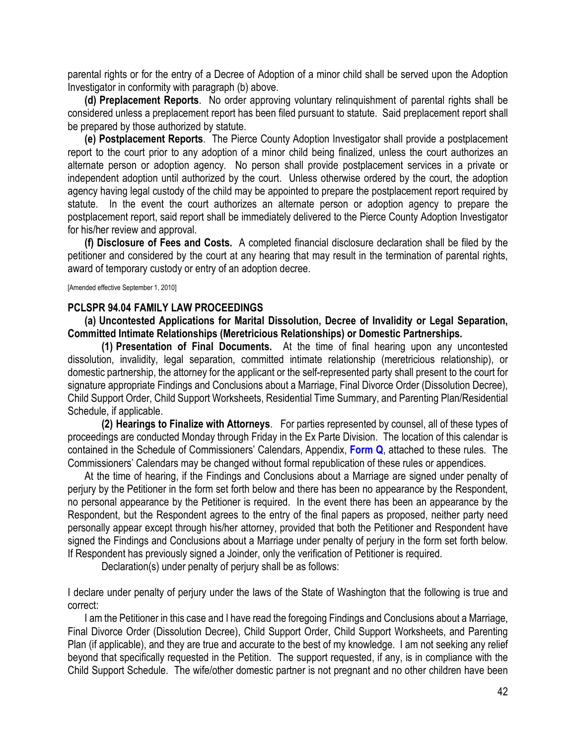parental rights or for the entry of a Decree of Adoption of a minor child shall be served upon the Adoption Investigator in conformity with paragraph (b) above.

**(d) Preplacement Reports**. No order approving voluntary relinquishment of parental rights shall be considered unless a preplacement report has been filed pursuant to statute. Said preplacement report shall be prepared by those authorized by statute.

**(e) Postplacement Reports**. The Pierce County Adoption Investigator shall provide a postplacement report to the court prior to any adoption of a minor child being finalized, unless the court authorizes an alternate person or adoption agency. No person shall provide postplacement services in a private or independent adoption until authorized by the court. Unless otherwise ordered by the court, the adoption agency having legal custody of the child may be appointed to prepare the postplacement report required by statute. In the event the court authorizes an alternate person or adoption agency to prepare the postplacement report, said report shall be immediately delivered to the Pierce County Adoption Investigator for his/her review and approval.

**(f) Disclosure of Fees and Costs.** A completed financial disclosure declaration shall be filed by the petitioner and considered by the court at any hearing that may result in the termination of parental rights, award of temporary custody or entry of an adoption decree.

[Amended effective September 1, 2010]

#### **PCLSPR 94.04 FAMILY LAW PROCEEDINGS**

**(a) Uncontested Applications for Marital Dissolution, Decree of Invalidity or Legal Separation, Committed Intimate Relationships (Meretricious Relationships) or Domestic Partnerships.**

**(1) Presentation of Final Documents.** At the time of final hearing upon any uncontested dissolution, invalidity, legal separation, committed intimate relationship (meretricious relationship), or domestic partnership, the attorney for the applicant or the self-represented party shall present to the court for signature appropriate Findings and Conclusions about a Marriage, Final Divorce Order (Dissolution Decree), Child Support Order, Child Support Worksheets, Residential Time Summary, and Parenting Plan/Residential Schedule, if applicable.

**(2) Hearings to Finalize with Attorneys**. For parties represented by counsel, all of these types of proceedings are conducted Monday through Friday in the Ex Parte Division. The location of this calendar is contained in the Schedule of Commissioners' Calendars, Appendix, **[Form Q](#page-105-0)**, attached to these rules. The Commissioners' Calendars may be changed without formal republication of these rules or appendices.

At the time of hearing, if the Findings and Conclusions about a Marriage are signed under penalty of perjury by the Petitioner in the form set forth below and there has been no appearance by the Respondent, no personal appearance by the Petitioner is required. In the event there has been an appearance by the Respondent, but the Respondent agrees to the entry of the final papers as proposed, neither party need personally appear except through his/her attorney, provided that both the Petitioner and Respondent have signed the Findings and Conclusions about a Marriage under penalty of perjury in the form set forth below. If Respondent has previously signed a Joinder, only the verification of Petitioner is required.

Declaration(s) under penalty of perjury shall be as follows:

I declare under penalty of perjury under the laws of the State of Washington that the following is true and correct:

I am the Petitioner in this case and I have read the foregoing Findings and Conclusions about a Marriage, Final Divorce Order (Dissolution Decree), Child Support Order, Child Support Worksheets, and Parenting Plan (if applicable), and they are true and accurate to the best of my knowledge. I am not seeking any relief beyond that specifically requested in the Petition. The support requested, if any, is in compliance with the Child Support Schedule. The wife/other domestic partner is not pregnant and no other children have been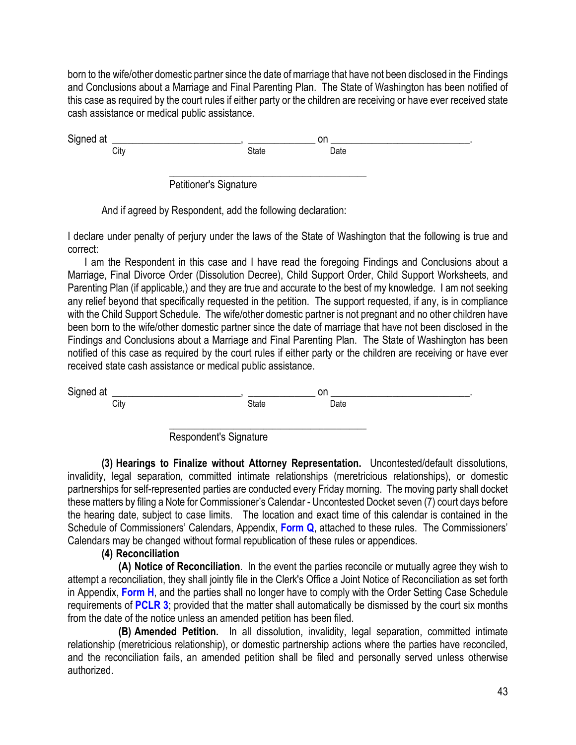born to the wife/other domestic partner since the date of marriage that have not been disclosed in the Findings and Conclusions about a Marriage and Final Parenting Plan. The State of Washington has been notified of this case as required by the court rules if either party or the children are receiving or have ever received state cash assistance or medical public assistance.

 $Signed at \underline{\hspace{1.5cm}}_{City}$  .  $\frac{\hspace{1.5cm}}{State}$  on  $\underline{\hspace{1.5cm}}$  . Date

 $\frac{1}{2}$  ,  $\frac{1}{2}$  ,  $\frac{1}{2}$  ,  $\frac{1}{2}$  ,  $\frac{1}{2}$  ,  $\frac{1}{2}$  ,  $\frac{1}{2}$  ,  $\frac{1}{2}$  ,  $\frac{1}{2}$  ,  $\frac{1}{2}$  ,  $\frac{1}{2}$  ,  $\frac{1}{2}$  ,  $\frac{1}{2}$  ,  $\frac{1}{2}$  ,  $\frac{1}{2}$  ,  $\frac{1}{2}$  ,  $\frac{1}{2}$  ,  $\frac{1}{2}$  ,  $\frac{1$ Petitioner's Signature

And if agreed by Respondent, add the following declaration:

I declare under penalty of perjury under the laws of the State of Washington that the following is true and correct:

I am the Respondent in this case and I have read the foregoing Findings and Conclusions about a Marriage, Final Divorce Order (Dissolution Decree), Child Support Order, Child Support Worksheets, and Parenting Plan (if applicable,) and they are true and accurate to the best of my knowledge. I am not seeking any relief beyond that specifically requested in the petition. The support requested, if any, is in compliance with the Child Support Schedule. The wife/other domestic partner is not pregnant and no other children have been born to the wife/other domestic partner since the date of marriage that have not been disclosed in the Findings and Conclusions about a Marriage and Final Parenting Plan. The State of Washington has been notified of this case as required by the court rules if either party or the children are receiving or have ever received state cash assistance or medical public assistance.

| Signed at |      | on |       |  |      |  |  |  |
|-----------|------|----|-------|--|------|--|--|--|
|           | City |    | State |  | Date |  |  |  |
|           |      |    |       |  |      |  |  |  |
|           |      |    |       |  |      |  |  |  |

**(3) Hearings to Finalize without Attorney Representation.** Uncontested/default dissolutions, invalidity, legal separation, committed intimate relationships (meretricious relationships), or domestic partnerships for self-represented parties are conducted every Friday morning. The moving party shall docket these matters by filing a Note for Commissioner's Calendar - Uncontested Docket seven (7) court days before the hearing date, subject to case limits. The location and exact time of this calendar is contained in the Schedule of Commissioners' Calendars, Appendix, **[Form Q](#page-105-0)**, attached to these rules. The Commissioners' Calendars may be changed without formal republication of these rules or appendices.

**(4) Reconciliation**

**(A) Notice of Reconciliation**. In the event the parties reconcile or mutually agree they wish to attempt a reconciliation, they shall jointly file in the Clerk's Office a Joint Notice of Reconciliation as set forth in Appendix, **Form H**, and the parties shall no longer have to comply with the Order Setting Case Schedule requirements of **[PCLR 3](#page-20-0)**; provided that the matter shall automatically be dismissed by the court six months from the date of the notice unless an amended petition has been filed.

**(B) Amended Petition.** In all dissolution, invalidity, legal separation, committed intimate relationship (meretricious relationship), or domestic partnership actions where the parties have reconciled, and the reconciliation fails, an amended petition shall be filed and personally served unless otherwise authorized.

Respondent's Signature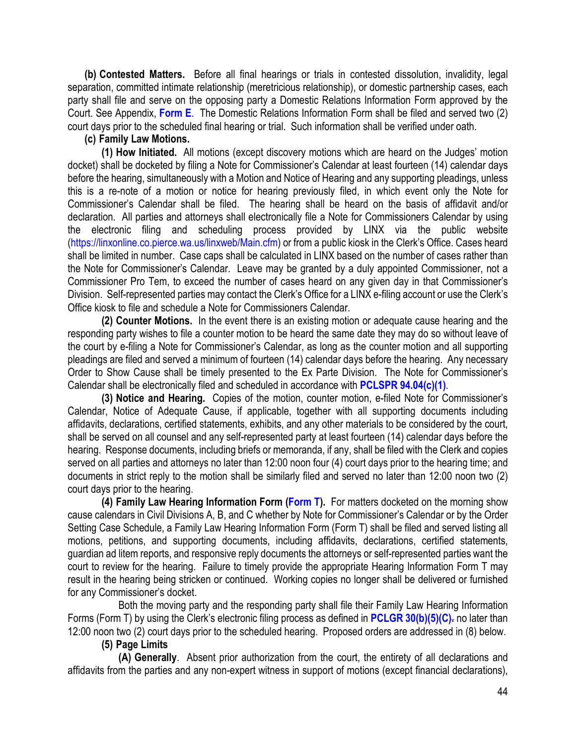**(b) Contested Matters.** Before all final hearings or trials in contested dissolution, invalidity, legal separation, committed intimate relationship (meretricious relationship), or domestic partnership cases, each party shall file and serve on the opposing party a Domestic Relations Information Form approved by the Court. See Appendix, **[Form E](#page-82-0)**. The Domestic Relations Information Form shall be filed and served two (2) court days prior to the scheduled final hearing or trial. Such information shall be verified under oath.

#### **(c) Family Law Motions.**

<span id="page-43-0"></span>**(1) How Initiated.** All motions (except discovery motions which are heard on the Judges' motion docket) shall be docketed by filing a Note for Commissioner's Calendar at least fourteen (14) calendar days before the hearing, simultaneously with a Motion and Notice of Hearing and any supporting pleadings, unless this is a re-note of a motion or notice for hearing previously filed, in which event only the Note for Commissioner's Calendar shall be filed. The hearing shall be heard on the basis of affidavit and/or declaration. All parties and attorneys shall electronically file a Note for Commissioners Calendar by using the electronic filing and scheduling process provided by LINX via the public website [\(https://linxonline.co.pierce.wa.us/linxweb/Main.cfm\)](https://linxonline.co.pierce.wa.us/linxweb/Main.cfm) or from a public kiosk in the Clerk's Office. Cases heard shall be limited in number. Case caps shall be calculated in LINX based on the number of cases rather than the Note for Commissioner's Calendar. Leave may be granted by a duly appointed Commissioner, not a Commissioner Pro Tem, to exceed the number of cases heard on any given day in that Commissioner's Division. Self-represented parties may contact the Clerk's Office for a LINX e-filing account or use the Clerk's Office kiosk to file and schedule a Note for Commissioners Calendar.

**(2) Counter Motions.** In the event there is an existing motion or adequate cause hearing and the responding party wishes to file a counter motion to be heard the same date they may do so without leave of the court by e-filing a Note for Commissioner's Calendar, as long as the counter motion and all supporting pleadings are filed and served a minimum of fourteen (14) calendar days before the hearing. Any necessary Order to Show Cause shall be timely presented to the Ex Parte Division. The Note for Commissioner's Calendar shall be electronically filed and scheduled in accordance with **[PCLSPR 94.04\(c\)\(1\)](#page-43-0)**.

**(3) Notice and Hearing.** Copies of the motion, counter motion, e-filed Note for Commissioner's Calendar, Notice of Adequate Cause, if applicable, together with all supporting documents including affidavits, declarations, certified statements, exhibits, and any other materials to be considered by the court, shall be served on all counsel and any self-represented party at least fourteen (14) calendar days before the hearing. Response documents, including briefs or memoranda, if any, shall be filed with the Clerk and copies served on all parties and attorneys no later than 12:00 noon four (4) court days prior to the hearing time; and documents in strict reply to the motion shall be similarly filed and served no later than 12:00 noon two (2) court days prior to the hearing.

**(4) Family Law Hearing Information Form [\(Form T\)](#page-109-0).** For matters docketed on the morning show cause calendars in Civil Divisions A, B, and C whether by Note for Commissioner's Calendar or by the Order Setting Case Schedule, a Family Law Hearing Information Form (Form T) shall be filed and served listing all motions, petitions, and supporting documents, including affidavits, declarations, certified statements, guardian ad litem reports, and responsive reply documents the attorneys or self-represented parties want the court to review for the hearing. Failure to timely provide the appropriate Hearing Information Form T may result in the hearing being stricken or continued. Working copies no longer shall be delivered or furnished for any Commissioner's docket.

Both the moving party and the responding party shall file their Family Law Hearing Information Forms (Form T) by using the Clerk's electronic filing process as defined in **[PCLGR 30\(b\)\(5\)\(C\).](#page-18-0)** no later than 12:00 noon two (2) court days prior to the scheduled hearing. Proposed orders are addressed in (8) below.

#### **(5) Page Limits**

<span id="page-43-1"></span>**(A) Generally**. Absent prior authorization from the court, the entirety of all declarations and affidavits from the parties and any non-expert witness in support of motions (except financial declarations),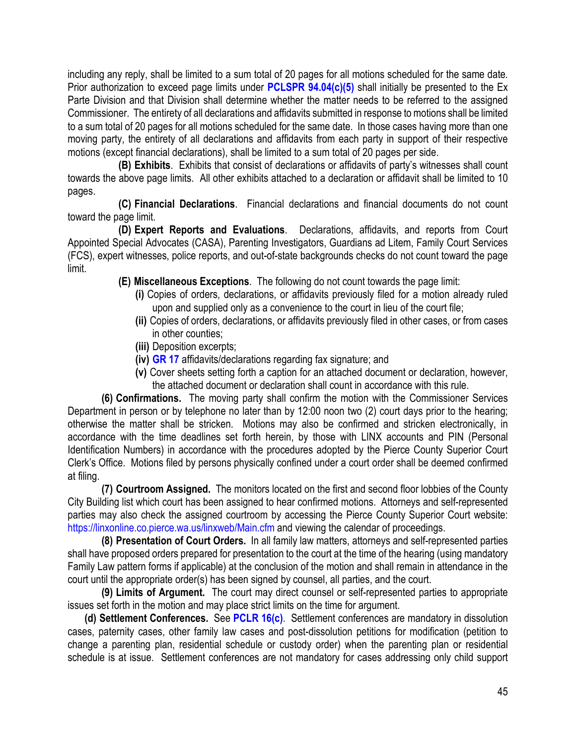including any reply, shall be limited to a sum total of 20 pages for all motions scheduled for the same date. Prior authorization to exceed page limits under **[PCLSPR 94.04\(c\)\(5\)](#page-43-1)** shall initially be presented to the Ex Parte Division and that Division shall determine whether the matter needs to be referred to the assigned Commissioner. The entirety of all declarations and affidavits submitted in response to motions shall be limited to a sum total of 20 pages for all motions scheduled for the same date. In those cases having more than one moving party, the entirety of all declarations and affidavits from each party in support of their respective motions (except financial declarations), shall be limited to a sum total of 20 pages per side.

**(B) Exhibits**. Exhibits that consist of declarations or affidavits of party's witnesses shall count towards the above page limits. All other exhibits attached to a declaration or affidavit shall be limited to 10 pages.

**(C) Financial Declarations**. Financial declarations and financial documents do not count toward the page limit.

**(D) Expert Reports and Evaluations**. Declarations, affidavits, and reports from Court Appointed Special Advocates (CASA), Parenting Investigators, Guardians ad Litem, Family Court Services (FCS), expert witnesses, police reports, and out-of-state backgrounds checks do not count toward the page limit.

**(E) Miscellaneous Exceptions**. The following do not count towards the page limit:

- **(i)** Copies of orders, declarations, or affidavits previously filed for a motion already ruled upon and supplied only as a convenience to the court in lieu of the court file;
- **(ii)** Copies of orders, declarations, or affidavits previously filed in other cases, or from cases in other counties;
- **(iii)** Deposition excerpts;
- **(iv) [GR 17](http://www.courts.wa.gov/court_rules/?fa=court_rules.display&group=ga&set=GR&ruleid=gagr17)** affidavits/declarations regarding fax signature; and
- **(v)** Cover sheets setting forth a caption for an attached document or declaration, however, the attached document or declaration shall count in accordance with this rule.

**(6) Confirmations.** The moving party shall confirm the motion with the Commissioner Services Department in person or by telephone no later than by 12:00 noon two (2) court days prior to the hearing; otherwise the matter shall be stricken. Motions may also be confirmed and stricken electronically, in accordance with the time deadlines set forth herein, by those with LINX accounts and PIN (Personal Identification Numbers) in accordance with the procedures adopted by the Pierce County Superior Court Clerk's Office. Motions filed by persons physically confined under a court order shall be deemed confirmed at filing.

**(7) Courtroom Assigned.** The monitors located on the first and second floor lobbies of the County City Building list which court has been assigned to hear confirmed motions. Attorneys and self-represented parties may also check the assigned courtroom by accessing the Pierce County Superior Court website: <https://linxonline.co.pierce.wa.us/linxweb/Main.cfm> and viewing the calendar of proceedings.

**(8) Presentation of Court Orders.** In all family law matters, attorneys and self-represented parties shall have proposed orders prepared for presentation to the court at the time of the hearing (using mandatory Family Law pattern forms if applicable) at the conclusion of the motion and shall remain in attendance in the court until the appropriate order(s) has been signed by counsel, all parties, and the court.

**(9) Limits of Argument.** The court may direct counsel or self-represented parties to appropriate issues set forth in the motion and may place strict limits on the time for argument.

**(d) Settlement Conferences.** See **[PCLR 16\(c\)](#page-33-0)**. Settlement conferences are mandatory in dissolution cases, paternity cases, other family law cases and post-dissolution petitions for modification (petition to change a parenting plan, residential schedule or custody order) when the parenting plan or residential schedule is at issue. Settlement conferences are not mandatory for cases addressing only child support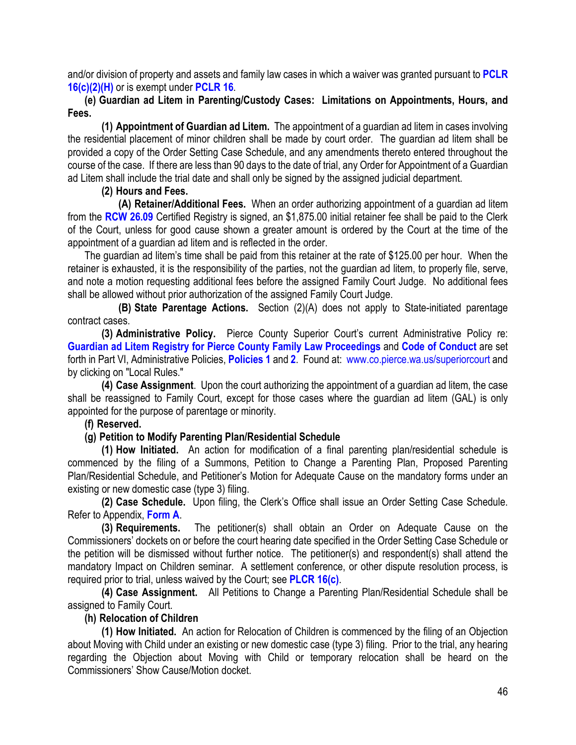and/or division of property and assets and family law cases in which a waiver was granted pursuant to **[PCLR](#page-34-0)  [16\(c\)\(2\)\(H\)](#page-34-0)** or is exempt under **[PCLR 16](#page-33-1)**.

#### **(e) Guardian ad Litem in Parenting/Custody Cases: Limitations on Appointments, Hours, and Fees.**

**(1) Appointment of Guardian ad Litem.** The appointment of a guardian ad litem in cases involving the residential placement of minor children shall be made by court order. The guardian ad litem shall be provided a copy of the Order Setting Case Schedule, and any amendments thereto entered throughout the course of the case. If there are less than 90 days to the date of trial, any Order for Appointment of a Guardian ad Litem shall include the trial date and shall only be signed by the assigned judicial department.

#### **(2) Hours and Fees.**

**(A) Retainer/Additional Fees.** When an order authorizing appointment of a guardian ad litem from the **[RCW 26.09](http://apps.leg.wa.gov/rcw/default.aspx?cite=26.09)** Certified Registry is signed, an \$1,875.00 initial retainer fee shall be paid to the Clerk of the Court, unless for good cause shown a greater amount is ordered by the Court at the time of the appointment of a guardian ad litem and is reflected in the order.

The guardian ad litem's time shall be paid from this retainer at the rate of \$125.00 per hour. When the retainer is exhausted, it is the responsibility of the parties, not the guardian ad litem, to properly file, serve, and note a motion requesting additional fees before the assigned Family Court Judge. No additional fees shall be allowed without prior authorization of the assigned Family Court Judge.

**(B) State Parentage Actions.** Section (2)(A) does not apply to State-initiated parentage contract cases.

**(3) Administrative Policy.** Pierce County Superior Court's current Administrative Policy re: **[Guardian ad Litem Registry for Pierce County Family Law Proceedings](#page-61-0)** and **[Code of Conduct](#page-66-0)** are set forth in Part VI, Administrative Policies, **[Policies 1](#page-61-0)** and **[2](#page-66-0)**. Found at: [www.co.pierce.wa.us/superiorcourt](http://www.co.pierce.wa.us/superiorcourt) and by clicking on "Local Rules."

**(4) Case Assignment**. Upon the court authorizing the appointment of a guardian ad litem, the case shall be reassigned to Family Court, except for those cases where the guardian ad litem (GAL) is only appointed for the purpose of parentage or minority.

#### <span id="page-45-0"></span>**(f) Reserved.**

#### **(g) Petition to Modify Parenting Plan/Residential Schedule**

<span id="page-45-1"></span>**(1) How Initiated.** An action for modification of a final parenting plan/residential schedule is commenced by the filing of a Summons, Petition to Change a Parenting Plan, Proposed Parenting Plan/Residential Schedule, and Petitioner's Motion for Adequate Cause on the mandatory forms under an existing or new domestic case (type 3) filing.

**(2) Case Schedule.** Upon filing, the Clerk's Office shall issue an Order Setting Case Schedule. Refer to Appendix, **[Form A](#page-77-0)**.

**(3) Requirements.** The petitioner(s) shall obtain an Order on Adequate Cause on the Commissioners' dockets on or before the court hearing date specified in the Order Setting Case Schedule or the petition will be dismissed without further notice. The petitioner(s) and respondent(s) shall attend the mandatory Impact on Children seminar. A settlement conference, or other dispute resolution process, is required prior to trial, unless waived by the Court; see **[PLCR 16\(c\)](#page-33-0)**.

**(4) Case Assignment.** All Petitions to Change a Parenting Plan/Residential Schedule shall be assigned to Family Court.

#### **(h) Relocation of Children**

**(1) How Initiated.** An action for Relocation of Children is commenced by the filing of an Objection about Moving with Child under an existing or new domestic case (type 3) filing. Prior to the trial, any hearing regarding the Objection about Moving with Child or temporary relocation shall be heard on the Commissioners' Show Cause/Motion docket.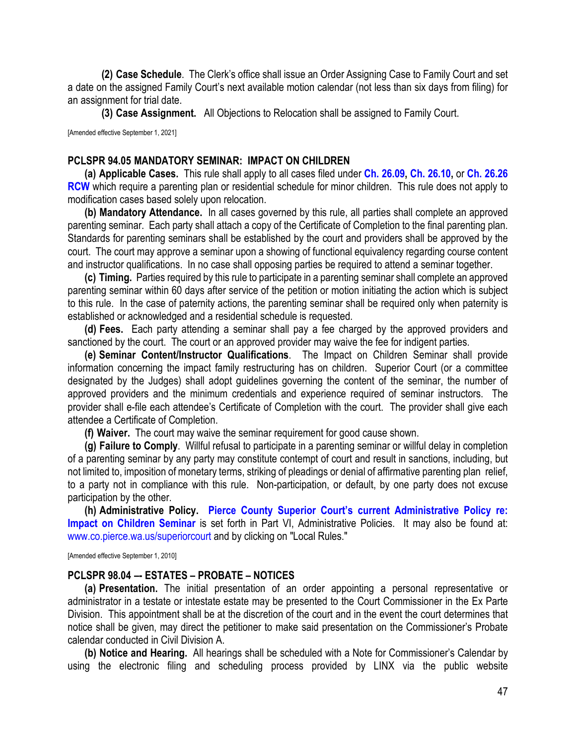**(2) Case Schedule**. The Clerk's office shall issue an Order Assigning Case to Family Court and set a date on the assigned Family Court's next available motion calendar (not less than six days from filing) for an assignment for trial date.

**(3) Case Assignment.** All Objections to Relocation shall be assigned to Family Court.

[Amended effective September 1, 2021]

#### **PCLSPR 94.05 MANDATORY SEMINAR: IMPACT ON CHILDREN**

**(a) Applicable Cases.** This rule shall apply to all cases filed under **[Ch. 26.09,](http://apps.leg.wa.gov/rcw/default.aspx?cite=26.09) [Ch. 26.10,](http://apps.leg.wa.gov/rcw/default.aspx?cite=26.10)** or **[Ch. 26.26](http://apps.leg.wa.gov/rcw/default.aspx?cite=26.26)  [RCW](http://apps.leg.wa.gov/rcw/default.aspx?cite=26.26)** which require a parenting plan or residential schedule for minor children. This rule does not apply to modification cases based solely upon relocation.

**(b) Mandatory Attendance.** In all cases governed by this rule, all parties shall complete an approved parenting seminar. Each party shall attach a copy of the Certificate of Completion to the final parenting plan. Standards for parenting seminars shall be established by the court and providers shall be approved by the court. The court may approve a seminar upon a showing of functional equivalency regarding course content and instructor qualifications. In no case shall opposing parties be required to attend a seminar together.

**(c) Timing.** Parties required by this rule to participate in a parenting seminar shall complete an approved parenting seminar within 60 days after service of the petition or motion initiating the action which is subject to this rule. In the case of paternity actions, the parenting seminar shall be required only when paternity is established or acknowledged and a residential schedule is requested.

**(d) Fees.** Each party attending a seminar shall pay a fee charged by the approved providers and sanctioned by the court. The court or an approved provider may waive the fee for indigent parties.

**(e) Seminar Content/Instructor Qualifications**. The Impact on Children Seminar shall provide information concerning the impact family restructuring has on children. Superior Court (or a committee designated by the Judges) shall adopt guidelines governing the content of the seminar, the number of approved providers and the minimum credentials and experience required of seminar instructors. The provider shall e-file each attendee's Certificate of Completion with the court. The provider shall give each attendee a Certificate of Completion.

**(f) Waiver.** The court may waive the seminar requirement for good cause shown.

**(g) Failure to Comply**. Willful refusal to participate in a parenting seminar or willful delay in completion of a parenting seminar by any party may constitute contempt of court and result in sanctions, including, but not limited to, imposition of monetary terms, striking of pleadings or denial of affirmative parenting plan relief, to a party not in compliance with this rule. Non-participation, or default, by one party does not excuse participation by the other.

**(h) Administrative Policy. [Pierce County Superior Court's current Administrative Policy re:](#page-71-0)  [Impact on Children Seminar](#page-71-0)** is set forth in Part VI, Administrative Policies. It may also be found at: [www.co.pierce.wa.us/superiorcourt](http://www.co.pierce.wa.us/superiorcourt) and by clicking on "Local Rules."

[Amended effective September 1, 2010]

#### **PCLSPR 98.04 –- ESTATES – PROBATE – NOTICES**

**(a) Presentation.** The initial presentation of an order appointing a personal representative or administrator in a testate or intestate estate may be presented to the Court Commissioner in the Ex Parte Division. This appointment shall be at the discretion of the court and in the event the court determines that notice shall be given, may direct the petitioner to make said presentation on the Commissioner's Probate calendar conducted in Civil Division A.

**(b) Notice and Hearing.** All hearings shall be scheduled with a Note for Commissioner's Calendar by using the electronic filing and scheduling process provided by LINX via the public website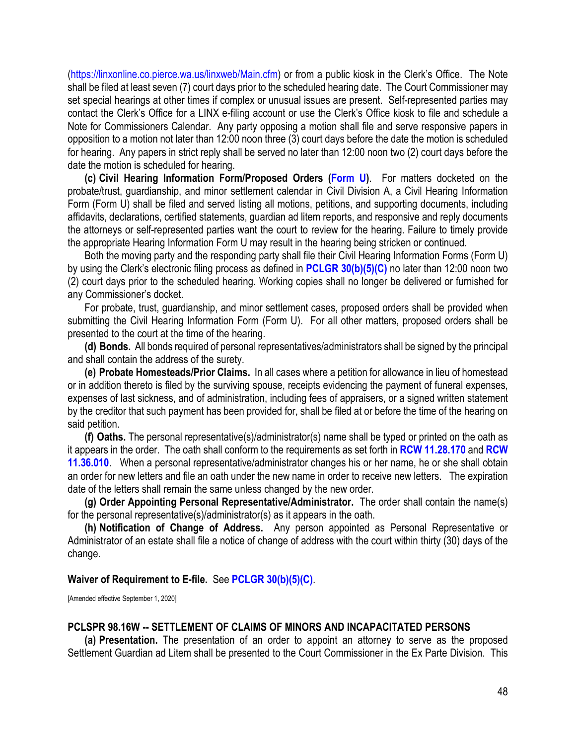[\(https://linxonline.co.pierce.wa.us/linxweb/Main.cfm\)](https://linxonline.co.pierce.wa.us/linxweb/Main.cfm) or from a public kiosk in the Clerk's Office. The Note shall be filed at least seven (7) court days prior to the scheduled hearing date. The Court Commissioner may set special hearings at other times if complex or unusual issues are present. Self-represented parties may contact the Clerk's Office for a LINX e-filing account or use the Clerk's Office kiosk to file and schedule a Note for Commissioners Calendar. Any party opposing a motion shall file and serve responsive papers in opposition to a motion not later than 12:00 noon three (3) court days before the date the motion is scheduled for hearing. Any papers in strict reply shall be served no later than 12:00 noon two (2) court days before the date the motion is scheduled for hearing.

**(c) Civil Hearing Information Form/Proposed Orders [\(Form U\)](#page-111-0)**. For matters docketed on the probate/trust, guardianship, and minor settlement calendar in Civil Division A, a Civil Hearing Information Form (Form U) shall be filed and served listing all motions, petitions, and supporting documents, including affidavits, declarations, certified statements, guardian ad litem reports, and responsive and reply documents the attorneys or self-represented parties want the court to review for the hearing. Failure to timely provide the appropriate Hearing Information Form U may result in the hearing being stricken or continued.

Both the moving party and the responding party shall file their Civil Hearing Information Forms (Form U) by using the Clerk's electronic filing process as defined in **[PCLGR 30\(b\)\(5\)\(C\)](#page-18-0)** no later than 12:00 noon two (2) court days prior to the scheduled hearing. Working copies shall no longer be delivered or furnished for any Commissioner's docket.

For probate, trust, guardianship, and minor settlement cases, proposed orders shall be provided when submitting the Civil Hearing Information Form (Form U). For all other matters, proposed orders shall be presented to the court at the time of the hearing.

**(d) Bonds.** All bonds required of personal representatives/administrators shall be signed by the principal and shall contain the address of the surety.

**(e) Probate Homesteads/Prior Claims.** In all cases where a petition for allowance in lieu of homestead or in addition thereto is filed by the surviving spouse, receipts evidencing the payment of funeral expenses, expenses of last sickness, and of administration, including fees of appraisers, or a signed written statement by the creditor that such payment has been provided for, shall be filed at or before the time of the hearing on said petition.

**(f) Oaths.** The personal representative(s)/administrator(s) name shall be typed or printed on the oath as it appears in the order. The oath shall conform to the requirements as set forth in **[RCW 11.28.170](http://apps.leg.wa.gov/rcw/default.aspx?cite=11.28.170)** and **[RCW](http://apps.leg.wa.gov/rcw/default.aspx?cite=11.36.010)  [11.36.010](http://apps.leg.wa.gov/rcw/default.aspx?cite=11.36.010)**. When a personal representative/administrator changes his or her name, he or she shall obtain an order for new letters and file an oath under the new name in order to receive new letters. The expiration date of the letters shall remain the same unless changed by the new order.

**(g) Order Appointing Personal Representative/Administrator.** The order shall contain the name(s) for the personal representative(s)/administrator(s) as it appears in the oath.

**(h) Notification of Change of Address.** Any person appointed as Personal Representative or Administrator of an estate shall file a notice of change of address with the court within thirty (30) days of the change.

#### **Waiver of Requirement to E-file.** See **[PCLGR 30\(b\)\(5\)\(C\)](#page-18-0)**.

[Amended effective September 1, 2020]

#### <span id="page-47-0"></span>**PCLSPR 98.16W -- SETTLEMENT OF CLAIMS OF MINORS AND INCAPACITATED PERSONS**

**(a) Presentation.** The presentation of an order to appoint an attorney to serve as the proposed Settlement Guardian ad Litem shall be presented to the Court Commissioner in the Ex Parte Division. This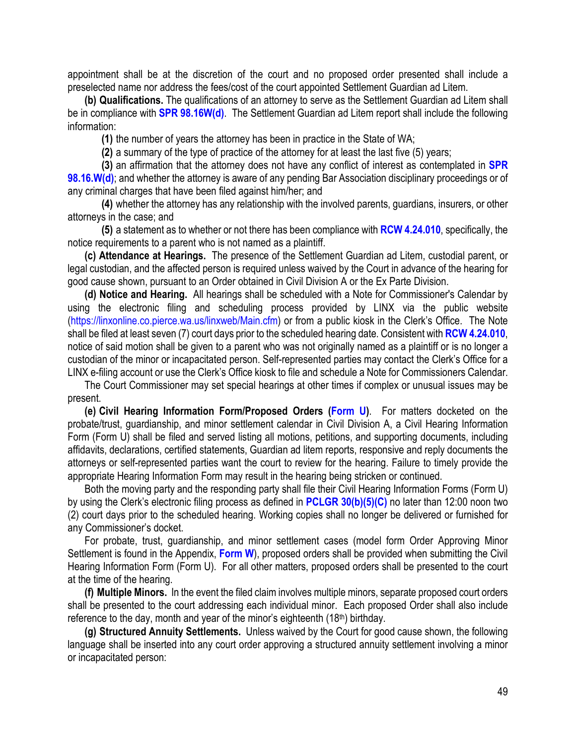appointment shall be at the discretion of the court and no proposed order presented shall include a preselected name nor address the fees/cost of the court appointed Settlement Guardian ad Litem.

**(b) Qualifications.** The qualifications of an attorney to serve as the Settlement Guardian ad Litem shall be in compliance with **[SPR 98.16W\(d\)](#page-48-0)**. The Settlement Guardian ad Litem report shall include the following information:

**(1)** the number of years the attorney has been in practice in the State of WA;

**(2)** a summary of the type of practice of the attorney for at least the last five (5) years;

**(3)** an affirmation that the attorney does not have any conflict of interest as contemplated in **[SPR](#page-48-0)  [98.16.W\(d\)](#page-48-0)**; and whether the attorney is aware of any pending Bar Association disciplinary proceedings or of any criminal charges that have been filed against him/her; and

**(4)** whether the attorney has any relationship with the involved parents, guardians, insurers, or other attorneys in the case; and

**(5)** a statement as to whether or not there has been compliance with **[RCW 4.24.010](http://apps.leg.wa.gov/rcw/default.aspx?cite=4.24.010)**, specifically, the notice requirements to a parent who is not named as a plaintiff.

**(c) Attendance at Hearings.** The presence of the Settlement Guardian ad Litem, custodial parent, or legal custodian, and the affected person is required unless waived by the Court in advance of the hearing for good cause shown, pursuant to an Order obtained in Civil Division A or the Ex Parte Division.

<span id="page-48-0"></span>**(d) Notice and Hearing.** All hearings shall be scheduled with a Note for Commissioner's Calendar by using the electronic filing and scheduling process provided by LINX via the public website [\(https://linxonline.co.pierce.wa.us/linxweb/Main.cfm\)](https://linxonline.co.pierce.wa.us/linxweb/Main.cfm) or from a public kiosk in the Clerk's Office. The Note shall be filed at least seven (7) court days prior to the scheduled hearing date. Consistent with **[RCW 4.24.010](http://apps.leg.wa.gov/rcw/default.aspx?cite=4.24.010)**, notice of said motion shall be given to a parent who was not originally named as a plaintiff or is no longer a custodian of the minor or incapacitated person. Self-represented parties may contact the Clerk's Office for a LINX e-filing account or use the Clerk's Office kiosk to file and schedule a Note for Commissioners Calendar.

The Court Commissioner may set special hearings at other times if complex or unusual issues may be present.

<span id="page-48-1"></span>**(e) Civil Hearing Information Form/Proposed Orders [\(Form U\)](#page-111-0)**. For matters docketed on the probate/trust, guardianship, and minor settlement calendar in Civil Division A, a Civil Hearing Information Form (Form U) shall be filed and served listing all motions, petitions, and supporting documents, including affidavits, declarations, certified statements, Guardian ad litem reports, responsive and reply documents the attorneys or self-represented parties want the court to review for the hearing. Failure to timely provide the appropriate Hearing Information Form may result in the hearing being stricken or continued.

Both the moving party and the responding party shall file their Civil Hearing Information Forms (Form U) by using the Clerk's electronic filing process as defined in **[PCLGR 30\(b\)\(5\)\(C\)](#page-18-0)** no later than 12:00 noon two (2) court days prior to the scheduled hearing. Working copies shall no longer be delivered or furnished for any Commissioner's docket.

For probate, trust, guardianship, and minor settlement cases (model form Order Approving Minor Settlement is found in the Appendix, **[Form W](#page-114-0)**), proposed orders shall be provided when submitting the Civil Hearing Information Form (Form U). For all other matters, proposed orders shall be presented to the court at the time of the hearing.

**(f) Multiple Minors.** In the event the filed claim involves multiple minors, separate proposed court orders shall be presented to the court addressing each individual minor. Each proposed Order shall also include reference to the day, month and year of the minor's eighteenth (18<sup>th</sup>) birthday.

**(g) Structured Annuity Settlements.** Unless waived by the Court for good cause shown, the following language shall be inserted into any court order approving a structured annuity settlement involving a minor or incapacitated person: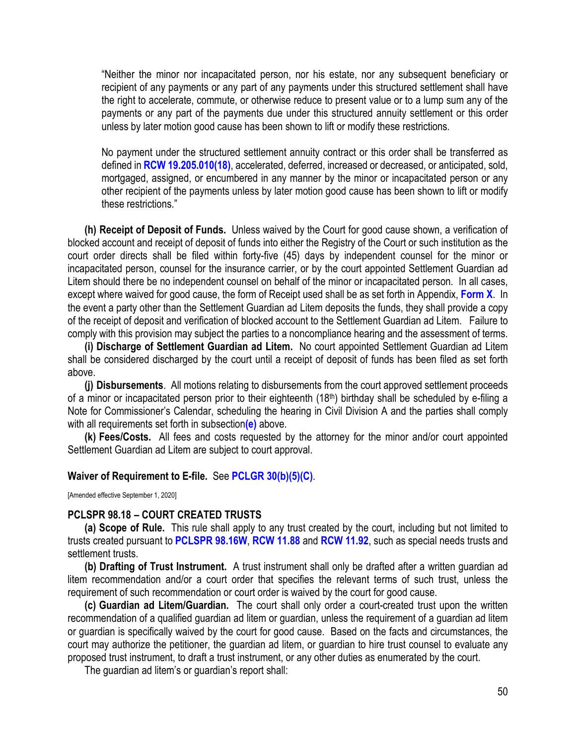"Neither the minor nor incapacitated person, nor his estate, nor any subsequent beneficiary or recipient of any payments or any part of any payments under this structured settlement shall have the right to accelerate, commute, or otherwise reduce to present value or to a lump sum any of the payments or any part of the payments due under this structured annuity settlement or this order unless by later motion good cause has been shown to lift or modify these restrictions.

No payment under the structured settlement annuity contract or this order shall be transferred as defined in **[RCW 19.205.010\(18\)](http://apps.leg.wa.gov/rcw/default.aspx?cite=19.205.010)**, accelerated, deferred, increased or decreased, or anticipated, sold, mortgaged, assigned, or encumbered in any manner by the minor or incapacitated person or any other recipient of the payments unless by later motion good cause has been shown to lift or modify these restrictions."

**(h) Receipt of Deposit of Funds.** Unless waived by the Court for good cause shown, a verification of blocked account and receipt of deposit of funds into either the Registry of the Court or such institution as the court order directs shall be filed within forty-five (45) days by independent counsel for the minor or incapacitated person, counsel for the insurance carrier, or by the court appointed Settlement Guardian ad Litem should there be no independent counsel on behalf of the minor or incapacitated person. In all cases, except where waived for good cause, the form of Receipt used shall be as set forth in Appendix, **[Form X](#page-117-0)**. In the event a party other than the Settlement Guardian ad Litem deposits the funds, they shall provide a copy of the receipt of deposit and verification of blocked account to the Settlement Guardian ad Litem. Failure to comply with this provision may subject the parties to a noncompliance hearing and the assessment of terms.

**(i) Discharge of Settlement Guardian ad Litem.** No court appointed Settlement Guardian ad Litem shall be considered discharged by the court until a receipt of deposit of funds has been filed as set forth above.

**(j) Disbursements**. All motions relating to disbursements from the court approved settlement proceeds of a minor or incapacitated person prior to their eighteenth (18<sup>th</sup>) birthday shall be scheduled by e-filing a Note for Commissioner's Calendar, scheduling the hearing in Civil Division A and the parties shall comply with all requirements set forth in subsection**[\(e\)](#page-48-1)** above.

**(k) Fees/Costs.** All fees and costs requested by the attorney for the minor and/or court appointed Settlement Guardian ad Litem are subject to court approval.

#### **Waiver of Requirement to E-file.** See **[PCLGR 30\(b\)\(5\)\(C\)](#page-18-0)**.

[Amended effective September 1, 2020]

#### **PCLSPR 98.18 – COURT CREATED TRUSTS**

**(a) Scope of Rule.** This rule shall apply to any trust created by the court, including but not limited to trusts created pursuant to **[PCLSPR 98.16W](#page-47-0)**, **[RCW 11.88](http://apps.leg.wa.gov/rcw/default.aspx?cite=11.88)** and **[RCW 11.92](http://apps.leg.wa.gov/rcw/default.aspx?cite=11.92)**, such as special needs trusts and settlement trusts.

**(b) Drafting of Trust Instrument.** A trust instrument shall only be drafted after a written guardian ad litem recommendation and/or a court order that specifies the relevant terms of such trust, unless the requirement of such recommendation or court order is waived by the court for good cause.

**(c) Guardian ad Litem/Guardian.** The court shall only order a court-created trust upon the written recommendation of a qualified guardian ad litem or guardian, unless the requirement of a guardian ad litem or guardian is specifically waived by the court for good cause. Based on the facts and circumstances, the court may authorize the petitioner, the guardian ad litem, or guardian to hire trust counsel to evaluate any proposed trust instrument, to draft a trust instrument, or any other duties as enumerated by the court.

The guardian ad litem's or guardian's report shall: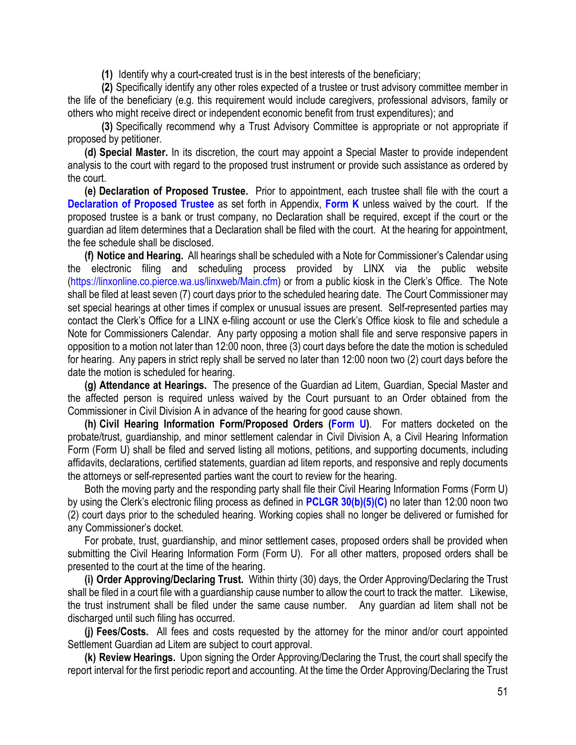**(1)** Identify why a court-created trust is in the best interests of the beneficiary;

**(2)** Specifically identify any other roles expected of a trustee or trust advisory committee member in the life of the beneficiary (e.g. this requirement would include caregivers, professional advisors, family or others who might receive direct or independent economic benefit from trust expenditures); and

**(3)** Specifically recommend why a Trust Advisory Committee is appropriate or not appropriate if proposed by petitioner.

**(d) Special Master.** In its discretion, the court may appoint a Special Master to provide independent analysis to the court with regard to the proposed trust instrument or provide such assistance as ordered by the court.

**(e) Declaration of Proposed Trustee.** Prior to appointment, each trustee shall file with the court a **[Declaration of Proposed Trustee](#page-91-0)** as set forth in Appendix, **[Form K](#page-91-0)** unless waived by the court. If the proposed trustee is a bank or trust company, no Declaration shall be required, except if the court or the guardian ad litem determines that a Declaration shall be filed with the court. At the hearing for appointment, the fee schedule shall be disclosed.

**(f) Notice and Hearing.** All hearings shall be scheduled with a Note for Commissioner's Calendar using the electronic filing and scheduling process provided by LINX via the public website [\(https://linxonline.co.pierce.wa.us/linxweb/Main.cfm\)](https://linxonline.co.pierce.wa.us/linxweb/Main.cfm) or from a public kiosk in the Clerk's Office. The Note shall be filed at least seven (7) court days prior to the scheduled hearing date. The Court Commissioner may set special hearings at other times if complex or unusual issues are present. Self-represented parties may contact the Clerk's Office for a LINX e-filing account or use the Clerk's Office kiosk to file and schedule a Note for Commissioners Calendar. Any party opposing a motion shall file and serve responsive papers in opposition to a motion not later than 12:00 noon, three (3) court days before the date the motion is scheduled for hearing. Any papers in strict reply shall be served no later than 12:00 noon two (2) court days before the date the motion is scheduled for hearing.

**(g) Attendance at Hearings.** The presence of the Guardian ad Litem, Guardian, Special Master and the affected person is required unless waived by the Court pursuant to an Order obtained from the Commissioner in Civil Division A in advance of the hearing for good cause shown.

**(h) Civil Hearing Information Form/Proposed Orders [\(Form U\)](#page-111-0)**. For matters docketed on the probate/trust, guardianship, and minor settlement calendar in Civil Division A, a Civil Hearing Information Form (Form U) shall be filed and served listing all motions, petitions, and supporting documents, including affidavits, declarations, certified statements, guardian ad litem reports, and responsive and reply documents the attorneys or self-represented parties want the court to review for the hearing.

Both the moving party and the responding party shall file their Civil Hearing Information Forms (Form U) by using the Clerk's electronic filing process as defined in **[PCLGR 30\(b\)\(5\)\(C\)](#page-18-0)** no later than 12:00 noon two (2) court days prior to the scheduled hearing. Working copies shall no longer be delivered or furnished for any Commissioner's docket.

For probate, trust, guardianship, and minor settlement cases, proposed orders shall be provided when submitting the Civil Hearing Information Form (Form U). For all other matters, proposed orders shall be presented to the court at the time of the hearing.

**(i) Order Approving/Declaring Trust.** Within thirty (30) days, the Order Approving/Declaring the Trust shall be filed in a court file with a guardianship cause number to allow the court to track the matter. Likewise, the trust instrument shall be filed under the same cause number. Any guardian ad litem shall not be discharged until such filing has occurred.

**(j) Fees/Costs.** All fees and costs requested by the attorney for the minor and/or court appointed Settlement Guardian ad Litem are subject to court approval.

**(k) Review Hearings.** Upon signing the Order Approving/Declaring the Trust, the court shall specify the report interval for the first periodic report and accounting. At the time the Order Approving/Declaring the Trust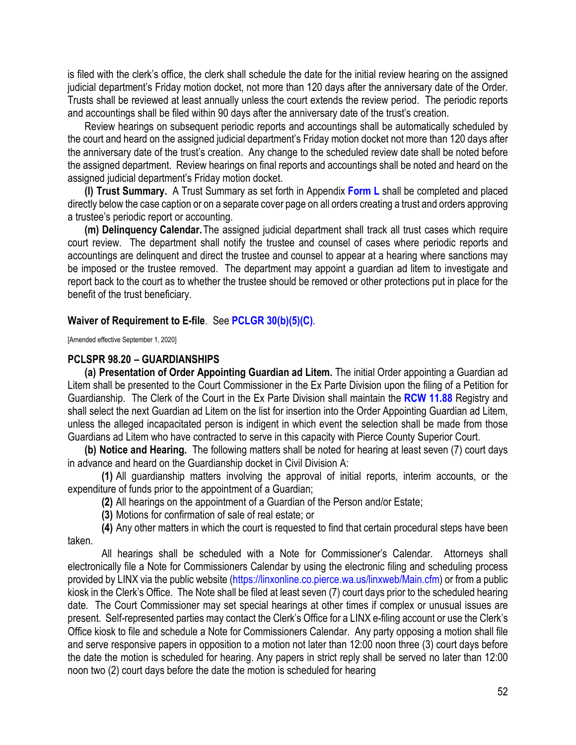is filed with the clerk's office, the clerk shall schedule the date for the initial review hearing on the assigned judicial department's Friday motion docket, not more than 120 days after the anniversary date of the Order. Trusts shall be reviewed at least annually unless the court extends the review period. The periodic reports and accountings shall be filed within 90 days after the anniversary date of the trust's creation.

Review hearings on subsequent periodic reports and accountings shall be automatically scheduled by the court and heard on the assigned judicial department's Friday motion docket not more than 120 days after the anniversary date of the trust's creation. Any change to the scheduled review date shall be noted before the assigned department. Review hearings on final reports and accountings shall be noted and heard on the assigned judicial department's Friday motion docket.

**(l) Trust Summary.** A Trust Summary as set forth in Appendix **[Form L](#page-94-0)** shall be completed and placed directly below the case caption or on a separate cover page on all orders creating a trust and orders approving a trustee's periodic report or accounting.

**(m) Delinquency Calendar.**The assigned judicial department shall track all trust cases which require court review. The department shall notify the trustee and counsel of cases where periodic reports and accountings are delinquent and direct the trustee and counsel to appear at a hearing where sanctions may be imposed or the trustee removed. The department may appoint a guardian ad litem to investigate and report back to the court as to whether the trustee should be removed or other protections put in place for the benefit of the trust beneficiary.

#### **Waiver of Requirement to E-file**. See **[PCLGR 30\(b\)\(5\)\(C\)](#page-18-0)**.

[Amended effective September 1, 2020]

#### **PCLSPR 98.20 – GUARDIANSHIPS**

**(a) Presentation of Order Appointing Guardian ad Litem.** The initial Order appointing a Guardian ad Litem shall be presented to the Court Commissioner in the Ex Parte Division upon the filing of a Petition for Guardianship. The Clerk of the Court in the Ex Parte Division shall maintain the **[RCW 11.88](http://apps.leg.wa.gov/rcw/default.aspx?cite=11.88)** Registry and shall select the next Guardian ad Litem on the list for insertion into the Order Appointing Guardian ad Litem, unless the alleged incapacitated person is indigent in which event the selection shall be made from those Guardians ad Litem who have contracted to serve in this capacity with Pierce County Superior Court.

**(b) Notice and Hearing.** The following matters shall be noted for hearing at least seven (7) court days in advance and heard on the Guardianship docket in Civil Division A:

**(1)** All guardianship matters involving the approval of initial reports, interim accounts, or the expenditure of funds prior to the appointment of a Guardian;

**(2)** All hearings on the appointment of a Guardian of the Person and/or Estate;

**(3)** Motions for confirmation of sale of real estate; or

**(4)** Any other matters in which the court is requested to find that certain procedural steps have been taken.

All hearings shall be scheduled with a Note for Commissioner's Calendar. Attorneys shall electronically file a Note for Commissioners Calendar by using the electronic filing and scheduling process provided by LINX via the public website [\(https://linxonline.co.pierce.wa.us/linxweb/Main.cfm\)](https://linxonline.co.pierce.wa.us/linxweb/Main.cfm) or from a public kiosk in the Clerk's Office. The Note shall be filed at least seven (7) court days prior to the scheduled hearing date. The Court Commissioner may set special hearings at other times if complex or unusual issues are present. Self-represented parties may contact the Clerk's Office for a LINX e-filing account or use the Clerk's Office kiosk to file and schedule a Note for Commissioners Calendar. Any party opposing a motion shall file and serve responsive papers in opposition to a motion not later than 12:00 noon three (3) court days before the date the motion is scheduled for hearing. Any papers in strict reply shall be served no later than 12:00 noon two (2) court days before the date the motion is scheduled for hearing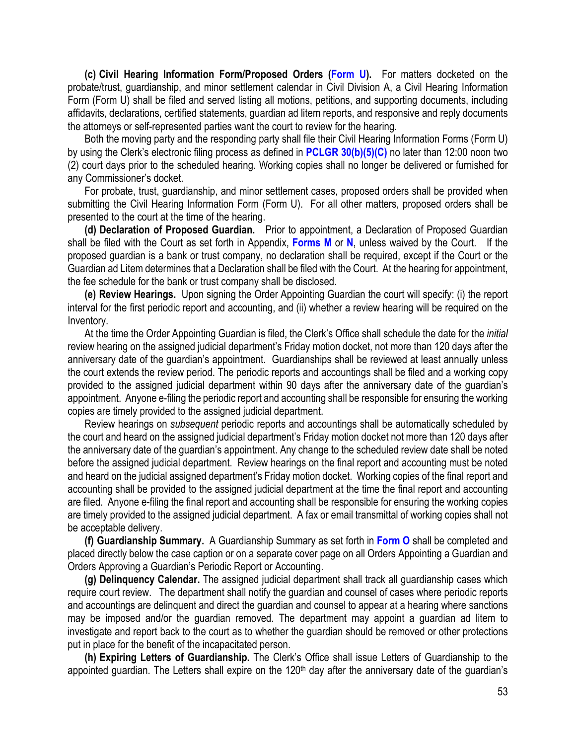**(c) Civil Hearing Information Form/Proposed Orders [\(Form U\)](#page-111-0).** For matters docketed on the probate/trust, guardianship, and minor settlement calendar in Civil Division A, a Civil Hearing Information Form (Form U) shall be filed and served listing all motions, petitions, and supporting documents, including affidavits, declarations, certified statements, guardian ad litem reports, and responsive and reply documents the attorneys or self-represented parties want the court to review for the hearing.

Both the moving party and the responding party shall file their Civil Hearing Information Forms (Form U) by using the Clerk's electronic filing process as defined in **[PCLGR 30\(b\)\(5\)\(C\)](#page-18-0)** no later than 12:00 noon two (2) court days prior to the scheduled hearing. Working copies shall no longer be delivered or furnished for any Commissioner's docket.

For probate, trust, guardianship, and minor settlement cases, proposed orders shall be provided when submitting the Civil Hearing Information Form (Form U). For all other matters, proposed orders shall be presented to the court at the time of the hearing.

**(d) Declaration of Proposed Guardian.** Prior to appointment, a Declaration of Proposed Guardian shall be filed with the Court as set forth in Appendix, **[Forms M](#page-95-0)** or **[N](#page-99-0)**, unless waived by the Court. If the proposed guardian is a bank or trust company, no declaration shall be required, except if the Court or the Guardian ad Litem determines that a Declaration shall be filed with the Court. At the hearing for appointment, the fee schedule for the bank or trust company shall be disclosed.

**(e) Review Hearings.** Upon signing the Order Appointing Guardian the court will specify: (i) the report interval for the first periodic report and accounting, and (ii) whether a review hearing will be required on the Inventory.

At the time the Order Appointing Guardian is filed, the Clerk's Office shall schedule the date for the *initial* review hearing on the assigned judicial department's Friday motion docket, not more than 120 days after the anniversary date of the guardian's appointment. Guardianships shall be reviewed at least annually unless the court extends the review period. The periodic reports and accountings shall be filed and a working copy provided to the assigned judicial department within 90 days after the anniversary date of the guardian's appointment. Anyone e-filing the periodic report and accounting shall be responsible for ensuring the working copies are timely provided to the assigned judicial department.

Review hearings on *subsequent* periodic reports and accountings shall be automatically scheduled by the court and heard on the assigned judicial department's Friday motion docket not more than 120 days after the anniversary date of the guardian's appointment. Any change to the scheduled review date shall be noted before the assigned judicial department. Review hearings on the final report and accounting must be noted and heard on the judicial assigned department's Friday motion docket. Working copies of the final report and accounting shall be provided to the assigned judicial department at the time the final report and accounting are filed. Anyone e-filing the final report and accounting shall be responsible for ensuring the working copies are timely provided to the assigned judicial department. A fax or email transmittal of working copies shall not be acceptable delivery.

**(f) Guardianship Summary.** A Guardianship Summary as set forth in **[Form O](#page-103-0)** shall be completed and placed directly below the case caption or on a separate cover page on all Orders Appointing a Guardian and Orders Approving a Guardian's Periodic Report or Accounting.

**(g) Delinquency Calendar.** The assigned judicial department shall track all guardianship cases which require court review. The department shall notify the guardian and counsel of cases where periodic reports and accountings are delinquent and direct the guardian and counsel to appear at a hearing where sanctions may be imposed and/or the guardian removed. The department may appoint a guardian ad litem to investigate and report back to the court as to whether the guardian should be removed or other protections put in place for the benefit of the incapacitated person.

**(h) Expiring Letters of Guardianship.** The Clerk's Office shall issue Letters of Guardianship to the appointed guardian. The Letters shall expire on the  $120<sup>th</sup>$  day after the anniversary date of the guardian's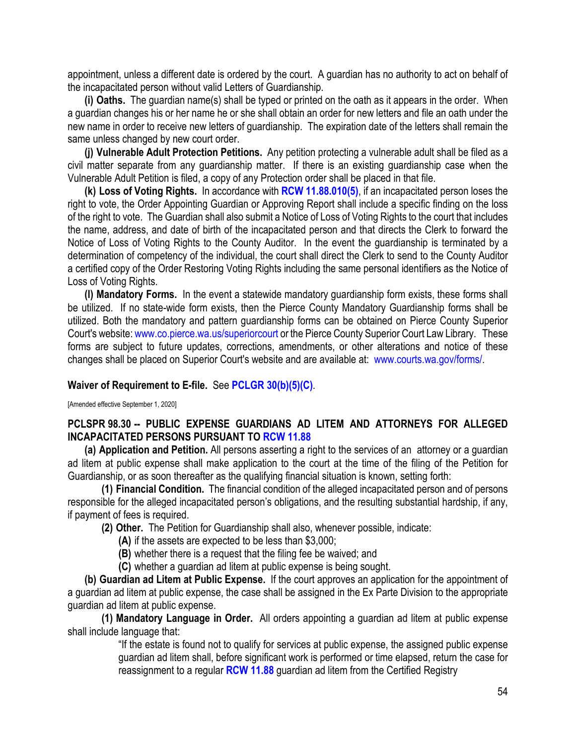appointment, unless a different date is ordered by the court. A guardian has no authority to act on behalf of the incapacitated person without valid Letters of Guardianship.

**(i) Oaths.** The guardian name(s) shall be typed or printed on the oath as it appears in the order. When a guardian changes his or her name he or she shall obtain an order for new letters and file an oath under the new name in order to receive new letters of guardianship. The expiration date of the letters shall remain the same unless changed by new court order.

**(j) Vulnerable Adult Protection Petitions.** Any petition protecting a vulnerable adult shall be filed as a civil matter separate from any guardianship matter. If there is an existing guardianship case when the Vulnerable Adult Petition is filed, a copy of any Protection order shall be placed in that file.

**(k) Loss of Voting Rights.** In accordance with **[RCW 11.88.010\(5\)](http://apps.leg.wa.gov/rcw/default.aspx?cite=11.88.010)**, if an incapacitated person loses the right to vote, the Order Appointing Guardian or Approving Report shall include a specific finding on the loss of the right to vote. The Guardian shall also submit a Notice of Loss of Voting Rights to the court that includes the name, address, and date of birth of the incapacitated person and that directs the Clerk to forward the Notice of Loss of Voting Rights to the County Auditor. In the event the guardianship is terminated by a determination of competency of the individual, the court shall direct the Clerk to send to the County Auditor a certified copy of the Order Restoring Voting Rights including the same personal identifiers as the Notice of Loss of Voting Rights.

**(l) Mandatory Forms.** In the event a statewide mandatory guardianship form exists, these forms shall be utilized. If no state-wide form exists, then the Pierce County Mandatory Guardianship forms shall be utilized. Both the mandatory and pattern guardianship forms can be obtained on Pierce County Superior Court's website[: www.co.pierce.wa.us/superiorcourt](http://www.co.pierce.wa.us/superiorcourt) or the Pierce County Superior Court Law Library. These forms are subject to future updates, corrections, amendments, or other alterations and notice of these changes shall be placed on Superior Court's website and are available at: [www.courts.wa.gov/forms/.](http://www.courts.wa.gov/forms/)

#### **Waiver of Requirement to E-file.** See **[PCLGR 30\(b\)\(5\)\(C\)](#page-18-0)**.

[Amended effective September 1, 2020]

### **PCLSPR 98.30 -- PUBLIC EXPENSE GUARDIANS AD LITEM AND ATTORNEYS FOR ALLEGED INCAPACITATED PERSONS PURSUANT TO [RCW 11.88](http://apps.leg.wa.gov/rcw/default.aspx?cite=11.88)**

**(a) Application and Petition.** All persons asserting a right to the services of an attorney or a guardian ad litem at public expense shall make application to the court at the time of the filing of the Petition for Guardianship, or as soon thereafter as the qualifying financial situation is known, setting forth:

**(1) Financial Condition.** The financial condition of the alleged incapacitated person and of persons responsible for the alleged incapacitated person's obligations, and the resulting substantial hardship, if any, if payment of fees is required.

**(2) Other.** The Petition for Guardianship shall also, whenever possible, indicate:

**(A)** if the assets are expected to be less than \$3,000;

**(B)** whether there is a request that the filing fee be waived; and

**(C)** whether a guardian ad litem at public expense is being sought.

**(b) Guardian ad Litem at Public Expense.** If the court approves an application for the appointment of a guardian ad litem at public expense, the case shall be assigned in the Ex Parte Division to the appropriate guardian ad litem at public expense.

**(1) Mandatory Language in Order.** All orders appointing a guardian ad litem at public expense shall include language that:

"If the estate is found not to qualify for services at public expense, the assigned public expense guardian ad litem shall, before significant work is performed or time elapsed, return the case for reassignment to a regular **[RCW 11.88](http://apps.leg.wa.gov/rcw/default.aspx?cite=11.88)** guardian ad litem from the Certified Registry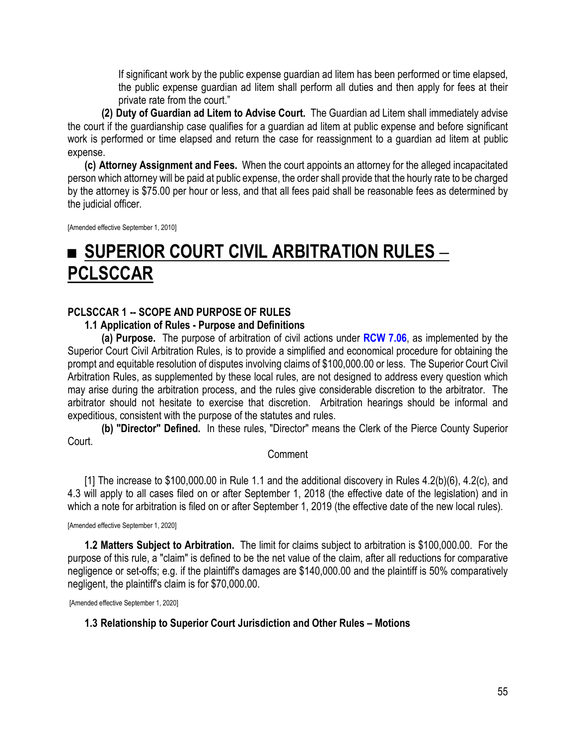If significant work by the public expense guardian ad litem has been performed or time elapsed, the public expense guardian ad litem shall perform all duties and then apply for fees at their private rate from the court."

**(2) Duty of Guardian ad Litem to Advise Court.** The Guardian ad Litem shall immediately advise the court if the guardianship case qualifies for a guardian ad litem at public expense and before significant work is performed or time elapsed and return the case for reassignment to a guardian ad litem at public expense.

**(c) Attorney Assignment and Fees.** When the court appoints an attorney for the alleged incapacitated person which attorney will be paid at public expense, the order shall provide that the hourly rate to be charged by the attorney is \$75.00 per hour or less, and that all fees paid shall be reasonable fees as determined by the judicial officer.

[Amended effective September 1, 2010]

# **■ SUPERIOR COURT CIVIL ARBITRATION RULES – PCLSCCAR**

#### **PCLSCCAR 1 -- SCOPE AND PURPOSE OF RULES**

#### **1.1 Application of Rules - Purpose and Definitions**

**(a) Purpose.** The purpose of arbitration of civil actions under **[RCW 7.06](http://apps.leg.wa.gov/rcw/default.aspx?cite=7.06)**, as implemented by the Superior Court Civil Arbitration Rules, is to provide a simplified and economical procedure for obtaining the prompt and equitable resolution of disputes involving claims of \$100,000.00 or less. The Superior Court Civil Arbitration Rules, as supplemented by these local rules, are not designed to address every question which may arise during the arbitration process, and the rules give considerable discretion to the arbitrator. The arbitrator should not hesitate to exercise that discretion. Arbitration hearings should be informal and expeditious, consistent with the purpose of the statutes and rules.

**(b) "Director" Defined.** In these rules, "Director" means the Clerk of the Pierce County Superior Court.

#### Comment

[1] The increase to \$100,000.00 in Rule 1.1 and the additional discovery in Rules 4.2(b)(6), 4.2(c), and 4.3 will apply to all cases filed on or after September 1, 2018 (the effective date of the legislation) and in which a note for arbitration is filed on or after September 1, 2019 (the effective date of the new local rules).

[Amended effective September 1, 2020]

**1.2 Matters Subject to Arbitration.** The limit for claims subject to arbitration is \$100,000.00. For the purpose of this rule, a "claim" is defined to be the net value of the claim, after all reductions for comparative negligence or set-offs; e.g. if the plaintiff's damages are \$140,000.00 and the plaintiff is 50% comparatively negligent, the plaintiff's claim is for \$70,000.00.

[Amended effective September 1, 2020]

#### <span id="page-54-0"></span>**1.3 Relationship to Superior Court Jurisdiction and Other Rules – Motions**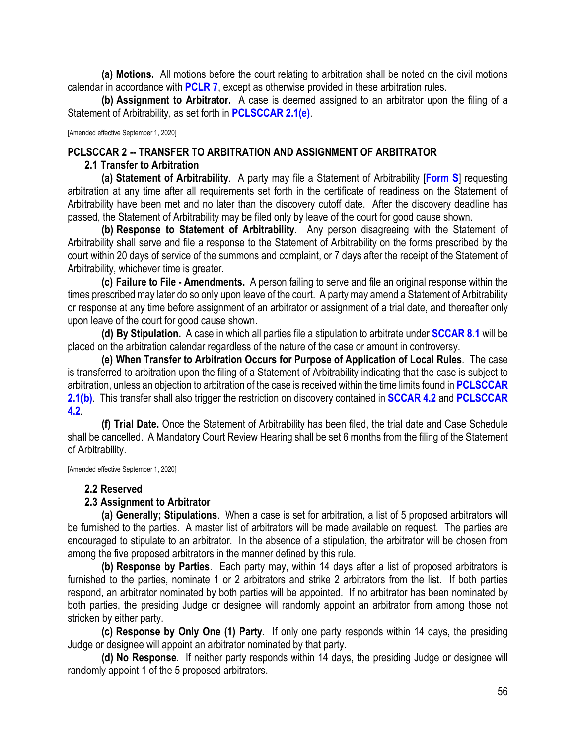**(a) Motions.** All motions before the court relating to arbitration shall be noted on the civil motions calendar in accordance with **[PCLR 7](#page-26-0)**, except as otherwise provided in these arbitration rules.

**(b) Assignment to Arbitrator.** A case is deemed assigned to an arbitrator upon the filing of a Statement of Arbitrability, as set forth in **[PCLSCCAR 2.1\(e\)](#page-55-0)**.

[Amended effective September 1, 2020]

#### **PCLSCCAR 2 -- TRANSFER TO ARBITRATION AND ASSIGNMENT OF ARBITRATOR**

#### **2.1 Transfer to Arbitration**

**(a) Statement of Arbitrability**. A party may file a Statement of Arbitrability [**[Form S](#page-108-0)**] requesting arbitration at any time after all requirements set forth in the certificate of readiness on the Statement of Arbitrability have been met and no later than the discovery cutoff date. After the discovery deadline has passed, the Statement of Arbitrability may be filed only by leave of the court for good cause shown.

<span id="page-55-1"></span>**(b) Response to Statement of Arbitrability**. Any person disagreeing with the Statement of Arbitrability shall serve and file a response to the Statement of Arbitrability on the forms prescribed by the court within 20 days of service of the summons and complaint, or 7 days after the receipt of the Statement of Arbitrability, whichever time is greater.

**(c) Failure to File - Amendments.** A person failing to serve and file an original response within the times prescribed may later do so only upon leave of the court. A party may amend a Statement of Arbitrability or response at any time before assignment of an arbitrator or assignment of a trial date, and thereafter only upon leave of the court for good cause shown.

**(d) By Stipulation.** A case in which all parties file a stipulation to arbitrate under **[SCCAR 8.1](http://www.courts.wa.gov/court_rules/?fa=court_rules.display&group=sup&set=MAR&ruleid=supmar8.1)** will be placed on the arbitration calendar regardless of the nature of the case or amount in controversy.

<span id="page-55-0"></span>**(e) When Transfer to Arbitration Occurs for Purpose of Application of Local Rules**. The case is transferred to arbitration upon the filing of a Statement of Arbitrability indicating that the case is subject to arbitration, unless an objection to arbitration of the case is received within the time limits found in **[PCLSCCAR](#page-55-1)  [2.1\(b\)](#page-55-1)**. This transfer shall also trigger the restriction on discovery contained in **[SCCAR 4.2](http://www.courts.wa.gov/court_rules/?fa=court_rules.display&group=sup&set=MAR&ruleid=supmar4.2)** and **PCLSCCAR 4.2**.

**(f) Trial Date.** Once the Statement of Arbitrability has been filed, the trial date and Case Schedule shall be cancelled. A Mandatory Court Review Hearing shall be set 6 months from the filing of the Statement of Arbitrability.

[Amended effective September 1, 2020]

#### **2.2 Reserved**

#### **2.3 Assignment to Arbitrator**

**(a) Generally; Stipulations**. When a case is set for arbitration, a list of 5 proposed arbitrators will be furnished to the parties. A master list of arbitrators will be made available on request. The parties are encouraged to stipulate to an arbitrator. In the absence of a stipulation, the arbitrator will be chosen from among the five proposed arbitrators in the manner defined by this rule.

**(b) Response by Parties**. Each party may, within 14 days after a list of proposed arbitrators is furnished to the parties, nominate 1 or 2 arbitrators and strike 2 arbitrators from the list. If both parties respond, an arbitrator nominated by both parties will be appointed. If no arbitrator has been nominated by both parties, the presiding Judge or designee will randomly appoint an arbitrator from among those not stricken by either party.

**(c) Response by Only One (1) Party**. If only one party responds within 14 days, the presiding Judge or designee will appoint an arbitrator nominated by that party.

**(d) No Response**. If neither party responds within 14 days, the presiding Judge or designee will randomly appoint 1 of the 5 proposed arbitrators.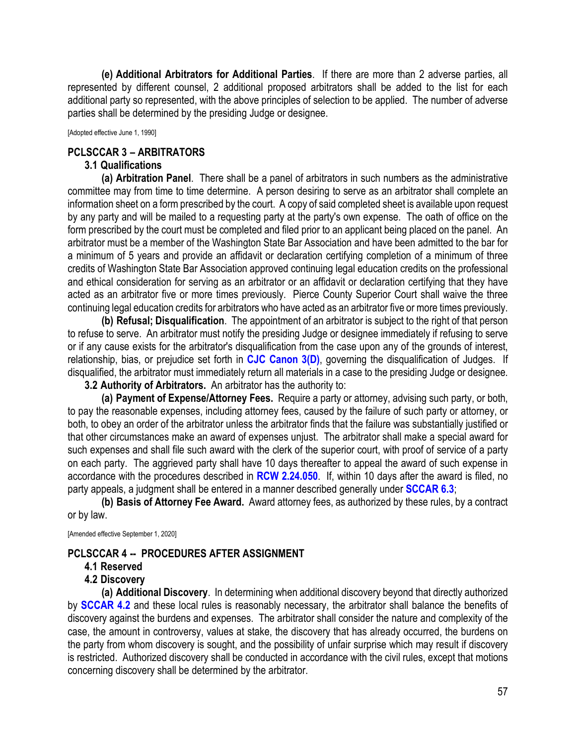**(e) Additional Arbitrators for Additional Parties**. If there are more than 2 adverse parties, all represented by different counsel, 2 additional proposed arbitrators shall be added to the list for each additional party so represented, with the above principles of selection to be applied. The number of adverse parties shall be determined by the presiding Judge or designee.

[Adopted effective June 1, 1990]

#### **PCLSCCAR 3 – ARBITRATORS**

#### **3.1 Qualifications**

<span id="page-56-1"></span>**(a) Arbitration Panel**. There shall be a panel of arbitrators in such numbers as the administrative committee may from time to time determine. A person desiring to serve as an arbitrator shall complete an information sheet on a form prescribed by the court. A copy of said completed sheet is available upon request by any party and will be mailed to a requesting party at the party's own expense. The oath of office on the form prescribed by the court must be completed and filed prior to an applicant being placed on the panel. An arbitrator must be a member of the Washington State Bar Association and have been admitted to the bar for a minimum of 5 years and provide an affidavit or declaration certifying completion of a minimum of three credits of Washington State Bar Association approved continuing legal education credits on the professional and ethical consideration for serving as an arbitrator or an affidavit or declaration certifying that they have acted as an arbitrator five or more times previously. Pierce County Superior Court shall waive the three continuing legal education credits for arbitrators who have acted as an arbitrator five or more times previously.

**(b) Refusal; Disqualification**. The appointment of an arbitrator is subject to the right of that person to refuse to serve. An arbitrator must notify the presiding Judge or designee immediately if refusing to serve or if any cause exists for the arbitrator's disqualification from the case upon any of the grounds of interest, relationship, bias, or prejudice set forth in **[CJC Canon 3\(D\)](http://www.courts.wa.gov/court_rules/?fa=court_rules.display&group=ga&set=CJC&ruleid=gacjc3)**, governing the disqualification of Judges. If disqualified, the arbitrator must immediately return all materials in a case to the presiding Judge or designee.

**3.2 Authority of Arbitrators.** An arbitrator has the authority to:

**(a) Payment of Expense/Attorney Fees.** Require a party or attorney, advising such party, or both, to pay the reasonable expenses, including attorney fees, caused by the failure of such party or attorney, or both, to obey an order of the arbitrator unless the arbitrator finds that the failure was substantially justified or that other circumstances make an award of expenses unjust. The arbitrator shall make a special award for such expenses and shall file such award with the clerk of the superior court, with proof of service of a party on each party. The aggrieved party shall have 10 days thereafter to appeal the award of such expense in accordance with the procedures described in **[RCW 2.24.050](http://apps.leg.wa.gov/rcw/default.aspx?cite=2.24.050)**. If, within 10 days after the award is filed, no party appeals, a judgment shall be entered in a manner described generally under **[SCCAR 6.3](http://www.courts.wa.gov/court_rules/?fa=court_rules.display&group=sup&set=MAR&ruleid=supmar6.3)**;

**(b) Basis of Attorney Fee Award.** Award attorney fees, as authorized by these rules, by a contract or by law.

[Amended effective September 1, 2020]

#### **PCLSCCAR 4 -- PROCEDURES AFTER ASSIGNMENT**

#### <span id="page-56-0"></span>**4.1 Reserved**

**4.2 Discovery**

**(a) Additional Discovery**. In determining when additional discovery beyond that directly authorized by **[SCCAR 4.2](http://www.courts.wa.gov/court_rules/?fa=court_rules.display&group=sup&set=MAR&ruleid=supmar4.2)** and these local rules is reasonably necessary, the arbitrator shall balance the benefits of discovery against the burdens and expenses. The arbitrator shall consider the nature and complexity of the case, the amount in controversy, values at stake, the discovery that has already occurred, the burdens on the party from whom discovery is sought, and the possibility of unfair surprise which may result if discovery is restricted. Authorized discovery shall be conducted in accordance with the civil rules, except that motions concerning discovery shall be determined by the arbitrator.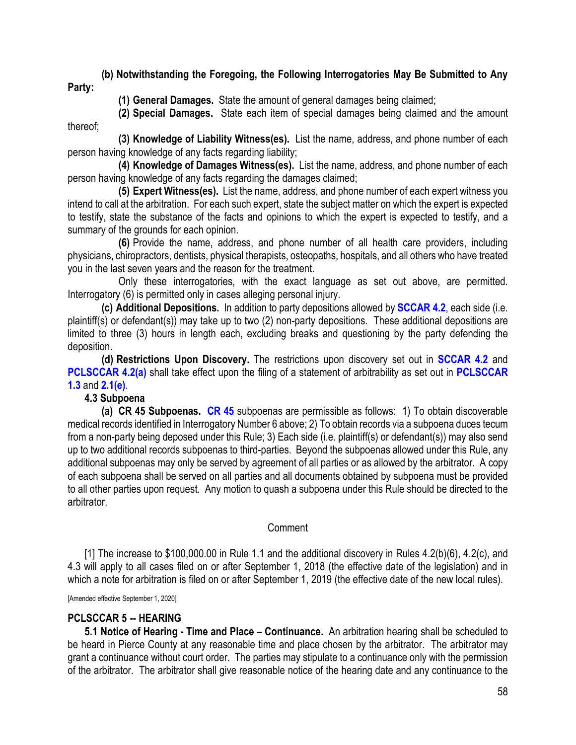**(b) Notwithstanding the Foregoing, the Following Interrogatories May Be Submitted to Any Party:**

**(1) General Damages.** State the amount of general damages being claimed;

**(2) Special Damages.** State each item of special damages being claimed and the amount thereof;

**(3) Knowledge of Liability Witness(es).** List the name, address, and phone number of each person having knowledge of any facts regarding liability;

**(4) Knowledge of Damages Witness(es).** List the name, address, and phone number of each person having knowledge of any facts regarding the damages claimed;

**(5) Expert Witness(es).** List the name, address, and phone number of each expert witness you intend to call at the arbitration. For each such expert, state the subject matter on which the expert is expected to testify, state the substance of the facts and opinions to which the expert is expected to testify, and a summary of the grounds for each opinion.

**(6)** Provide the name, address, and phone number of all health care providers, including physicians, chiropractors, dentists, physical therapists, osteopaths, hospitals, and all others who have treated you in the last seven years and the reason for the treatment.

Only these interrogatories, with the exact language as set out above, are permitted. Interrogatory (6) is permitted only in cases alleging personal injury.

**(c) Additional Depositions.** In addition to party depositions allowed by **[SCCAR 4.2](http://www.courts.wa.gov/court_rules/pdf/SCCAR/SUP_SCCAR_04_02_00.pdf)**, each side (i.e. plaintiff(s) or defendant(s)) may take up to two (2) non-party depositions. These additional depositions are limited to three (3) hours in length each, excluding breaks and questioning by the party defending the deposition.

**(d) Restrictions Upon Discovery.** The restrictions upon discovery set out in **[SCCAR 4.2](http://www.courts.wa.gov/court_rules/?fa=court_rules.display&group=sup&set=MAR&ruleid=supmar4.2)** and **[PCLSCCAR 4.2\(a\)](#page-56-0)** shall take effect upon the filing of a statement of arbitrability as set out in **[PCLSCCAR](#page-54-0)  [1.3](#page-54-0)** and **[2.1\(e\)](#page-55-0)**.

# **4.3 Subpoena**

**(a) CR 45 Subpoenas. [CR 45](http://www.courts.wa.gov/court_rules/?fa=court_rules.list&group=sup&set=CR)** subpoenas are permissible as follows: 1) To obtain discoverable medical records identified in Interrogatory Number 6 above; 2) To obtain records via a subpoena duces tecum from a non-party being deposed under this Rule; 3) Each side (i.e. plaintiff(s) or defendant(s)) may also send up to two additional records subpoenas to third-parties. Beyond the subpoenas allowed under this Rule, any additional subpoenas may only be served by agreement of all parties or as allowed by the arbitrator. A copy of each subpoena shall be served on all parties and all documents obtained by subpoena must be provided to all other parties upon request. Any motion to quash a subpoena under this Rule should be directed to the arbitrator.

# Comment

[1] The increase to \$100,000.00 in Rule 1.1 and the additional discovery in Rules 4.2(b)(6), 4.2(c), and 4.3 will apply to all cases filed on or after September 1, 2018 (the effective date of the legislation) and in which a note for arbitration is filed on or after September 1, 2019 (the effective date of the new local rules).

[Amended effective September 1, 2020]

# **PCLSCCAR 5 -- HEARING**

**5.1 Notice of Hearing - Time and Place – Continuance.** An arbitration hearing shall be scheduled to be heard in Pierce County at any reasonable time and place chosen by the arbitrator. The arbitrator may grant a continuance without court order. The parties may stipulate to a continuance only with the permission of the arbitrator. The arbitrator shall give reasonable notice of the hearing date and any continuance to the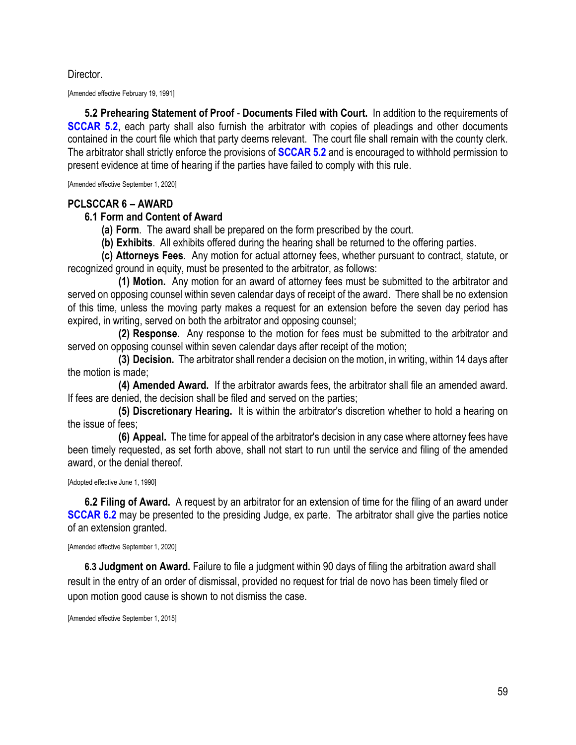Director.

[Amended effective February 19, 1991]

**5.2 Prehearing Statement of Proof** - **Documents Filed with Court.** In addition to the requirements of **[SCCAR 5.2](http://www.courts.wa.gov/court_rules/?fa=court_rules.display&group=sup&set=MAR&ruleid=supmar5.2)**, each party shall also furnish the arbitrator with copies of pleadings and other documents contained in the court file which that party deems relevant. The court file shall remain with the county clerk. The arbitrator shall strictly enforce the provisions of **[SCCAR 5.2](http://www.courts.wa.gov/court_rules/?fa=court_rules.display&group=sup&set=MAR&ruleid=supmar5.2)** and is encouraged to withhold permission to present evidence at time of hearing if the parties have failed to comply with this rule.

[Amended effective September 1, 2020]

#### **PCLSCCAR 6 – AWARD**

#### **6.1 Form and Content of Award**

**(a) Form**. The award shall be prepared on the form prescribed by the court.

**(b) Exhibits**. All exhibits offered during the hearing shall be returned to the offering parties.

<span id="page-58-0"></span>**(c) Attorneys Fees**. Any motion for actual attorney fees, whether pursuant to contract, statute, or recognized ground in equity, must be presented to the arbitrator, as follows:

**(1) Motion.** Any motion for an award of attorney fees must be submitted to the arbitrator and served on opposing counsel within seven calendar days of receipt of the award. There shall be no extension of this time, unless the moving party makes a request for an extension before the seven day period has expired, in writing, served on both the arbitrator and opposing counsel;

**(2) Response.** Any response to the motion for fees must be submitted to the arbitrator and served on opposing counsel within seven calendar days after receipt of the motion;

**(3) Decision.** The arbitrator shall render a decision on the motion, in writing, within 14 days after the motion is made;

**(4) Amended Award.** If the arbitrator awards fees, the arbitrator shall file an amended award. If fees are denied, the decision shall be filed and served on the parties;

**(5) Discretionary Hearing.** It is within the arbitrator's discretion whether to hold a hearing on the issue of fees;

**(6) Appeal.** The time for appeal of the arbitrator's decision in any case where attorney fees have been timely requested, as set forth above, shall not start to run until the service and filing of the amended award, or the denial thereof.

[Adopted effective June 1, 1990]

**6.2 Filing of Award.** A request by an arbitrator for an extension of time for the filing of an award under **[SCCAR 6.2](http://www.courts.wa.gov/court_rules/?fa=court_rules.display&group=sup&set=MAR&ruleid=supmar6.2)** may be presented to the presiding Judge, ex parte. The arbitrator shall give the parties notice of an extension granted.

[Amended effective September 1, 2020]

**6.3 Judgment on Award.** Failure to file a judgment within 90 days of filing the arbitration award shall result in the entry of an order of dismissal, provided no request for trial de novo has been timely filed or upon motion good cause is shown to not dismiss the case.

[Amended effective September 1, 2015]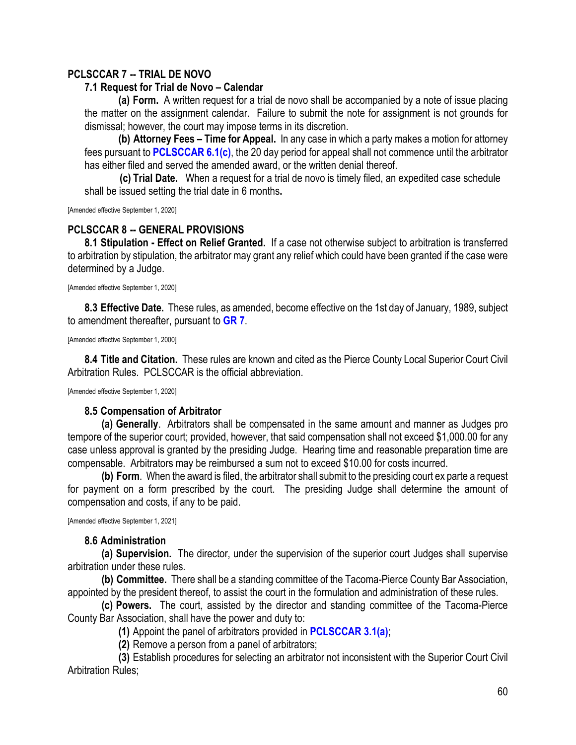#### **PCLSCCAR 7 -- TRIAL DE NOVO**

#### **7.1 Request for Trial de Novo – Calendar**

**(a) Form.** A written request for a trial de novo shall be accompanied by a note of issue placing the matter on the assignment calendar. Failure to submit the note for assignment is not grounds for dismissal; however, the court may impose terms in its discretion.

**(b) Attorney Fees – Time for Appeal.** In any case in which a party makes a motion for attorney fees pursuant to **[PCLSCCAR 6.1\(c\)](#page-58-0)**, the 20 day period for appeal shall not commence until the arbitrator has either filed and served the amended award, or the written denial thereof.

 **(c) Trial Date.** When a request for a trial de novo is timely filed, an expedited case schedule shall be issued setting the trial date in 6 months**.**

[Amended effective September 1, 2020]

#### **PCLSCCAR 8 -- GENERAL PROVISIONS**

**8.1 Stipulation - Effect on Relief Granted.** If a case not otherwise subject to arbitration is transferred to arbitration by stipulation, the arbitrator may grant any relief which could have been granted if the case were determined by a Judge.

[Amended effective September 1, 2020]

**8.3 Effective Date.** These rules, as amended, become effective on the 1st day of January, 1989, subject to amendment thereafter, pursuant to **[GR 7](http://www.courts.wa.gov/court_rules/?fa=court_rules.display&group=ga&set=GR&ruleid=gagr07)**.

[Amended effective September 1, 2000]

**8.4 Title and Citation.** These rules are known and cited as the Pierce County Local Superior Court Civil Arbitration Rules. PCLSCCAR is the official abbreviation.

[Amended effective September 1, 2020]

#### **8.5 Compensation of Arbitrator**

**(a) Generally**. Arbitrators shall be compensated in the same amount and manner as Judges pro tempore of the superior court; provided, however, that said compensation shall not exceed \$1,000.00 for any case unless approval is granted by the presiding Judge. Hearing time and reasonable preparation time are compensable. Arbitrators may be reimbursed a sum not to exceed \$10.00 for costs incurred.

**(b) Form**. When the award is filed, the arbitrator shall submit to the presiding court ex parte a request for payment on a form prescribed by the court. The presiding Judge shall determine the amount of compensation and costs, if any to be paid.

[Amended effective September 1, 2021]

#### **8.6 Administration**

**(a) Supervision.** The director, under the supervision of the superior court Judges shall supervise arbitration under these rules.

**(b) Committee.** There shall be a standing committee of the Tacoma-Pierce County Bar Association, appointed by the president thereof, to assist the court in the formulation and administration of these rules.

**(c) Powers.** The court, assisted by the director and standing committee of the Tacoma-Pierce County Bar Association, shall have the power and duty to:

**(1)** Appoint the panel of arbitrators provided in **[PCLSCCAR 3.1\(a\)](#page-56-1)**;

**(2)** Remove a person from a panel of arbitrators;

**(3)** Establish procedures for selecting an arbitrator not inconsistent with the Superior Court Civil Arbitration Rules;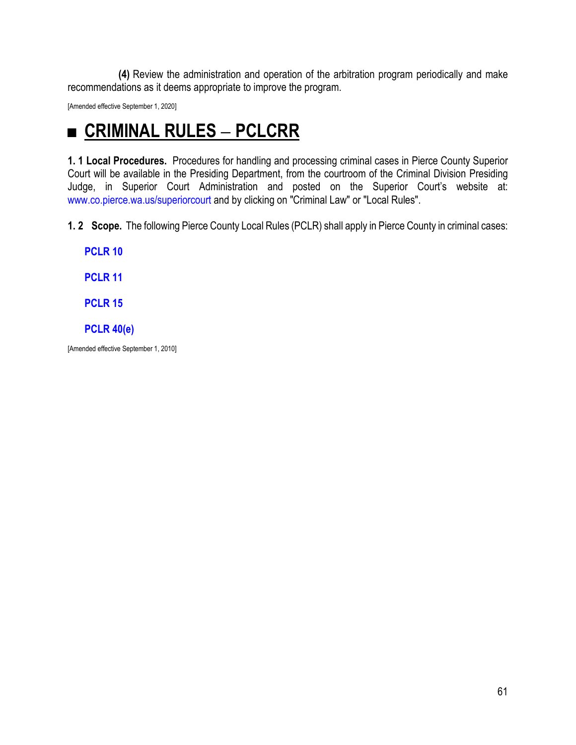**(4)** Review the administration and operation of the arbitration program periodically and make recommendations as it deems appropriate to improve the program.

[Amended effective September 1, 2020]

# **■ CRIMINAL RULES – PCLCRR**

**1. 1 Local Procedures.** Procedures for handling and processing criminal cases in Pierce County Superior Court will be available in the Presiding Department, from the courtroom of the Criminal Division Presiding Judge, in Superior Court Administration and posted on the Superior Court's website at: [www.co.pierce.wa.us/superiorcourt](http://www.co.pierce.wa.us/superiorcourt) and by clicking on "Criminal Law" or "Local Rules".

**1. 2 Scope.** The following Pierce County Local Rules (PCLR) shall apply in Pierce County in criminal cases:

**[PCLR 10](#page-31-0)**

**[PCLR 11](#page-32-0)**

**[PCLR 15](#page-33-2)**

**[PCLR 40\(e\)](#page-37-1)**

[Amended effective September 1, 2010]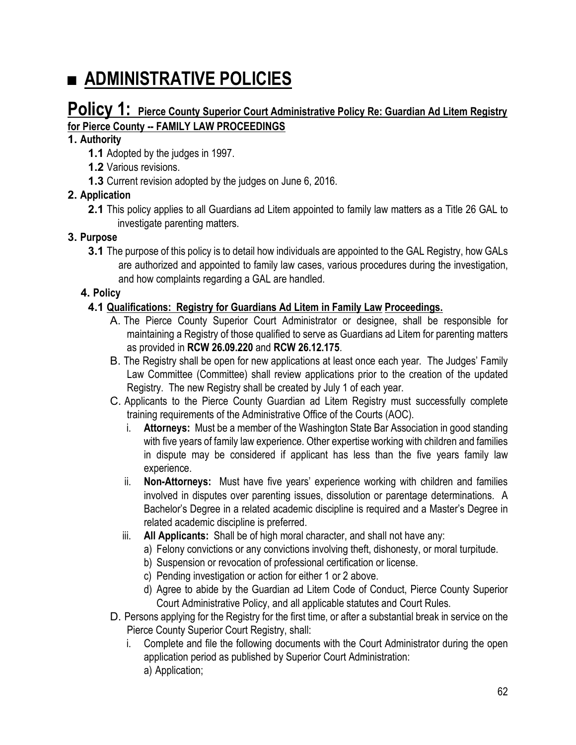# **■ ADMINISTRATIVE POLICIES**

# <span id="page-61-0"></span>**Policy 1: Pierce County Superior Court Administrative Policy Re: Guardian Ad Litem Registry for Pierce County -- FAMILY LAW PROCEEDINGS**

# **1. Authority**

- **1.1** Adopted by the judges in 1997.
- **1.2** Various revisions.
- **1.3** Current revision adopted by the judges on June 6, 2016.

# **2. Application**

**2.1** This policy applies to all Guardians ad Litem appointed to family law matters as a Title 26 GAL to investigate parenting matters.

# **3. Purpose**

**3.1** The purpose of this policy is to detail how individuals are appointed to the GAL Registry, how GALs are authorized and appointed to family law cases, various procedures during the investigation, and how complaints regarding a GAL are handled.

# **4. Policy**

# **4.1 Qualifications: Registry for Guardians Ad Litem in Family Law Proceedings.**

- A. The Pierce County Superior Court Administrator or designee, shall be responsible for maintaining a Registry of those qualified to serve as Guardians ad Litem for parenting matters as provided in **[RCW 26.09.220](http://apps.leg.wa.gov/rcw/default.aspx?cite=26.09.220)** [a](http://apps.leg.wa.gov/rcw/default.aspx?cite=26.09.220)nd **[RCW 26.12.175](http://apps.leg.wa.gov/rcw/default.aspx?cite=26.12.175)**[.](http://apps.leg.wa.gov/rcw/default.aspx?cite=26.12.175)
- B. The Registry shall be open for new applications at least once each year*.* The Judges' Family Law Committee (Committee) shall review applications prior to the creation of the updated Registry. The new Registry shall be created by July 1 of each year.
- C. Applicants to the Pierce County Guardian ad Litem Registry must successfully complete training requirements of the Administrative Office of the Courts (AOC).
	- i. **Attorneys:** Must be a member of the Washington State Bar Association in good standing with five years of family law experience. Other expertise working with children and families in dispute may be considered if applicant has less than the five years family law experience.
	- ii. **Non-Attorneys:** Must have five years' experience working with children and families involved in disputes over parenting issues, dissolution or parentage determinations. A Bachelor's Degree in a related academic discipline is required and a Master's Degree in related academic discipline is preferred.
	- iii. **All Applicants:** Shall be of high moral character, and shall not have any:
		- a) Felony convictions or any convictions involving theft, dishonesty, or moral turpitude.
		- b) Suspension or revocation of professional certification or license.
		- c) Pending investigation or action for either 1 or 2 above.
		- d) Agree to abide by the Guardian ad Litem Code of Conduct, Pierce County Superior Court Administrative Policy, and all applicable statutes and Court Rules.
- D. Persons applying for the Registry for the first time, or after a substantial break in service on the Pierce County Superior Court Registry, shall:
	- i. Complete and file the following documents with the Court Administrator during the open application period as published by Superior Court Administration: a) Application;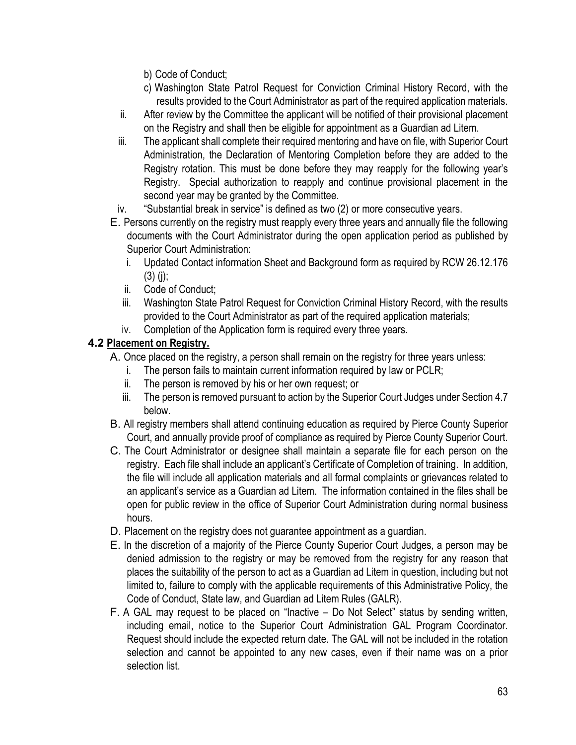- b) Code of Conduct;
- c) Washington State Patrol Request for Conviction Criminal History Record, with the results provided to the Court Administrator as part of the required application materials.
- ii. After review by the Committee the applicant will be notified of their provisional placement on the Registry and shall then be eligible for appointment as a Guardian ad Litem.
- iii. The applicant shall complete their required mentoring and have on file, with Superior Court Administration, the Declaration of Mentoring Completion before they are added to the Registry rotation. This must be done before they may reapply for the following year's Registry. Special authorization to reapply and continue provisional placement in the second year may be granted by the Committee.
- iv. "Substantial break in service" is defined as two (2) or more consecutive years.
- E. Persons currently on the registry must reapply every three years and annually file the following documents with the Court Administrator during the open application period as published by Superior Court Administration:
	- i. Updated Contact information Sheet and Background form as required by RCW 26.12.176  $(3)$  (i);
	- ii. Code of Conduct;
	- iii. Washington State Patrol Request for Conviction Criminal History Record, with the results provided to the Court Administrator as part of the required application materials;
	- iv. Completion of the Application form is required every three years.

# **4.2 Placement on Registry.**

- A. Once placed on the registry, a person shall remain on the registry for three years unless:
	- i. The person fails to maintain current information required by law or PCLR;
	- ii. The person is removed by his or her own request; or
	- iii. The person is removed pursuant to action by the Superior Court Judges under Section 4.7 below.
- B. All registry members shall attend continuing education as required by Pierce County Superior Court, and annually provide proof of compliance as required by Pierce County Superior Court.
- C. The Court Administrator or designee shall maintain a separate file for each person on the registry. Each file shall include an applicant's Certificate of Completion of training. In addition, the file will include all application materials and all formal complaints or grievances related to an applicant's service as a Guardian ad Litem. The information contained in the files shall be open for public review in the office of Superior Court Administration during normal business hours.
- D. Placement on the registry does not guarantee appointment as a guardian.
- E. In the discretion of a majority of the Pierce County Superior Court Judges, a person may be denied admission to the registry or may be removed from the registry for any reason that places the suitability of the person to act as a Guardian ad Litem in question, including but not limited to, failure to comply with the applicable requirements of this Administrative Policy, the Code of Conduct, State law, and Guardian ad Litem Rules (GALR).
- F. A GAL may request to be placed on "Inactive Do Not Select" status by sending written, including email, notice to the Superior Court Administration GAL Program Coordinator. Request should include the expected return date. The GAL will not be included in the rotation selection and cannot be appointed to any new cases, even if their name was on a prior selection list.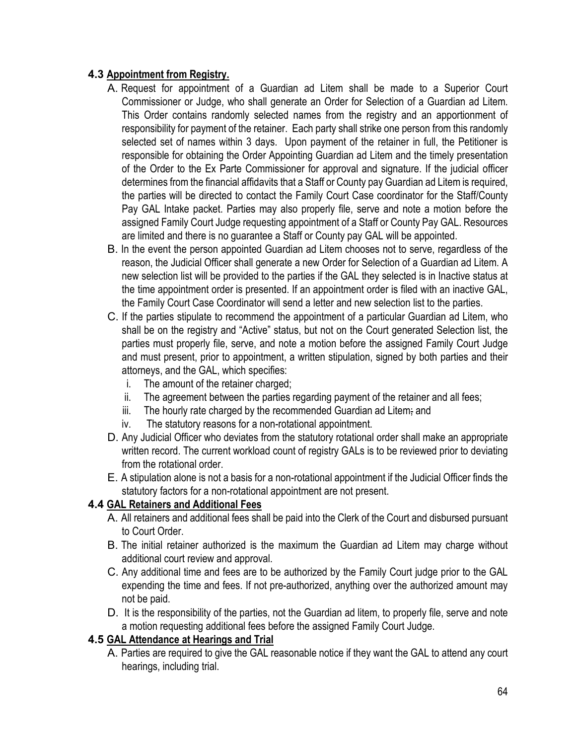# **4.3 Appointment from Registry.**

- A. Request for appointment of a Guardian ad Litem shall be made to a Superior Court Commissioner or Judge, who shall generate an Order for Selection of a Guardian ad Litem. This Order contains randomly selected names from the registry and an apportionment of responsibility for payment of the retainer. Each party shall strike one person from this randomly selected set of names within 3 days. Upon payment of the retainer in full, the Petitioner is responsible for obtaining the Order Appointing Guardian ad Litem and the timely presentation of the Order to the Ex Parte Commissioner for approval and signature. If the judicial officer determines from the financial affidavits that a Staff or County pay Guardian ad Litem is required, the parties will be directed to contact the Family Court Case coordinator for the Staff/County Pay GAL Intake packet. Parties may also properly file, serve and note a motion before the assigned Family Court Judge requesting appointment of a Staff or County Pay GAL. Resources are limited and there is no guarantee a Staff or County pay GAL will be appointed.
- B. In the event the person appointed Guardian ad Litem chooses not to serve, regardless of the reason, the Judicial Officer shall generate a new Order for Selection of a Guardian ad Litem. A new selection list will be provided to the parties if the GAL they selected is in Inactive status at the time appointment order is presented. If an appointment order is filed with an inactive GAL, the Family Court Case Coordinator will send a letter and new selection list to the parties.
- C. If the parties stipulate to recommend the appointment of a particular Guardian ad Litem, who shall be on the registry and "Active" status, but not on the Court generated Selection list, the parties must properly file, serve, and note a motion before the assigned Family Court Judge and must present, prior to appointment, a written stipulation, signed by both parties and their attorneys, and the GAL, which specifies:
	- i. The amount of the retainer charged;
	- ii. The agreement between the parties regarding payment of the retainer and all fees;
	- iii. The hourly rate charged by the recommended Guardian ad Litem; and
	- iv. The statutory reasons for a non-rotational appointment.
- D. Any Judicial Officer who deviates from the statutory rotational order shall make an appropriate written record. The current workload count of registry GALs is to be reviewed prior to deviating from the rotational order.
- E. A stipulation alone is not a basis for a non-rotational appointment if the Judicial Officer finds the statutory factors for a non-rotational appointment are not present.

# **4.4 GAL Retainers and Additional Fees**

- A. All retainers and additional fees shall be paid into the Clerk of the Court and disbursed pursuant to Court Order.
- B. The initial retainer authorized is the maximum the Guardian ad Litem may charge without additional court review and approval.
- C. Any additional time and fees are to be authorized by the Family Court judge prior to the GAL expending the time and fees. If not pre-authorized, anything over the authorized amount may not be paid.
- D. It is the responsibility of the parties, not the Guardian ad litem, to properly file, serve and note a motion requesting additional fees before the assigned Family Court Judge.

# **4.5 GAL Attendance at Hearings and Trial**

A. Parties are required to give the GAL reasonable notice if they want the GAL to attend any court hearings, including trial.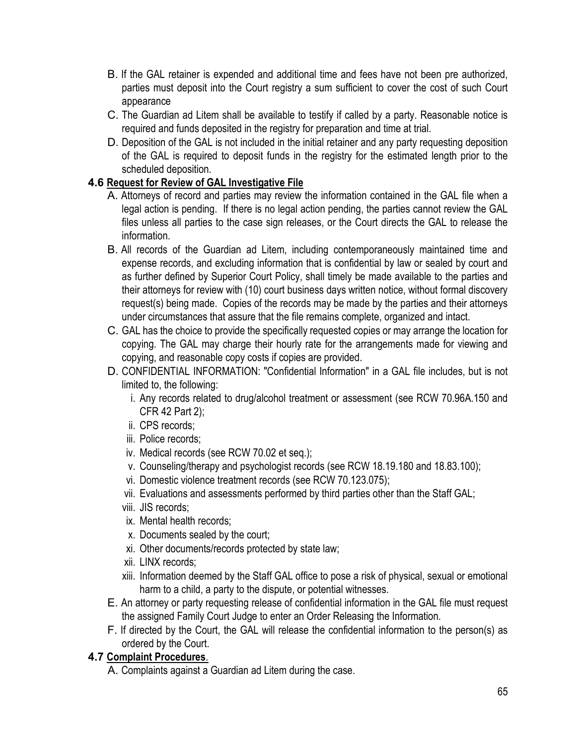- B. If the GAL retainer is expended and additional time and fees have not been pre authorized, parties must deposit into the Court registry a sum sufficient to cover the cost of such Court appearance
- C. The Guardian ad Litem shall be available to testify if called by a party. Reasonable notice is required and funds deposited in the registry for preparation and time at trial.
- D. Deposition of the GAL is not included in the initial retainer and any party requesting deposition of the GAL is required to deposit funds in the registry for the estimated length prior to the scheduled deposition.

# **4.6 Request for Review of GAL Investigative File**

- A. Attorneys of record and parties may review the information contained in the GAL file when a legal action is pending. If there is no legal action pending, the parties cannot review the GAL files unless all parties to the case sign releases, or the Court directs the GAL to release the information.
- B. All records of the Guardian ad Litem, including contemporaneously maintained time and expense records, and excluding information that is confidential by law or sealed by court and as further defined by Superior Court Policy, shall timely be made available to the parties and their attorneys for review with (10) court business days written notice, without formal discovery request(s) being made. Copies of the records may be made by the parties and their attorneys under circumstances that assure that the file remains complete, organized and intact.
- C. GAL has the choice to provide the specifically requested copies or may arrange the location for copying. The GAL may charge their hourly rate for the arrangements made for viewing and copying, and reasonable copy costs if copies are provided.
- D. CONFIDENTIAL INFORMATION: "Confidential Information" in a GAL file includes, but is not limited to, the following:
	- i. Any records related to drug/alcohol treatment or assessment (see RCW 70.96A.150 and CFR 42 Part 2);
	- ii. CPS records;
	- iii. Police records;
	- iv. Medical records (see RCW 70.02 et seq.);
	- v. Counseling/therapy and psychologist records (see RCW 18.19.180 and 18.83.100);
	- vi. Domestic violence treatment records (see RCW 70.123.075);
	- vii. Evaluations and assessments performed by third parties other than the Staff GAL;
	- viii. JIS records;
	- ix. Mental health records;
	- x. Documents sealed by the court;
	- xi. Other documents/records protected by state law;
	- xii. LINX records;
	- xiii. Information deemed by the Staff GAL office to pose a risk of physical, sexual or emotional harm to a child, a party to the dispute, or potential witnesses.
- E. An attorney or party requesting release of confidential information in the GAL file must request the assigned Family Court Judge to enter an Order Releasing the Information.
- F. If directed by the Court, the GAL will release the confidential information to the person(s) as ordered by the Court.

# **4.7 Complaint Procedures**.

A. Complaints against a Guardian ad Litem during the case.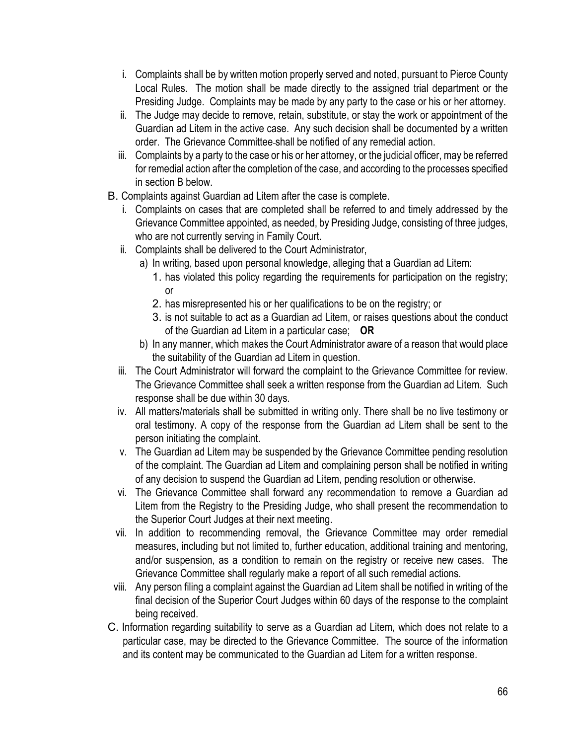- i. Complaints shall be by written motion properly served and noted, pursuant to Pierce County Local Rules. The motion shall be made directly to the assigned trial department or the Presiding Judge. Complaints may be made by any party to the case or his or her attorney.
- ii. The Judge may decide to remove, retain, substitute, or stay the work or appointment of the Guardian ad Litem in the active case. Any such decision shall be documented by a written order. The Grievance Committee shall be notified of any remedial action.
- iii. Complaints by a party to the case or his or her attorney, or the judicial officer, may be referred for remedial action after the completion of the case, and according to the processes specified in section B below.
- B. Complaints against Guardian ad Litem after the case is complete.
	- i. Complaints on cases that are completed shall be referred to and timely addressed by the Grievance Committee appointed, as needed, by Presiding Judge, consisting of three judges, who are not currently serving in Family Court.
	- ii. Complaints shall be delivered to the Court Administrator,
		- a) In writing, based upon personal knowledge, alleging that a Guardian ad Litem:
			- 1. has violated this policy regarding the requirements for participation on the registry; or
			- 2. has misrepresented his or her qualifications to be on the registry; or
			- 3. is not suitable to act as a Guardian ad Litem, or raises questions about the conduct of the Guardian ad Litem in a particular case; **OR**
		- b) In any manner, which makes the Court Administrator aware of a reason that would place the suitability of the Guardian ad Litem in question.
	- iii. The Court Administrator will forward the complaint to the Grievance Committee for review. The Grievance Committee shall seek a written response from the Guardian ad Litem. Such response shall be due within 30 days.
	- iv. All matters/materials shall be submitted in writing only. There shall be no live testimony or oral testimony. A copy of the response from the Guardian ad Litem shall be sent to the person initiating the complaint.
	- v. The Guardian ad Litem may be suspended by the Grievance Committee pending resolution of the complaint. The Guardian ad Litem and complaining person shall be notified in writing of any decision to suspend the Guardian ad Litem, pending resolution or otherwise.
	- vi. The Grievance Committee shall forward any recommendation to remove a Guardian ad Litem from the Registry to the Presiding Judge, who shall present the recommendation to the Superior Court Judges at their next meeting.
	- vii. In addition to recommending removal, the Grievance Committee may order remedial measures, including but not limited to, further education, additional training and mentoring, and/or suspension, as a condition to remain on the registry or receive new cases. The Grievance Committee shall regularly make a report of all such remedial actions.
- viii. Any person filing a complaint against the Guardian ad Litem shall be notified in writing of the final decision of the Superior Court Judges within 60 days of the response to the complaint being received.
- C. Information regarding suitability to serve as a Guardian ad Litem, which does not relate to a particular case, may be directed to the Grievance Committee. The source of the information and its content may be communicated to the Guardian ad Litem for a written response.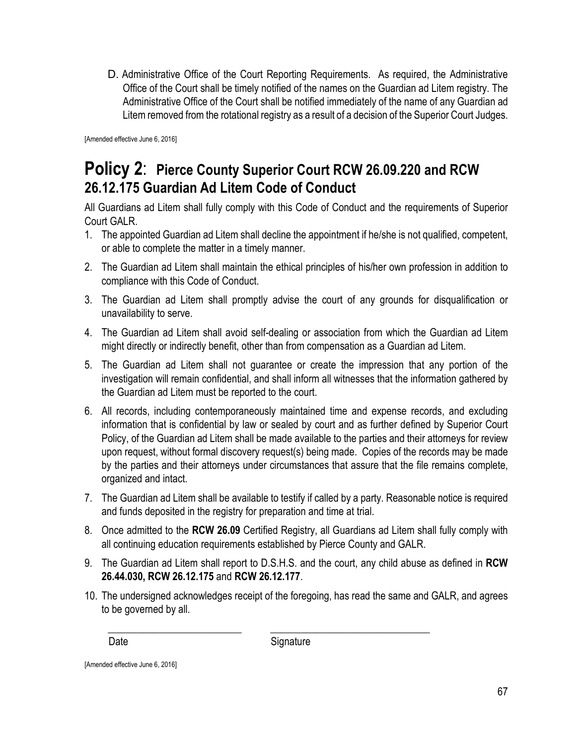D. Administrative Office of the Court Reporting Requirements. As required, the Administrative Office of the Court shall be timely notified of the names on the Guardian ad Litem registry. The Administrative Office of the Court shall be notified immediately of the name of any Guardian ad Litem removed from the rotational registry as a result of a decision of the Superior Court Judges.

[Amended effective June 6, 2016]

# <span id="page-66-0"></span>**Policy 2**: **Pierce County Superior Court [RCW 26.09.220](http://apps.leg.wa.gov/rcw/default.aspx?cite=26.09.220) and [RCW](http://apps.leg.wa.gov/rcw/default.aspx?cite=26.12.175)  [26.12.175](http://apps.leg.wa.gov/rcw/default.aspx?cite=26.12.175) Guardian Ad Litem Code of Conduct**

All Guardians ad Litem shall fully comply with this Code of Conduct and the requirements of Superior Court GALR.

- 1. The appointed Guardian ad Litem shall decline the appointment if he/she is not qualified, competent, or able to complete the matter in a timely manner.
- 2. The Guardian ad Litem shall maintain the ethical principles of his/her own profession in addition to compliance with this Code of Conduct.
- 3. The Guardian ad Litem shall promptly advise the court of any grounds for disqualification or unavailability to serve.
- 4. The Guardian ad Litem shall avoid self-dealing or association from which the Guardian ad Litem might directly or indirectly benefit, other than from compensation as a Guardian ad Litem.
- 5. The Guardian ad Litem shall not guarantee or create the impression that any portion of the investigation will remain confidential, and shall inform all witnesses that the information gathered by the Guardian ad Litem must be reported to the court.
- 6. All records, including contemporaneously maintained time and expense records, and excluding information that is confidential by law or sealed by court and as further defined by Superior Court Policy, of the Guardian ad Litem shall be made available to the parties and their attorneys for review upon request, without formal discovery request(s) being made. Copies of the records may be made by the parties and their attorneys under circumstances that assure that the file remains complete, organized and intact.
- 7. The Guardian ad Litem shall be available to testify if called by a party. Reasonable notice is required and funds deposited in the registry for preparation and time at trial.
- 8. Once admitted to the **[RCW 26.09](http://apps.leg.wa.gov/rcw/default.aspx?cite=26.09)** Certified Registry, all Guardians ad Litem shall fully comply with all continuing education requirements established by Pierce County and GALR.
- 9. The Guardian ad Litem shall report to D.S.H.S. and the court, any child abuse as defined in **[RCW](http://apps.leg.wa.gov/rcw/default.aspx?cite=26.44.030)  [26.44.030,](http://apps.leg.wa.gov/rcw/default.aspx?cite=26.44.030) [RCW 26.12.175](http://apps.leg.wa.gov/rcw/default.aspx?cite=26.12.175)** an[d](http://apps.leg.wa.gov/rcw/default.aspx?cite=26.12.177) **[RCW 26.12.177](http://apps.leg.wa.gov/rcw/default.aspx?cite=26.12.177)**[.](http://apps.leg.wa.gov/rcw/default.aspx?cite=26.12.177)
- 10. The undersigned acknowledges receipt of the foregoing, has read the same and GALR, and agrees to be governed by all.

Date Signature

 $\frac{1}{2}$  ,  $\frac{1}{2}$  ,  $\frac{1}{2}$  ,  $\frac{1}{2}$  ,  $\frac{1}{2}$  ,  $\frac{1}{2}$  ,  $\frac{1}{2}$  ,  $\frac{1}{2}$  ,  $\frac{1}{2}$  ,  $\frac{1}{2}$  ,  $\frac{1}{2}$  ,  $\frac{1}{2}$  ,  $\frac{1}{2}$  ,  $\frac{1}{2}$  ,  $\frac{1}{2}$  ,  $\frac{1}{2}$  ,  $\frac{1}{2}$  ,  $\frac{1}{2}$  ,  $\frac{1$ 

[Amended effective June 6, 2016]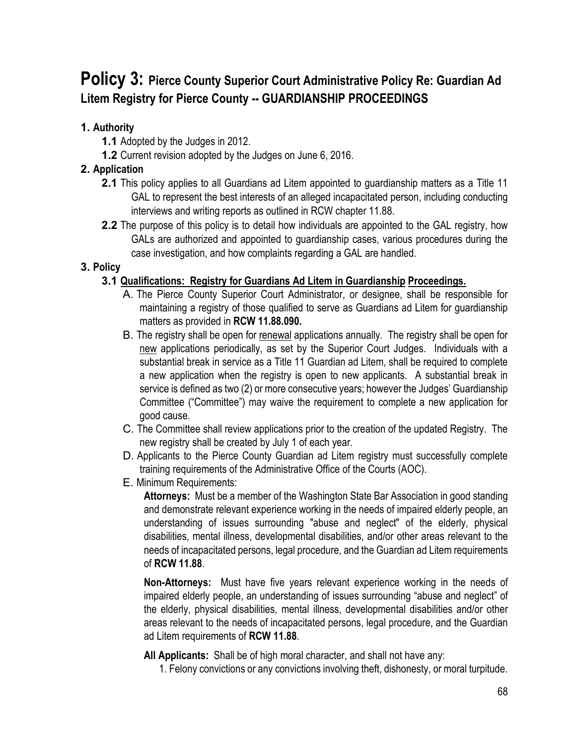# **Policy 3: Pierce County Superior Court Administrative Policy Re: Guardian Ad Litem Registry for Pierce County -- GUARDIANSHIP PROCEEDINGS**

### **1. Authority**

- **1.1** Adopted by the Judges in 2012.
- **1.2** Current revision adopted by the Judges on June 6, 2016.

### **2. Application**

- **2.1** This policy applies to all Guardians ad Litem appointed to guardianship matters as a Title 11 GAL to represent the best interests of an alleged incapacitated person, including conducting interviews and writing reports as outlined in RCW chapter 11.88.
- **2.2** The purpose of this policy is to detail how individuals are appointed to the GAL registry, how GALs are authorized and appointed to guardianship cases, various procedures during the case investigation, and how complaints regarding a GAL are handled.

#### **3. Policy**

#### **3.1 Qualifications: Registry for Guardians Ad Litem in Guardianship Proceedings.**

- A. The Pierce County Superior Court Administrator, or designee, shall be responsible for maintaining a registry of those qualified to serve as Guardians ad Litem for guardianship matters as provided in **RCW 11.88.090.**
- B. The registry shall be open for renewal applications annually*.* The registry shall be open for new applications periodically, as set by the Superior Court Judges. Individuals with a substantial break in service as a Title 11 Guardian ad Litem, shall be required to complete a new application when the registry is open to new applicants. A substantial break in service is defined as two (2) or more consecutive years; however the Judges' Guardianship Committee ("Committee") may waive the requirement to complete a new application for good cause.
- C. The Committee shall review applications prior to the creation of the updated Registry. The new registry shall be created by July 1 of each year.
- D. Applicants to the Pierce County Guardian ad Litem registry must successfully complete training requirements of the Administrative Office of the Courts (AOC).
- E. Minimum Requirements:

**Attorneys:** Must be a member of the Washington State Bar Association in good standing and demonstrate relevant experience working in the needs of impaired elderly people, an understanding of issues surrounding "abuse and neglect" of the elderly, physical disabilities, mental illness, developmental disabilities, and/or other areas relevant to the needs of incapacitated persons, legal procedure, and the Guardian ad Litem requirements of **RCW 11.88**.

**Non-Attorneys:** Must have five years relevant experience working in the needs of impaired elderly people, an understanding of issues surrounding "abuse and neglect" of the elderly, physical disabilities, mental illness, developmental disabilities and/or other areas relevant to the needs of incapacitated persons, legal procedure, and the Guardian ad Litem requirements of **RCW 11.88**.

**All Applicants:** Shall be of high moral character, and shall not have any:

1. Felony convictions or any convictions involving theft, dishonesty, or moral turpitude.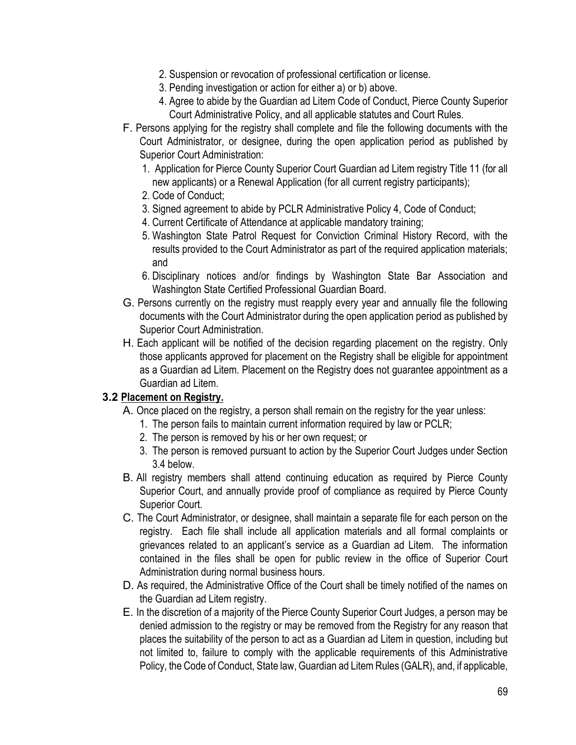- 2. Suspension or revocation of professional certification or license.
- 3. Pending investigation or action for either a) or b) above.
- 4. Agree to abide by the Guardian ad Litem Code of Conduct, Pierce County Superior Court Administrative Policy, and all applicable statutes and Court Rules.
- F. Persons applying for the registry shall complete and file the following documents with the Court Administrator, or designee, during the open application period as published by Superior Court Administration:
	- 1. Application for Pierce County Superior Court Guardian ad Litem registry Title 11 (for all new applicants) or a Renewal Application (for all current registry participants);
	- 2. Code of Conduct;
	- 3. Signed agreement to abide by PCLR Administrative Policy 4, Code of Conduct;
	- 4. Current Certificate of Attendance at applicable mandatory training;
	- 5. Washington State Patrol Request for Conviction Criminal History Record, with the results provided to the Court Administrator as part of the required application materials; and
	- 6. Disciplinary notices and/or findings by Washington State Bar Association and Washington State Certified Professional Guardian Board.
- G. Persons currently on the registry must reapply every year and annually file the following documents with the Court Administrator during the open application period as published by Superior Court Administration.
- H. Each applicant will be notified of the decision regarding placement on the registry. Only those applicants approved for placement on the Registry shall be eligible for appointment as a Guardian ad Litem. Placement on the Registry does not guarantee appointment as a Guardian ad Litem.

# **3.2 Placement on Registry.**

- A. Once placed on the registry, a person shall remain on the registry for the year unless:
	- 1. The person fails to maintain current information required by law or PCLR;
	- 2. The person is removed by his or her own request; or
	- 3. The person is removed pursuant to action by the Superior Court Judges under Section 3.4 below.
- B. All registry members shall attend continuing education as required by Pierce County Superior Court, and annually provide proof of compliance as required by Pierce County Superior Court.
- C. The Court Administrator, or designee, shall maintain a separate file for each person on the registry. Each file shall include all application materials and all formal complaints or grievances related to an applicant's service as a Guardian ad Litem. The information contained in the files shall be open for public review in the office of Superior Court Administration during normal business hours.
- D. As required, the Administrative Office of the Court shall be timely notified of the names on the Guardian ad Litem registry.
- E. In the discretion of a majority of the Pierce County Superior Court Judges, a person may be denied admission to the registry or may be removed from the Registry for any reason that places the suitability of the person to act as a Guardian ad Litem in question, including but not limited to, failure to comply with the applicable requirements of this Administrative Policy, the Code of Conduct, State law, Guardian ad Litem Rules (GALR), and, if applicable,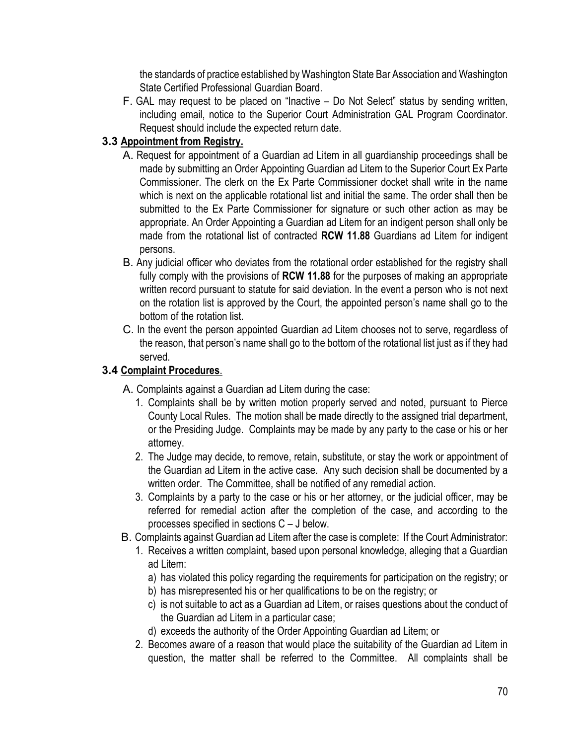the standards of practice established by Washington State Bar Association and Washington State Certified Professional Guardian Board.

F. GAL may request to be placed on "Inactive – Do Not Select" status by sending written, including email, notice to the Superior Court Administration GAL Program Coordinator. Request should include the expected return date.

# **3.3 Appointment from Registry.**

- A. Request for appointment of a Guardian ad Litem in all guardianship proceedings shall be made by submitting an Order Appointing Guardian ad Litem to the Superior Court Ex Parte Commissioner. The clerk on the Ex Parte Commissioner docket shall write in the name which is next on the applicable rotational list and initial the same. The order shall then be submitted to the Ex Parte Commissioner for signature or such other action as may be appropriate. An Order Appointing a Guardian ad Litem for an indigent person shall only be made from the rotational list of contracted **RCW 11.88** Guardians ad Litem for indigent persons.
- B. Any judicial officer who deviates from the rotational order established for the registry shall fully comply with the provisions of **RCW 11.88** for the purposes of making an appropriate written record pursuant to statute for said deviation. In the event a person who is not next on the rotation list is approved by the Court, the appointed person's name shall go to the bottom of the rotation list.
- C. In the event the person appointed Guardian ad Litem chooses not to serve, regardless of the reason, that person's name shall go to the bottom of the rotational list just as if they had served.

# **3.4 Complaint Procedures**.

- A. Complaints against a Guardian ad Litem during the case:
	- 1. Complaints shall be by written motion properly served and noted, pursuant to Pierce County Local Rules. The motion shall be made directly to the assigned trial department, or the Presiding Judge. Complaints may be made by any party to the case or his or her attorney.
	- 2. The Judge may decide, to remove, retain, substitute, or stay the work or appointment of the Guardian ad Litem in the active case. Any such decision shall be documented by a written order. The Committee, shall be notified of any remedial action.
	- 3. Complaints by a party to the case or his or her attorney, or the judicial officer, may be referred for remedial action after the completion of the case, and according to the processes specified in sections C – J below.
- B. Complaints against Guardian ad Litem after the case is complete: If the Court Administrator:
	- 1. Receives a written complaint, based upon personal knowledge, alleging that a Guardian ad Litem:
		- a) has violated this policy regarding the requirements for participation on the registry; or
		- b) has misrepresented his or her qualifications to be on the registry; or
		- c) is not suitable to act as a Guardian ad Litem, or raises questions about the conduct of the Guardian ad Litem in a particular case;
		- d) exceeds the authority of the Order Appointing Guardian ad Litem; or
	- 2. Becomes aware of a reason that would place the suitability of the Guardian ad Litem in question, the matter shall be referred to the Committee. All complaints shall be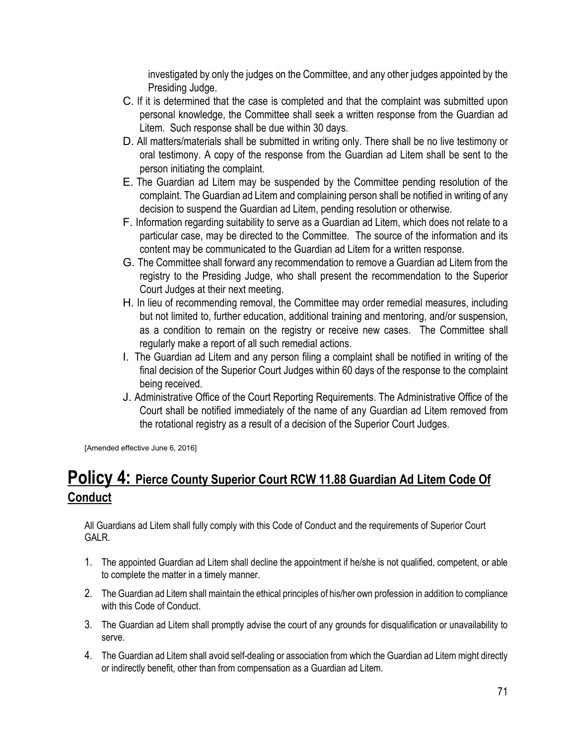investigated by only the judges on the Committee, and any other judges appointed by the Presiding Judge.

- C. If it is determined that the case is completed and that the complaint was submitted upon personal knowledge, the Committee shall seek a written response from the Guardian ad Litem. Such response shall be due within 30 days.
- D. All matters/materials shall be submitted in writing only. There shall be no live testimony or oral testimony. A copy of the response from the Guardian ad Litem shall be sent to the person initiating the complaint.
- E. The Guardian ad Litem may be suspended by the Committee pending resolution of the complaint. The Guardian ad Litem and complaining person shall be notified in writing of any decision to suspend the Guardian ad Litem, pending resolution or otherwise.
- F. Information regarding suitability to serve as a Guardian ad Litem, which does not relate to a particular case, may be directed to the Committee. The source of the information and its content may be communicated to the Guardian ad Litem for a written response.
- G. The Committee shall forward any recommendation to remove a Guardian ad Litem from the registry to the Presiding Judge, who shall present the recommendation to the Superior Court Judges at their next meeting.
- H. In lieu of recommending removal, the Committee may order remedial measures, including but not limited to, further education, additional training and mentoring, and/or suspension, as a condition to remain on the registry or receive new cases. The Committee shall regularly make a report of all such remedial actions.
- I. The Guardian ad Litem and any person filing a complaint shall be notified in writing of the final decision of the Superior Court Judges within 60 days of the response to the complaint being received.
- J. Administrative Office of the Court Reporting Requirements. The Administrative Office of the Court shall be notified immediately of the name of any Guardian ad Litem removed from the rotational registry as a result of a decision of the Superior Court Judges.

[Amended effective June 6, 2016]

# **Policy 4: Pierce County Superior Court RCW 11.88 Guardian Ad Litem Code Of Conduct**

All Guardians ad Litem shall fully comply with this Code of Conduct and the requirements of Superior Court GALR.

- 1. The appointed Guardian ad Litem shall decline the appointment if he/she is not qualified, competent, or able to complete the matter in a timely manner.
- 2. The Guardian ad Litem shall maintain the ethical principles of his/her own profession in addition to compliance with this Code of Conduct.
- 3. The Guardian ad Litem shall promptly advise the court of any grounds for disqualification or unavailability to serve.
- 4. The Guardian ad Litem shall avoid self-dealing or association from which the Guardian ad Litem might directly or indirectly benefit, other than from compensation as a Guardian ad Litem.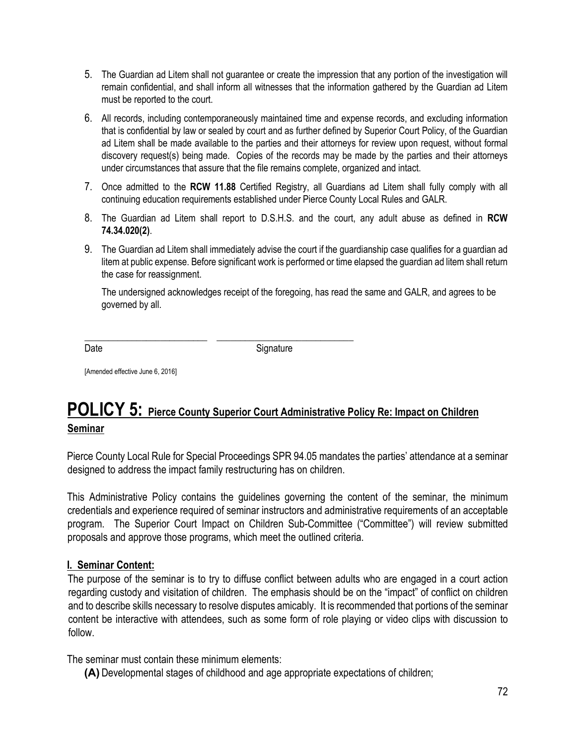- 5. The Guardian ad Litem shall not guarantee or create the impression that any portion of the investigation will remain confidential, and shall inform all witnesses that the information gathered by the Guardian ad Litem must be reported to the court.
- 6. All records, including contemporaneously maintained time and expense records, and excluding information that is confidential by law or sealed by court and as further defined by Superior Court Policy, of the Guardian ad Litem shall be made available to the parties and their attorneys for review upon request, without formal discovery request(s) being made. Copies of the records may be made by the parties and their attorneys under circumstances that assure that the file remains complete, organized and intact.
- 7. Once admitted to the **[RCW 11.88](http://apps.leg.wa.gov/rcw/default.aspx?cite=26.09)** Certified Registry, all Guardians ad Litem shall fully comply with all continuing education requirements established under Pierce County Local Rules and GALR.
- 8. The Guardian ad Litem shall report to D.S.H.S. and the court, any adult abuse as defined in **RCW 74.34.020(2)**[.](http://apps.leg.wa.gov/rcw/default.aspx?cite=26.12.177)
- 9. The Guardian ad Litem shall immediately advise the court if the guardianship case qualifies for a guardian ad litem at public expense. Before significant work is performed or time elapsed the guardian ad litem shall return the case for reassignment.

The undersigned acknowledges receipt of the foregoing, has read the same and GALR, and agrees to be governed by all.

\_\_\_\_\_\_\_\_\_\_\_\_\_\_\_\_\_\_\_\_\_\_\_\_\_\_ \_\_\_\_\_\_\_\_\_\_\_\_\_\_\_\_\_\_\_\_\_\_\_\_\_\_\_\_\_

Date Signature Signature

[Amended effective June 6, 2016]

# <span id="page-71-0"></span>**POLICY 5: Pierce County Superior Court Administrative Policy Re: Impact on Children Seminar**

Pierce County Local Rule for Special Proceedings SPR 94.05 mandates the parties' attendance at a seminar designed to address the impact family restructuring has on children.

This Administrative Policy contains the guidelines governing the content of the seminar, the minimum credentials and experience required of seminar instructors and administrative requirements of an acceptable program. The Superior Court Impact on Children Sub-Committee ("Committee") will review submitted proposals and approve those programs, which meet the outlined criteria.

#### **I. Seminar Content:**

The purpose of the seminar is to try to diffuse conflict between adults who are engaged in a court action regarding custody and visitation of children. The emphasis should be on the "impact" of conflict on children and to describe skills necessary to resolve disputes amicably. It is recommended that portions of the seminar content be interactive with attendees, such as some form of role playing or video clips with discussion to follow.

The seminar must contain these minimum elements:

**(A)** Developmental stages of childhood and age appropriate expectations of children;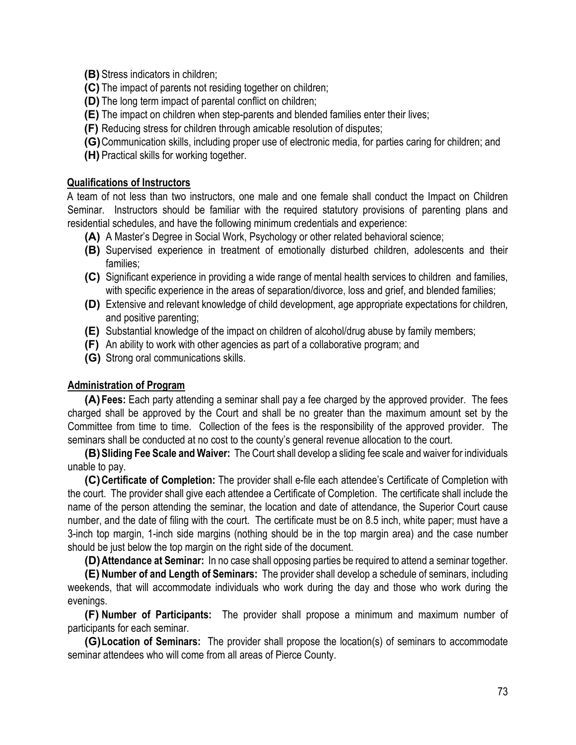**(B)** Stress indicators in children;

- **(C)** The impact of parents not residing together on children;
- **(D)** The long term impact of parental conflict on children;
- **(E)** The impact on children when step-parents and blended families enter their lives;
- **(F)** Reducing stress for children through amicable resolution of disputes;
- **(G)**Communication skills, including proper use of electronic media, for parties caring for children; and
- **(H)** Practical skills for working together.

### **Qualifications of Instructors**

A team of not less than two instructors, one male and one female shall conduct the Impact on Children Seminar. Instructors should be familiar with the required statutory provisions of parenting plans and residential schedules, and have the following minimum credentials and experience:

- **(A)** A Master's Degree in Social Work, Psychology or other related behavioral science;
- **(B)** Supervised experience in treatment of emotionally disturbed children, adolescents and their families;
- **(C)** Significant experience in providing a wide range of mental health services to children and families, with specific experience in the areas of separation/divorce, loss and grief, and blended families;
- **(D)** Extensive and relevant knowledge of child development, age appropriate expectations for children, and positive parenting;
- **(E)** Substantial knowledge of the impact on children of alcohol/drug abuse by family members;
- **(F)** An ability to work with other agencies as part of a collaborative program; and
- **(G)** Strong oral communications skills.

### **Administration of Program**

**(A)Fees:** Each party attending a seminar shall pay a fee charged by the approved provider. The fees charged shall be approved by the Court and shall be no greater than the maximum amount set by the Committee from time to time. Collection of the fees is the responsibility of the approved provider. The seminars shall be conducted at no cost to the county's general revenue allocation to the court.

**(B)Sliding Fee Scale and Waiver:** The Court shall develop a sliding fee scale and waiver for individuals unable to pay.

**(C)Certificate of Completion:** The provider shall e-file each attendee's Certificate of Completion with the court. The provider shall give each attendee a Certificate of Completion. The certificate shall include the name of the person attending the seminar, the location and date of attendance, the Superior Court cause number, and the date of filing with the court. The certificate must be on 8.5 inch, white paper; must have a 3-inch top margin, 1-inch side margins (nothing should be in the top margin area) and the case number should be just below the top margin on the right side of the document.

**(D)Attendance at Seminar:** In no case shall opposing parties be required to attend a seminar together.

**(E) Number of and Length of Seminars:** The provider shall develop a schedule of seminars, including weekends, that will accommodate individuals who work during the day and those who work during the evenings.

**(F) Number of Participants:** The provider shall propose a minimum and maximum number of participants for each seminar.

**(G)Location of Seminars:** The provider shall propose the location(s) of seminars to accommodate seminar attendees who will come from all areas of Pierce County.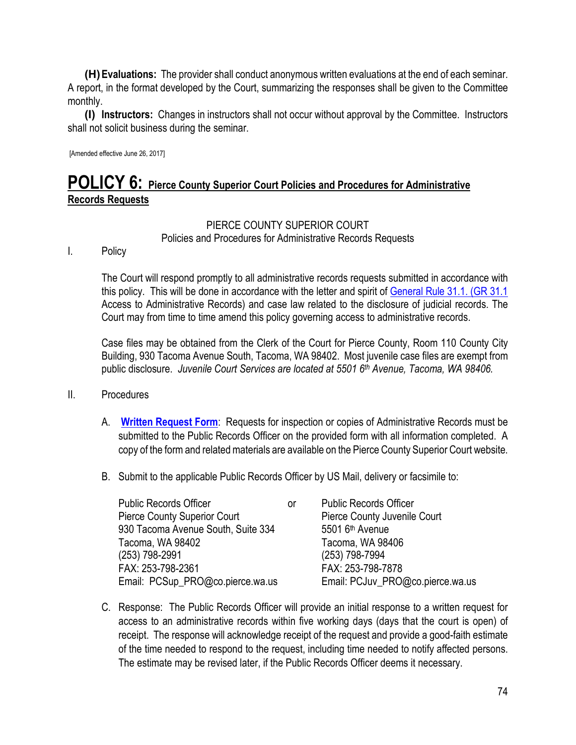**(H)Evaluations:** The provider shall conduct anonymous written evaluations at the end of each seminar. A report, in the format developed by the Court, summarizing the responses shall be given to the Committee monthly.

**(I) Instructors:** Changes in instructors shall not occur without approval by the Committee. Instructors shall not solicit business during the seminar.

[Amended effective June 26, 2017]

## **POLICY 6: Pierce County Superior Court Policies and Procedures for Administrative Records Requests**

### PIERCE COUNTY SUPERIOR COURT

Policies and Procedures for Administrative Records Requests

I. Policy

The Court will respond promptly to all administrative records requests submitted in accordance with this policy. This will be done in accordance with the letter and spirit o[f General Rule 31.1. \(GR 31.1](http://www.courts.wa.gov/court_rules/?fa=court_rules.state&group=ga) Access to Administrative Records) and case law related to the disclosure of judicial records. The Court may from time to time amend this policy governing access to administrative records.

Case files may be obtained from the Clerk of the Court for Pierce County, Room 110 County City Building, 930 Tacoma Avenue South, Tacoma, WA 98402. Most juvenile case files are exempt from public disclosure. *Juvenile Court Services are located at 5501 6th Avenue, Tacoma, WA 98406.*

#### II. Procedures

- A. **[Written Request Form](http://www.co.pierce.wa.us/DocumentCenter/View/39612)**: Requests for inspection or copies of Administrative Records must be submitted to the Public Records Officer on the provided form with all information completed. A copy of the form and related materials are available on the Pierce County Superior Court website.
- B. Submit to the applicable Public Records Officer by US Mail, delivery or facsimile to:

| <b>Public Records Officer</b>       | or | <b>Public Records Officer</b>    |
|-------------------------------------|----|----------------------------------|
| <b>Pierce County Superior Court</b> |    | Pierce County Juvenile Court     |
| 930 Tacoma Avenue South, Suite 334  |    | 5501 6 <sup>th</sup> Avenue      |
| Tacoma, WA 98402                    |    | Tacoma, WA 98406                 |
| (253) 798-2991                      |    | (253) 798-7994                   |
| FAX: 253-798-2361                   |    | FAX: 253-798-7878                |
| Email: PCSup_PRO@co.pierce.wa.us    |    | Email: PCJuv_PRO@co.pierce.wa.us |

C. Response: The Public Records Officer will provide an initial response to a written request for access to an administrative records within five working days (days that the court is open) of receipt. The response will acknowledge receipt of the request and provide a good-faith estimate of the time needed to respond to the request, including time needed to notify affected persons. The estimate may be revised later, if the Public Records Officer deems it necessary.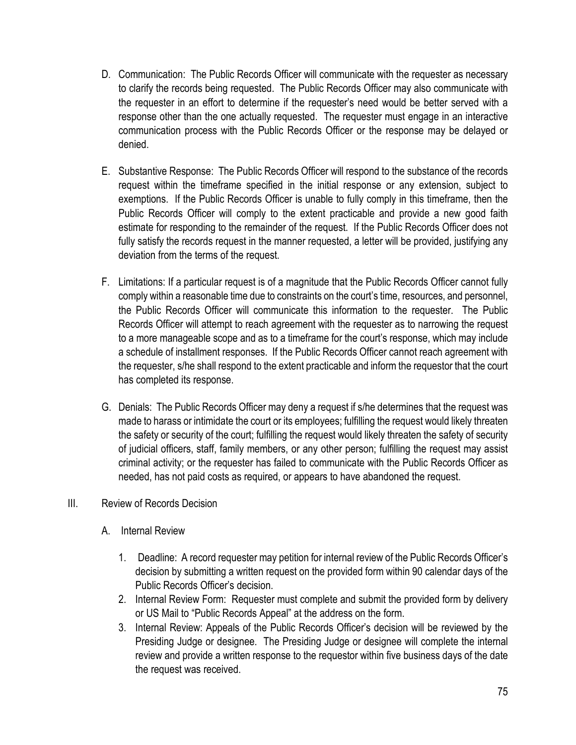- D. Communication: The Public Records Officer will communicate with the requester as necessary to clarify the records being requested. The Public Records Officer may also communicate with the requester in an effort to determine if the requester's need would be better served with a response other than the one actually requested. The requester must engage in an interactive communication process with the Public Records Officer or the response may be delayed or denied.
- E. Substantive Response: The Public Records Officer will respond to the substance of the records request within the timeframe specified in the initial response or any extension, subject to exemptions. If the Public Records Officer is unable to fully comply in this timeframe, then the Public Records Officer will comply to the extent practicable and provide a new good faith estimate for responding to the remainder of the request. If the Public Records Officer does not fully satisfy the records request in the manner requested, a letter will be provided, justifying any deviation from the terms of the request.
- F. Limitations: If a particular request is of a magnitude that the Public Records Officer cannot fully comply within a reasonable time due to constraints on the court's time, resources, and personnel, the Public Records Officer will communicate this information to the requester. The Public Records Officer will attempt to reach agreement with the requester as to narrowing the request to a more manageable scope and as to a timeframe for the court's response, which may include a schedule of installment responses. If the Public Records Officer cannot reach agreement with the requester, s/he shall respond to the extent practicable and inform the requestor that the court has completed its response.
- G. Denials: The Public Records Officer may deny a request if s/he determines that the request was made to harass or intimidate the court or its employees; fulfilling the request would likely threaten the safety or security of the court; fulfilling the request would likely threaten the safety of security of judicial officers, staff, family members, or any other person; fulfilling the request may assist criminal activity; or the requester has failed to communicate with the Public Records Officer as needed, has not paid costs as required, or appears to have abandoned the request.
- III. Review of Records Decision
	- A. Internal Review
		- 1. Deadline: A record requester may petition for internal review of the Public Records Officer's decision by submitting a written request on the provided form within 90 calendar days of the Public Records Officer's decision.
		- 2. Internal Review Form: Requester must complete and submit the provided form by delivery or US Mail to "Public Records Appeal" at the address on the form.
		- 3. Internal Review: Appeals of the Public Records Officer's decision will be reviewed by the Presiding Judge or designee. The Presiding Judge or designee will complete the internal review and provide a written response to the requestor within five business days of the date the request was received.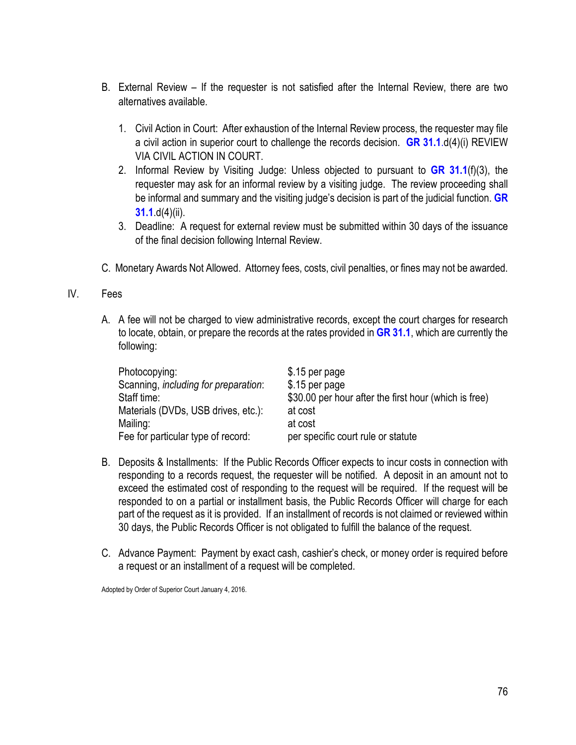- B. External Review If the requester is not satisfied after the Internal Review, there are two alternatives available.
	- 1. Civil Action in Court: After exhaustion of the Internal Review process, the requester may file a civil action in superior court to challenge the records decision. **[GR 31.1](http://www.courts.wa.gov/court_rules/?fa=court_rules.state&group=ga)**.d(4)(i) REVIEW VIA CIVIL ACTION IN COURT.
	- 2. Informal Review by Visiting Judge: Unless objected to pursuant to **[GR 31.1](http://www.courts.wa.gov/court_rules/?fa=court_rules.state&group=ga)**(f)(3), the requester may ask for an informal review by a visiting judge. The review proceeding shall be informal and summary and the visiting judge's decision is part of the judicial function. **[GR](http://www.courts.wa.gov/court_rules/?fa=court_rules.state&group=ga)  [31.1](http://www.courts.wa.gov/court_rules/?fa=court_rules.state&group=ga)**.d(4)(ii).
	- 3. Deadline: A request for external review must be submitted within 30 days of the issuance of the final decision following Internal Review.
- C. Monetary Awards Not Allowed. Attorney fees, costs, civil penalties, or fines may not be awarded.

#### IV. Fees

A. A fee will not be charged to view administrative records, except the court charges for research to locate, obtain, or prepare the records at the rates provided in **[GR 31.1](http://www.courts.wa.gov/court_rules/?fa=court_rules.state&group=ga)**, which are currently the following:

| Photocopying:                                | \$.15 per page                                        |
|----------------------------------------------|-------------------------------------------------------|
| Scanning, <i>including for preparation</i> : | \$.15 per page                                        |
| Staff time:                                  | \$30.00 per hour after the first hour (which is free) |
| Materials (DVDs, USB drives, etc.):          | at cost                                               |
| Mailing:                                     | at cost                                               |
| Fee for particular type of record:           | per specific court rule or statute                    |

- B. Deposits & Installments: If the Public Records Officer expects to incur costs in connection with responding to a records request, the requester will be notified. A deposit in an amount not to exceed the estimated cost of responding to the request will be required. If the request will be responded to on a partial or installment basis, the Public Records Officer will charge for each part of the request as it is provided. If an installment of records is not claimed or reviewed within 30 days, the Public Records Officer is not obligated to fulfill the balance of the request.
- C. Advance Payment: Payment by exact cash, cashier's check, or money order is required before a request or an installment of a request will be completed.

Adopted by Order of Superior Court January 4, 2016.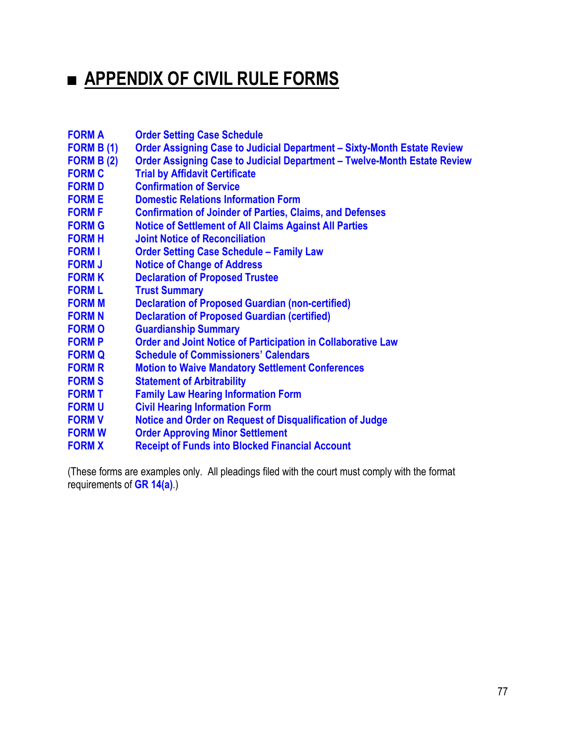# **■ APPENDIX OF CIVIL RULE FORMS**

| <b>FORM A</b>     | <b>Order Setting Case Schedule</b>                                              |
|-------------------|---------------------------------------------------------------------------------|
| <b>FORM B (1)</b> | <b>Order Assigning Case to Judicial Department - Sixty-Month Estate Review</b>  |
| <b>FORM B (2)</b> | <b>Order Assigning Case to Judicial Department - Twelve-Month Estate Review</b> |
| <b>FORM C</b>     | <b>Trial by Affidavit Certificate</b>                                           |
| <b>FORM D</b>     | <b>Confirmation of Service</b>                                                  |
| <b>FORM E</b>     | <b>Domestic Relations Information Form</b>                                      |
| <b>FORM F</b>     | <b>Confirmation of Joinder of Parties, Claims, and Defenses</b>                 |
| <b>FORM G</b>     | <b>Notice of Settlement of All Claims Against All Parties</b>                   |
| <b>FORM H</b>     | <b>Joint Notice of Reconciliation</b>                                           |
| <b>FORM I</b>     | <b>Order Setting Case Schedule - Family Law</b>                                 |
| <b>FORM J</b>     | <b>Notice of Change of Address</b>                                              |
| <b>FORM K</b>     | <b>Declaration of Proposed Trustee</b>                                          |
| <b>FORM L</b>     | <b>Trust Summary</b>                                                            |
| <b>FORM M</b>     | <b>Declaration of Proposed Guardian (non-certified)</b>                         |
| <b>FORM N</b>     | <b>Declaration of Proposed Guardian (certified)</b>                             |
| <b>FORM O</b>     | <b>Guardianship Summary</b>                                                     |
| <b>FORM P</b>     | <b>Order and Joint Notice of Participation in Collaborative Law</b>             |
| <b>FORM Q</b>     | <b>Schedule of Commissioners' Calendars</b>                                     |
| <b>FORM R</b>     | <b>Motion to Waive Mandatory Settlement Conferences</b>                         |
| <b>FORM S</b>     | <b>Statement of Arbitrability</b>                                               |
| <b>FORM T</b>     | <b>Family Law Hearing Information Form</b>                                      |
| <b>FORM U</b>     | <b>Civil Hearing Information Form</b>                                           |
| <b>FORM V</b>     | <b>Notice and Order on Request of Disqualification of Judge</b>                 |
| <b>FORM W</b>     | <b>Order Approving Minor Settlement</b>                                         |
| <b>FORM X</b>     | <b>Receipt of Funds into Blocked Financial Account</b>                          |
|                   |                                                                                 |

(These forms are examples only. All pleadings filed with the court must comply with the format requirements of **[GR 14\(a\)](http://www.courts.wa.gov/court_rules/?fa=court_rules.display&group=ga&set=GR&ruleid=gagr14)**.)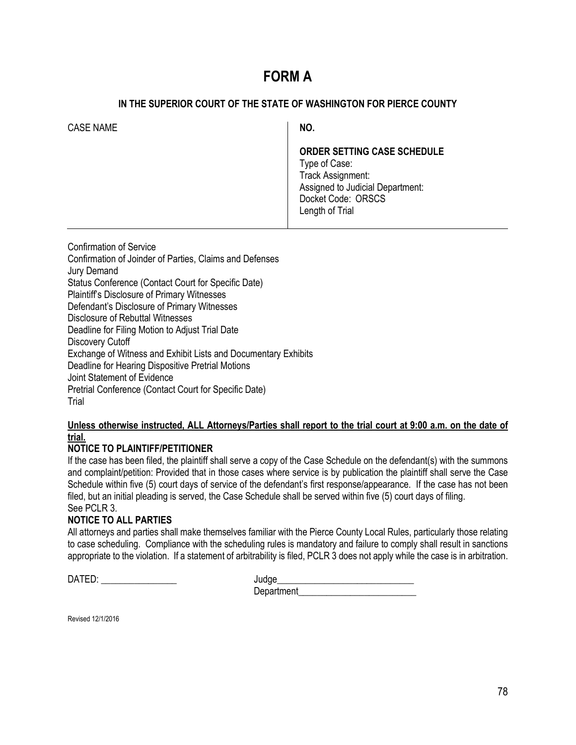## **FORM A**

### **IN THE SUPERIOR COURT OF THE STATE OF WASHINGTON FOR PIERCE COUNTY**

<span id="page-77-0"></span>

| <b>CASE NAME</b> | NO.                                                                                                                                            |  |  |
|------------------|------------------------------------------------------------------------------------------------------------------------------------------------|--|--|
|                  | ORDER SETTING CASE SCHEDULE<br>Type of Case:<br>Track Assignment:<br>Assigned to Judicial Department:<br>Docket Code: ORSCS<br>Length of Trial |  |  |

Confirmation of Service Confirmation of Joinder of Parties, Claims and Defenses Jury Demand Status Conference (Contact Court for Specific Date) Plaintiff's Disclosure of Primary Witnesses Defendant's Disclosure of Primary Witnesses Disclosure of Rebuttal Witnesses Deadline for Filing Motion to Adjust Trial Date Discovery Cutoff Exchange of Witness and Exhibit Lists and Documentary Exhibits Deadline for Hearing Dispositive Pretrial Motions Joint Statement of Evidence Pretrial Conference (Contact Court for Specific Date) **Trial** 

#### **Unless otherwise instructed, ALL Attorneys/Parties shall report to the trial court at 9:00 a.m. on the date of trial.**

#### **NOTICE TO PLAINTIFF/PETITIONER**

If the case has been filed, the plaintiff shall serve a copy of the Case Schedule on the defendant(s) with the summons and complaint/petition: Provided that in those cases where service is by publication the plaintiff shall serve the Case Schedule within five (5) court days of service of the defendant's first response/appearance. If the case has not been filed, but an initial pleading is served, the Case Schedule shall be served within five (5) court days of filing. See PCLR 3.

#### **NOTICE TO ALL PARTIES**

All attorneys and parties shall make themselves familiar with the Pierce County Local Rules, particularly those relating to case scheduling. Compliance with the scheduling rules is mandatory and failure to comply shall result in sanctions appropriate to the violation. If a statement of arbitrability is filed, PCLR 3 does not apply while the case is in arbitration.

DATED: \_\_\_\_\_\_\_\_\_\_\_\_\_\_\_\_\_\_\_\_\_\_\_\_\_ Judge\_\_\_\_\_\_\_\_\_\_\_\_\_\_\_\_\_\_\_\_\_\_\_\_\_\_\_\_\_\_\_\_\_\_\_ Department

Revised 12/1/2016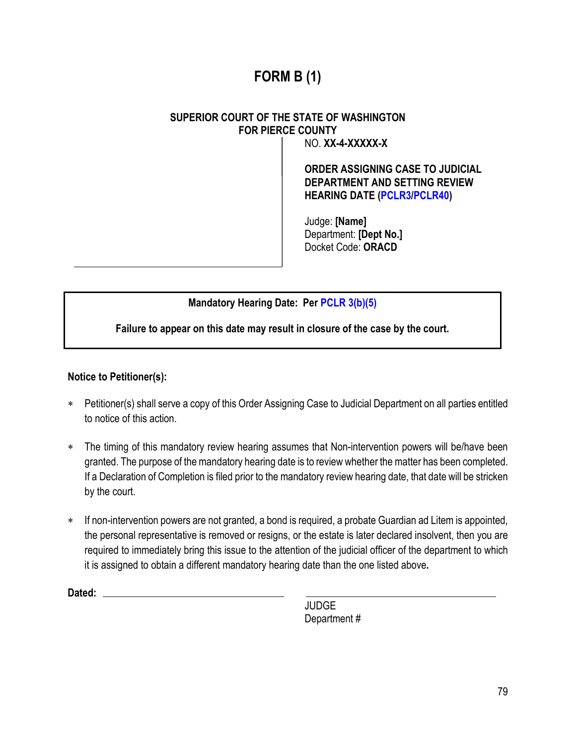## **FORM B (1)**

## <span id="page-78-0"></span>**SUPERIOR COURT OF THE STATE OF WASHINGTON FOR PIERCE COUNTY**

NO. **XX-4-XXXXX-X**

**ORDER ASSIGNING CASE TO JUDICIAL DEPARTMENT AND SETTING REVIEW HEARING DATE [\(PCLR3](#page-20-0)[/PCLR40\)](#page-36-0)**

Judge: **[Name]** Department: **[Dept No.]** Docket Code: **ORACD**

### **Mandatory Hearing Date: Per [PCLR 3\(b\)\(5\)](#page-21-0)**

**Failure to appear on this date may result in closure of the case by the court.**

### **Notice to Petitioner(s):**

- ∗ Petitioner(s) shall serve a copy of this Order Assigning Case to Judicial Department on all parties entitled to notice of this action.
- ∗ The timing of this mandatory review hearing assumes that Non-intervention powers will be/have been granted. The purpose of the mandatory hearing date is to review whether the matter has been completed. If a Declaration of Completion is filed prior to the mandatory review hearing date, that date will be stricken by the court.
- ∗ If non-intervention powers are not granted, a bond is required, a probate Guardian ad Litem is appointed, the personal representative is removed or resigns, or the estate is later declared insolvent, then you are required to immediately bring this issue to the attention of the judicial officer of the department to which it is assigned to obtain a different mandatory hearing date than the one listed above**.**

**Dated:** 

JUDGE Department #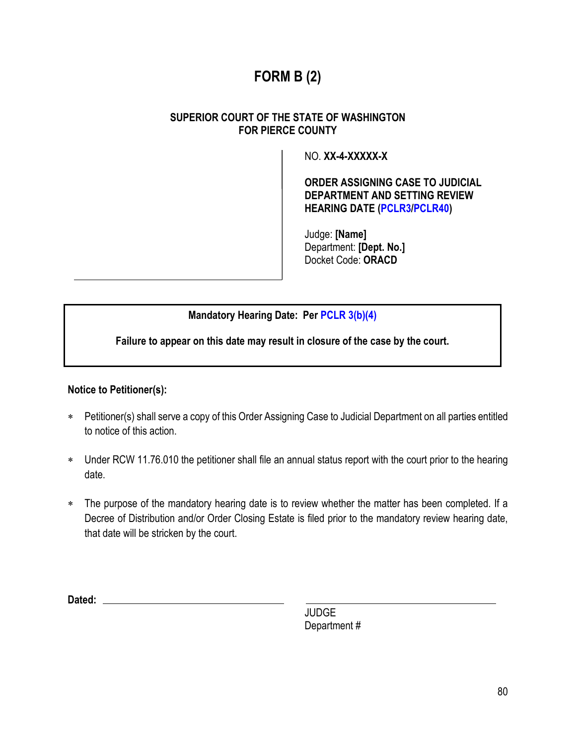## **FORM B (2)**

### <span id="page-79-0"></span>**SUPERIOR COURT OF THE STATE OF WASHINGTON FOR PIERCE COUNTY**

NO. **XX-4-XXXXX-X**

**ORDER ASSIGNING CASE TO JUDICIAL DEPARTMENT AND SETTING REVIEW HEARING DATE [\(PCLR3](#page-20-0)[/PCLR40\)](#page-36-0)**

Judge: **[Name]** Department: **[Dept. No.]** Docket Code: **ORACD**

**Mandatory Hearing Date: Per [PCLR 3\(b\)\(4\)](#page-21-1)**

**Failure to appear on this date may result in closure of the case by the court.**

### **Notice to Petitioner(s):**

- ∗ Petitioner(s) shall serve a copy of this Order Assigning Case to Judicial Department on all parties entitled to notice of this action.
- ∗ Under RCW 11.76.010 the petitioner shall file an annual status report with the court prior to the hearing date.
- ∗ The purpose of the mandatory hearing date is to review whether the matter has been completed. If a Decree of Distribution and/or Order Closing Estate is filed prior to the mandatory review hearing date, that date will be stricken by the court.

| Dated: |  |
|--------|--|
|        |  |

JUDGE Department #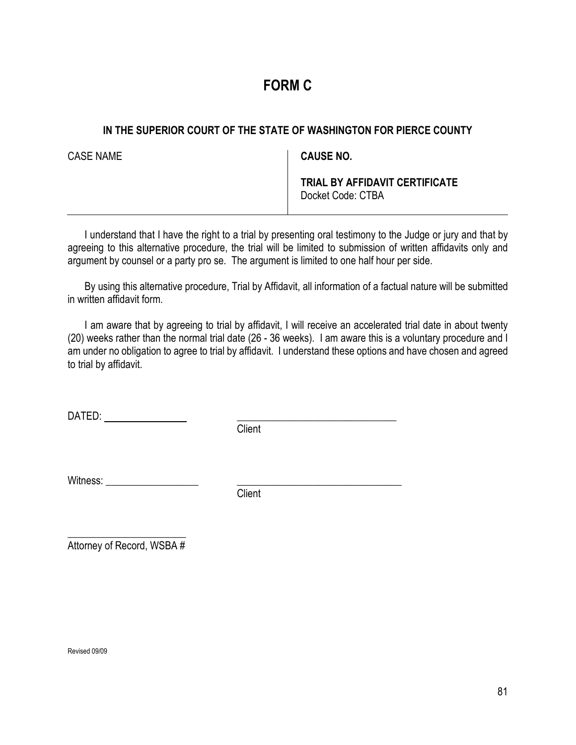## **FORM C**

### **IN THE SUPERIOR COURT OF THE STATE OF WASHINGTON FOR PIERCE COUNTY**

CASE NAME **CAUSE NO.**

 **TRIAL BY AFFIDAVIT CERTIFICATE** Docket Code: CTBA

I understand that I have the right to a trial by presenting oral testimony to the Judge or jury and that by agreeing to this alternative procedure, the trial will be limited to submission of written affidavits only and argument by counsel or a party pro se. The argument is limited to one half hour per side.

By using this alternative procedure, Trial by Affidavit, all information of a factual nature will be submitted in written affidavit form.

I am aware that by agreeing to trial by affidavit, I will receive an accelerated trial date in about twenty (20) weeks rather than the normal trial date (26 - 36 weeks). I am aware this is a voluntary procedure and I am under no obligation to agree to trial by affidavit. I understand these options and have chosen and agreed to trial by affidavit.

DATED: \_\_\_\_\_\_\_\_\_\_\_\_\_\_\_\_\_\_\_\_\_\_\_\_\_\_\_\_\_\_\_

**Client** 

Witness: \_\_\_\_\_\_\_\_\_\_\_\_\_\_\_\_\_\_ \_\_\_\_\_\_\_\_\_\_\_\_\_\_\_\_\_\_\_\_\_\_\_\_\_\_\_\_\_\_\_\_

**Client** 

\_\_\_\_\_\_\_\_\_\_\_\_\_\_\_\_\_\_\_\_\_\_\_ Attorney of Record, WSBA #

Revised 09/09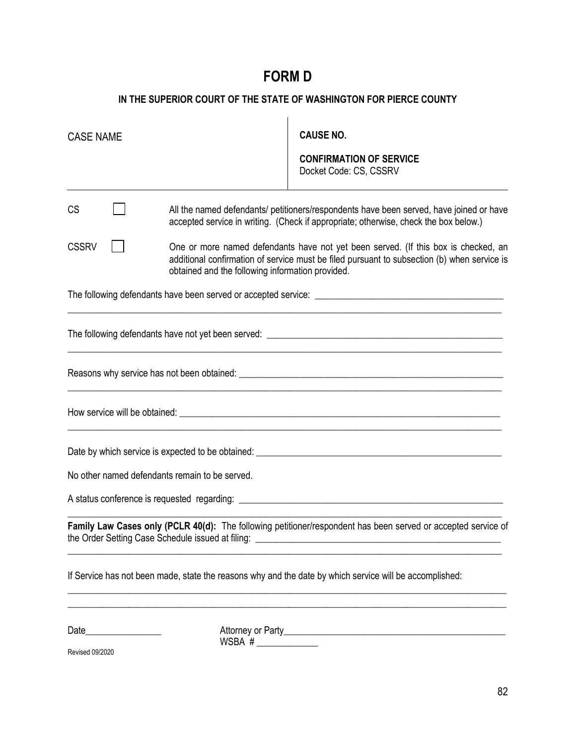## **FORM D**

### **IN THE SUPERIOR COURT OF THE STATE OF WASHINGTON FOR PIERCE COUNTY**

<span id="page-81-0"></span>

| <b>CASE NAME</b>                                 |                                                                                                                                                                                                                                       | <b>CAUSE NO.</b><br><b>CONFIRMATION OF SERVICE</b><br>Docket Code: CS, CSSRV                                                                                                    |  |  |
|--------------------------------------------------|---------------------------------------------------------------------------------------------------------------------------------------------------------------------------------------------------------------------------------------|---------------------------------------------------------------------------------------------------------------------------------------------------------------------------------|--|--|
| <b>CS</b>                                        |                                                                                                                                                                                                                                       | All the named defendants/ petitioners/respondents have been served, have joined or have<br>accepted service in writing. (Check if appropriate; otherwise, check the box below.) |  |  |
| <b>CSSRV</b>                                     | One or more named defendants have not yet been served. (If this box is checked, an<br>additional confirmation of service must be filed pursuant to subsection (b) when service is<br>obtained and the following information provided. |                                                                                                                                                                                 |  |  |
|                                                  |                                                                                                                                                                                                                                       |                                                                                                                                                                                 |  |  |
|                                                  |                                                                                                                                                                                                                                       |                                                                                                                                                                                 |  |  |
|                                                  |                                                                                                                                                                                                                                       |                                                                                                                                                                                 |  |  |
|                                                  |                                                                                                                                                                                                                                       |                                                                                                                                                                                 |  |  |
|                                                  |                                                                                                                                                                                                                                       |                                                                                                                                                                                 |  |  |
| No other named defendants remain to be served.   |                                                                                                                                                                                                                                       |                                                                                                                                                                                 |  |  |
|                                                  |                                                                                                                                                                                                                                       |                                                                                                                                                                                 |  |  |
|                                                  |                                                                                                                                                                                                                                       | Family Law Cases only (PCLR 40(d): The following petitioner/respondent has been served or accepted service of                                                                   |  |  |
|                                                  |                                                                                                                                                                                                                                       | If Service has not been made, state the reasons why and the date by which service will be accomplished:                                                                         |  |  |
| Date__________________<br><b>Revised 09/2020</b> | WSBA # ______________                                                                                                                                                                                                                 |                                                                                                                                                                                 |  |  |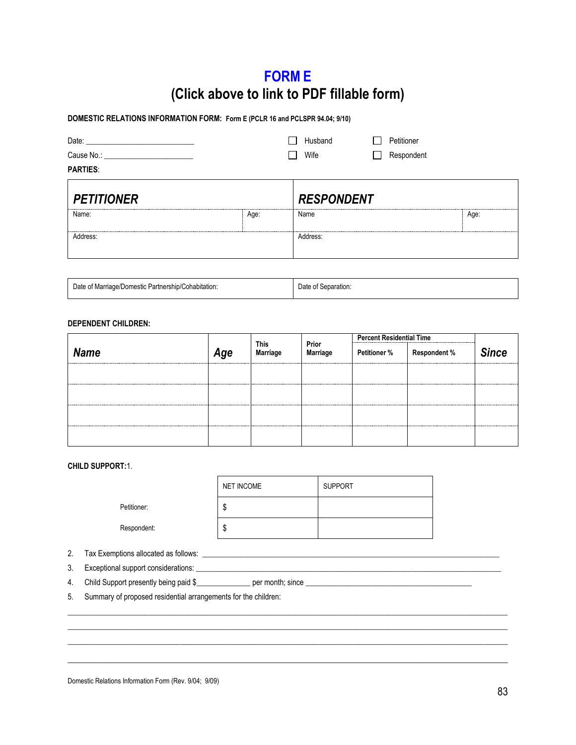## **[FORM](http://www.co.pierce.wa.us/DocumentCenter/View/22828) E (Click above to link to PDF fillable form)**

<span id="page-82-0"></span>**DOMESTIC RELATIONS INFORMATION FORM: Form E (PCLR 16 and PCLSPR 94.04; 9/10)**

| <b>PETITIONER</b> | <b>RESPONDENT</b> |                            |
|-------------------|-------------------|----------------------------|
| <b>PARTIES:</b>   |                   |                            |
| Cause No.:        | Wife<br>- 1       | Respondent<br>$\mathbf{I}$ |
| Date:             | Husband           | Petitioner                 |
|                   |                   |                            |

| PETITIONER |      | <b>RESPONDENI</b> |      |  |
|------------|------|-------------------|------|--|
| Name:      | Age: | Name              | Age: |  |
|            |      |                   |      |  |
|            |      | ddress            |      |  |
|            |      |                   |      |  |
|            |      |                   |      |  |

| Date of Marriage/Domestic Partnership/Cohabitation: | )ate<br>of Separation: |
|-----------------------------------------------------|------------------------|
|                                                     |                        |

#### **DEPENDENT CHILDREN:**

|             |     |                  |                   | <b>Percent Residential Time</b> |                     |       |
|-------------|-----|------------------|-------------------|---------------------------------|---------------------|-------|
| <b>Name</b> | Age | This<br>Marriage | Prior<br>Marriage | <b>Petitioner</b> %             | <b>Respondent %</b> | Since |
|             |     |                  |                   |                                 |                     |       |
|             |     |                  |                   |                                 |                     |       |
|             |     |                  |                   |                                 |                     |       |
|             |     |                  |                   |                                 |                     |       |

**CHILD SUPPORT:**1.

|             | <b>NET INCOME</b> | SUPPORT |
|-------------|-------------------|---------|
| Petitioner: | ∩<br>۰D           |         |
| Respondent: | œ<br>۰D           |         |

2. Tax Exemptions allocated as follows: \_\_\_\_\_\_\_\_\_\_\_\_\_\_\_\_\_\_\_\_\_\_\_\_\_\_\_\_\_\_\_\_\_\_\_\_\_\_\_\_\_\_\_\_\_\_\_\_\_\_\_\_\_\_\_\_\_\_\_\_\_\_\_\_\_\_\_\_\_\_\_\_\_\_\_\_\_

3. Exceptional support considerations: \_\_\_\_\_\_\_\_\_\_\_\_\_\_\_\_\_\_\_\_\_\_\_\_\_\_\_\_\_\_\_\_\_\_\_\_\_\_\_\_\_\_\_\_\_\_\_\_\_\_\_\_\_\_\_\_\_\_\_\_\_\_\_\_\_\_\_\_\_\_\_\_\_\_\_\_\_\_\_

4. Child Support presently being paid \$\_\_\_\_\_\_\_\_\_\_\_\_\_\_ per month; since \_\_\_\_\_\_\_\_\_\_\_\_\_\_\_\_\_\_\_\_\_\_\_\_\_\_\_\_\_\_\_\_\_\_\_\_\_\_\_\_\_\_\_

 $\_$  ,  $\_$  ,  $\_$  ,  $\_$  ,  $\_$  ,  $\_$  ,  $\_$  ,  $\_$  ,  $\_$  ,  $\_$  ,  $\_$  ,  $\_$  ,  $\_$  ,  $\_$  ,  $\_$  ,  $\_$  ,  $\_$  ,  $\_$  ,  $\_$  ,  $\_$  ,  $\_$  ,  $\_$  ,  $\_$  ,  $\_$  ,  $\_$  ,  $\_$  ,  $\_$  ,  $\_$  ,  $\_$  ,  $\_$  ,  $\_$  ,  $\_$  ,  $\_$  ,  $\_$  ,  $\_$  ,  $\_$  ,  $\_$  ,  $\_$  ,  $\_$  ,  $\_$  ,  $\_$  ,  $\_$  ,  $\_$  ,  $\_$  ,  $\_$  ,  $\_$  ,  $\_$  ,  $\_$  ,  $\_$  ,  $\_$  ,  $\_$  ,  $\_$  ,  $\_$  ,  $\_$  ,  $\_$  ,  $\_$  ,  $\_$  ,  $\_$  ,  $\_$  ,  $\_$  ,  $\_$  ,  $\_$  ,  $\_$  ,  $\_$  ,  $\_$  ,  $\_$  ,  $\_$  ,  $\_$  ,  $\_$  ,  $\_$  ,  $\_$  ,  $\_$  ,  $\_$  ,  $\_$  ,  $\_$  ,  $\_$  ,  $\_$  ,  $\_$  ,  $\_$  ,  $\_$  ,  $\_$  ,  $\_$  ,  $\_$  ,  $\_$  ,  $\_$  ,  $\_$  ,  $\_$  ,  $\_$  ,  $\_$  ,  $\_$  ,  $\_$  ,  $\_$  ,  $\_$  ,  $\_$  ,  $\_$  ,  $\_$  ,  $\_$  ,  $\_$  ,  $\_$  ,  $\_$  ,  $\_$  ,  $\_$  ,  $\_$  ,  $\_$  ,  $\_$  ,  $\_$  ,  $\_$  ,  $\_$  ,  $\_$  ,  $\_$  ,  $\_$  ,

5. Summary of proposed residential arrangements for the children:

Domestic Relations Information Form (Rev. 9/04; 9/09)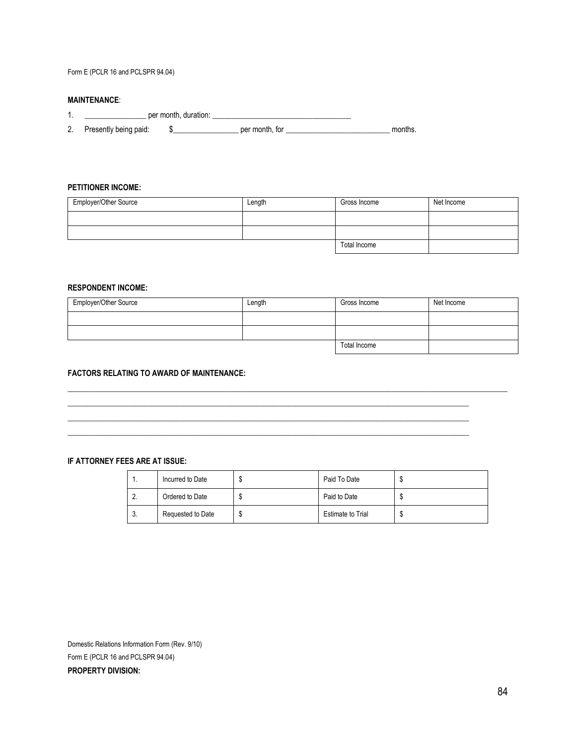Form E (PCLR 16 and PCLSPR 94.04)

#### **MAINTENANCE**:

| . . |                          | per month, duration: |                |         |
|-----|--------------------------|----------------------|----------------|---------|
|     | 2. Presently being paid: |                      | per month, for | months. |

#### **PETITIONER INCOME:**

| Employer/Other Source | Length | Gross Income | Net Income |
|-----------------------|--------|--------------|------------|
|                       |        |              |            |
|                       |        |              |            |
|                       |        | Total Income |            |

#### **RESPONDENT INCOME:**

| Employer/Other Source | Length | Gross Income | Net Income |
|-----------------------|--------|--------------|------------|
|                       |        |              |            |
|                       |        |              |            |
|                       |        | Total Income |            |

 $\mathcal{L}_\mathcal{L} = \{ \mathcal{L}_\mathcal{L} = \{ \mathcal{L}_\mathcal{L} = \{ \mathcal{L}_\mathcal{L} = \{ \mathcal{L}_\mathcal{L} = \{ \mathcal{L}_\mathcal{L} = \{ \mathcal{L}_\mathcal{L} = \{ \mathcal{L}_\mathcal{L} = \{ \mathcal{L}_\mathcal{L} = \{ \mathcal{L}_\mathcal{L} = \{ \mathcal{L}_\mathcal{L} = \{ \mathcal{L}_\mathcal{L} = \{ \mathcal{L}_\mathcal{L} = \{ \mathcal{L}_\mathcal{L} = \{ \mathcal{L}_\mathcal{$ 

 $\mathcal{L}_\mathcal{L} = \{ \mathcal{L}_\mathcal{L} = \{ \mathcal{L}_\mathcal{L} = \{ \mathcal{L}_\mathcal{L} = \{ \mathcal{L}_\mathcal{L} = \{ \mathcal{L}_\mathcal{L} = \{ \mathcal{L}_\mathcal{L} = \{ \mathcal{L}_\mathcal{L} = \{ \mathcal{L}_\mathcal{L} = \{ \mathcal{L}_\mathcal{L} = \{ \mathcal{L}_\mathcal{L} = \{ \mathcal{L}_\mathcal{L} = \{ \mathcal{L}_\mathcal{L} = \{ \mathcal{L}_\mathcal{L} = \{ \mathcal{L}_\mathcal{$  $\mathcal{L}_\mathcal{L} = \{ \mathcal{L}_\mathcal{L} = \{ \mathcal{L}_\mathcal{L} = \{ \mathcal{L}_\mathcal{L} = \{ \mathcal{L}_\mathcal{L} = \{ \mathcal{L}_\mathcal{L} = \{ \mathcal{L}_\mathcal{L} = \{ \mathcal{L}_\mathcal{L} = \{ \mathcal{L}_\mathcal{L} = \{ \mathcal{L}_\mathcal{L} = \{ \mathcal{L}_\mathcal{L} = \{ \mathcal{L}_\mathcal{L} = \{ \mathcal{L}_\mathcal{L} = \{ \mathcal{L}_\mathcal{L} = \{ \mathcal{L}_\mathcal{$  $\_$  ,  $\_$  ,  $\_$  ,  $\_$  ,  $\_$  ,  $\_$  ,  $\_$  ,  $\_$  ,  $\_$  ,  $\_$  ,  $\_$  ,  $\_$  ,  $\_$  ,  $\_$  ,  $\_$  ,  $\_$  ,  $\_$  ,  $\_$  ,  $\_$  ,  $\_$  ,  $\_$  ,  $\_$  ,  $\_$  ,  $\_$  ,  $\_$  ,  $\_$  ,  $\_$  ,  $\_$  ,  $\_$  ,  $\_$  ,  $\_$  ,  $\_$  ,  $\_$  ,  $\_$  ,  $\_$  ,  $\_$  ,  $\_$  ,

#### **FACTORS RELATING TO AWARD OF MAINTENANCE:**

#### **IF ATTORNEY FEES ARE AT ISSUE:**

|          | Incurred to Date  | Paid To Date             |  |
|----------|-------------------|--------------------------|--|
| <u>.</u> | Ordered to Date   | Paid to Date             |  |
| J.       | Requested to Date | <b>Estimate to Trial</b> |  |

Domestic Relations Information Form (Rev. 9/10) Form E (PCLR 16 and PCLSPR 94.04) **PROPERTY DIVISION:**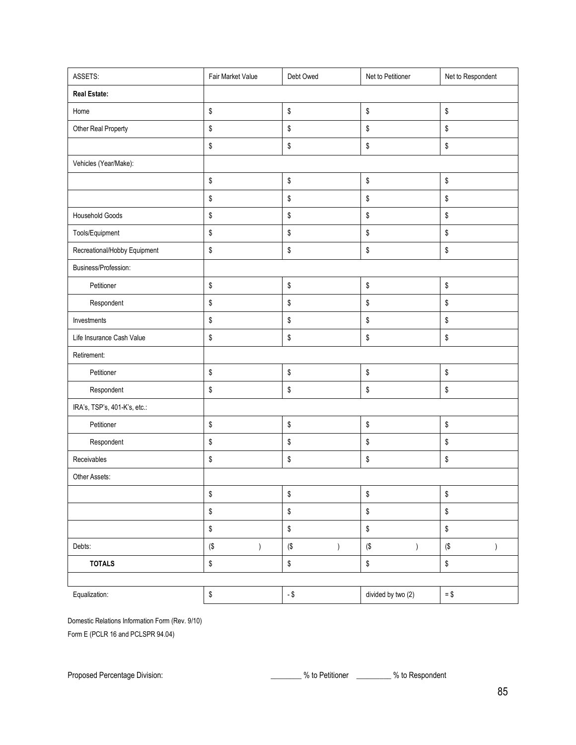| ASSETS:                      | Fair Market Value | Debt Owed        | Net to Petitioner                                 | Net to Respondent |
|------------------------------|-------------------|------------------|---------------------------------------------------|-------------------|
| <b>Real Estate:</b>          |                   |                  |                                                   |                   |
| Home                         | \$                | \$               | \$                                                | \$                |
| Other Real Property          | \$                | \$               | \$                                                | \$                |
|                              | \$                | \$               | \$                                                | \$                |
| Vehicles (Year/Make):        |                   |                  |                                                   |                   |
|                              | $\,$              | \$               | $\,$                                              | \$                |
|                              | \$                | \$               | \$                                                | \$                |
| Household Goods              | \$                | \$               | \$                                                | \$                |
| Tools/Equipment              | \$                | \$               | \$                                                | \$                |
| Recreational/Hobby Equipment | \$                | \$               | \$                                                | \$                |
| Business/Profession:         |                   |                  |                                                   |                   |
| Petitioner                   | \$                | \$               | \$                                                | \$                |
| Respondent                   | \$                | \$               | \$                                                | \$                |
| Investments                  | \$                | \$               | \$                                                | \$                |
| Life Insurance Cash Value    | \$                | \$               | \$                                                | \$                |
| Retirement:                  |                   |                  |                                                   |                   |
| Petitioner                   | \$                | \$               | \$                                                | \$                |
| Respondent                   | \$                | \$               | \$                                                | \$                |
| IRA's, TSP's, 401-K's, etc.: |                   |                  |                                                   |                   |
| Petitioner                   | \$                | \$               | \$                                                | \$                |
| Respondent                   | \$                | \$               | \$                                                | \$                |
| Receivables                  | \$                | \$               | \$                                                | \$                |
| Other Assets:                |                   |                  |                                                   |                   |
|                              | $\boldsymbol{\$}$ | \$               | $\,$                                              | \$                |
|                              | \$                | \$               | $\, \, \raisebox{-1.6pt}{\text{\circle*{1.5}}}\,$ | \$                |
|                              | $\mathbb{S}$      | \$               | $\, \, \raisebox{-1.5pt}{\text{\circle*{1.5}}}\,$ | $\,$              |
| Debts:                       | $(\$$<br>$\big)$  | $(\$$<br>$\big)$ | $(\$$<br>$\big)$                                  | $(\$$<br>$\big)$  |
| <b>TOTALS</b>                | $\,$              | $\,$             | $\,$                                              | $\,$              |
|                              |                   |                  |                                                   |                   |
| Equalization:                | \$                | - $\$            | divided by two (2)                                | $=\$$             |

Domestic Relations Information Form (Rev. 9/10)

Form E (PCLR 16 and PCLSPR 94.04)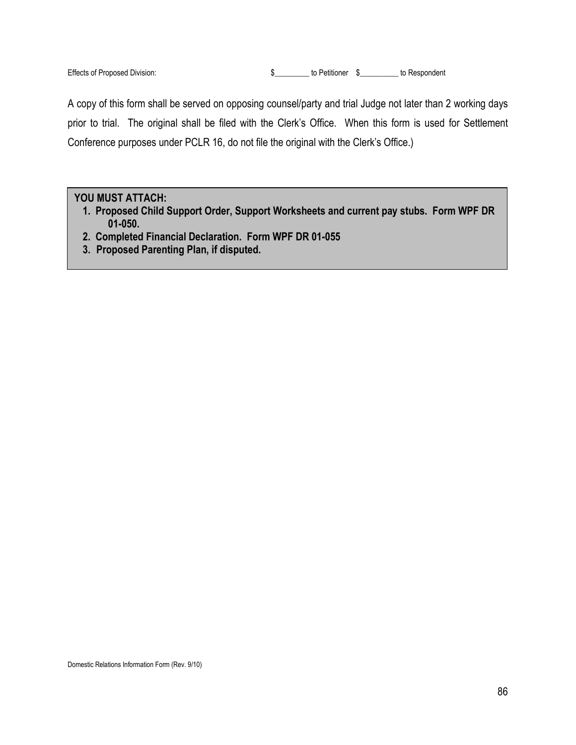A copy of this form shall be served on opposing counsel/party and trial Judge not later than 2 working days prior to trial. The original shall be filed with the Clerk's Office. When this form is used for Settlement Conference purposes under PCLR 16, do not file the original with the Clerk's Office.)

### **YOU MUST ATTACH:**

- **1. Proposed Child Support Order, Support Worksheets and current pay stubs. Form WPF DR 01-050.**
- **2. Completed Financial Declaration. Form WPF DR 01-055**
- **3. Proposed Parenting Plan, if disputed.**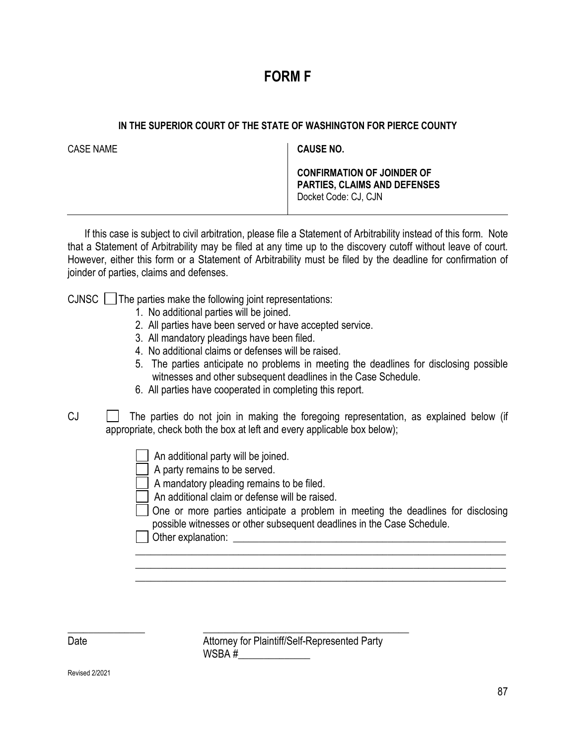## **FORM F**

#### <span id="page-86-0"></span>**IN THE SUPERIOR COURT OF THE STATE OF WASHINGTON FOR PIERCE COUNTY**

| <b>CAUSE NO.</b>                                                                                 |
|--------------------------------------------------------------------------------------------------|
| <b>CONFIRMATION OF JOINDER OF</b><br><b>PARTIES, CLAIMS AND DEFENSES</b><br>Docket Code: CJ, CJN |
|                                                                                                  |

If this case is subject to civil arbitration, please file a Statement of Arbitrability instead of this form. Note that a Statement of Arbitrability may be filed at any time up to the discovery cutoff without leave of court. However, either this form or a Statement of Arbitrability must be filed by the deadline for confirmation of joinder of parties, claims and defenses.

 $CJNSC$   $\Box$  The parties make the following joint representations:

- 1. No additional parties will be joined.
- 2. All parties have been served or have accepted service.
- 3. All mandatory pleadings have been filed.
- 4. No additional claims or defenses will be raised.
- 5. The parties anticipate no problems in meeting the deadlines for disclosing possible witnesses and other subsequent deadlines in the Case Schedule.
- 6. All parties have cooperated in completing this report.
- $CJ$  The parties do not join in making the foregoing representation, as explained below (if appropriate, check both the box at left and every applicable box below);
	- An additional party will be joined.
	- $\Box$  A party remains to be served.
	- $\Box$  A mandatory pleading remains to be filed.
	- An additional claim or defense will be raised.

\_\_\_\_\_\_\_\_\_\_\_\_\_\_\_ \_\_\_\_\_\_\_\_\_\_\_\_\_\_\_\_\_\_\_\_\_\_\_\_\_\_\_\_\_\_\_\_\_\_\_\_\_\_\_\_

One or more parties anticipate a problem in meeting the deadlines for disclosing possible witnesses or other subsequent deadlines in the Case Schedule.

 $\_$  , and the contract of the contract of the contract of the contract of the contract of the contract of the contract of the contract of the contract of the contract of the contract of the contract of the contract of the  $\_$  ,  $\_$  ,  $\_$  ,  $\_$  ,  $\_$  ,  $\_$  ,  $\_$  ,  $\_$  ,  $\_$  ,  $\_$  ,  $\_$  ,  $\_$  ,  $\_$  ,  $\_$  ,  $\_$  ,  $\_$  ,  $\_$  ,  $\_$  ,  $\_$  ,  $\_$  ,  $\_$  ,  $\_$  ,  $\_$  ,  $\_$  ,  $\_$  ,  $\_$  ,  $\_$  ,  $\_$  ,  $\_$  ,  $\_$  ,  $\_$  ,  $\_$  ,  $\_$  ,  $\_$  ,  $\_$  ,  $\_$  ,  $\_$  , \_\_\_\_\_\_\_\_\_\_\_\_\_\_\_\_\_\_\_\_\_\_\_\_\_\_\_\_\_\_\_\_\_\_\_\_\_\_\_\_\_\_\_\_\_\_\_\_\_\_\_\_\_\_\_\_\_\_\_\_\_\_\_\_\_\_\_\_\_\_\_\_

Other explanation:

Date **Date** Attorney for Plaintiff/Self-Represented Party WSBA #\_\_\_\_\_\_\_\_\_\_\_\_\_\_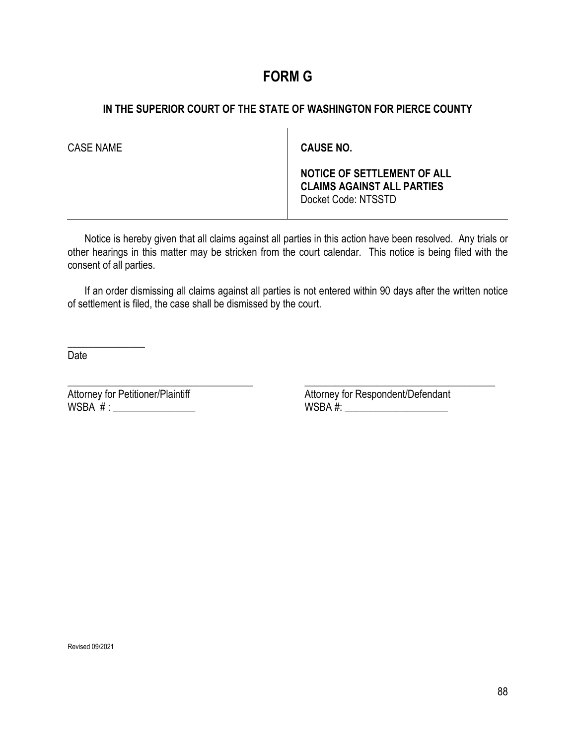## **FORM G**

### <span id="page-87-0"></span>**IN THE SUPERIOR COURT OF THE STATE OF WASHINGTON FOR PIERCE COUNTY**

 $\mathbf{I}$ 

| CASE NAME | <b>CAUSE NO.</b>                                                                        |
|-----------|-----------------------------------------------------------------------------------------|
|           | NOTICE OF SETTLEMENT OF ALL<br><b>CLAIMS AGAINST ALL PARTIES</b><br>Docket Code: NTSSTD |

Notice is hereby given that all claims against all parties in this action have been resolved. Any trials or other hearings in this matter may be stricken from the court calendar. This notice is being filed with the consent of all parties.

If an order dismissing all claims against all parties is not entered within 90 days after the written notice of settlement is filed, the case shall be dismissed by the court.

 $\overline{\phantom{a}}$  , where  $\overline{\phantom{a}}$ Date

\_\_\_\_\_\_\_\_\_\_\_\_\_\_\_\_\_\_\_\_\_\_\_\_\_\_\_\_\_\_\_\_\_\_\_\_ \_\_\_\_\_\_\_\_\_\_\_\_\_\_\_\_\_\_\_\_\_\_\_\_\_\_\_\_\_\_\_\_\_\_\_\_\_ Attorney for Petitioner/Plaintiff **Attorney for Respondent/Defendant**<br>
WSBA #: WSBA #: \_\_\_\_\_\_\_\_\_\_\_\_\_\_\_\_\_\_\_\_\_\_\_\_\_\_

Revised 09/2021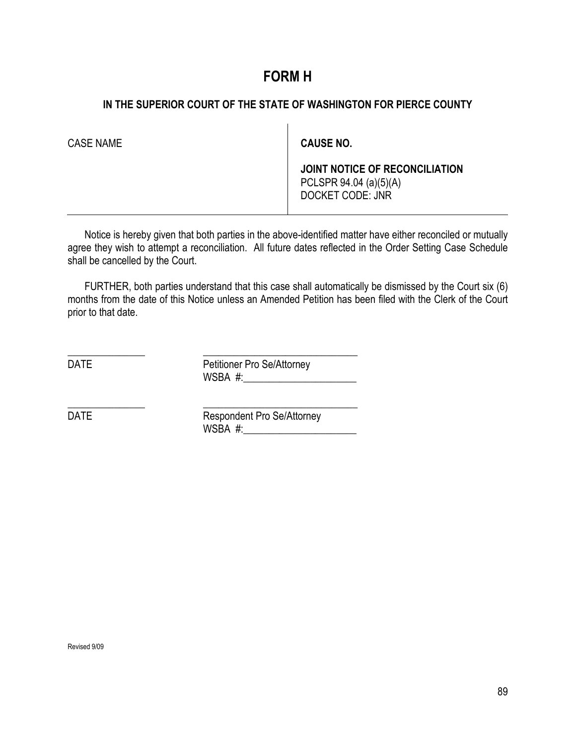## **FORM H**

### **IN THE SUPERIOR COURT OF THE STATE OF WASHINGTON FOR PIERCE COUNTY**

 $\mathbf{I}$ 

| <b>CASE NAME</b> | <b>CAUSE NO.</b>                                                             |
|------------------|------------------------------------------------------------------------------|
|                  | JOINT NOTICE OF RECONCILIATION<br>PCLSPR 94.04 (a)(5)(A)<br>DOCKET CODE: JNR |

Notice is hereby given that both parties in the above-identified matter have either reconciled or mutually agree they wish to attempt a reconciliation. All future dates reflected in the Order Setting Case Schedule shall be cancelled by the Court.

FURTHER, both parties understand that this case shall automatically be dismissed by the Court six (6) months from the date of this Notice unless an Amended Petition has been filed with the Clerk of the Court prior to that date.

\_\_\_\_\_\_\_\_\_\_\_\_\_\_\_ \_\_\_\_\_\_\_\_\_\_\_\_\_\_\_\_\_\_\_\_\_\_\_\_\_\_\_\_\_\_ DATE Petitioner Pro Se/Attorney WSBA #:\_\_\_\_\_\_\_\_\_\_\_\_\_\_\_\_\_\_\_\_\_\_

\_\_\_\_\_\_\_\_\_\_\_\_\_\_\_ \_\_\_\_\_\_\_\_\_\_\_\_\_\_\_\_\_\_\_\_\_\_\_\_\_\_\_\_\_\_ DATE Respondent Pro Se/Attorney  $WSBA \#$ :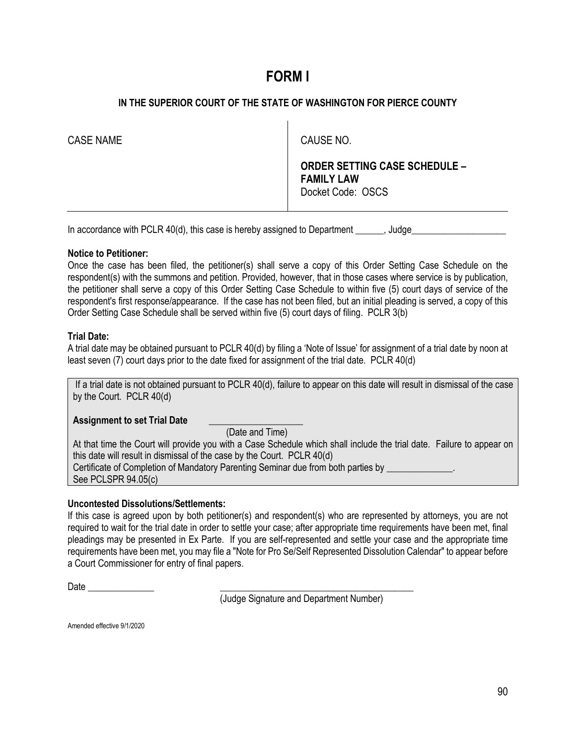## **FORM I**

### <span id="page-89-0"></span>**IN THE SUPERIOR COURT OF THE STATE OF WASHINGTON FOR PIERCE COUNTY**

 $\mathbf{I}$ 

| <b>CASE NAME</b> | CAUSE NO.                                                                      |
|------------------|--------------------------------------------------------------------------------|
|                  | <b>ORDER SETTING CASE SCHEDULE -</b><br><b>FAMILY LAW</b><br>Docket Code: OSCS |
|                  |                                                                                |

In accordance with PCLR 40(d), this case is hereby assigned to Department \_\_\_\_\_\_, Judge

#### **Notice to Petitioner:**

Once the case has been filed, the petitioner(s) shall serve a copy of this Order Setting Case Schedule on the respondent(s) with the summons and petition. Provided, however, that in those cases where service is by publication, the petitioner shall serve a copy of this Order Setting Case Schedule to within five (5) court days of service of the respondent's first response/appearance. If the case has not been filed, but an initial pleading is served, a copy of this Order Setting Case Schedule shall be served within five (5) court days of filing. PCLR 3(b)

#### **Trial Date:**

A trial date may be obtained pursuant to PCLR 40(d) by filing a 'Note of Issue' for assignment of a trial date by noon at least seven (7) court days prior to the date fixed for assignment of the trial date. PCLR 40(d)

If a trial date is not obtained pursuant to PCLR 40(d), failure to appear on this date will result in dismissal of the case by the Court. PCLR 40(d)

**Assignment to set Trial Date** \_\_\_\_\_\_\_\_\_\_\_\_\_\_\_\_\_\_\_\_

(Date and Time)

At that time the Court will provide you with a Case Schedule which shall include the trial date. Failure to appear on this date will result in dismissal of the case by the Court. PCLR 40(d) Certificate of Completion of Mandatory Parenting Seminar due from both parties by **Exercise 2** See PCLSPR 94.05(c)

#### **Uncontested Dissolutions/Settlements:**

If this case is agreed upon by both petitioner(s) and respondent(s) who are represented by attorneys, you are not required to wait for the trial date in order to settle your case; after appropriate time requirements have been met, final pleadings may be presented in Ex Parte. If you are self-represented and settle your case and the appropriate time requirements have been met, you may file a "Note for Pro Se/Self Represented Dissolution Calendar" to appear before a Court Commissioner for entry of final papers.

Date \_\_\_\_\_\_\_\_\_\_\_\_\_\_ \_\_\_\_\_\_\_\_\_\_\_\_\_\_\_\_\_\_\_\_\_\_\_\_\_\_\_\_\_\_\_\_\_\_\_\_\_\_\_\_\_

(Judge Signature and Department Number)

Amended effective 9/1/2020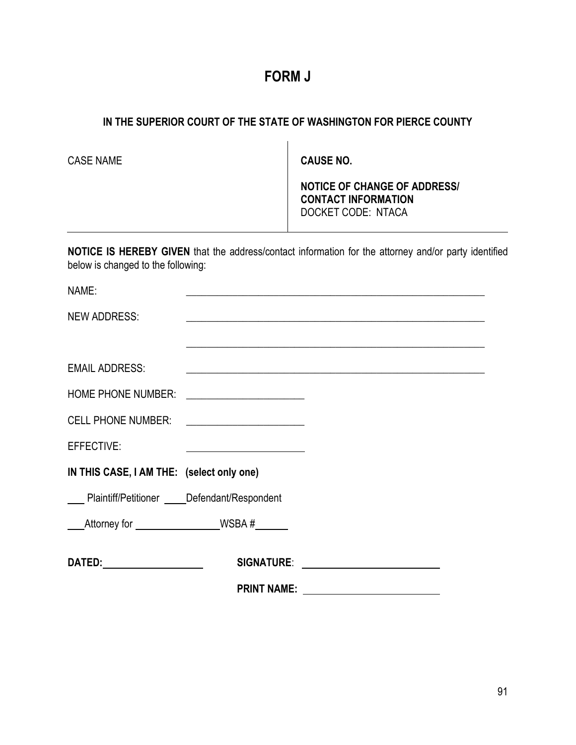## **FORM J**

### **IN THE SUPERIOR COURT OF THE STATE OF WASHINGTON FOR PIERCE COUNTY**

| <b>CASE NAME</b> | <b>CAUSE NO.</b>                                                                        |
|------------------|-----------------------------------------------------------------------------------------|
|                  | <b>NOTICE OF CHANGE OF ADDRESS/</b><br><b>CONTACT INFORMATION</b><br>DOCKET CODE: NTACA |

**NOTICE IS HEREBY GIVEN** that the address/contact information for the attorney and/or party identified below is changed to the following:

| NAME:                                           | <u> 1980 - Johann Barbara, martxa alemaniar arg</u> |                                                                                                                                                                                                                                |  |
|-------------------------------------------------|-----------------------------------------------------|--------------------------------------------------------------------------------------------------------------------------------------------------------------------------------------------------------------------------------|--|
| <b>NEW ADDRESS:</b>                             |                                                     | <u> 1999 - Jan James James James James James James James James James James James James James James James James J</u>                                                                                                           |  |
|                                                 |                                                     |                                                                                                                                                                                                                                |  |
|                                                 |                                                     |                                                                                                                                                                                                                                |  |
| <b>EMAIL ADDRESS:</b>                           |                                                     |                                                                                                                                                                                                                                |  |
| <b>HOME PHONE NUMBER:</b>                       |                                                     |                                                                                                                                                                                                                                |  |
|                                                 | CELL PHONE NUMBER: ______________________           |                                                                                                                                                                                                                                |  |
| EFFECTIVE:                                      | <u> The Communication of the Communication</u>      |                                                                                                                                                                                                                                |  |
| IN THIS CASE, I AM THE: (select only one)       |                                                     |                                                                                                                                                                                                                                |  |
| Plaintiff/Petitioner _____ Defendant/Respondent |                                                     |                                                                                                                                                                                                                                |  |
| Attorney for ____________________WSBA #_______  |                                                     |                                                                                                                                                                                                                                |  |
| DATED: www.astronomy.com                        |                                                     | SIGNATURE: The contract of the contract of the contract of the contract of the contract of the contract of the contract of the contract of the contract of the contract of the contract of the contract of the contract of the |  |
|                                                 |                                                     | PRINT NAME: University of the state of the state of the state of the state of the state of the state of the state of the state of the state of the state of the state of the state of the state of the state of the state of t |  |
|                                                 |                                                     |                                                                                                                                                                                                                                |  |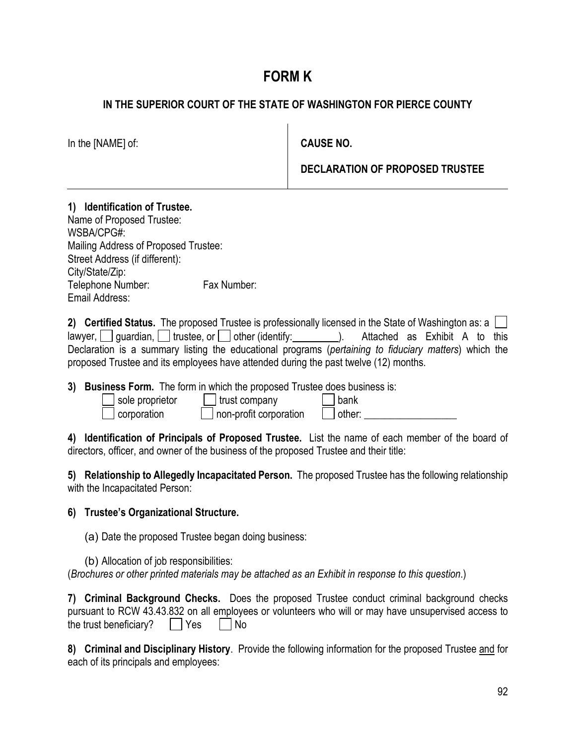## **FORM K**

## <span id="page-91-0"></span>**IN THE SUPERIOR COURT OF THE STATE OF WASHINGTON FOR PIERCE COUNTY**

 $\overline{1}$ 

| In the [NAME] of:                                                                                                                                                                                                           | <b>CAUSE NO.</b>                                                                                                                                                                                                                                                                                                  |
|-----------------------------------------------------------------------------------------------------------------------------------------------------------------------------------------------------------------------------|-------------------------------------------------------------------------------------------------------------------------------------------------------------------------------------------------------------------------------------------------------------------------------------------------------------------|
|                                                                                                                                                                                                                             | <b>DECLARATION OF PROPOSED TRUSTEE</b>                                                                                                                                                                                                                                                                            |
| 1) Identification of Trustee.<br>Name of Proposed Trustee:<br>WSBA/CPG#:<br>Mailing Address of Proposed Trustee:<br>Street Address (if different):<br>City/State/Zip:<br>Fax Number:<br>Telephone Number:<br>Email Address: | 2) Certified Status. The proposed Trustee is professionally licensed in the State of Washington as: a $\Box$<br>lawyer, guardian, trustee, or other (identify: $\qquad$ ). Attached as Exhibit A to this<br>Declaration is a summary listing the educational programs (pertaining to fiduciary matters) which the |
| proposed Trustee and its employees have attended during the past twelve (12) months.                                                                                                                                        |                                                                                                                                                                                                                                                                                                                   |
| 3) Business Form. The form in which the proposed Trustee does business is:<br>sole proprietor     trust company<br>corporation<br>$\Box$ non-profit corporation $\Box$                                                      | bank<br>other: and the state of the state of the state of the state of the state of the state of the state of the state of the state of the state of the state of the state of the state of the state of the state of the state of the                                                                            |
| directors, officer, and owner of the business of the proposed Trustee and their title:                                                                                                                                      | 4) Identification of Principals of Proposed Trustee. List the name of each member of the board of                                                                                                                                                                                                                 |
| with the Incapacitated Person:                                                                                                                                                                                              | 5) Relationship to Allegedly Incapacitated Person. The proposed Trustee has the following relationship                                                                                                                                                                                                            |
|                                                                                                                                                                                                                             |                                                                                                                                                                                                                                                                                                                   |

**6) Trustee's Organizational Structure.**

(a) Date the proposed Trustee began doing business:

(b) Allocation of job responsibilities: (*Brochures or other printed materials may be attached as an Exhibit in response to this question*.)

**7) Criminal Background Checks.** Does the proposed Trustee conduct criminal background checks pursuant to RCW 43.43.832 on all employees or volunteers who will or may have unsupervised access to the trust beneficiary?  $\Box$  Yes  $\Box$  No

**8) Criminal and Disciplinary History**. Provide the following information for the proposed Trustee and for each of its principals and employees: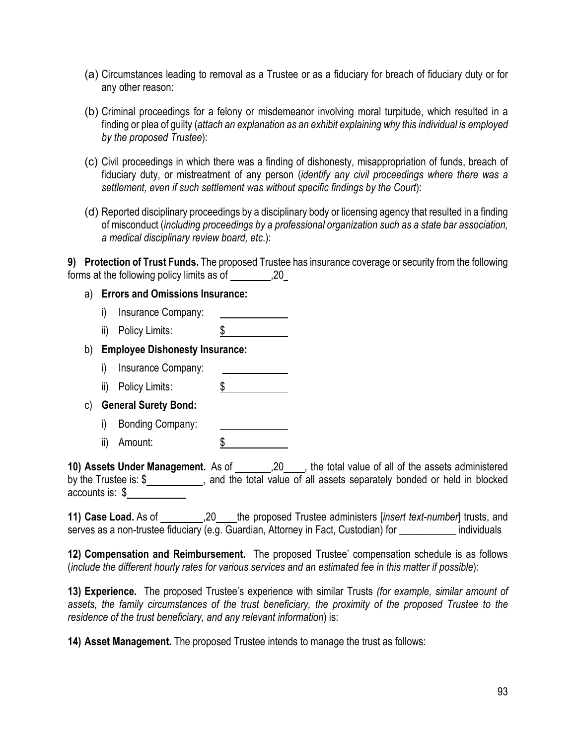- (a) Circumstances leading to removal as a Trustee or as a fiduciary for breach of fiduciary duty or for any other reason:
- (b) Criminal proceedings for a felony or misdemeanor involving moral turpitude, which resulted in a finding or plea of guilty (*attach an explanation as an exhibit explaining why this individual is employed by the proposed Trustee*):
- (c) Civil proceedings in which there was a finding of dishonesty, misappropriation of funds, breach of fiduciary duty, or mistreatment of any person (*identify any civil proceedings where there was a settlement, even if such settlement was without specific findings by the Court*):
- (d) Reported disciplinary proceedings by a disciplinary body or licensing agency that resulted in a finding of misconduct (*including proceedings by a professional organization such as a state bar association, a medical disciplinary review board, etc*.):

**9) Protection of Trust Funds.** The proposed Trustee has insurance coverage or security from the following forms at the following policy limits as of ,20

#### a) **Errors and Omissions Insurance:**

- i) Insurance Company:
- ii) Policy Limits: \$

b) **Employee Dishonesty Insurance:**

- i) Insurance Company:
- ii) Policy Limits: \$
- c) **General Surety Bond:**
	- i) Bonding Company:
	- ii) Amount: \$

**10) Assets Under Management.** As of ,20 , the total value of all of the assets administered by the Trustee is:  $\frac{1}{2}$ , and the total value of all assets separately bonded or held in blocked accounts is: \$

11) Case Load. As of \_\_\_\_\_\_\_\_\_\_\_,20\_\_\_\_the proposed Trustee administers [insert text-number] trusts, and serves as a non-trustee fiduciary (e.g. Guardian, Attorney in Fact, Custodian) for **individuals** 

**12) Compensation and Reimbursement.** The proposed Trustee' compensation schedule is as follows (*include the different hourly rates for various services and an estimated fee in this matter if possible*):

**13) Experience.** The proposed Trustee's experience with similar Trusts *(for example, similar amount of assets, the family circumstances of the trust beneficiary, the proximity of the proposed Trustee to the residence of the trust beneficiary, and any relevant information*) is:

**14) Asset Management.** The proposed Trustee intends to manage the trust as follows: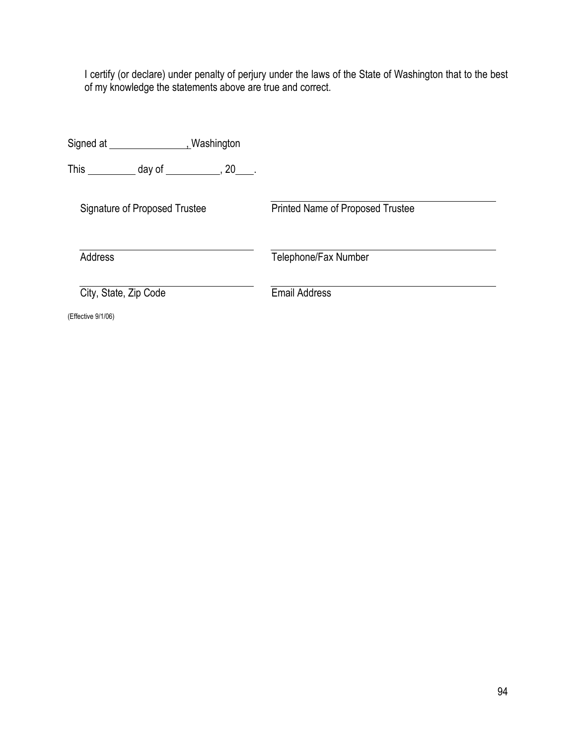I certify (or declare) under penalty of perjury under the laws of the State of Washington that to the best of my knowledge the statements above are true and correct.

Signed at , Washington

This  $\_\_\_\_\_\$  day of  $\_\_\_\_\_\,, 20 \_\_\_\,.$ 

Signature of Proposed Trustee **Printed Name of Proposed Trustee** 

Address Telephone/Fax Number

City, State, Zip Code Email Address

(Effective 9/1/06)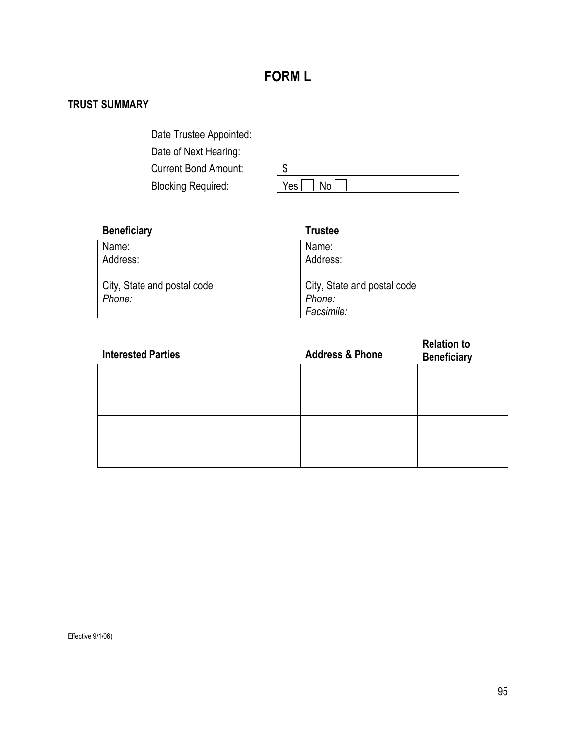## **FORM L**

### <span id="page-94-0"></span>**TRUST SUMMARY**

| Date Trustee Appointed:   |           |
|---------------------------|-----------|
| Date of Next Hearing:     |           |
| Current Bond Amount:      |           |
| <b>Blocking Required:</b> | N٥<br>Yes |

| <b>Beneficiary</b>          | Trustee                     |
|-----------------------------|-----------------------------|
| Name:                       | Name:                       |
| Address:                    | Address:                    |
| City, State and postal code | City, State and postal code |
| Phone:                      | Phone:                      |
|                             | Facsimile:                  |

| <b>Interested Parties</b> | <b>Address &amp; Phone</b> | <b>Relation to</b><br><b>Beneficiary</b> |
|---------------------------|----------------------------|------------------------------------------|
|                           |                            |                                          |
|                           |                            |                                          |
|                           |                            |                                          |
|                           |                            |                                          |

Effective 9/1/06)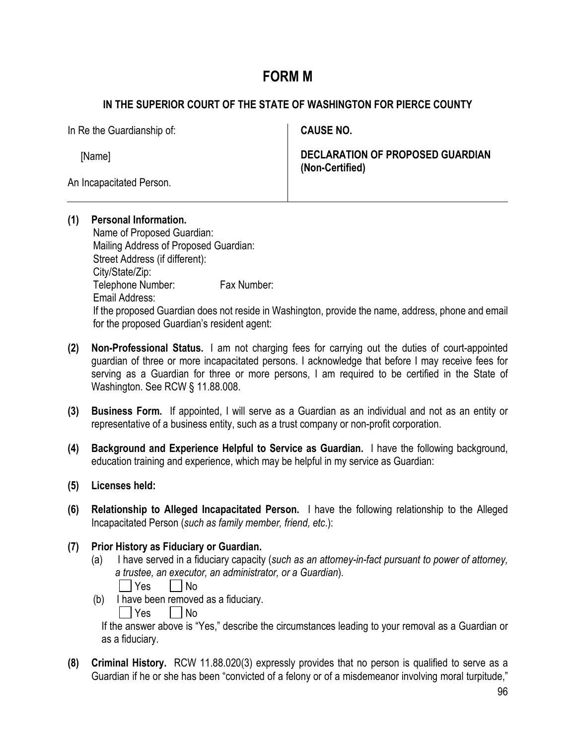## **FORM M**

### <span id="page-95-0"></span>**IN THE SUPERIOR COURT OF THE STATE OF WASHINGTON FOR PIERCE COUNTY**

| In Re the Guardianship of: | <b>CAUSE NO.</b>                                           |
|----------------------------|------------------------------------------------------------|
| [Name]                     | <b>DECLARATION OF PROPOSED GUARDIAN</b><br>(Non-Certified) |
| An Incapacitated Person.   |                                                            |

| (1) | <b>Personal Information.</b>                |                                                                                                    |
|-----|---------------------------------------------|----------------------------------------------------------------------------------------------------|
|     | Name of Proposed Guardian:                  |                                                                                                    |
|     | Mailing Address of Proposed Guardian:       |                                                                                                    |
|     | Street Address (if different):              |                                                                                                    |
|     | City/State/Zip:                             |                                                                                                    |
|     | Telephone Number:                           | Fax Number:                                                                                        |
|     | Email Address:                              |                                                                                                    |
|     |                                             | If the proposed Guardian does not reside in Washington, provide the name, address, phone and email |
|     | for the proposed Guardian's resident agent: |                                                                                                    |

- **(2) Non-Professional Status.** I am not charging fees for carrying out the duties of court-appointed guardian of three or more incapacitated persons. I acknowledge that before I may receive fees for serving as a Guardian for three or more persons, I am required to be certified in the State of Washington. See RCW § 11.88.008.
- **(3) Business Form.** If appointed, I will serve as a Guardian as an individual and not as an entity or representative of a business entity, such as a trust company or non-profit corporation.
- **(4) Background and Experience Helpful to Service as Guardian.** I have the following background, education training and experience, which may be helpful in my service as Guardian:
- **(5) Licenses held:**
- **(6) Relationship to Alleged Incapacitated Person.** I have the following relationship to the Alleged Incapacitated Person (*such as family member, friend, etc*.):
- **(7) Prior History as Fiduciary or Guardian.**
	- (a) I have served in a fiduciary capacity (*such as an attorney-in-fact pursuant to power of attorney, a trustee, an executor, an administrator, or a Guardian*).
		- $\Box$  Yes  $\Box$  No
	- (b) I have been removed as a fiduciary.

 $\Box$  Yes  $\Box$  No

If the answer above is "Yes," describe the circumstances leading to your removal as a Guardian or as a fiduciary.

**(8) Criminal History.** RCW 11.88.020(3) expressly provides that no person is qualified to serve as a Guardian if he or she has been "convicted of a felony or of a misdemeanor involving moral turpitude,"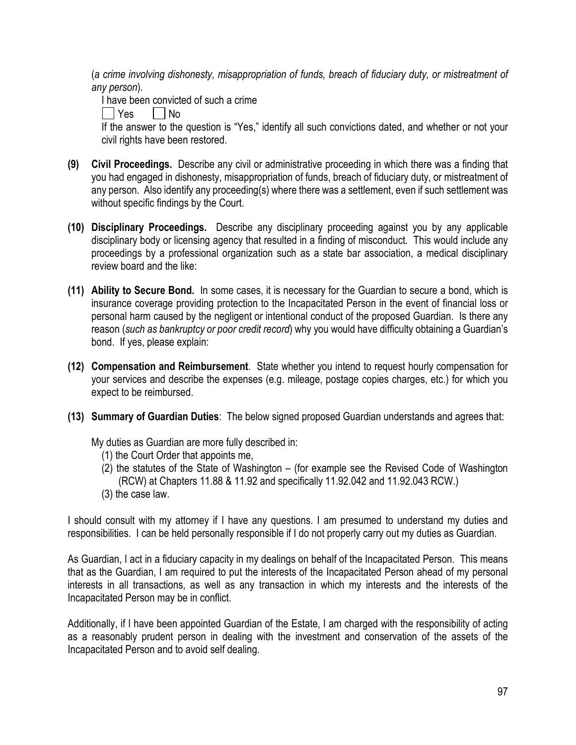(*a crime involving dishonesty, misappropriation of funds, breach of fiduciary duty, or mistreatment of any person*).

I have been convicted of such a crime

l lyes I INo

If the answer to the question is "Yes," identify all such convictions dated, and whether or not your civil rights have been restored.

- **(9) Civil Proceedings.** Describe any civil or administrative proceeding in which there was a finding that you had engaged in dishonesty, misappropriation of funds, breach of fiduciary duty, or mistreatment of any person. Also identify any proceeding(s) where there was a settlement, even if such settlement was without specific findings by the Court.
- **(10) Disciplinary Proceedings.** Describe any disciplinary proceeding against you by any applicable disciplinary body or licensing agency that resulted in a finding of misconduct. This would include any proceedings by a professional organization such as a state bar association, a medical disciplinary review board and the like:
- **(11) Ability to Secure Bond.** In some cases, it is necessary for the Guardian to secure a bond, which is insurance coverage providing protection to the Incapacitated Person in the event of financial loss or personal harm caused by the negligent or intentional conduct of the proposed Guardian. Is there any reason (*such as bankruptcy or poor credit record*) why you would have difficulty obtaining a Guardian's bond. If yes, please explain:
- **(12) Compensation and Reimbursement**. State whether you intend to request hourly compensation for your services and describe the expenses (e.g. mileage, postage copies charges, etc.) for which you expect to be reimbursed.
- **(13) Summary of Guardian Duties**: The below signed proposed Guardian understands and agrees that:

My duties as Guardian are more fully described in:

- (1) the Court Order that appoints me,
- (2) the statutes of the State of Washington (for example see the Revised Code of Washington (RCW) at Chapters 11.88 & 11.92 and specifically 11.92.042 and 11.92.043 RCW.)
- (3) the case law.

I should consult with my attorney if I have any questions. I am presumed to understand my duties and responsibilities. I can be held personally responsible if I do not properly carry out my duties as Guardian.

As Guardian, I act in a fiduciary capacity in my dealings on behalf of the Incapacitated Person. This means that as the Guardian, I am required to put the interests of the Incapacitated Person ahead of my personal interests in all transactions, as well as any transaction in which my interests and the interests of the Incapacitated Person may be in conflict.

Additionally, if I have been appointed Guardian of the Estate, I am charged with the responsibility of acting as a reasonably prudent person in dealing with the investment and conservation of the assets of the Incapacitated Person and to avoid self dealing.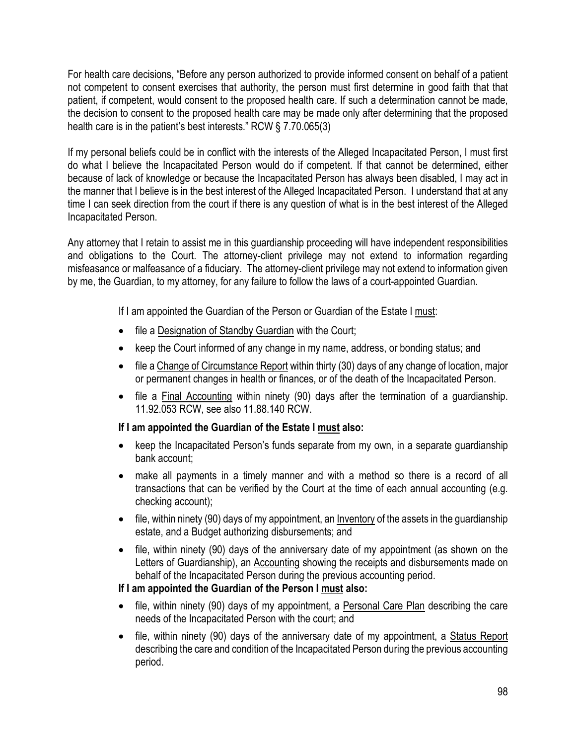For health care decisions, "Before any person authorized to provide informed consent on behalf of a patient not competent to consent exercises that authority, the person must first determine in good faith that that patient, if competent, would consent to the proposed health care. If such a determination cannot be made, the decision to consent to the proposed health care may be made only after determining that the proposed health care is in the patient's best interests." RCW § 7.70.065(3)

If my personal beliefs could be in conflict with the interests of the Alleged Incapacitated Person, I must first do what I believe the Incapacitated Person would do if competent. If that cannot be determined, either because of lack of knowledge or because the Incapacitated Person has always been disabled, I may act in the manner that I believe is in the best interest of the Alleged Incapacitated Person. I understand that at any time I can seek direction from the court if there is any question of what is in the best interest of the Alleged Incapacitated Person.

Any attorney that I retain to assist me in this guardianship proceeding will have independent responsibilities and obligations to the Court. The attorney-client privilege may not extend to information regarding misfeasance or malfeasance of a fiduciary. The attorney-client privilege may not extend to information given by me, the Guardian, to my attorney, for any failure to follow the laws of a court-appointed Guardian.

If I am appointed the Guardian of the Person or Guardian of the Estate I must:

- file a Designation of Standby Guardian with the Court;
- keep the Court informed of any change in my name, address, or bonding status; and
- file a Change of Circumstance Report within thirty (30) days of any change of location, major or permanent changes in health or finances, or of the death of the Incapacitated Person.
- file a Final Accounting within ninety (90) days after the termination of a guardianship. 11.92.053 RCW, see also 11.88.140 RCW.

#### **If I am appointed the Guardian of the Estate I must also:**

- keep the Incapacitated Person's funds separate from my own, in a separate guardianship bank account;
- make all payments in a timely manner and with a method so there is a record of all transactions that can be verified by the Court at the time of each annual accounting (e.g. checking account);
- file, within ninety (90) days of my appointment, an Inventory of the assets in the guardianship estate, and a Budget authorizing disbursements; and
- file, within ninety (90) days of the anniversary date of my appointment (as shown on the Letters of Guardianship), an Accounting showing the receipts and disbursements made on behalf of the Incapacitated Person during the previous accounting period.

#### **If I am appointed the Guardian of the Person I must also:**

- file, within ninety (90) days of my appointment, a Personal Care Plan describing the care needs of the Incapacitated Person with the court; and
- file, within ninety (90) days of the anniversary date of my appointment, a Status Report describing the care and condition of the Incapacitated Person during the previous accounting period.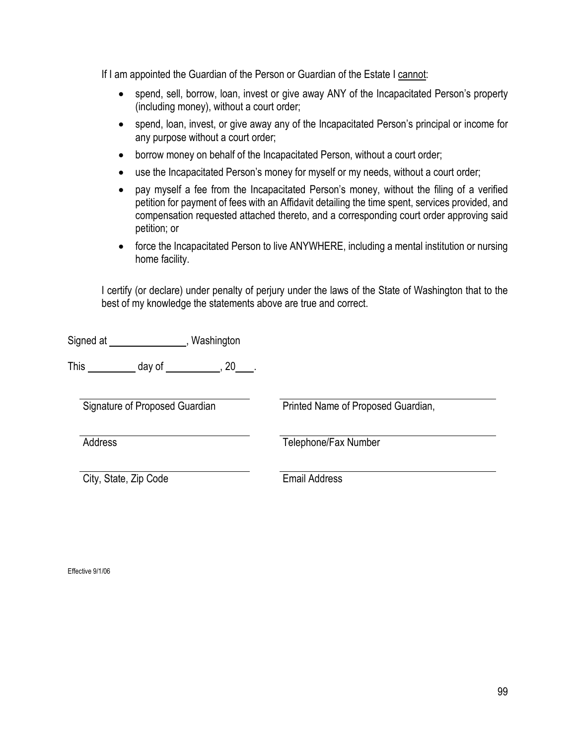If I am appointed the Guardian of the Person or Guardian of the Estate I cannot:

- spend, sell, borrow, loan, invest or give away ANY of the Incapacitated Person's property (including money), without a court order;
- spend, loan, invest, or give away any of the Incapacitated Person's principal or income for any purpose without a court order;
- borrow money on behalf of the Incapacitated Person, without a court order;
- use the Incapacitated Person's money for myself or my needs, without a court order;
- pay myself a fee from the Incapacitated Person's money, without the filing of a verified petition for payment of fees with an Affidavit detailing the time spent, services provided, and compensation requested attached thereto, and a corresponding court order approving said petition; or
- force the Incapacitated Person to live ANYWHERE, including a mental institution or nursing home facility.

I certify (or declare) under penalty of perjury under the laws of the State of Washington that to the best of my knowledge the statements above are true and correct.

Signed at \_\_\_\_\_\_\_\_\_\_\_\_\_\_\_\_, Washington

This day of  $\frac{1}{20}$ , 20  $\frac{1}{20}$ 

Signature of Proposed Guardian Printed Name of Proposed Guardian,

Address Telephone/Fax Number

City, State, Zip Code Email Address

Effective 9/1/06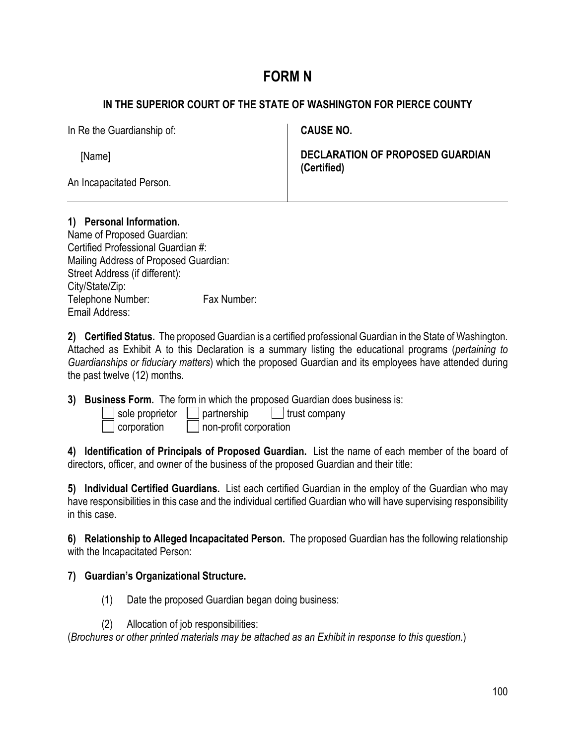## **FORM N**

### <span id="page-99-0"></span>**IN THE SUPERIOR COURT OF THE STATE OF WASHINGTON FOR PIERCE COUNTY**

| In Re the Guardianship of: | <b>CAUSE NO.</b>                                       |
|----------------------------|--------------------------------------------------------|
| [Name]                     | <b>DECLARATION OF PROPOSED GUARDIAN</b><br>(Certified) |
| An Incapacitated Person.   |                                                        |

#### **1) Personal Information.**

Name of Proposed Guardian: Certified Professional Guardian #: Mailing Address of Proposed Guardian: Street Address (if different): City/State/Zip: Telephone Number: Fax Number: Email Address:

**2) Certified Status.** The proposed Guardian is a certified professional Guardian in the State of Washington. Attached as Exhibit A to this Declaration is a summary listing the educational programs (*pertaining to Guardianships or fiduciary matters*) which the proposed Guardian and its employees have attended during the past twelve (12) months.

**3) Business Form.** The form in which the proposed Guardian does business is:

| $\Box$ sole proprietor | $\vert$   partnership         | $\boxed{\phantom{0}}$ trust company |
|------------------------|-------------------------------|-------------------------------------|
| $\Box$ corporation     | $\Box$ non-profit corporation |                                     |

**4) Identification of Principals of Proposed Guardian.** List the name of each member of the board of directors, officer, and owner of the business of the proposed Guardian and their title:

**5) Individual Certified Guardians.** List each certified Guardian in the employ of the Guardian who may have responsibilities in this case and the individual certified Guardian who will have supervising responsibility in this case.

**6) Relationship to Alleged Incapacitated Person.** The proposed Guardian has the following relationship with the Incapacitated Person:

### **7) Guardian's Organizational Structure.**

- (1) Date the proposed Guardian began doing business:
- (2) Allocation of job responsibilities:

(*Brochures or other printed materials may be attached as an Exhibit in response to this question*.)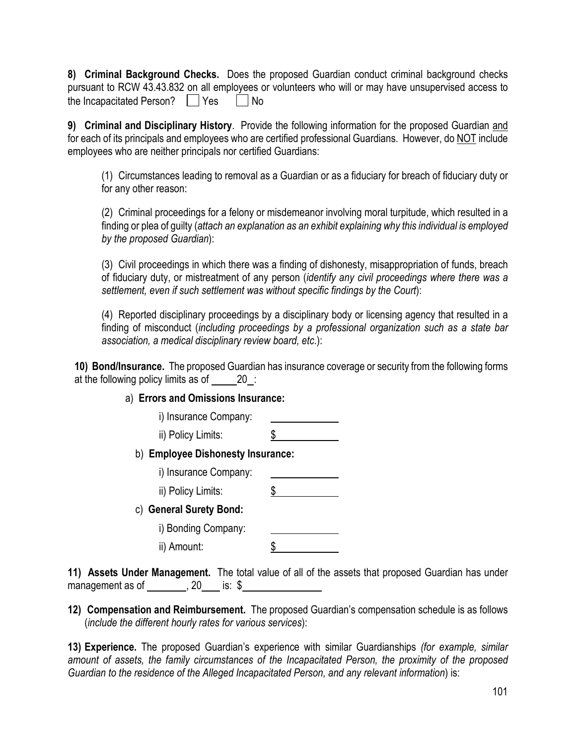**8) Criminal Background Checks.** Does the proposed Guardian conduct criminal background checks pursuant to RCW 43.43.832 on all employees or volunteers who will or may have unsupervised access to the Incapacitated Person?  $\vert$  | Yes | | No

**9) Criminal and Disciplinary History**. Provide the following information for the proposed Guardian and for each of its principals and employees who are certified professional Guardians. However, do NOT include employees who are neither principals nor certified Guardians:

(1) Circumstances leading to removal as a Guardian or as a fiduciary for breach of fiduciary duty or for any other reason:

(2) Criminal proceedings for a felony or misdemeanor involving moral turpitude, which resulted in a finding or plea of guilty (*attach an explanation as an exhibit explaining why this individual is employed by the proposed Guardian*):

(3) Civil proceedings in which there was a finding of dishonesty, misappropriation of funds, breach of fiduciary duty, or mistreatment of any person (*identify any civil proceedings where there was a settlement, even if such settlement was without specific findings by the Court*):

(4) Reported disciplinary proceedings by a disciplinary body or licensing agency that resulted in a finding of misconduct (*including proceedings by a professional organization such as a state bar association, a medical disciplinary review board, etc*.):

**10) Bond/Insurance.** The proposed Guardian has insurance coverage or security from the following forms at the following policy limits as of 20 :

#### a) **Errors and Omissions Insurance:**

| i) Insurance Company: |  |
|-----------------------|--|
|                       |  |

- ii) Policy Limits: \$
- b) **Employee Dishonesty Insurance:**
	- i) Insurance Company:
	- ii) Policy Limits: \$
- c) **General Surety Bond:**
	- i) Bonding Company:
	- ii) Amount: \$

**11) Assets Under Management.** The total value of all of the assets that proposed Guardian has under management as of , 20 is: \$

**12) Compensation and Reimbursement.** The proposed Guardian's compensation schedule is as follows (*include the different hourly rates for various services*):

**13) Experience.** The proposed Guardian's experience with similar Guardianships *(for example, similar amount of assets, the family circumstances of the Incapacitated Person, the proximity of the proposed Guardian to the residence of the Alleged Incapacitated Person, and any relevant information*) is: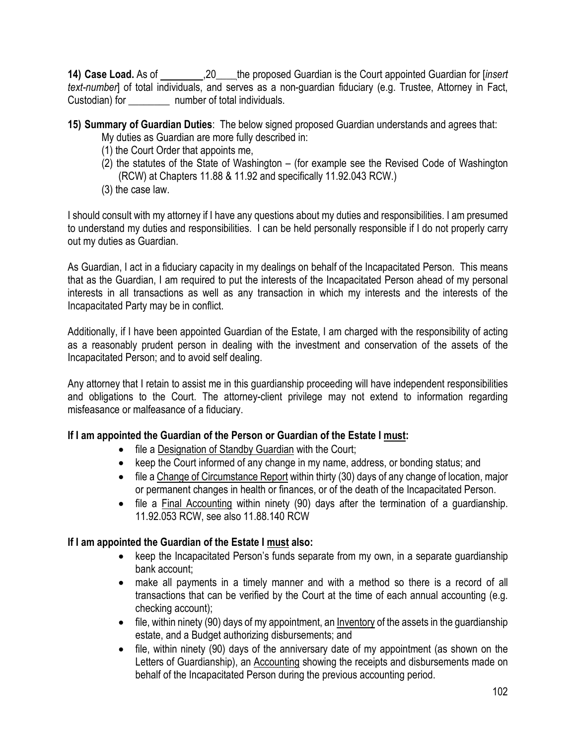**14) Case Load.** As of \_\_\_\_\_\_\_\_\_\_\_\_\_\_\_\_\_\_the proposed Guardian is the Court appointed Guardian for [*insert text-number*] of total individuals, and serves as a non-guardian fiduciary (e.g. Trustee, Attorney in Fact, Custodian) for **with the number of total individuals.** 

- **15) Summary of Guardian Duties**: The below signed proposed Guardian understands and agrees that:
	- My duties as Guardian are more fully described in:
	- (1) the Court Order that appoints me,
	- (2) the statutes of the State of Washington (for example see the Revised Code of Washington (RCW) at Chapters 11.88 & 11.92 and specifically 11.92.043 RCW.)
	- (3) the case law.

I should consult with my attorney if I have any questions about my duties and responsibilities. I am presumed to understand my duties and responsibilities. I can be held personally responsible if I do not properly carry out my duties as Guardian.

As Guardian, I act in a fiduciary capacity in my dealings on behalf of the Incapacitated Person. This means that as the Guardian, I am required to put the interests of the Incapacitated Person ahead of my personal interests in all transactions as well as any transaction in which my interests and the interests of the Incapacitated Party may be in conflict.

Additionally, if I have been appointed Guardian of the Estate, I am charged with the responsibility of acting as a reasonably prudent person in dealing with the investment and conservation of the assets of the Incapacitated Person; and to avoid self dealing.

Any attorney that I retain to assist me in this guardianship proceeding will have independent responsibilities and obligations to the Court. The attorney-client privilege may not extend to information regarding misfeasance or malfeasance of a fiduciary.

### **If I am appointed the Guardian of the Person or Guardian of the Estate I must:**

- file a Designation of Standby Guardian with the Court;
- keep the Court informed of any change in my name, address, or bonding status; and
- file a Change of Circumstance Report within thirty (30) days of any change of location, major or permanent changes in health or finances, or of the death of the Incapacitated Person.
- file a Final Accounting within ninety (90) days after the termination of a guardianship. 11.92.053 RCW, see also 11.88.140 RCW

### **If I am appointed the Guardian of the Estate I must also:**

- keep the Incapacitated Person's funds separate from my own, in a separate quardianship bank account;
- make all payments in a timely manner and with a method so there is a record of all transactions that can be verified by the Court at the time of each annual accounting (e.g. checking account);
- file, within ninety (90) days of my appointment, an Inventory of the assets in the quardianship estate, and a Budget authorizing disbursements; and
- file, within ninety (90) days of the anniversary date of my appointment (as shown on the Letters of Guardianship), an Accounting showing the receipts and disbursements made on behalf of the Incapacitated Person during the previous accounting period.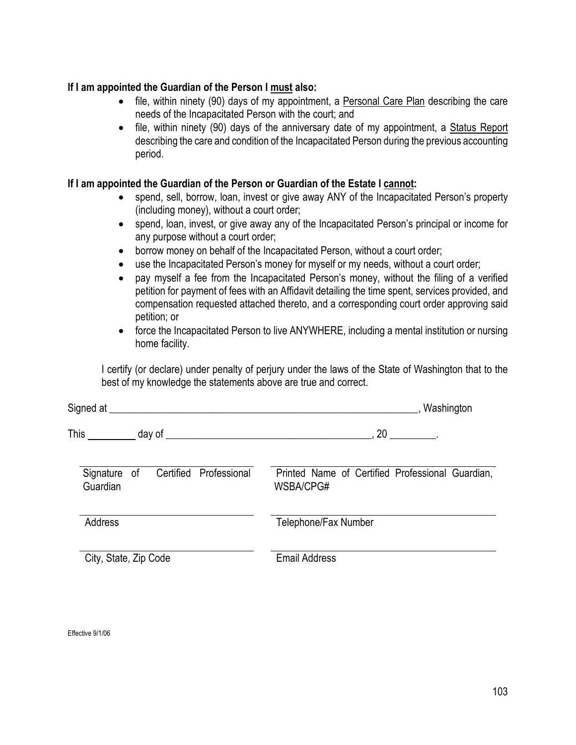#### **If I am appointed the Guardian of the Person I must also:**

- file, within ninety (90) days of my appointment, a Personal Care Plan describing the care needs of the Incapacitated Person with the court; and
- file, within ninety (90) days of the anniversary date of my appointment, a Status Report describing the care and condition of the Incapacitated Person during the previous accounting period.

#### **If I am appointed the Guardian of the Person or Guardian of the Estate I cannot:**

- spend, sell, borrow, loan, invest or give away ANY of the Incapacitated Person's property (including money), without a court order;
- spend, loan, invest, or give away any of the Incapacitated Person's principal or income for any purpose without a court order;
- borrow money on behalf of the Incapacitated Person, without a court order;
- use the Incapacitated Person's money for myself or my needs, without a court order;
- pay myself a fee from the Incapacitated Person's money, without the filing of a verified petition for payment of fees with an Affidavit detailing the time spent, services provided, and compensation requested attached thereto, and a corresponding court order approving said petition; or
- force the Incapacitated Person to live ANYWHERE, including a mental institution or nursing home facility.

I certify (or declare) under penalty of perjury under the laws of the State of Washington that to the best of my knowledge the statements above are true and correct.

| Signed at ________    | Washington                                                    |
|-----------------------|---------------------------------------------------------------|
|                       |                                                               |
| Signature of          | Printed Name of Certified Professional Guardian,<br>WSBA/CPG# |
|                       | Telephone/Fax Number                                          |
| City, State, Zip Code | <b>Email Address</b>                                          |
|                       | Certified Professional                                        |

Effective 9/1/06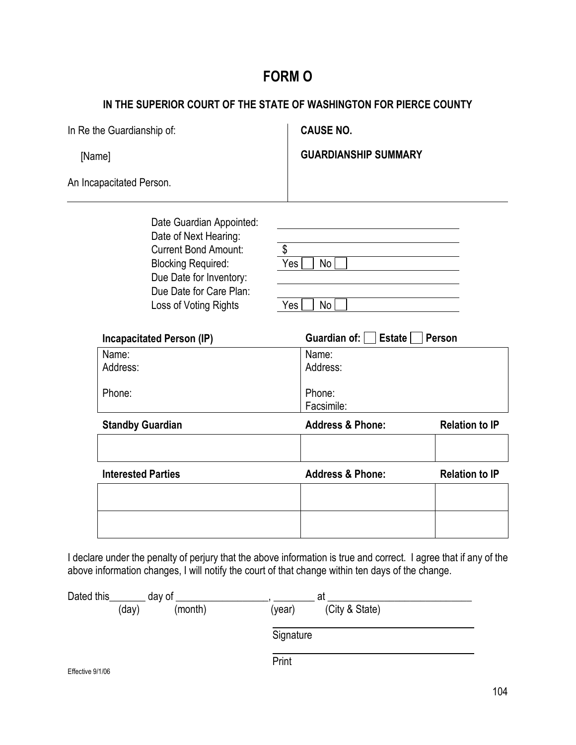## **FORM O**

## <span id="page-103-0"></span>**IN THE SUPERIOR COURT OF THE STATE OF WASHINGTON FOR PIERCE COUNTY**

| In Re the Guardianship of:                                                                                                                                                                   | <b>CAUSE NO.</b>             |                             |  |
|----------------------------------------------------------------------------------------------------------------------------------------------------------------------------------------------|------------------------------|-----------------------------|--|
| [Name]                                                                                                                                                                                       |                              | <b>GUARDIANSHIP SUMMARY</b> |  |
| An Incapacitated Person.                                                                                                                                                                     |                              |                             |  |
| Date Guardian Appointed:<br>Date of Next Hearing:<br><b>Current Bond Amount:</b><br><b>Blocking Required:</b><br>Due Date for Inventory:<br>Due Date for Care Plan:<br>Loss of Voting Rights | \$<br>No<br>Yes<br>No<br>Yes |                             |  |
| <b>Incapacitated Person (IP)</b>                                                                                                                                                             | Guardian of:  <br>Estate     | Person                      |  |
| Name:<br>Address:                                                                                                                                                                            | Name:<br>Address:            |                             |  |
| Phone:                                                                                                                                                                                       | Phone:<br>Facsimile:         |                             |  |
| <b>Standby Guardian</b>                                                                                                                                                                      | <b>Address &amp; Phone:</b>  | <b>Relation to IP</b>       |  |
| <b>Interested Parties</b>                                                                                                                                                                    | <b>Address &amp; Phone:</b>  | <b>Relation to IP</b>       |  |
|                                                                                                                                                                                              |                              |                             |  |

I declare under the penalty of perjury that the above information is true and correct. I agree that if any of the above information changes, I will notify the court of that change within ten days of the change.

| Dated this       |       | day of  | at                       |  |
|------------------|-------|---------|--------------------------|--|
|                  | (day) | (month) | (City & State)<br>(year) |  |
|                  |       |         | Signature                |  |
| Effective 9/1/06 |       |         | Print                    |  |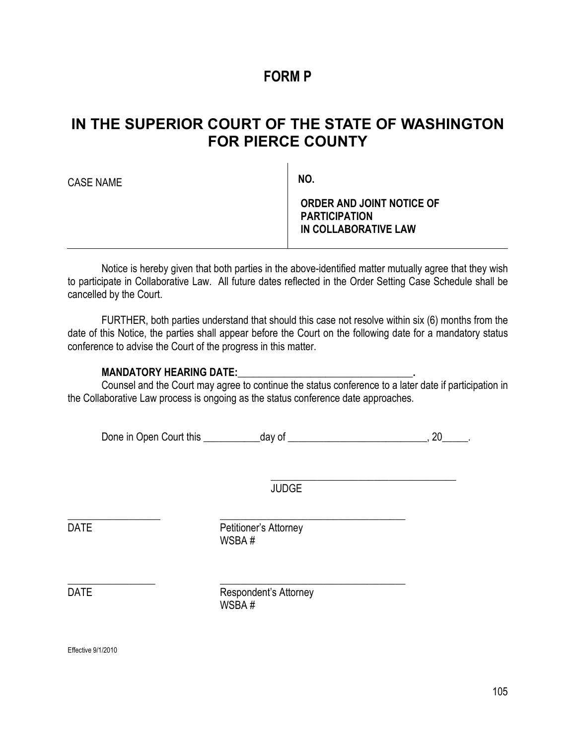## **FORM P**

## <span id="page-104-0"></span>**IN THE SUPERIOR COURT OF THE STATE OF WASHINGTON FOR PIERCE COUNTY**

 $\mathbf{I}$ 

| <b>CASE NAME</b> | NO.                                                                       |
|------------------|---------------------------------------------------------------------------|
|                  | ORDER AND JOINT NOTICE OF<br><b>PARTICIPATION</b><br>IN COLLABORATIVE LAW |

Notice is hereby given that both parties in the above-identified matter mutually agree that they wish to participate in Collaborative Law. All future dates reflected in the Order Setting Case Schedule shall be cancelled by the Court.

FURTHER, both parties understand that should this case not resolve within six (6) months from the date of this Notice, the parties shall appear before the Court on the following date for a mandatory status conference to advise the Court of the progress in this matter.

#### **MANDATORY HEARING DATE:\_\_\_\_\_\_\_\_\_\_\_\_\_\_\_\_\_\_\_\_\_\_\_\_\_\_\_\_\_\_\_\_\_\_.**

Counsel and the Court may agree to continue the status conference to a later date if participation in the Collaborative Law process is ongoing as the status conference date approaches.

Done in Open Court this \_\_\_\_\_\_\_\_\_\_\_\_day of \_\_\_\_\_\_\_\_\_\_\_\_\_\_\_\_\_\_\_\_\_\_\_\_\_\_\_, 20\_\_\_\_\_.

\_\_\_\_\_\_\_\_\_\_\_\_\_\_\_\_\_\_\_\_\_\_\_\_\_\_\_\_\_\_\_\_\_\_\_\_ JUDGE

\_\_\_\_\_\_\_\_\_\_\_\_\_\_\_\_\_\_ \_\_\_\_\_\_\_\_\_\_\_\_\_\_\_\_\_\_\_\_\_\_\_\_\_\_\_\_\_\_\_\_\_\_\_\_

DATE Petitioner's Attorney WSBA #

DATE Respondent's Attorney WSBA #

\_\_\_\_\_\_\_\_\_\_\_\_\_\_\_\_\_ \_\_\_\_\_\_\_\_\_\_\_\_\_\_\_\_\_\_\_\_\_\_\_\_\_\_\_\_\_\_\_\_\_\_\_\_

Effective 9/1/2010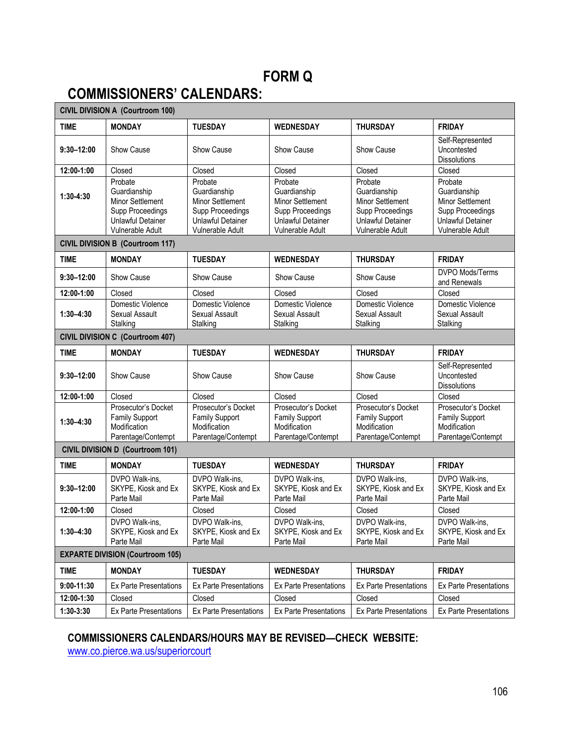## **FORM Q**

## <span id="page-105-0"></span>**COMMISSIONERS' CALENDARS:**

| <b>CIVIL DIVISION A (Courtroom 100)</b> |                                                                                                                        |                                                                                                          |                                                                                                                        |                                                                                                                        |                                                                                                                        |  |
|-----------------------------------------|------------------------------------------------------------------------------------------------------------------------|----------------------------------------------------------------------------------------------------------|------------------------------------------------------------------------------------------------------------------------|------------------------------------------------------------------------------------------------------------------------|------------------------------------------------------------------------------------------------------------------------|--|
| <b>TIME</b>                             | <b>MONDAY</b>                                                                                                          | <b>TUESDAY</b>                                                                                           | <b>WEDNESDAY</b>                                                                                                       | <b>THURSDAY</b>                                                                                                        | <b>FRIDAY</b>                                                                                                          |  |
| 9:30-12:00                              | Show Cause                                                                                                             | Show Cause                                                                                               | Show Cause                                                                                                             | Show Cause                                                                                                             | Self-Represented<br>Uncontested<br><b>Dissolutions</b>                                                                 |  |
| 12:00-1:00                              | Closed                                                                                                                 | Closed                                                                                                   | Closed                                                                                                                 | Closed                                                                                                                 | Closed                                                                                                                 |  |
| $1:30-4:30$                             | Probate<br>Guardianship<br>Minor Settlement<br>Supp Proceedings<br><b>Unlawful Detainer</b><br><b>Vulnerable Adult</b> | Probate<br>Guardianship<br>Minor Settlement<br>Supp Proceedings<br>Unlawful Detainer<br>Vulnerable Adult | Probate<br>Guardianship<br>Minor Settlement<br>Supp Proceedings<br><b>Unlawful Detainer</b><br><b>Vulnerable Adult</b> | Probate<br>Guardianship<br><b>Minor Settlement</b><br>Supp Proceedings<br>Unlawful Detainer<br><b>Vulnerable Adult</b> | Probate<br>Guardianship<br>Minor Settlement<br>Supp Proceedings<br><b>Unlawful Detainer</b><br><b>Vulnerable Adult</b> |  |
| <b>CIVIL DIVISION B (Courtroom 117)</b> |                                                                                                                        |                                                                                                          |                                                                                                                        |                                                                                                                        |                                                                                                                        |  |
| <b>TIME</b>                             | <b>MONDAY</b>                                                                                                          | <b>TUESDAY</b>                                                                                           | <b>WEDNESDAY</b>                                                                                                       | <b>THURSDAY</b>                                                                                                        | <b>FRIDAY</b>                                                                                                          |  |
| $9:30 - 12:00$                          | Show Cause                                                                                                             | Show Cause                                                                                               | Show Cause                                                                                                             | Show Cause                                                                                                             | DVPO Mods/Terms<br>and Renewals                                                                                        |  |
| 12:00-1:00                              | Closed                                                                                                                 | Closed                                                                                                   | Closed                                                                                                                 | Closed                                                                                                                 | Closed                                                                                                                 |  |
| $1:30 - 4:30$                           | Domestic Violence<br>Sexual Assault<br>Stalking                                                                        | Domestic Violence<br>Sexual Assault<br>Stalking                                                          | Domestic Violence<br>Sexual Assault<br>Stalking                                                                        | Domestic Violence<br>Sexual Assault<br>Stalking                                                                        | Domestic Violence<br>Sexual Assault<br>Stalking                                                                        |  |
| CIVIL DIVISION C (Courtroom 407)        |                                                                                                                        |                                                                                                          |                                                                                                                        |                                                                                                                        |                                                                                                                        |  |
| <b>TIME</b>                             | <b>MONDAY</b>                                                                                                          | <b>TUESDAY</b>                                                                                           | <b>WEDNESDAY</b>                                                                                                       | <b>THURSDAY</b>                                                                                                        | <b>FRIDAY</b>                                                                                                          |  |
| 9:30-12:00                              | Show Cause                                                                                                             | Show Cause                                                                                               | Show Cause                                                                                                             | Show Cause                                                                                                             | Self-Represented<br>Uncontested<br><b>Dissolutions</b>                                                                 |  |
| 12:00-1:00                              | Closed                                                                                                                 | Closed                                                                                                   | Closed                                                                                                                 | Closed                                                                                                                 | Closed                                                                                                                 |  |
| $1:30 - 4:30$                           | Prosecutor's Docket<br><b>Family Support</b><br>Modification<br>Parentage/Contempt                                     | Prosecutor's Docket<br><b>Family Support</b><br>Modification<br>Parentage/Contempt                       | Prosecutor's Docket<br><b>Family Support</b><br>Modification<br>Parentage/Contempt                                     | Prosecutor's Docket<br><b>Family Support</b><br>Modification<br>Parentage/Contempt                                     | Prosecutor's Docket<br><b>Family Support</b><br>Modification<br>Parentage/Contempt                                     |  |
| <b>CIVIL DIVISION D (Courtroom 101)</b> |                                                                                                                        |                                                                                                          |                                                                                                                        |                                                                                                                        |                                                                                                                        |  |
| <b>TIME</b>                             | <b>MONDAY</b>                                                                                                          | <b>TUESDAY</b>                                                                                           | <b>WEDNESDAY</b>                                                                                                       | <b>THURSDAY</b>                                                                                                        | <b>FRIDAY</b>                                                                                                          |  |
| $9:30 - 12:00$                          | DVPO Walk-ins,<br>SKYPE, Kiosk and Ex<br>Parte Mail                                                                    | DVPO Walk-ins,<br>SKYPE, Kiosk and Ex<br>Parte Mail                                                      | DVPO Walk-ins,<br>SKYPE, Kiosk and Ex<br>Parte Mail                                                                    | DVPO Walk-ins,<br>SKYPE, Kiosk and Ex<br>Parte Mail                                                                    | DVPO Walk-ins,<br>SKYPE, Kiosk and Ex<br>Parte Mail                                                                    |  |
| 12:00-1:00                              | Closed                                                                                                                 | Closed                                                                                                   | Closed                                                                                                                 | Closed                                                                                                                 | Closed                                                                                                                 |  |
| $1:30 - 4:30$                           | DVPO Walk-ins,<br>SKYPE, Kiosk and Ex<br>Parte Mail                                                                    | DVPO Walk-ins,<br>SKYPE, Kiosk and Ex<br>Parte Mail                                                      | DVPO Walk-ins,<br>SKYPE, Kiosk and Ex<br>Parte Mail                                                                    | DVPO Walk-ins,<br>SKYPE, Kiosk and Ex<br>Parte Mail                                                                    | DVPO Walk-ins,<br>SKYPE, Kiosk and Ex<br>Parte Mail                                                                    |  |
| <b>EXPARTE DIVISION (Courtroom 105)</b> |                                                                                                                        |                                                                                                          |                                                                                                                        |                                                                                                                        |                                                                                                                        |  |
| <b>TIME</b>                             | <b>MONDAY</b>                                                                                                          | <b>TUESDAY</b>                                                                                           | <b>WEDNESDAY</b>                                                                                                       | <b>THURSDAY</b>                                                                                                        | <b>FRIDAY</b>                                                                                                          |  |
| 9:00-11:30                              | <b>Ex Parte Presentations</b>                                                                                          | <b>Ex Parte Presentations</b>                                                                            | <b>Ex Parte Presentations</b>                                                                                          | <b>Ex Parte Presentations</b>                                                                                          | <b>Ex Parte Presentations</b>                                                                                          |  |
| 12:00-1:30                              | Closed                                                                                                                 | Closed                                                                                                   | Closed                                                                                                                 | Closed                                                                                                                 | Closed                                                                                                                 |  |
| 1:30-3:30                               | Ex Parte Presentations                                                                                                 | Ex Parte Presentations                                                                                   | Ex Parte Presentations                                                                                                 | Ex Parte Presentations                                                                                                 | Ex Parte Presentations                                                                                                 |  |

### **COMMISSIONERS CALENDARS/HOURS MAY BE REVISED—CHECK WEBSITE:**

[www.co.pierce.wa.us/superiorcourt](http://www.co.pierce.wa.us/superiorcourt)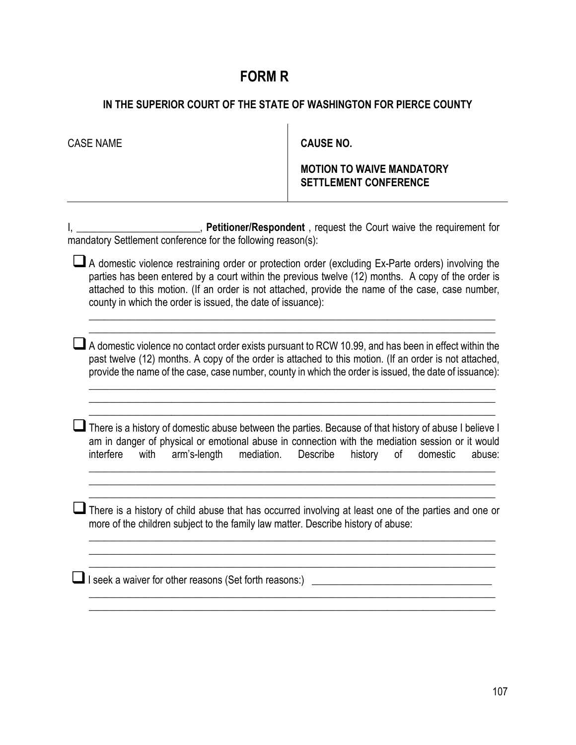## **FORM R**

## <span id="page-106-0"></span>**IN THE SUPERIOR COURT OF THE STATE OF WASHINGTON FOR PIERCE COUNTY**

| <b>CASE NAME</b>                                                                                                                                                                                                                   | <b>CAUSE NO.</b><br><b>MOTION TO WAIVE MANDATORY</b><br><b>SETTLEMENT CONFERENCE</b>                                                                                                                                                                                                                                     |
|------------------------------------------------------------------------------------------------------------------------------------------------------------------------------------------------------------------------------------|--------------------------------------------------------------------------------------------------------------------------------------------------------------------------------------------------------------------------------------------------------------------------------------------------------------------------|
| mandatory Settlement conference for the following reason(s):<br>A domestic violence restraining order or protection order (excluding Ex-Parte orders) involving the<br>county in which the order is issued, the date of issuance): | <b>EXAMPLE 2018</b> , Petitioner/Respondent, request the Court waive the requirement for<br>parties has been entered by a court within the previous twelve (12) months. A copy of the order is<br>attached to this motion. (If an order is not attached, provide the name of the case, case number,                      |
|                                                                                                                                                                                                                                    | A domestic violence no contact order exists pursuant to RCW 10.99, and has been in effect within the<br>past twelve (12) months. A copy of the order is attached to this motion. (If an order is not attached,<br>provide the name of the case, case number, county in which the order is issued, the date of issuance): |
| arm's-length<br>mediation.<br>interfere<br>with                                                                                                                                                                                    | l There is a history of domestic abuse between the parties. Because of that history of abuse I believe I<br>am in danger of physical or emotional abuse in connection with the mediation session or it would<br>Describe<br>history<br>0f<br>domestic<br>abuse:                                                          |
| more of the children subject to the family law matter. Describe history of abuse:                                                                                                                                                  | There is a history of child abuse that has occurred involving at least one of the parties and one or                                                                                                                                                                                                                     |
| I seek a waiver for other reasons (Set forth reasons:)                                                                                                                                                                             |                                                                                                                                                                                                                                                                                                                          |

\_\_\_\_\_\_\_\_\_\_\_\_\_\_\_\_\_\_\_\_\_\_\_\_\_\_\_\_\_\_\_\_\_\_\_\_\_\_\_\_\_\_\_\_\_\_\_\_\_\_\_\_\_\_\_\_\_\_\_\_\_\_\_\_\_\_\_\_\_\_\_\_\_\_\_\_\_\_\_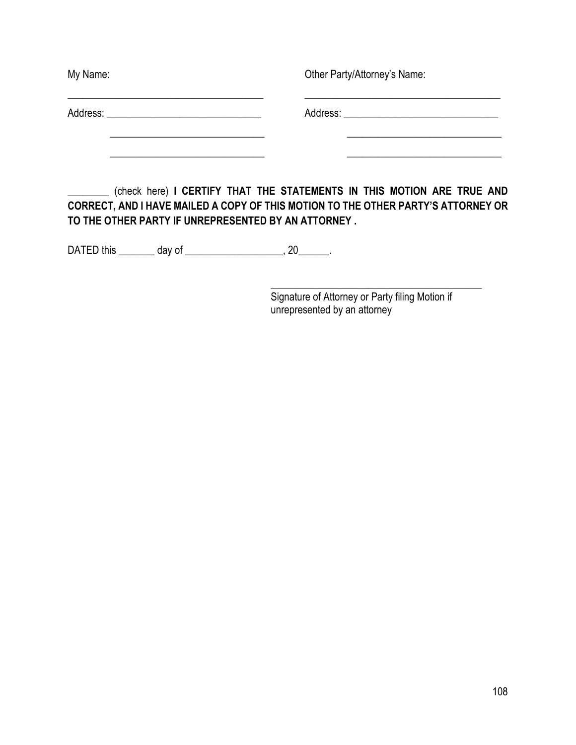| My Name: | Other Party/Attorney's Name:             |
|----------|------------------------------------------|
|          | Address: _______________________________ |
|          |                                          |

## \_\_\_\_\_\_\_\_ (check here) **I CERTIFY THAT THE STATEMENTS IN THIS MOTION ARE TRUE AND CORRECT, AND I HAVE MAILED A COPY OF THIS MOTION TO THE OTHER PARTY'S ATTORNEY OR TO THE OTHER PARTY IF UNREPRESENTED BY AN ATTORNEY .**

DATED this \_\_\_\_\_\_\_\_ day of \_\_\_\_\_\_\_\_\_\_\_\_\_\_\_\_\_\_\_\_\_, 20\_\_\_\_\_\_\_.

 $\overline{\phantom{a}}$  , and the contract of the contract of the contract of the contract of the contract of the contract of the contract of the contract of the contract of the contract of the contract of the contract of the contrac Signature of Attorney or Party filing Motion if unrepresented by an attorney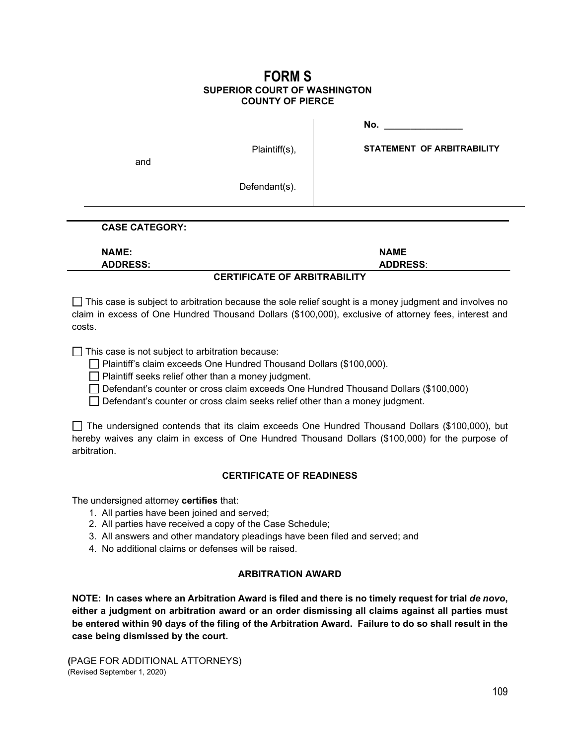#### **FORM S SUPERIOR COURT OF WASHINGTON COUNTY OF PIERCE**

Plaintiff(s),

**No. \_\_\_\_\_\_\_\_\_\_\_\_\_\_\_**

and

**STATEMENT OF ARBITRABILITY**

Defendant(s).

#### **CASE CATEGORY:**

## **NAME: NAME ADDRESS: ADDRESS**:

#### **CERTIFICATE OF ARBITRABILITY**

 $\Box$  This case is subject to arbitration because the sole relief sought is a money judgment and involves no claim in excess of One Hundred Thousand Dollars (\$100,000), exclusive of attorney fees, interest and costs.

 $\Box$  This case is not subject to arbitration because:

□ Plaintiff's claim exceeds One Hundred Thousand Dollars (\$100,000).

 $\Box$  Plaintiff seeks relief other than a money judgment.

 $\Box$  Defendant's counter or cross claim exceeds One Hundred Thousand Dollars (\$100,000)

Defendant's counter or cross claim seeks relief other than a money judgment.

 $\Box$  The undersigned contends that its claim exceeds One Hundred Thousand Dollars (\$100,000), but hereby waives any claim in excess of One Hundred Thousand Dollars (\$100,000) for the purpose of arbitration.

#### **CERTIFICATE OF READINESS**

The undersigned attorney **certifies** that:

- 1. All parties have been joined and served;
- 2. All parties have received a copy of the Case Schedule;
- 3. All answers and other mandatory pleadings have been filed and served; and
- 4. No additional claims or defenses will be raised.

#### **ARBITRATION AWARD**

**NOTE:** In cases where an Arbitration Award is filed and there is no timely request for trial *de novo*, **either a judgment on arbitration award or an order dismissing all claims against all parties must be entered within 90 days of the filing of the Arbitration Award. Failure to do so shall result in the case being dismissed by the court.**

**(**PAGE FOR ADDITIONAL ATTORNEYS) (Revised September 1, 2020)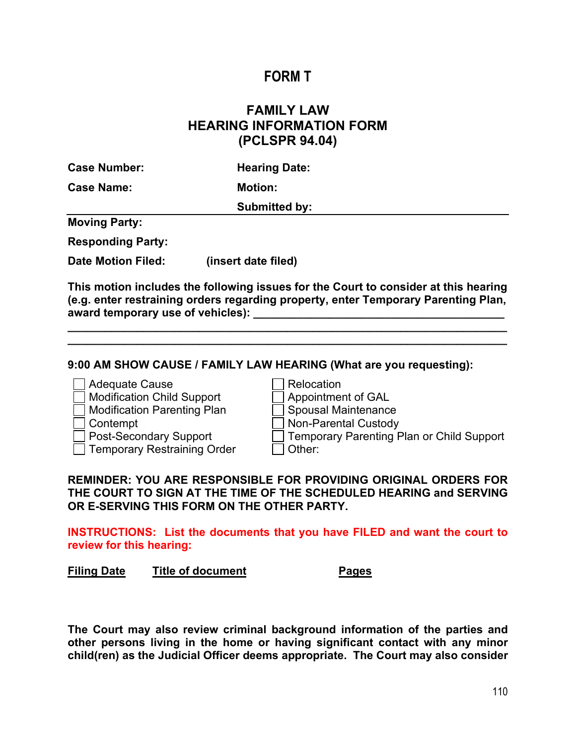## **FORM T**

## **FAMILY LAW HEARING INFORMATION FORM (PCLSPR 94.04)**

| <b>Case Number:</b>       | <b>Hearing Date:</b> |  |  |  |
|---------------------------|----------------------|--|--|--|
| <b>Case Name:</b>         | <b>Motion:</b>       |  |  |  |
|                           | <b>Submitted by:</b> |  |  |  |
| <b>Moving Party:</b>      |                      |  |  |  |
| <b>Responding Party:</b>  |                      |  |  |  |
| <b>Date Motion Filed:</b> | (insert date filed)  |  |  |  |
|                           |                      |  |  |  |

**This motion includes the following issues for the Court to consider at this hearing (e.g. enter restraining orders regarding property, enter Temporary Parenting Plan, award temporary use of vehicles): \_\_\_\_\_\_\_\_\_\_\_\_\_\_\_\_\_\_\_\_\_\_\_\_\_\_\_\_\_\_\_\_\_\_\_\_\_\_\_\_**

**\_\_\_\_\_\_\_\_\_\_\_\_\_\_\_\_\_\_\_\_\_\_\_\_\_\_\_\_\_\_\_\_\_\_\_\_\_\_\_\_\_\_\_\_\_\_\_\_\_\_\_\_\_\_\_\_\_\_\_\_\_\_\_\_\_\_\_\_\_\_ \_\_\_\_\_\_\_\_\_\_\_\_\_\_\_\_\_\_\_\_\_\_\_\_\_\_\_\_\_\_\_\_\_\_\_\_\_\_\_\_\_\_\_\_\_\_\_\_\_\_\_\_\_\_\_\_\_\_\_\_\_\_\_\_\_\_\_\_\_\_**

**9:00 AM SHOW CAUSE / FAMILY LAW HEARING (What are you requesting):** 

| Adequate Cause |  |
|----------------|--|
|                |  |

**∐ Modification Child Support** 

Modification Parenting Plan

Contempt

Post-Secondary Support

Temporary Restraining Order

Relocation

Appointment of GAL

Spousal Maintenance

Non-Parental Custody

Temporary Parenting Plan or Child Support Other:

**REMINDER: YOU ARE RESPONSIBLE FOR PROVIDING ORIGINAL ORDERS FOR THE COURT TO SIGN AT THE TIME OF THE SCHEDULED HEARING and SERVING OR E-SERVING THIS FORM ON THE OTHER PARTY.**

**INSTRUCTIONS: List the documents that you have FILED and want the court to review for this hearing:** 

**Filing Date Title of document Pages**

**The Court may also review criminal background information of the parties and other persons living in the home or having significant contact with any minor child(ren) as the Judicial Officer deems appropriate. The Court may also consider**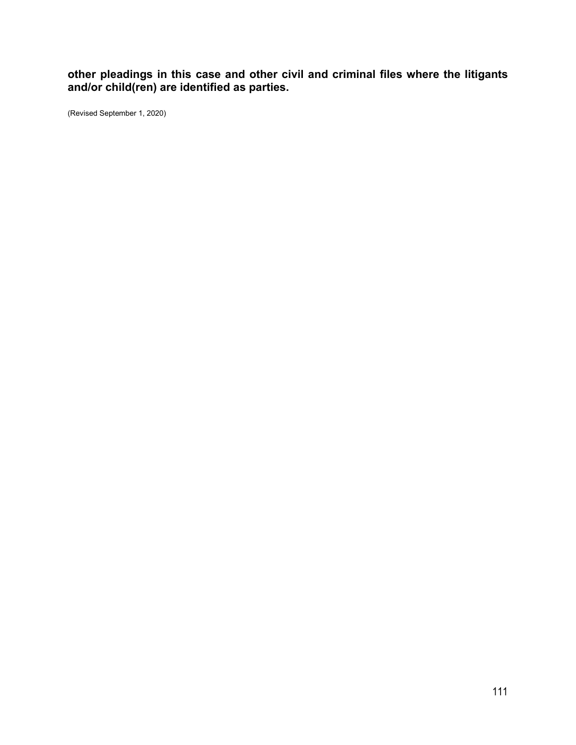**other pleadings in this case and other civil and criminal files where the litigants and/or child(ren) are identified as parties.**

(Revised September 1, 2020)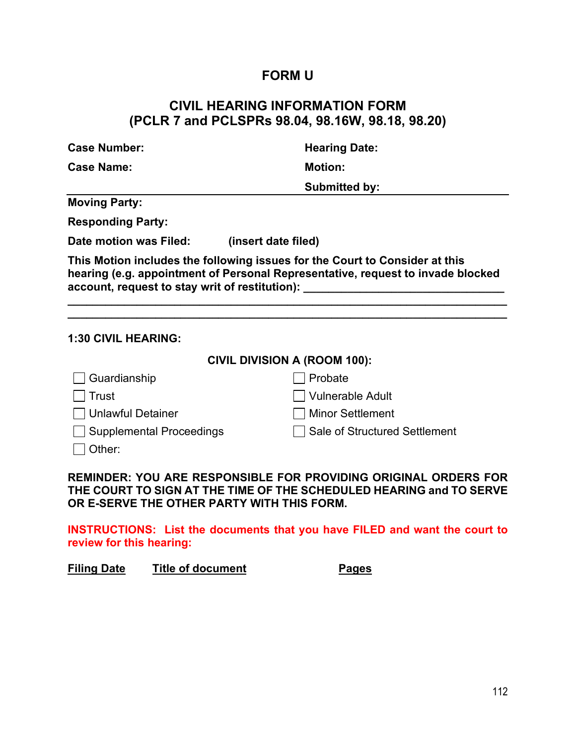### **FORM U**

### **CIVIL HEARING INFORMATION FORM (PCLR 7 and PCLSPRs 98.04, 98.16W, 98.18, 98.20)**

| <b>Case Number:</b>      | <b>Hearing Date:</b> |  |  |
|--------------------------|----------------------|--|--|
| <b>Case Name:</b>        | <b>Motion:</b>       |  |  |
|                          | <b>Submitted by:</b> |  |  |
| <b>Moving Party:</b>     |                      |  |  |
| <b>Responding Party:</b> |                      |  |  |
| Date motion was Filed:   | (insert date filed)  |  |  |

**This Motion includes the following issues for the Court to Consider at this hearing (e.g. appointment of Personal Representative, request to invade blocked**  account, request to stay writ of restitution): **with an article of the state of the state of the state of the state of the state of the state of the state of the state of the state of the state of the state of the state of** 

**\_\_\_\_\_\_\_\_\_\_\_\_\_\_\_\_\_\_\_\_\_\_\_\_\_\_\_\_\_\_\_\_\_\_\_\_\_\_\_\_\_\_\_\_\_\_\_\_\_\_\_\_\_\_\_\_\_\_\_\_\_\_\_\_\_\_\_\_\_\_ \_\_\_\_\_\_\_\_\_\_\_\_\_\_\_\_\_\_\_\_\_\_\_\_\_\_\_\_\_\_\_\_\_\_\_\_\_\_\_\_\_\_\_\_\_\_\_\_\_\_\_\_\_\_\_\_\_\_\_\_\_\_\_\_\_\_\_\_\_\_**

#### **1:30 CIVIL HEARING:**

#### **CIVIL DIVISION A (ROOM 100):**

| $\Box$ Guardianship      | Probate                       |
|--------------------------|-------------------------------|
| $\vert$ Trust            | Vulnerable Adult              |
| □ Unlawful Detainer      | Minor Settlement              |
| Supplemental Proceedings | Sale of Structured Settlement |
| Other:                   |                               |

**REMINDER: YOU ARE RESPONSIBLE FOR PROVIDING ORIGINAL ORDERS FOR THE COURT TO SIGN AT THE TIME OF THE SCHEDULED HEARING and TO SERVE OR E-SERVE THE OTHER PARTY WITH THIS FORM.**

**INSTRUCTIONS: List the documents that you have FILED and want the court to review for this hearing:** 

**Filing Date Title of document Pages**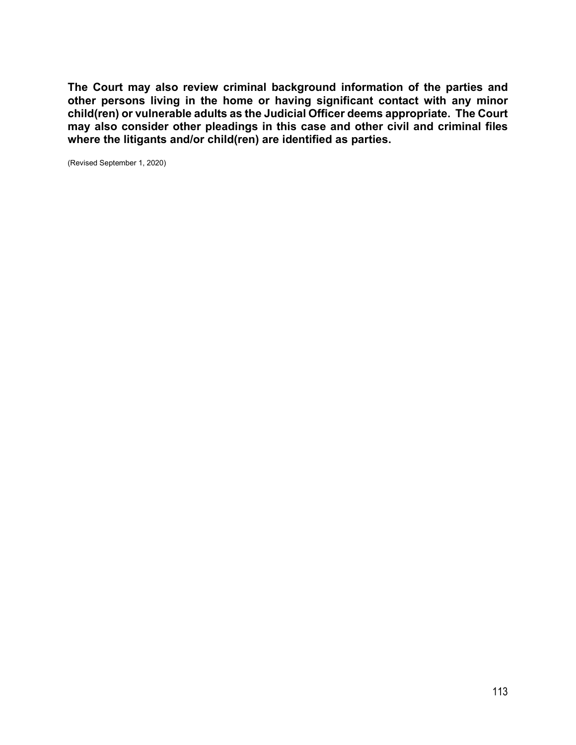**The Court may also review criminal background information of the parties and other persons living in the home or having significant contact with any minor child(ren) or vulnerable adults as the Judicial Officer deems appropriate. The Court may also consider other pleadings in this case and other civil and criminal files where the litigants and/or child(ren) are identified as parties.**

(Revised September 1, 2020)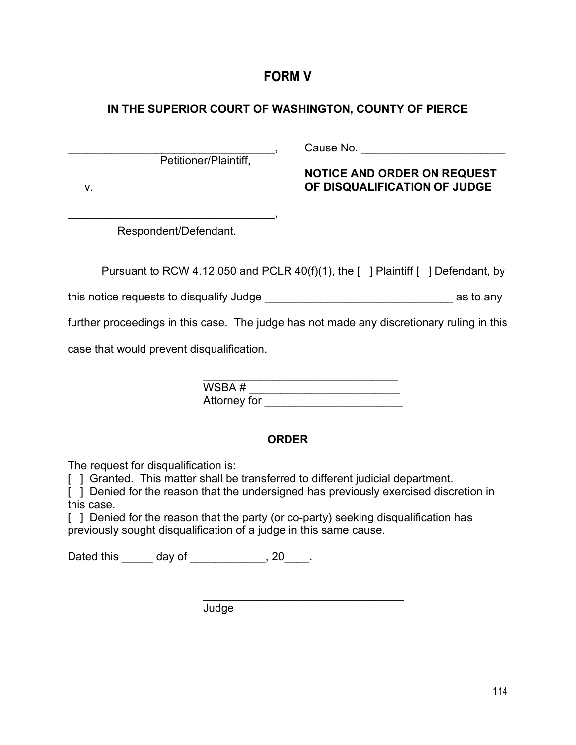# **FORM V**

## **IN THE SUPERIOR COURT OF WASHINGTON, COUNTY OF PIERCE**

\_\_\_\_\_\_\_\_\_\_\_\_\_\_\_\_\_\_\_\_\_\_\_\_\_\_\_\_\_\_\_\_\_, Petitioner/Plaintiff,

v.

\_\_\_\_\_\_\_\_\_\_\_\_\_\_\_\_\_\_\_\_\_\_\_\_\_\_\_\_\_\_\_\_\_, Respondent/Defendant.

Cause No. \_\_\_\_\_\_\_\_\_\_\_\_\_\_\_\_\_\_\_\_\_\_\_

**NOTICE AND ORDER ON REQUEST OF DISQUALIFICATION OF JUDGE**

Pursuant to RCW 4.12.050 and PCLR 40(f)(1), the [ ] Plaintiff [ ] Defendant, by

this notice requests to disqualify Judge \_\_\_\_\_\_\_\_\_\_\_\_\_\_\_\_\_\_\_\_\_\_\_\_\_\_\_\_\_\_ as to any

further proceedings in this case. The judge has not made any discretionary ruling in this

case that would prevent disqualification.

| WSBA#        |  |
|--------------|--|
| Attorney for |  |

### **ORDER**

The request for disqualification is:

[ ] Granted. This matter shall be transferred to different judicial department.

[ ] Denied for the reason that the undersigned has previously exercised discretion in this case.

[ ] Denied for the reason that the party (or co-party) seeking disqualification has previously sought disqualification of a judge in this same cause.

Dated this \_\_\_\_\_\_ day of \_\_\_\_\_\_\_\_\_\_\_, 20\_\_\_\_.

\_\_\_\_\_\_\_\_\_\_\_\_\_\_\_\_\_\_\_\_\_\_\_\_\_\_\_\_\_\_\_\_ Judge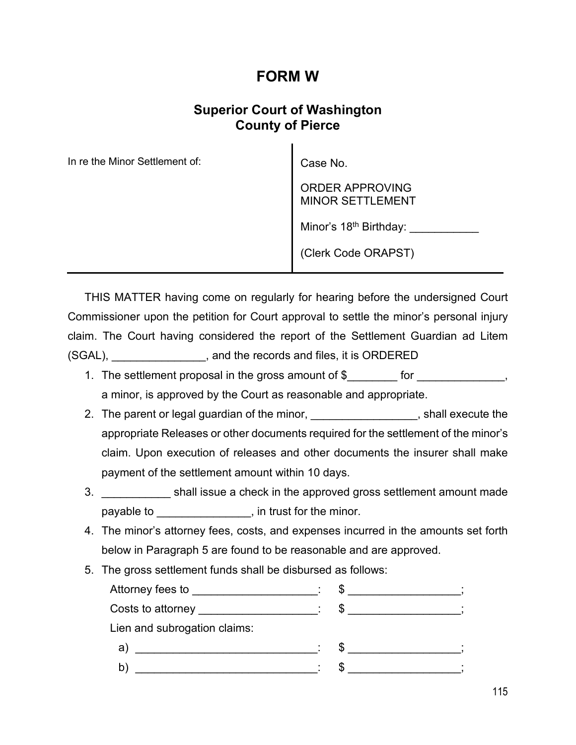# **FORM W**

## **Superior Court of Washington County of Pierce**

 $\mathbf{I}$ 

| In re the Minor Settlement of: | Case No.                                   |
|--------------------------------|--------------------------------------------|
|                                | <b>ORDER APPROVING</b><br>MINOR SETTLEMENT |
|                                | Minor's 18 <sup>th</sup> Birthday:         |
|                                | (Clerk Code ORAPST)                        |

THIS MATTER having come on regularly for hearing before the undersigned Court Commissioner upon the petition for Court approval to settle the minor's personal injury claim. The Court having considered the report of the Settlement Guardian ad Litem (SGAL), \_\_\_\_\_\_\_\_\_\_\_\_\_\_\_, and the records and files, it is ORDERED

- 1. The settlement proposal in the gross amount of \$\_\_\_\_\_\_\_\_ for \_\_\_\_\_\_\_\_\_\_\_\_\_, a minor, is approved by the Court as reasonable and appropriate.
- 2. The parent or legal guardian of the minor, the most controlled as a shall execute the appropriate Releases or other documents required for the settlement of the minor's claim. Upon execution of releases and other documents the insurer shall make payment of the settlement amount within 10 days.
- 3. \_\_\_\_\_\_\_\_\_\_\_ shall issue a check in the approved gross settlement amount made payable to \_\_\_\_\_\_\_\_\_\_\_\_\_\_\_, in trust for the minor.
- 4. The minor's attorney fees, costs, and expenses incurred in the amounts set forth below in Paragraph 5 are found to be reasonable and are approved.
- 5. The gross settlement funds shall be disbursed as follows:

| Costs to attorney _____________________ |
|-----------------------------------------|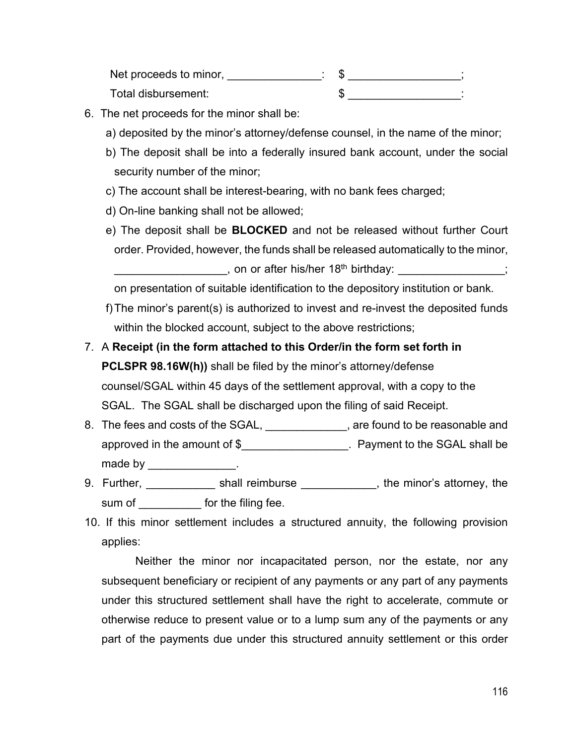Net proceeds to minor, \_\_\_\_\_\_\_\_\_\_\_\_\_\_\_\_: \$ \_\_\_\_\_\_\_\_\_\_\_\_\_\_\_; Total disbursement:  $\texttt{\$}$ 

- 6. The net proceeds for the minor shall be:
	- a) deposited by the minor's attorney/defense counsel, in the name of the minor;
	- b) The deposit shall be into a federally insured bank account, under the social security number of the minor;
	- c) The account shall be interest-bearing, with no bank fees charged;
	- d) On-line banking shall not be allowed;
	- e) The deposit shall be **BLOCKED** and not be released without further Court order. Provided, however, the funds shall be released automatically to the minor,

 $\,$ , on or after his/her 18<sup>th</sup> birthday:  $\,$ ;

on presentation of suitable identification to the depository institution or bank.

f)The minor's parent(s) is authorized to invest and re-invest the deposited funds within the blocked account, subject to the above restrictions;

# 7. A **Receipt (in the form attached to this Order/in the form set forth in PCLSPR 98.16W(h))** shall be filed by the minor's attorney/defense counsel/SGAL within 45 days of the settlement approval, with a copy to the SGAL. The SGAL shall be discharged upon the filing of said Receipt.

- 8. The fees and costs of the SGAL, \_\_\_\_\_\_\_\_\_\_\_\_\_, are found to be reasonable and approved in the amount of \$ made by the contract of the contract of the contract of the contract of the contract of the contract of the co
- 9. Further, \_\_\_\_\_\_\_\_\_\_\_\_\_ shall reimburse \_\_\_\_\_\_\_\_\_\_\_\_\_, the minor's attorney, the sum of  $\qquad \qquad$  for the filing fee.
- 10. If this minor settlement includes a structured annuity, the following provision applies:

Neither the minor nor incapacitated person, nor the estate, nor any subsequent beneficiary or recipient of any payments or any part of any payments under this structured settlement shall have the right to accelerate, commute or otherwise reduce to present value or to a lump sum any of the payments or any part of the payments due under this structured annuity settlement or this order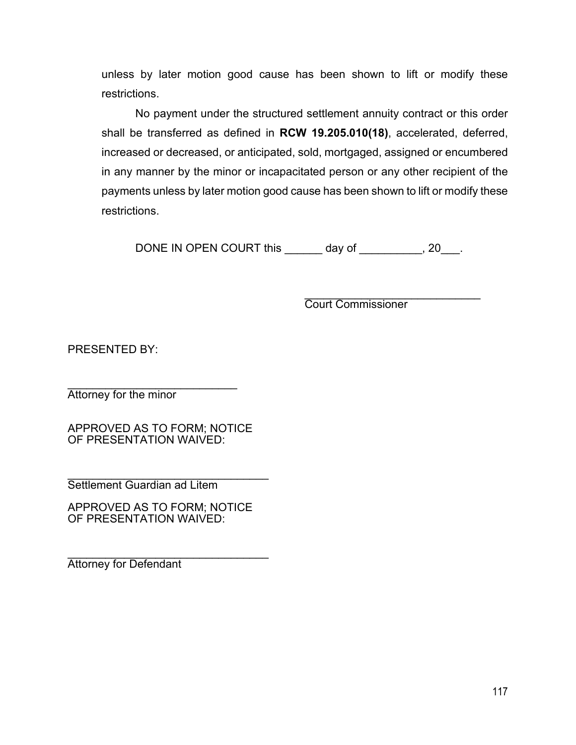unless by later motion good cause has been shown to lift or modify these restrictions.

No payment under the structured settlement annuity contract or this order shall be transferred as defined in **RCW 19.205.010(18)**, accelerated, deferred, increased or decreased, or anticipated, sold, mortgaged, assigned or encumbered in any manner by the minor or incapacitated person or any other recipient of the payments unless by later motion good cause has been shown to lift or modify these restrictions.

DONE IN OPEN COURT this \_\_\_\_\_\_ day of \_\_\_\_\_\_\_\_\_, 20\_\_\_.

\_\_\_\_\_\_\_\_\_\_\_\_\_\_\_\_\_\_\_\_\_\_\_\_\_\_\_\_ Court Commissioner

PRESENTED BY:

\_\_\_\_\_\_\_\_\_\_\_\_\_\_\_\_\_\_\_\_\_\_\_\_\_\_\_ Attorney for the minor

APPROVED AS TO FORM; NOTICE OF PRESENTATION WAIVED:

\_\_\_\_\_\_\_\_\_\_\_\_\_\_\_\_\_\_\_\_\_\_\_\_\_\_\_\_\_\_\_\_ Settlement Guardian ad Litem

APPROVED AS TO FORM; NOTICE OF PRESENTATION WAIVED:

\_\_\_\_\_\_\_\_\_\_\_\_\_\_\_\_\_\_\_\_\_\_\_\_\_\_\_\_\_\_\_\_ Attorney for Defendant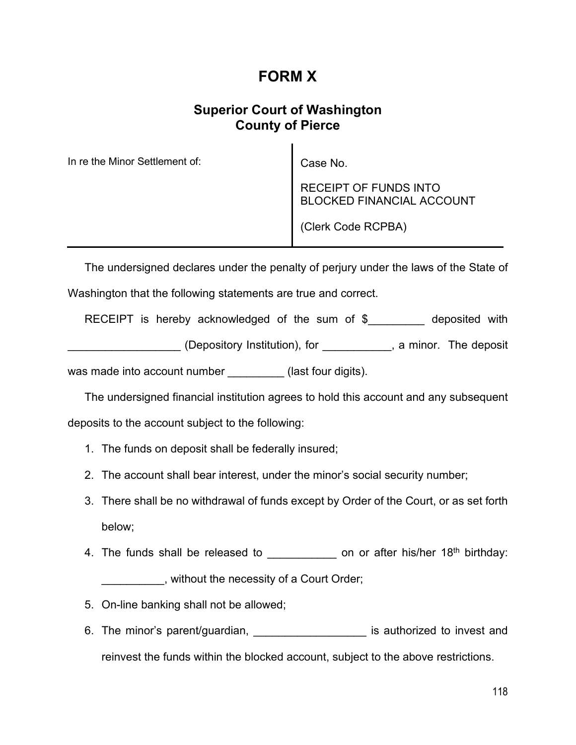# **FORM X**

# **Superior Court of Washington County of Pierce**

In re the Minor Settlement of: <br>
Case No.

RECEIPT OF FUNDS INTO BLOCKED FINANCIAL ACCOUNT

(Clerk Code RCPBA)

The undersigned declares under the penalty of perjury under the laws of the State of Washington that the following statements are true and correct.

RECEIPT is hereby acknowledged of the sum of \$\_\_\_\_\_\_\_\_\_ deposited with

\_\_\_\_\_\_\_\_\_\_\_\_\_\_\_\_\_\_ (Depository Institution), for \_\_\_\_\_\_\_\_\_\_\_, a minor. The deposit

was made into account number \_\_\_\_\_\_\_\_\_\_ (last four digits).

The undersigned financial institution agrees to hold this account and any subsequent

deposits to the account subject to the following:

- 1. The funds on deposit shall be federally insured;
- 2. The account shall bear interest, under the minor's social security number;
- 3. There shall be no withdrawal of funds except by Order of the Court, or as set forth below;
- 4. The funds shall be released to \_\_\_\_\_\_\_\_\_\_\_\_ on or after his/her  $18<sup>th</sup>$  birthday:

\_\_\_\_\_\_\_\_\_\_, without the necessity of a Court Order;

- 5. On-line banking shall not be allowed;
- 6. The minor's parent/guardian, \_\_\_\_\_\_\_\_\_\_\_\_\_\_\_\_\_\_ is authorized to invest and reinvest the funds within the blocked account, subject to the above restrictions.